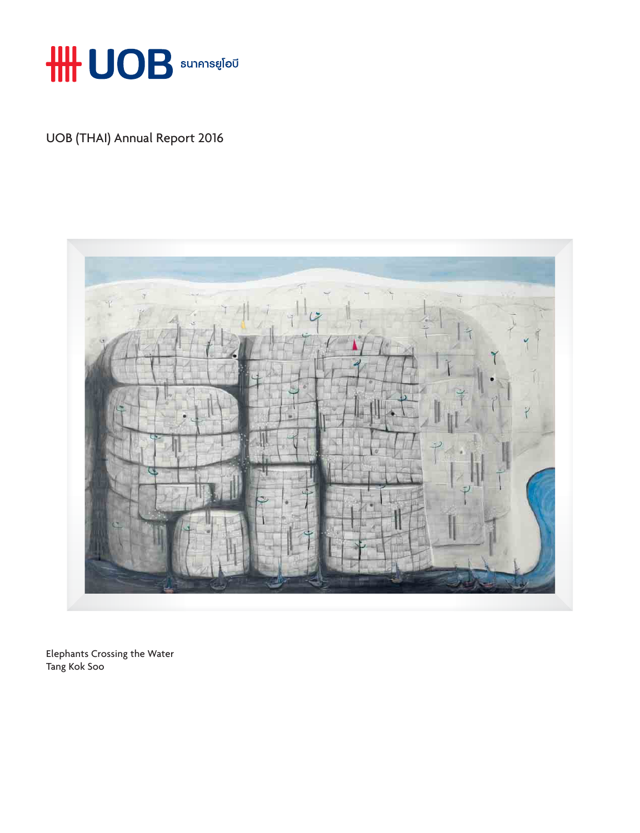

UOB (THAI) Annual Report 2016



Elephants Crossing the Water Tang Kok Soo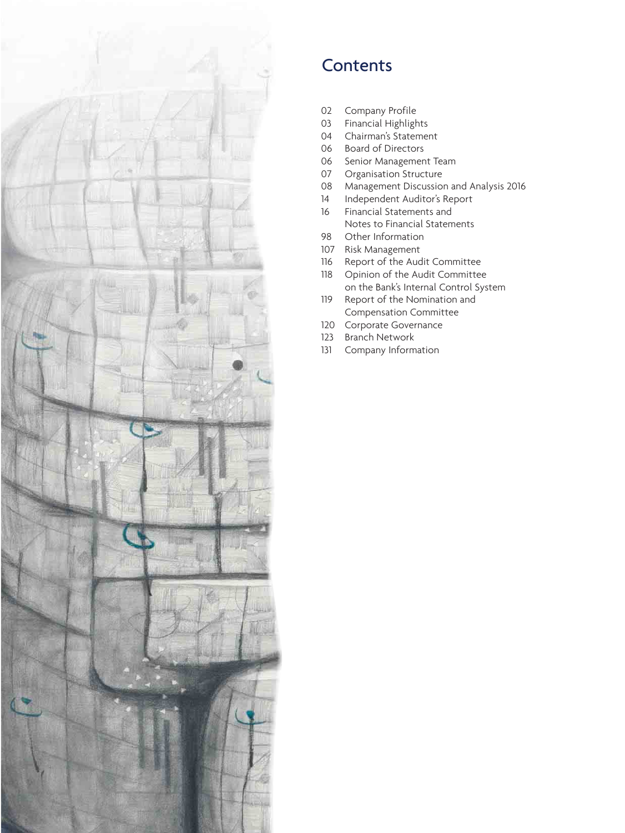

## **Contents**

- 02 Company Profile
- 03 Financial Highlights
- 04 Chairman's Statement<br>06 Board of Directors
- Board of Directors
- 06 Senior Management Team<br>07 Organisation Structure
- Organisation Structure
- 08 Management Discussion and Analysis 2016
- 14 Independent Auditor's Report
- 16 Financial Statements and
- Notes to Financial Statements<br>98 Other Information
- 98 Other Information<br>107 Risk Management
- Risk Management
- 116 Report of the Audit Committee<br>118 Opinion of the Audit Committee
- Opinion of the Audit Committee on the Bank's Internal Control System<br>19 Report of the Nomination and
- Report of the Nomination and Compensation Committee<br>120 Corporate Governance
- 120 Corporate Governance<br>123 Branch Network
- Branch Network
- 131 Company Information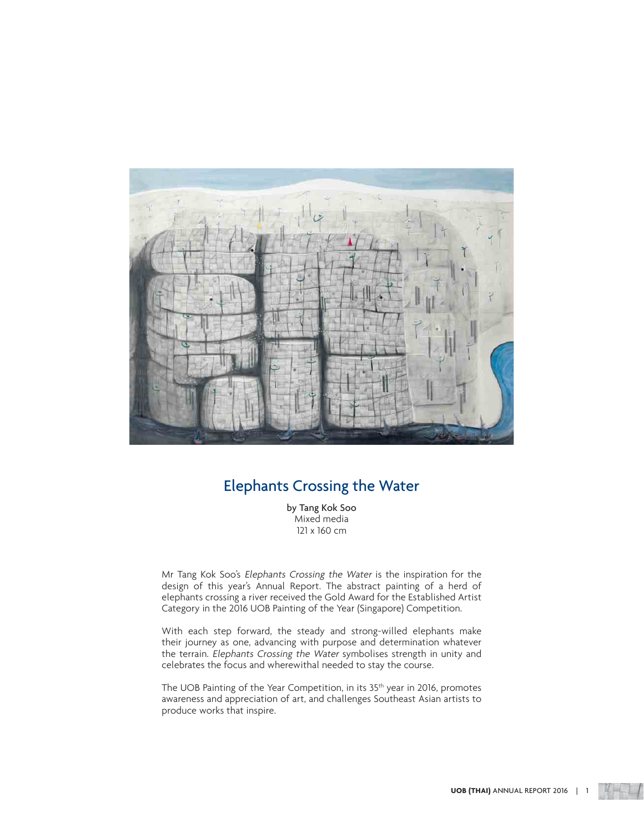

## Elephants Crossing the Water

by Tang Kok Soo Mixed media 121 x 160 cm

Mr Tang Kok Soo's Elephants Crossing the Water is the inspiration for the design of this year's Annual Report. The abstract painting of a herd of elephants crossing a river received the Gold Award for the Established Artist Category in the 2016 UOB Painting of the Year (Singapore) Competition.

With each step forward, the steady and strong-willed elephants make their journey as one, advancing with purpose and determination whatever the terrain. Elephants Crossing the Water symbolises strength in unity and celebrates the focus and wherewithal needed to stay the course.

The UOB Painting of the Year Competition, in its 35<sup>th</sup> year in 2016, promotes awareness and appreciation of art, and challenges Southeast Asian artists to produce works that inspire.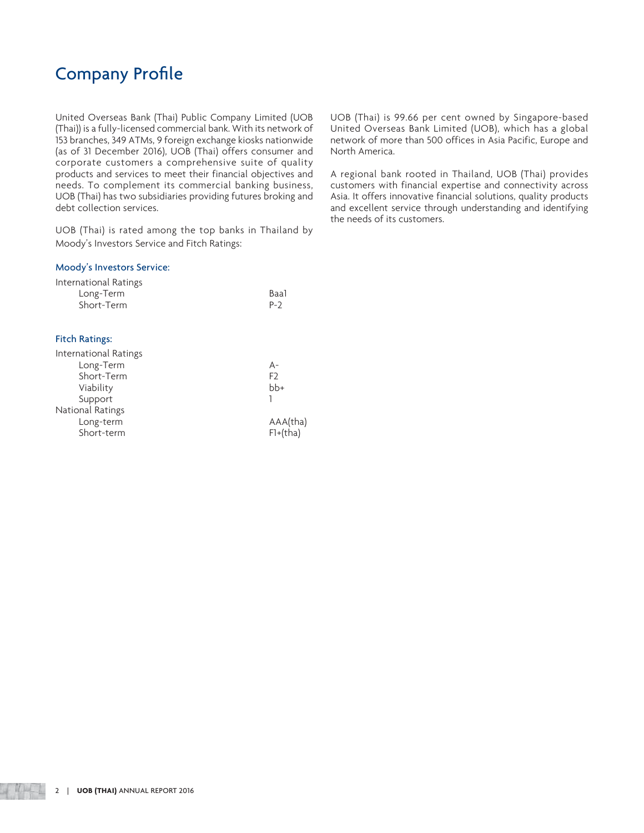## **Company Profile**

United Overseas Bank (Thai) Public Company Limited (UOB (Thai)) is a fully-licensed commercial bank. With its network of 153 branches, 349 ATMs, 9 foreign exchange kiosks nationwide (as of 31 December 2016), UOB (Thai) offers consumer and corporate customers a comprehensive suite of quality products and services to meet their financial objectives and needs. To complement its commercial banking business, UOB (Thai) has two subsidiaries providing futures broking and debt collection services.

UOB (Thai) is rated among the top banks in Thailand by Moody's Investors Service and Fitch Ratings:

#### Moody's Investors Service:

| International Ratings |       |
|-----------------------|-------|
| Long-Term             | Baal  |
| Short-Term            | $P-2$ |
|                       |       |

#### Fitch Ratings:

| International Ratings |                |
|-----------------------|----------------|
| Long-Term             | А-             |
| Short-Term            | F <sub>2</sub> |
| Viability             | $bb+$          |
| Support               |                |
| National Ratings      |                |
| Long-term             | AAA(tha)       |
| Short-term            | $F1+(tha)$     |

UOB (Thai) is 99.66 per cent owned by Singapore-based United Overseas Bank Limited (UOB), which has a global network of more than 500 offices in Asia Pacific, Europe and North America.

A regional bank rooted in Thailand, UOB (Thai) provides customers with financial expertise and connectivity across Asia. It offers innovative financial solutions, quality products and excellent service through understanding and identifying the needs of its customers.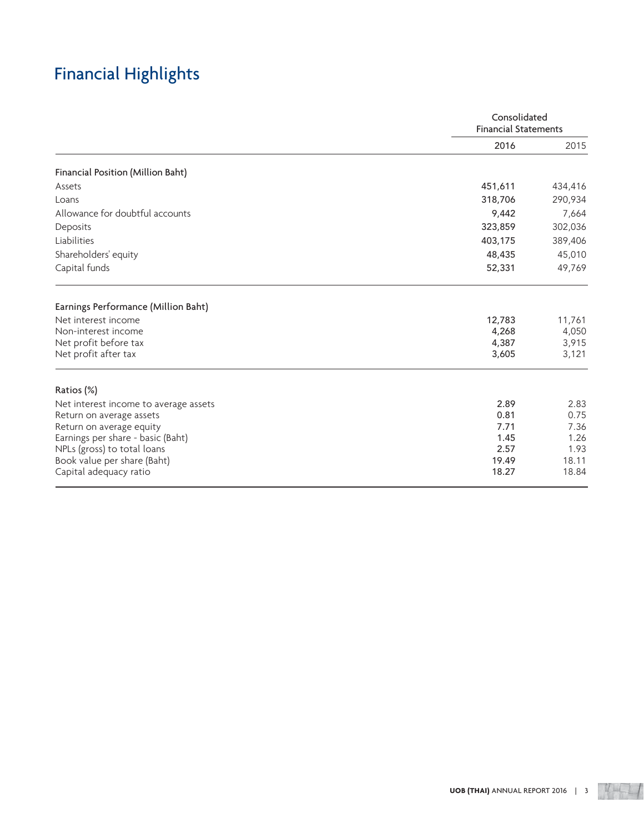# Financial Highlights

|                                       |         | Consolidated<br><b>Financial Statements</b> |  |
|---------------------------------------|---------|---------------------------------------------|--|
|                                       | 2016    | 2015                                        |  |
| Financial Position (Million Baht)     |         |                                             |  |
| Assets                                | 451,611 | 434,416                                     |  |
| Loans                                 | 318,706 | 290,934                                     |  |
| Allowance for doubtful accounts       | 9,442   | 7,664                                       |  |
| Deposits                              | 323,859 | 302,036                                     |  |
| Liabilities                           | 403,175 | 389,406                                     |  |
| Shareholders' equity                  | 48,435  | 45,010                                      |  |
| Capital funds                         | 52,331  | 49,769                                      |  |
| Earnings Performance (Million Baht)   |         |                                             |  |
| Net interest income                   | 12,783  | 11,761                                      |  |
| Non-interest income                   | 4,268   | 4,050                                       |  |
| Net profit before tax                 | 4,387   | 3,915                                       |  |
| Net profit after tax                  | 3,605   | 3,121                                       |  |
| Ratios (%)                            |         |                                             |  |
| Net interest income to average assets | 2.89    | 2.83                                        |  |
| Return on average assets              | 0.81    | 0.75                                        |  |
| Return on average equity              | 7.71    | 7.36                                        |  |
| Earnings per share - basic (Baht)     | 1.45    | 1.26                                        |  |
| NPLs (gross) to total loans           | 2.57    | 1.93                                        |  |
| Book value per share (Baht)           | 19.49   | 18.11                                       |  |
| Capital adequacy ratio                | 18.27   | 18.84                                       |  |

 $4 - 1$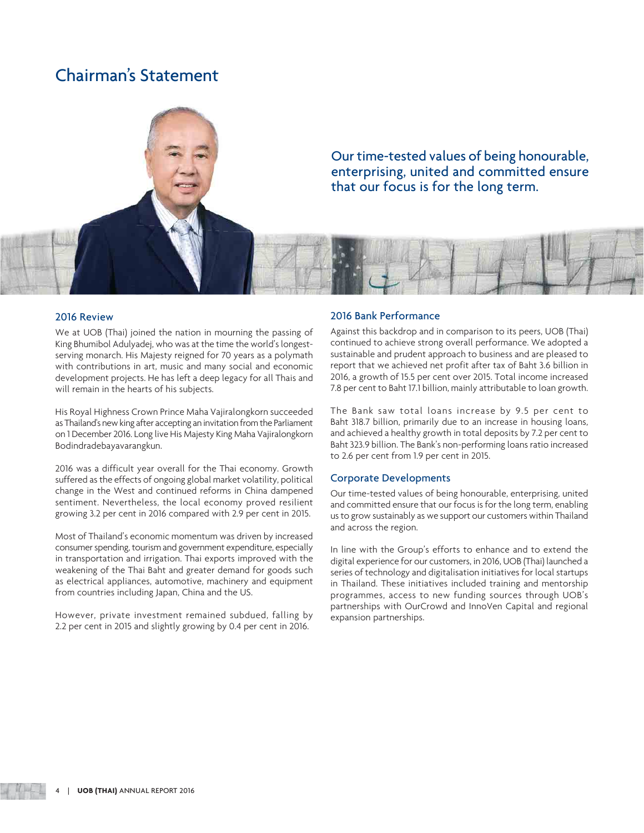## Chairman's Statement



Our time-tested values of being honourable, enterprising, united and committed ensure that our focus is for the long term.

### 2016 Review

We at UOB (Thai) joined the nation in mourning the passing of King Bhumibol Adulyadej, who was at the time the world's longestserving monarch. His Majesty reigned for 70 years as a polymath with contributions in art, music and many social and economic development projects. He has left a deep legacy for all Thais and will remain in the hearts of his subjects.

His Royal Highness Crown Prince Maha Vajiralongkorn succeeded as Thailand's new king after accepting an invitation from the Parliament on 1 December 2016. Long live His Majesty King Maha Vajiralongkorn Bodindradebayavarangkun.

2016 was a difficult year overall for the Thai economy. Growth suffered as the effects of ongoing global market volatility, political change in the West and continued reforms in China dampened sentiment. Nevertheless, the local economy proved resilient growing 3.2 per cent in 2016 compared with 2.9 per cent in 2015.

Most of Thailand's economic momentum was driven by increased consumer spending, tourism and government expenditure, especially in transportation and irrigation. Thai exports improved with the weakening of the Thai Baht and greater demand for goods such as electrical appliances, automotive, machinery and equipment from countries including Japan, China and the US.

However, private investment remained subdued, falling by 2.2 per cent in 2015 and slightly growing by 0.4 per cent in 2016.

### 2016 Bank Performance

Against this backdrop and in comparison to its peers, UOB (Thai) continued to achieve strong overall performance. We adopted a sustainable and prudent approach to business and are pleased to report that we achieved net profit after tax of Baht 3.6 billion in 2016, a growth of 15.5 per cent over 2015. Total income increased 7.8 per cent to Baht 17.1 billion, mainly attributable to loan growth.

The Bank saw total loans increase by 9.5 per cent to Baht 318.7 billion, primarily due to an increase in housing loans, and achieved a healthy growth in total deposits by 7.2 per cent to Baht 323.9 billion. The Bank's non-performing loans ratio increased to 2.6 per cent from 1.9 per cent in 2015.

#### Corporate Developments

Our time-tested values of being honourable, enterprising, united and committed ensure that our focus is for the long term, enabling us to grow sustainably as we support our customers within Thailand and across the region.

In line with the Group's efforts to enhance and to extend the digital experience for our customers, in 2016, UOB (Thai) launched a series of technology and digitalisation initiatives for local startups in Thailand. These initiatives included training and mentorship programmes, access to new funding sources through UOB's partnerships with OurCrowd and InnoVen Capital and regional expansion partnerships.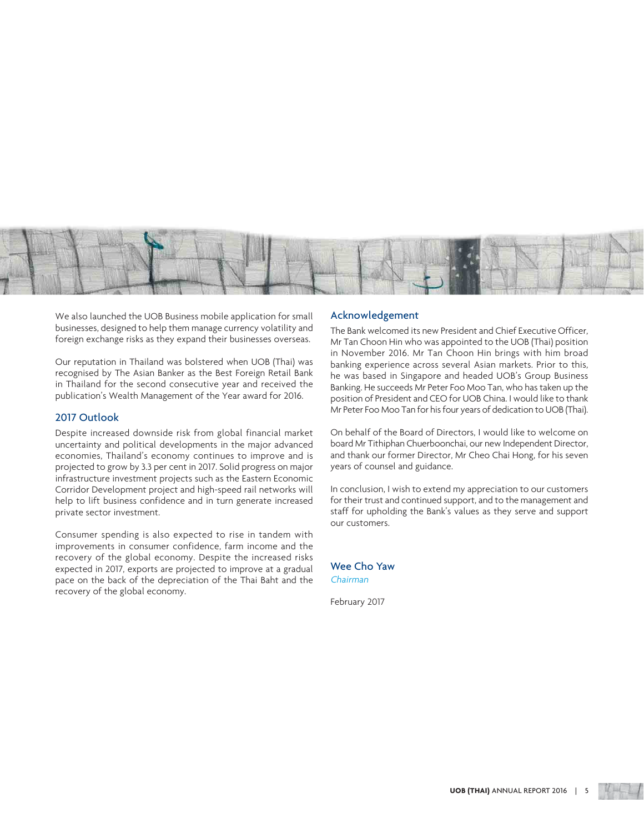

We also launched the UOB Business mobile application for small businesses, designed to help them manage currency volatility and foreign exchange risks as they expand their businesses overseas.

Our reputation in Thailand was bolstered when UOB (Thai) was recognised by The Asian Banker as the Best Foreign Retail Bank in Thailand for the second consecutive year and received the publication's Wealth Management of the Year award for 2016.

### 2017 Outlook

Despite increased downside risk from global financial market uncertainty and political developments in the major advanced economies, Thailand's economy continues to improve and is projected to grow by 3.3 per cent in 2017. Solid progress on major infrastructure investment projects such as the Eastern Economic Corridor Development project and high-speed rail networks will help to lift business confidence and in turn generate increased private sector investment.

Consumer spending is also expected to rise in tandem with improvements in consumer confidence, farm income and the recovery of the global economy. Despite the increased risks expected in 2017, exports are projected to improve at a gradual pace on the back of the depreciation of the Thai Baht and the recovery of the global economy.

### Acknowledgement

The Bank welcomed its new President and Chief Executive Officer, Mr Tan Choon Hin who was appointed to the UOB (Thai) position in November 2016. Mr Tan Choon Hin brings with him broad banking experience across several Asian markets. Prior to this, he was based in Singapore and headed UOB's Group Business Banking. He succeeds Mr Peter Foo Moo Tan, who has taken up the position of President and CEO for UOB China. I would like to thank Mr Peter Foo Moo Tan for his four years of dedication to UOB (Thai).

On behalf of the Board of Directors, I would like to welcome on board Mr Tithiphan Chuerboonchai, our new Independent Director, and thank our former Director, Mr Cheo Chai Hong, for his seven years of counsel and guidance.

In conclusion, I wish to extend my appreciation to our customers for their trust and continued support, and to the management and staff for upholding the Bank's values as they serve and support our customers.

Wee Cho Yaw Chairman

February 2017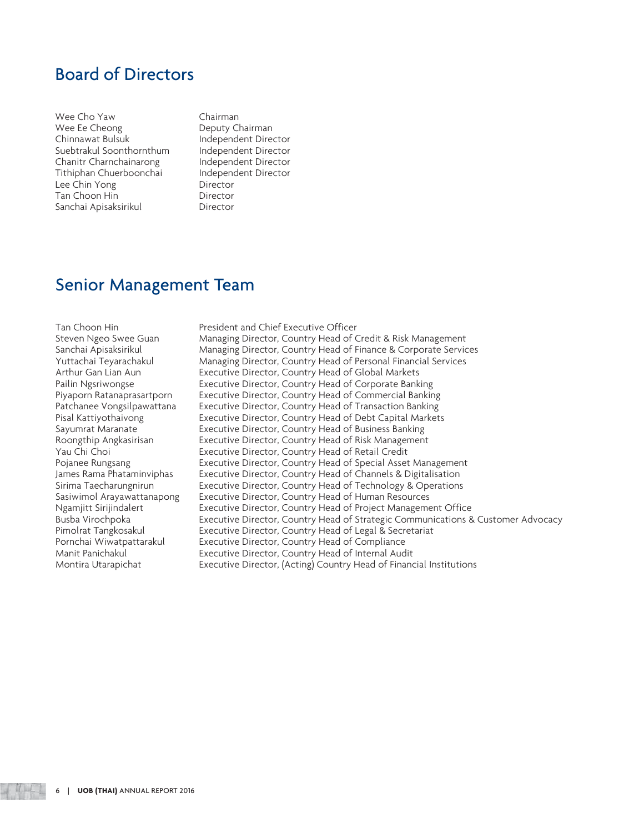## Board of Directors

Wee Cho Yaw **Chairman** Wee Ee Cheong Deputy Chairman Suebtrakul Soonthornthum Independent Director Chanitr Charnchainarong Findependent Director<br>Tithiphan Chuerboonchai Findependent Director Tithiphan Chuerboonchai Lee Chin Yong Director Tan Choon Hin Sanchai Apisaksirikul Director

Independent Director

## Senior Management Team

Tan Choon Hin President and Chief Executive Officer

Steven Ngeo Swee Guan Managing Director, Country Head of Credit & Risk Management Sanchai Apisaksirikul Managing Director, Country Head of Finance & Corporate Services Yuttachai Teyarachakul Managing Director, Country Head of Personal Financial Services Arthur Gan Lian Aun **Executive Director, Country Head of Global Markets** Pailin Ngsriwongse **Executive Director, Country Head of Corporate Banking** Piyaporn Ratanaprasartporn Executive Director, Country Head of Commercial Banking Patchanee Vongsilpawattana Executive Director, Country Head of Transaction Banking Pisal Kattiyothaivong **Executive Director, Country Head of Debt Capital Markets** Sayumrat Maranate **Executive Director, Country Head of Business Banking** Roongthip Angkasirisan **Executive Director, Country Head of Risk Management** Yau Chi Choi Executive Director, Country Head of Retail Credit Pojanee Rungsang **Executive Director, Country Head of Special Asset Management** James Rama Phataminviphas Executive Director, Country Head of Channels & Digitalisation Sirima Taecharungnirun Executive Director, Country Head of Technology & Operations Sasiwimol Arayawattanapong Executive Director, Country Head of Human Resources Ngamjitt Sirijindalert Executive Director, Country Head of Project Management Office Busba Virochpoka Executive Director, Country Head of Strategic Communications & Customer Advocacy Pimolrat Tangkosakul Executive Director, Country Head of Legal & Secretariat Executive Director, Country Head of Compliance Manit Panichakul Executive Director, Country Head of Internal Audit Montira Utarapichat Executive Director, (Acting) Country Head of Financial Institutions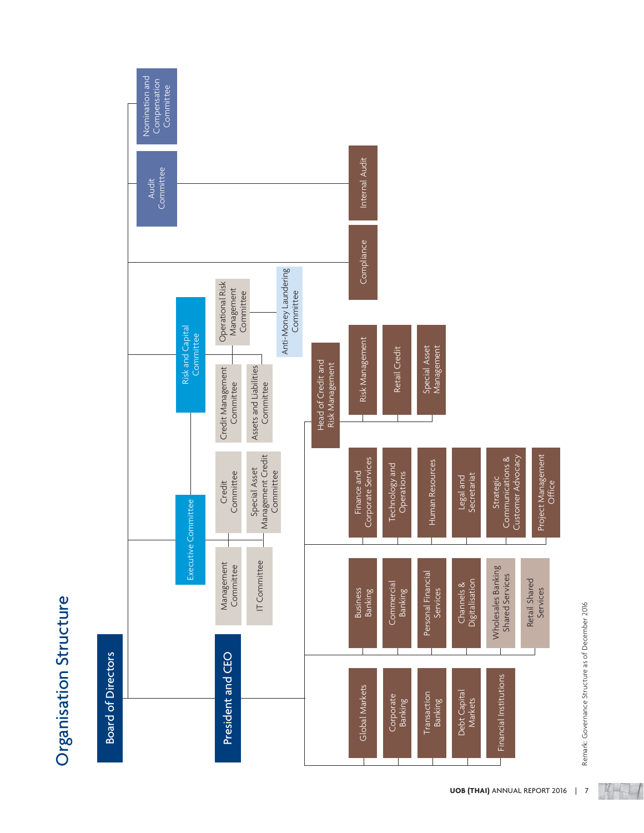



 $4+1$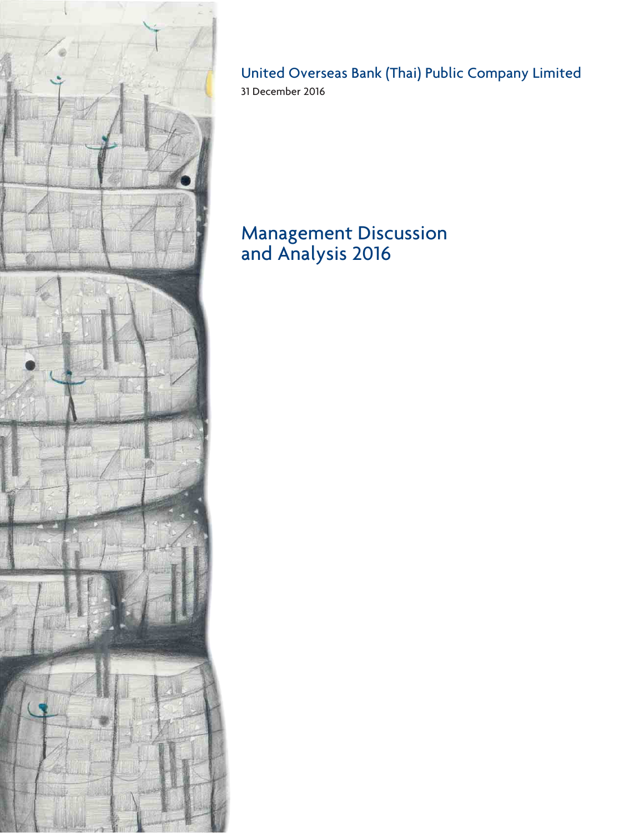

## United Overseas Bank (Thai) Public Company Limited

31 December 2016

# Management Discussion and Analysis 2016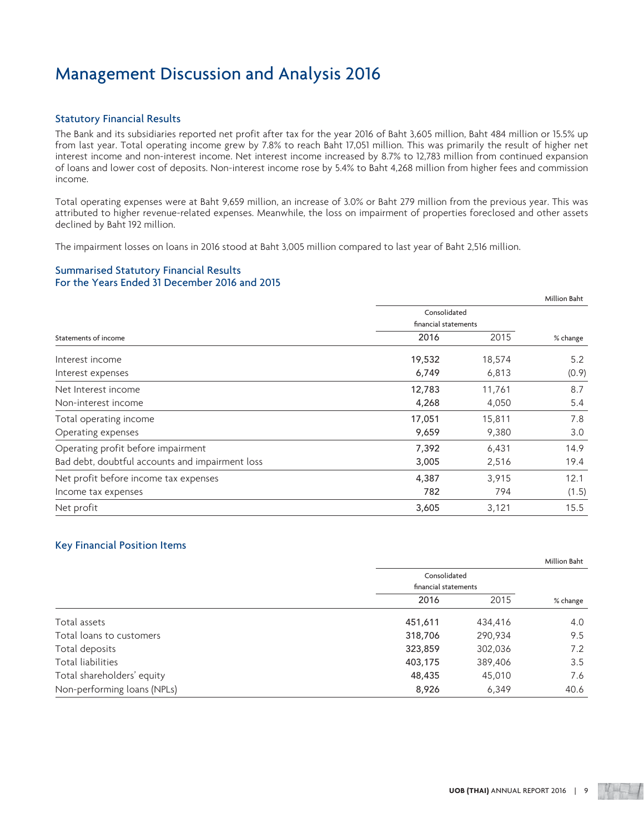## Statutory Financial Results

The Bank and its subsidiaries reported net profit after tax for the year 2016 of Baht 3,605 million, Baht 484 million or 15.5% up from last year. Total operating income grew by 7.8% to reach Baht 17,051 million. This was primarily the result of higher net interest income and non-interest income. Net interest income increased by 8.7% to 12,783 million from continued expansion of loans and lower cost of deposits. Non-interest income rose by 5.4% to Baht 4,268 million from higher fees and commission income.

Total operating expenses were at Baht 9,659 million, an increase of 3.0% or Baht 279 million from the previous year. This was attributed to higher revenue-related expenses. Meanwhile, the loss on impairment of properties foreclosed and other assets declined by Baht 192 million.

The impairment losses on loans in 2016 stood at Baht 3,005 million compared to last year of Baht 2,516 million.

## Summarised Statutory Financial Results For the Years Ended 31 December 2016 and 2015

|                                                 |                      |        | Million Baht |
|-------------------------------------------------|----------------------|--------|--------------|
|                                                 | Consolidated         |        |              |
|                                                 | financial statements |        |              |
| Statements of income                            | 2016                 | 2015   | % change     |
| Interest income                                 | 19,532               | 18,574 | 5.2          |
| Interest expenses                               | 6,749                | 6,813  | (0.9)        |
| Net Interest income                             | 12,783               | 11,761 | 8.7          |
| Non-interest income                             | 4,268                | 4,050  | 5.4          |
| Total operating income                          | 17,051               | 15,811 | 7.8          |
| Operating expenses                              | 9,659                | 9,380  | 3.0          |
| Operating profit before impairment              | 7,392                | 6,431  | 14.9         |
| Bad debt, doubtful accounts and impairment loss | 3,005                | 2,516  | 19.4         |
| Net profit before income tax expenses           | 4,387                | 3,915  | 12.1         |
| Income tax expenses                             | 782                  | 794    | (1.5)        |
| Net profit                                      | 3,605                | 3,121  | 15.5         |

## Key Financial Position Items

|                             |                      |         | Million Baht |
|-----------------------------|----------------------|---------|--------------|
|                             | Consolidated         |         |              |
|                             | financial statements |         |              |
|                             | 2016                 | 2015    | % change     |
| Total assets                | 451,611              | 434,416 | 4.0          |
| Total loans to customers    | 318,706              | 290,934 | 9.5          |
| Total deposits              | 323,859              | 302,036 | 7.2          |
| Total liabilities           | 403,175              | 389,406 | 3.5          |
| Total shareholders' equity  | 48,435               | 45,010  | 7.6          |
| Non-performing loans (NPLs) | 8,926                | 6,349   | 40.6         |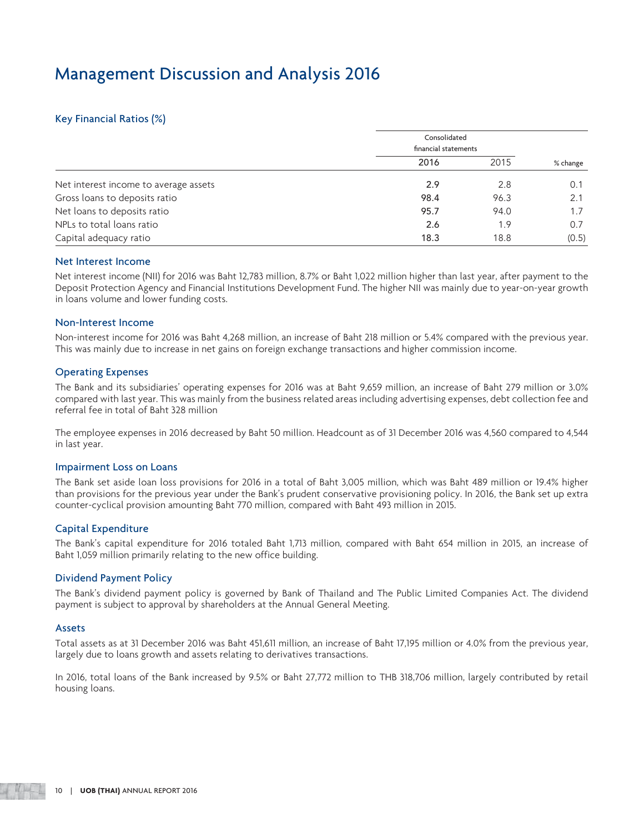## Key Financial Ratios (%)

|                                       | Consolidated<br>financial statements |      |          |
|---------------------------------------|--------------------------------------|------|----------|
|                                       | 2016                                 | 2015 | % change |
| Net interest income to average assets | 2.9                                  | 2.8  | 0.1      |
| Gross loans to deposits ratio         | 98.4                                 | 96.3 | 2.1      |
| Net loans to deposits ratio           | 95.7                                 | 94.0 | 1.7      |
| NPLs to total loans ratio             | 2.6                                  | 1.9  | 0.7      |
| Capital adequacy ratio                | 18.3                                 | 18.8 | (0.5)    |

## Net Interest Income

Net interest income (NII) for 2016 was Baht 12,783 million, 8.7% or Baht 1,022 million higher than last year, after payment to the Deposit Protection Agency and Financial Institutions Development Fund. The higher NII was mainly due to year-on-year growth in loans volume and lower funding costs.

## Non-Interest Income

Non-interest income for 2016 was Baht 4,268 million, an increase of Baht 218 million or 5.4% compared with the previous year. This was mainly due to increase in net gains on foreign exchange transactions and higher commission income.

## Operating Expenses

The Bank and its subsidiaries' operating expenses for 2016 was at Baht 9,659 million, an increase of Baht 279 million or 3.0% compared with last year. This was mainly from the business related areas including advertising expenses, debt collection fee and referral fee in total of Baht 328 million

The employee expenses in 2016 decreased by Baht 50 million. Headcount as of 31 December 2016 was 4,560 compared to 4,544 in last year.

### Impairment Loss on Loans

The Bank set aside loan loss provisions for 2016 in a total of Baht 3,005 million, which was Baht 489 million or 19.4% higher than provisions for the previous year under the Bank's prudent conservative provisioning policy. In 2016, the Bank set up extra counter-cyclical provision amounting Baht 770 million, compared with Baht 493 million in 2015.

## Capital Expenditure

The Bank's capital expenditure for 2016 totaled Baht 1,713 million, compared with Baht 654 million in 2015, an increase of Baht 1,059 million primarily relating to the new office building.

## Dividend Payment Policy

The Bank's dividend payment policy is governed by Bank of Thailand and The Public Limited Companies Act. The dividend payment is subject to approval by shareholders at the Annual General Meeting.

### Assets

Total assets as at 31 December 2016 was Baht 451,611 million, an increase of Baht 17,195 million or 4.0% from the previous year, largely due to loans growth and assets relating to derivatives transactions.

In 2016, total loans of the Bank increased by 9.5% or Baht 27,772 million to THB 318,706 million, largely contributed by retail housing loans.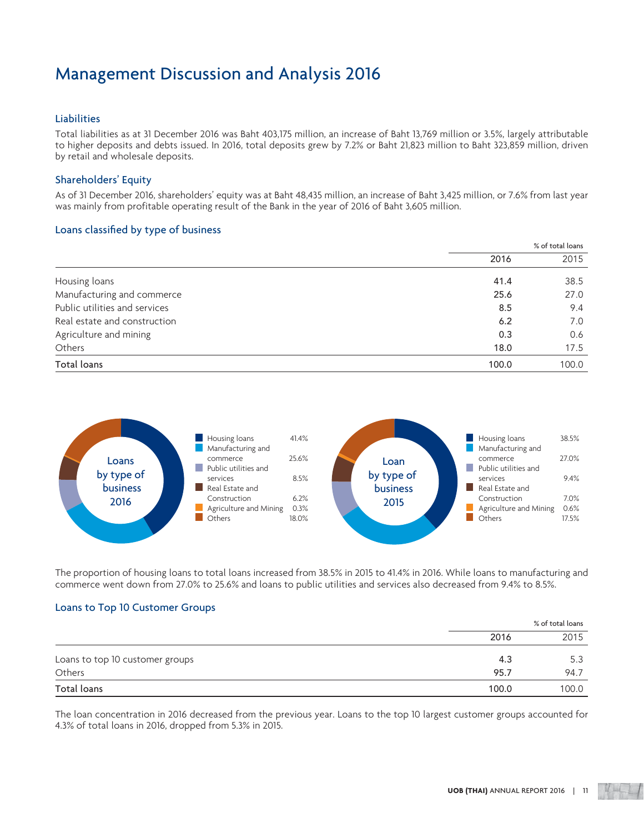## Liabilities

Total liabilities as at 31 December 2016 was Baht 403,175 million, an increase of Baht 13,769 million or 3.5%, largely attributable to higher deposits and debts issued. In 2016, total deposits grew by 7.2% or Baht 21,823 million to Baht 323,859 million, driven by retail and wholesale deposits.

## Shareholders' Equity

As of 31 December 2016, shareholders' equity was at Baht 48,435 million, an increase of Baht 3,425 million, or 7.6% from last year was mainly from profitable operating result of the Bank in the year of 2016 of Baht 3,605 million.

## Loans classified by type of business

|                               | % of total loans |       |
|-------------------------------|------------------|-------|
|                               | 2016             | 2015  |
| Housing loans                 | 41.4             | 38.5  |
| Manufacturing and commerce    | 25.6             | 27.0  |
| Public utilities and services | 8.5              | 9.4   |
| Real estate and construction  | 6.2              | 7.0   |
| Agriculture and mining        | 0.3              | 0.6   |
| Others                        | 18.0             | 17.5  |
| Total loans                   | 100.0            | 100.0 |



The proportion of housing loans to total loans increased from 38.5% in 2015 to 41.4% in 2016. While loans to manufacturing and commerce went down from 27.0% to 25.6% and loans to public utilities and services also decreased from 9.4% to 8.5%.

## Loans to Top 10 Customer Groups

|                                 |       | % of total loans |  |
|---------------------------------|-------|------------------|--|
|                                 | 2016  | 2015             |  |
| Loans to top 10 customer groups | 4.3   | 5.3              |  |
| Others                          | 95.7  | 94.7             |  |
| Total loans                     | 100.0 | 100.0            |  |

The loan concentration in 2016 decreased from the previous year. Loans to the top 10 largest customer groups accounted for 4.3% of total loans in 2016, dropped from 5.3% in 2015.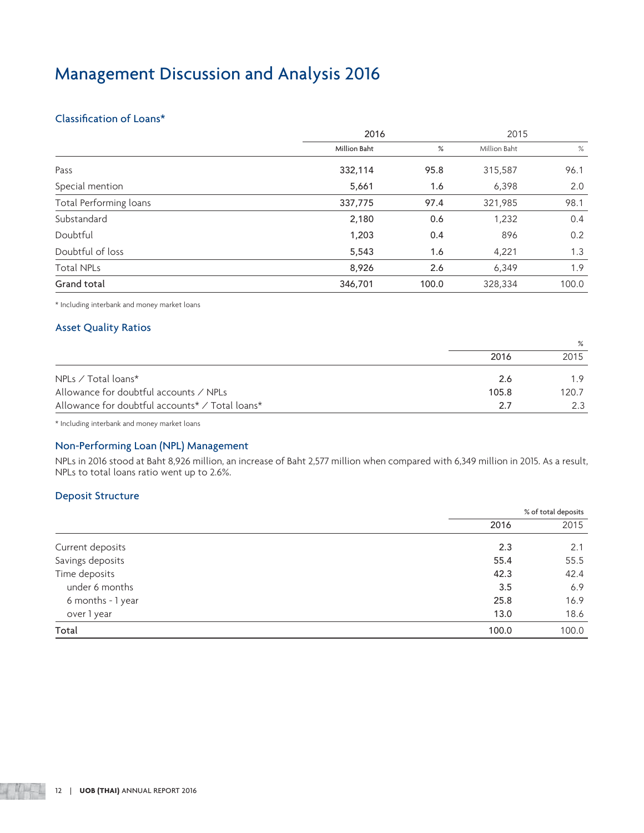## Classification of Loans\*

|                        | 2016                |       | 2015         |       |
|------------------------|---------------------|-------|--------------|-------|
|                        | <b>Million Baht</b> | %     | Million Baht | %     |
| Pass                   | 332,114             | 95.8  | 315,587      | 96.1  |
| Special mention        | 5,661               | 1.6   | 6,398        | 2.0   |
| Total Performing loans | 337,775             | 97.4  | 321,985      | 98.1  |
| Substandard            | 2,180               | 0.6   | 1,232        | 0.4   |
| Doubtful               | 1,203               | 0.4   | 896          | 0.2   |
| Doubtful of loss       | 5,543               | 1.6   | 4,221        | 1.3   |
| <b>Total NPLs</b>      | 8,926               | 2.6   | 6,349        | 1.9   |
| Grand total            | 346,701             | 100.0 | 328,334      | 100.0 |

\* Including interbank and money market loans

## Asset Quality Ratios

|                                                        | 2016  | 2015  |
|--------------------------------------------------------|-------|-------|
| NPLs $\angle$ Total loans*                             | 2.6   | 19    |
| Allowance for doubtful accounts $\angle$ NPLs          | 105.8 | 120.7 |
| Allowance for doubtful accounts* $\angle$ Total loans* | 27    |       |

\* Including interbank and money market loans

## Non-Performing Loan (NPL) Management

NPLs in 2016 stood at Baht 8,926 million, an increase of Baht 2,577 million when compared with 6,349 million in 2015. As a result, NPLs to total loans ratio went up to 2.6%.

## Deposit Structure

|                   | % of total deposits |       |
|-------------------|---------------------|-------|
|                   | 2016                | 2015  |
| Current deposits  | 2.3                 | 2.1   |
| Savings deposits  | 55.4                | 55.5  |
| Time deposits     | 42.3                | 42.4  |
| under 6 months    | 3.5                 | 6.9   |
| 6 months - 1 year | 25.8                | 16.9  |
| over 1 year       | 13.0                | 18.6  |
| Total             | 100.0               | 100.0 |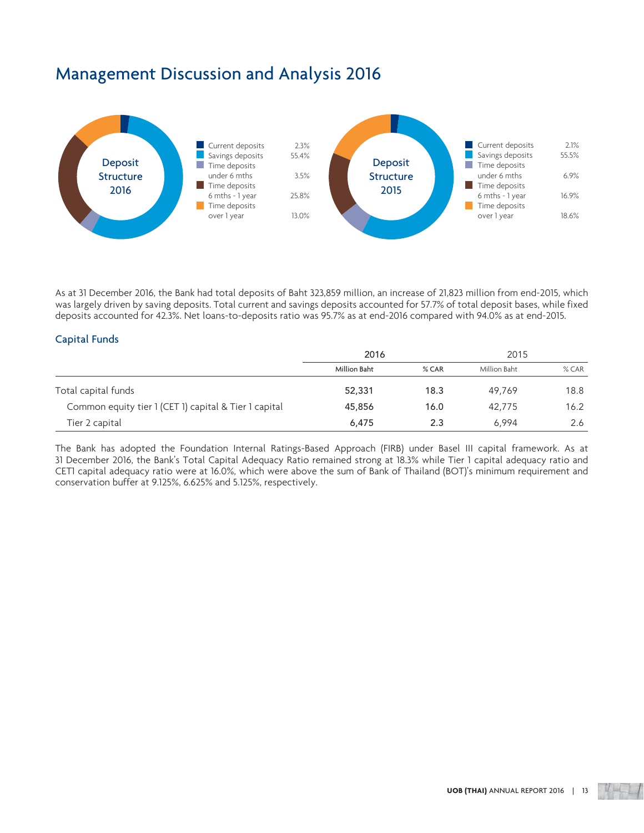

As at 31 December 2016, the Bank had total deposits of Baht 323,859 million, an increase of 21,823 million from end-2015, which was largely driven by saving deposits. Total current and savings deposits accounted for 57.7% of total deposit bases, while fixed deposits accounted for 42.3%. Net loans-to-deposits ratio was 95.7% as at end-2016 compared with 94.0% as at end-2015.

## Capital Funds

|                                                       | 2016         |       | 2015         |         |
|-------------------------------------------------------|--------------|-------|--------------|---------|
|                                                       | Million Baht | % CAR | Million Baht | $%$ CAR |
| Total capital funds                                   | 52,331       | 18.3  | 49.769       | 18.8    |
| Common equity tier 1 (CET 1) capital & Tier 1 capital | 45,856       | 16.0  | 42.775       | 16.2    |
| Tier 2 capital                                        | 6,475        | 2.3   | 6.994        | 2.6     |

The Bank has adopted the Foundation Internal Ratings-Based Approach (FIRB) under Basel III capital framework. As at 31 December 2016, the Bank's Total Capital Adequacy Ratio remained strong at 18.3% while Tier 1 capital adequacy ratio and CET1 capital adequacy ratio were at 16.0%, which were above the sum of Bank of Thailand (BOT)'s minimum requirement and conservation buffer at 9.125%, 6.625% and 5.125%, respectively.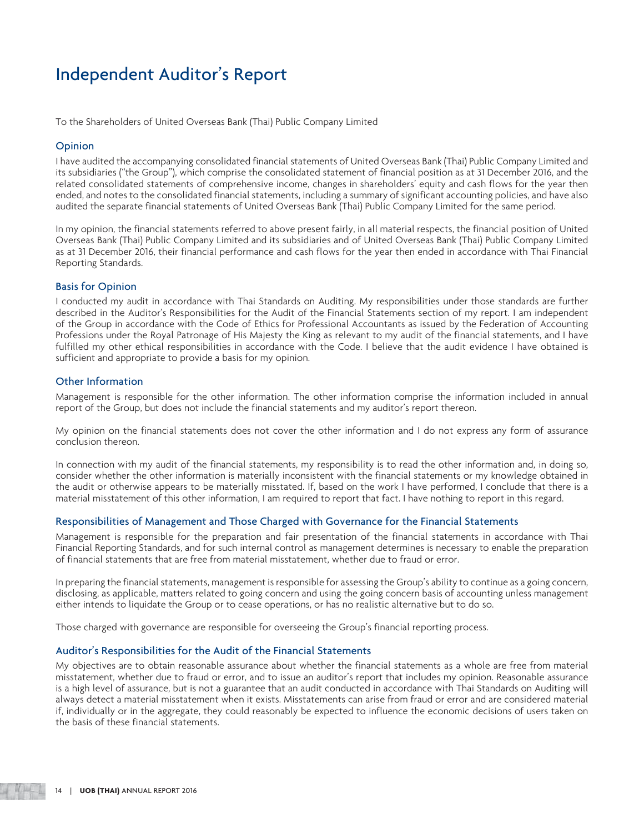## Independent Auditor's Report

To the Shareholders of United Overseas Bank (Thai) Public Company Limited

## **Opinion**

I have audited the accompanying consolidated financial statements of United Overseas Bank (Thai) Public Company Limited and its subsidiaries ("the Group"), which comprise the consolidated statement of financial position as at 31 December 2016, and the related consolidated statements of comprehensive income, changes in shareholders' equity and cash flows for the year then ended, and notes to the consolidated financial statements, including a summary of significant accounting policies, and have also audited the separate financial statements of United Overseas Bank (Thai) Public Company Limited for the same period.

In my opinion, the financial statements referred to above present fairly, in all material respects, the financial position of United Overseas Bank (Thai) Public Company Limited and its subsidiaries and of United Overseas Bank (Thai) Public Company Limited as at 31 December 2016, their financial performance and cash flows for the year then ended in accordance with Thai Financial Reporting Standards.

## Basis for Opinion

I conducted my audit in accordance with Thai Standards on Auditing. My responsibilities under those standards are further described in the Auditor's Responsibilities for the Audit of the Financial Statements section of my report. I am independent of the Group in accordance with the Code of Ethics for Professional Accountants as issued by the Federation of Accounting Professions under the Royal Patronage of His Majesty the King as relevant to my audit of the financial statements, and I have fulfilled my other ethical responsibilities in accordance with the Code. I believe that the audit evidence I have obtained is sufficient and appropriate to provide a basis for my opinion.

## Other Information

Management is responsible for the other information. The other information comprise the information included in annual report of the Group, but does not include the financial statements and my auditor's report thereon.

My opinion on the financial statements does not cover the other information and I do not express any form of assurance conclusion thereon.

In connection with my audit of the financial statements, my responsibility is to read the other information and, in doing so, consider whether the other information is materially inconsistent with the financial statements or my knowledge obtained in the audit or otherwise appears to be materially misstated. If, based on the work I have performed, I conclude that there is a material misstatement of this other information, I am required to report that fact. I have nothing to report in this regard.

### Responsibilities of Management and Those Charged with Governance for the Financial Statements

Management is responsible for the preparation and fair presentation of the financial statements in accordance with Thai Financial Reporting Standards, and for such internal control as management determines is necessary to enable the preparation of financial statements that are free from material misstatement, whether due to fraud or error.

In preparing the financial statements, management is responsible for assessing the Group's ability to continue as a going concern, disclosing, as applicable, matters related to going concern and using the going concern basis of accounting unless management either intends to liquidate the Group or to cease operations, or has no realistic alternative but to do so.

Those charged with governance are responsible for overseeing the Group's financial reporting process.

## Auditor's Responsibilities for the Audit of the Financial Statements

My objectives are to obtain reasonable assurance about whether the financial statements as a whole are free from material misstatement, whether due to fraud or error, and to issue an auditor's report that includes my opinion. Reasonable assurance is a high level of assurance, but is not a guarantee that an audit conducted in accordance with Thai Standards on Auditing will always detect a material misstatement when it exists. Misstatements can arise from fraud or error and are considered material if, individually or in the aggregate, they could reasonably be expected to influence the economic decisions of users taken on the basis of these financial statements.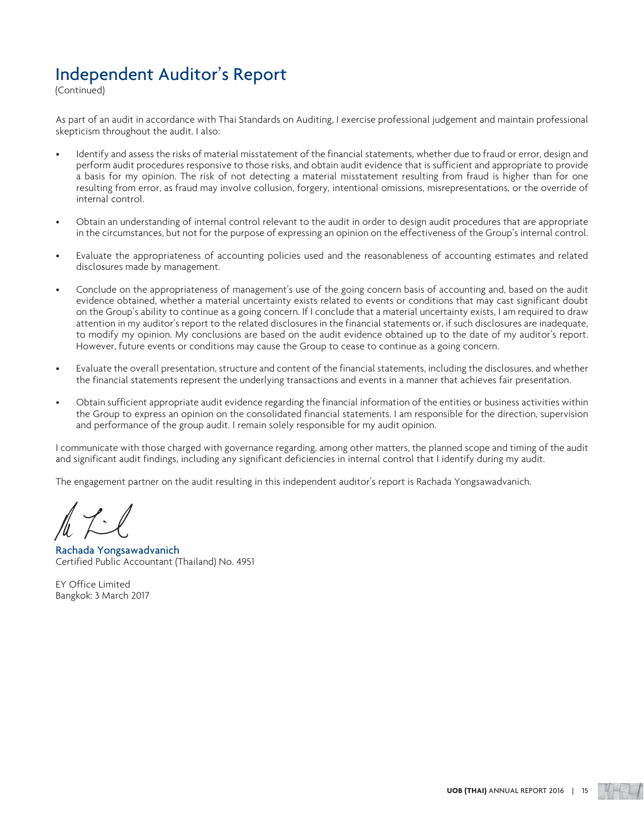## Independent Auditor's Report

(Continued)

As part of an audit in accordance with Thai Standards on Auditing, I exercise professional judgement and maintain professional skepticism throughout the audit. I also:

- Identify and assess the risks of material misstatement of the financial statements, whether due to fraud or error, design and perform audit procedures responsive to those risks, and obtain audit evidence that is sufficient and appropriate to provide a basis for my opinion. The risk of not detecting a material misstatement resulting from fraud is higher than for one resulting from error, as fraud may involve collusion, forgery, intentional omissions, misrepresentations, or the override of internal control.
- Obtain an understanding of internal control relevant to the audit in order to design audit procedures that are appropriate in the circumstances, but not for the purpose of expressing an opinion on the effectiveness of the Group's internal control.
- Evaluate the appropriateness of accounting policies used and the reasonableness of accounting estimates and related disclosures made by management.
- Conclude on the appropriateness of management's use of the going concern basis of accounting and, based on the audit evidence obtained, whether a material uncertainty exists related to events or conditions that may cast significant doubt on the Group's ability to continue as a going concern. If I conclude that a material uncertainty exists, I am required to draw attention in my auditor's report to the related disclosures in the financial statements or, if such disclosures are inadequate, to modify my opinion. My conclusions are based on the audit evidence obtained up to the date of my auditor's report. However, future events or conditions may cause the Group to cease to continue as a going concern.
- Evaluate the overall presentation, structure and content of the financial statements, including the disclosures, and whether the financial statements represent the underlying transactions and events in a manner that achieves fair presentation.
- Obtain sufficient appropriate audit evidence regarding the financial information of the entities or business activities within the Group to express an opinion on the consolidated financial statements. I am responsible for the direction, supervision and performance of the group audit. I remain solely responsible for my audit opinion.

I communicate with those charged with governance regarding, among other matters, the planned scope and timing of the audit and significant audit findings, including any significant deficiencies in internal control that I identify during my audit.

The engagement partner on the audit resulting in this independent auditor's report is Rachada Yongsawadvanich.

Rachada Yongsawadvanich Certified Public Accountant (Thailand) No. 4951

EY Office Limited Bangkok: 3 March 2017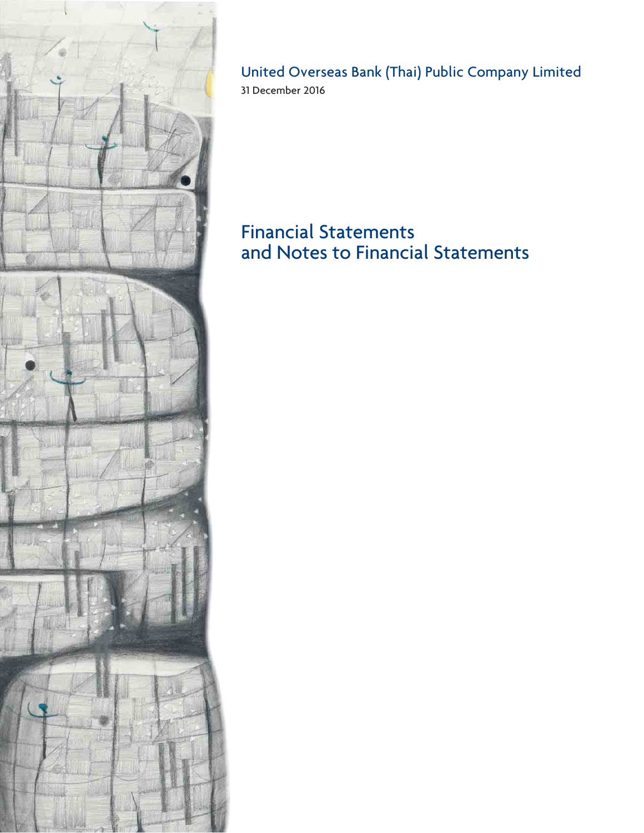

## United Overseas Bank (Thai) Public Company Limited 31 December 2016

# Financial Statements and Notes to Financial Statements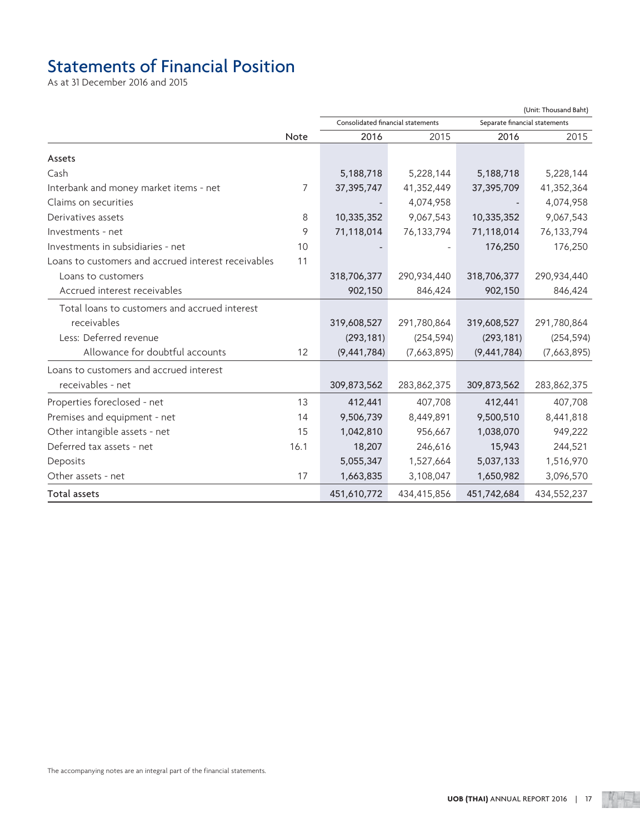# Statements of Financial Position

As at 31 December 2016 and 2015

|                                                     |      | (Unit: Thousand Baht)             |             |                               |             |
|-----------------------------------------------------|------|-----------------------------------|-------------|-------------------------------|-------------|
|                                                     |      | Consolidated financial statements |             | Separate financial statements |             |
|                                                     | Note | 2016                              | 2015        | 2016                          | 2015        |
| Assets                                              |      |                                   |             |                               |             |
| Cash                                                |      | 5,188,718                         | 5,228,144   | 5,188,718                     | 5,228,144   |
| Interbank and money market items - net              | 7    | 37, 395, 747                      | 41,352,449  | 37,395,709                    | 41,352,364  |
| Claims on securities                                |      |                                   | 4,074,958   |                               | 4,074,958   |
| Derivatives assets                                  | 8    | 10,335,352                        | 9,067,543   | 10,335,352                    | 9,067,543   |
| Investments - net                                   | 9    | 71,118,014                        | 76,133,794  | 71,118,014                    | 76,133,794  |
| Investments in subsidiaries - net                   | 10   |                                   |             | 176,250                       | 176,250     |
| Loans to customers and accrued interest receivables | 11   |                                   |             |                               |             |
| Loans to customers                                  |      | 318,706,377                       | 290,934,440 | 318,706,377                   | 290,934,440 |
| Accrued interest receivables                        |      | 902,150                           | 846,424     | 902,150                       | 846,424     |
| Total loans to customers and accrued interest       |      |                                   |             |                               |             |
| receivables                                         |      | 319,608,527                       | 291,780,864 | 319,608,527                   | 291,780,864 |
| Less: Deferred revenue                              |      | (293, 181)                        | (254, 594)  | (293, 181)                    | (254, 594)  |
| Allowance for doubtful accounts                     | 12   | (9,441,784)                       | (7,663,895) | (9,441,784)                   | (7,663,895) |
| Loans to customers and accrued interest             |      |                                   |             |                               |             |
| receivables - net                                   |      | 309,873,562                       | 283,862,375 | 309,873,562                   | 283,862,375 |
| Properties foreclosed - net                         | 13   | 412,441                           | 407,708     | 412,441                       | 407,708     |
| Premises and equipment - net                        | 14   | 9,506,739                         | 8,449,891   | 9,500,510                     | 8,441,818   |
| Other intangible assets - net                       | 15   | 1,042,810                         | 956,667     | 1,038,070                     | 949,222     |
| Deferred tax assets - net                           | 16.1 | 18,207                            | 246,616     | 15,943                        | 244,521     |
| Deposits                                            |      | 5,055,347                         | 1,527,664   | 5,037,133                     | 1,516,970   |
| Other assets - net                                  | 17   | 1,663,835                         | 3,108,047   | 1,650,982                     | 3,096,570   |
| Total assets                                        |      | 451,610,772                       | 434,415,856 | 451,742,684                   | 434,552,237 |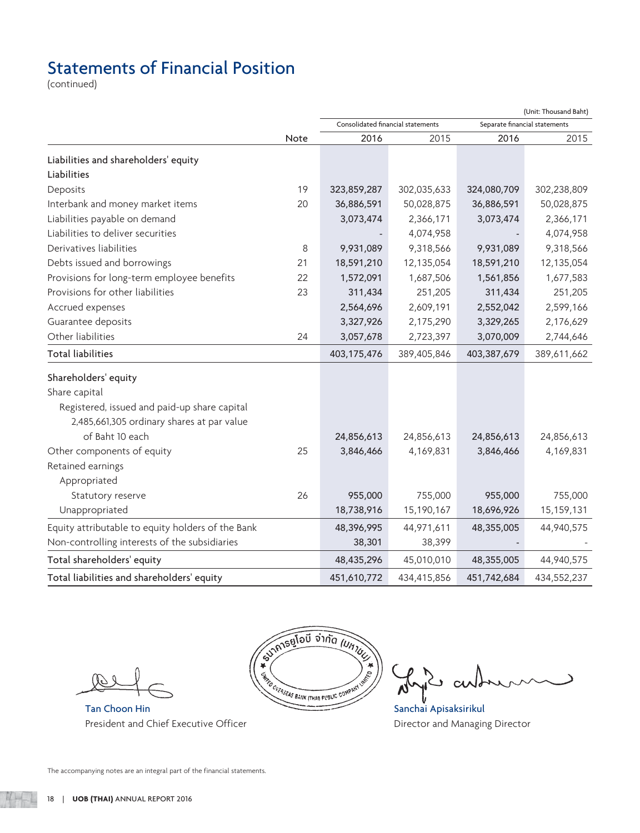# Statements of Financial Position

(continued)

|                                                   |      |                                   |             |                               | (Unit: Thousand Baht) |
|---------------------------------------------------|------|-----------------------------------|-------------|-------------------------------|-----------------------|
|                                                   |      | Consolidated financial statements |             | Separate financial statements |                       |
|                                                   | Note | 2016                              | 2015        | 2016                          | 2015                  |
| Liabilities and shareholders' equity              |      |                                   |             |                               |                       |
| Liabilities                                       |      |                                   |             |                               |                       |
| Deposits                                          | 19   | 323,859,287                       | 302,035,633 | 324,080,709                   | 302,238,809           |
| Interbank and money market items                  | 20   | 36,886,591                        | 50,028,875  | 36,886,591                    | 50,028,875            |
| Liabilities payable on demand                     |      | 3,073,474                         | 2,366,171   | 3,073,474                     | 2,366,171             |
| Liabilities to deliver securities                 |      |                                   | 4,074,958   |                               | 4,074,958             |
| Derivatives liabilities                           | 8    | 9,931,089                         | 9,318,566   | 9,931,089                     | 9,318,566             |
| Debts issued and borrowings                       | 21   | 18,591,210                        | 12,135,054  | 18,591,210                    | 12,135,054            |
| Provisions for long-term employee benefits        | 22   | 1,572,091                         | 1,687,506   | 1,561,856                     | 1,677,583             |
| Provisions for other liabilities                  | 23   | 311,434                           | 251,205     | 311,434                       | 251,205               |
| Accrued expenses                                  |      | 2,564,696                         | 2,609,191   | 2,552,042                     | 2,599,166             |
| Guarantee deposits                                |      | 3,327,926                         | 2,175,290   | 3,329,265                     | 2,176,629             |
| Other liabilities                                 | 24   | 3,057,678                         | 2,723,397   | 3,070,009                     | 2,744,646             |
| <b>Total liabilities</b>                          |      | 403,175,476                       | 389,405,846 | 403,387,679                   | 389,611,662           |
| Shareholders' equity                              |      |                                   |             |                               |                       |
| Share capital                                     |      |                                   |             |                               |                       |
| Registered, issued and paid-up share capital      |      |                                   |             |                               |                       |
| 2,485,661,305 ordinary shares at par value        |      |                                   |             |                               |                       |
| of Baht 10 each                                   |      | 24,856,613                        | 24,856,613  | 24,856,613                    | 24,856,613            |
| Other components of equity                        | 25   | 3,846,466                         | 4,169,831   | 3,846,466                     | 4,169,831             |
| Retained earnings                                 |      |                                   |             |                               |                       |
| Appropriated                                      |      |                                   |             |                               |                       |
| Statutory reserve                                 | 26   | 955,000                           | 755,000     | 955,000                       | 755,000               |
| Unappropriated                                    |      | 18,738,916                        | 15,190,167  | 18,696,926                    | 15,159,131            |
| Equity attributable to equity holders of the Bank |      | 48,396,995                        | 44,971,611  | 48,355,005                    | 44,940,575            |
| Non-controlling interests of the subsidiaries     |      | 38,301                            | 38,399      |                               |                       |
| Total shareholders' equity                        |      | 48,435,296                        | 45,010,010  | 48,355,005                    | 44,940,575            |
| Total liabilities and shareholders' equity        |      | 451,610,772                       | 434,415,856 | 451,742,684                   | 434,552,237           |

President and Chief Executive Officer **Director and Managing Director** and Managing Director



 $\overline{\phantom{0}}$  $\alpha$ 

The accompanying notes are an integral part of the financial statements.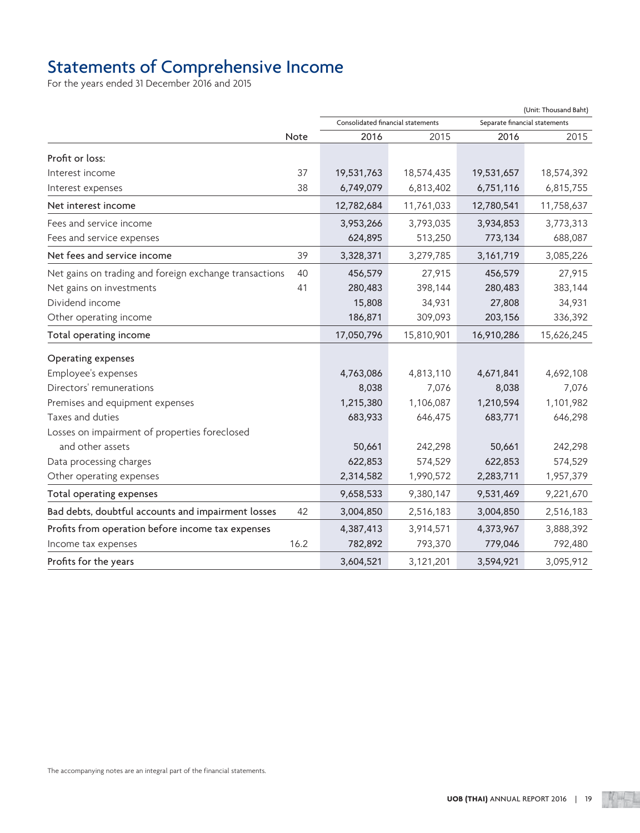## Statements of Comprehensive Income

For the years ended 31 December 2016 and 2015

|                                                              |                                   |            |                               | (Unit: Thousand Baht) |
|--------------------------------------------------------------|-----------------------------------|------------|-------------------------------|-----------------------|
|                                                              | Consolidated financial statements |            | Separate financial statements |                       |
| Note                                                         | 2016                              | 2015       | 2016                          | 2015                  |
| Profit or loss:                                              |                                   |            |                               |                       |
| Interest income<br>37                                        | 19,531,763                        | 18,574,435 | 19,531,657                    | 18,574,392            |
| 38<br>Interest expenses                                      | 6,749,079                         | 6,813,402  | 6,751,116                     | 6,815,755             |
| Net interest income                                          | 12,782,684                        | 11,761,033 | 12,780,541                    | 11,758,637            |
| Fees and service income                                      | 3,953,266                         | 3,793,035  | 3,934,853                     | 3,773,313             |
| Fees and service expenses                                    | 624,895                           | 513,250    | 773,134                       | 688,087               |
| Net fees and service income<br>39                            | 3,328,371                         | 3,279,785  | 3,161,719                     | 3,085,226             |
| 40<br>Net gains on trading and foreign exchange transactions | 456,579                           | 27,915     | 456,579                       | 27,915                |
| 41<br>Net gains on investments                               | 280,483                           | 398,144    | 280,483                       | 383,144               |
| Dividend income                                              | 15,808                            | 34,931     | 27,808                        | 34,931                |
| Other operating income                                       | 186,871                           | 309,093    | 203,156                       | 336,392               |
| Total operating income                                       | 17,050,796                        | 15,810,901 | 16,910,286                    | 15,626,245            |
| Operating expenses                                           |                                   |            |                               |                       |
| Employee's expenses                                          | 4,763,086                         | 4,813,110  | 4,671,841                     | 4,692,108             |
| Directors' remunerations                                     | 8,038                             | 7,076      | 8,038                         | 7,076                 |
| Premises and equipment expenses                              | 1,215,380                         | 1,106,087  | 1,210,594                     | 1,101,982             |
| Taxes and duties                                             | 683,933                           | 646,475    | 683,771                       | 646,298               |
| Losses on impairment of properties foreclosed                |                                   |            |                               |                       |
| and other assets                                             | 50,661                            | 242,298    | 50,661                        | 242,298               |
| Data processing charges                                      | 622,853                           | 574,529    | 622,853                       | 574,529               |
| Other operating expenses                                     | 2,314,582                         | 1,990,572  | 2,283,711                     | 1,957,379             |
| Total operating expenses                                     | 9,658,533                         | 9,380,147  | 9,531,469                     | 9,221,670             |
| Bad debts, doubtful accounts and impairment losses<br>42     | 3,004,850                         | 2,516,183  | 3,004,850                     | 2,516,183             |
| Profits from operation before income tax expenses            | 4,387,413                         | 3,914,571  | 4,373,967                     | 3,888,392             |
| 16.2<br>Income tax expenses                                  | 782,892                           | 793,370    | 779,046                       | 792,480               |
| Profits for the years                                        | 3,604,521                         | 3,121,201  | 3,594,921                     | 3,095,912             |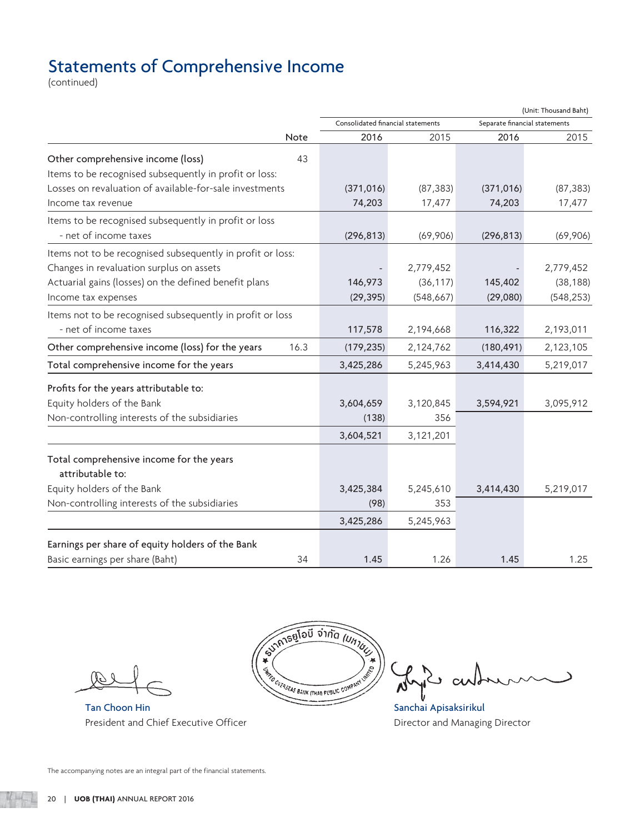# Statements of Comprehensive Income

(continued)

| Consolidated financial statements<br>Separate financial statements<br>2016<br>2015<br>2015<br>Note<br>2016<br>Other comprehensive income (loss)<br>43<br>Items to be recognised subsequently in profit or loss:<br>Losses on revaluation of available-for-sale investments<br>(371, 016)<br>(87, 383)<br>(371, 016)<br>(87, 383)<br>74,203<br>74,203<br>17,477<br>17,477<br>- net of income taxes<br>(296, 813)<br>(69,906)<br>(69,906)<br>(296, 813)<br>2,779,452<br>2,779,452<br>(36, 117)<br>(38, 188)<br>146,973<br>145,402<br>(29, 395)<br>(29,080)<br>(548, 667)<br>(548, 253)<br>- net of income taxes<br>117,578<br>2,193,011<br>2,194,668<br>116,322<br>16.3<br>2,123,105<br>(179, 235)<br>2,124,762<br>(180, 491)<br>Total comprehensive income for the years<br>3,425,286<br>5,245,963<br>3,414,430<br>5,219,017<br>3,604,659<br>3,120,845<br>3,594,921<br>3,095,912<br>356<br>(138)<br>3,604,521<br>3,121,201<br>Total comprehensive income for the years<br>attributable to:<br>3,425,384<br>5,245,610<br>3,414,430<br>5,219,017<br>(98)<br>353<br>3,425,286<br>5,245,963<br>Earnings per share of equity holders of the Bank<br>Basic earnings per share (Baht)<br>34<br>1.26<br>1.25<br>1.45<br>1.45 |                                                            |  | (Unit: Thousand Baht) |
|---------------------------------------------------------------------------------------------------------------------------------------------------------------------------------------------------------------------------------------------------------------------------------------------------------------------------------------------------------------------------------------------------------------------------------------------------------------------------------------------------------------------------------------------------------------------------------------------------------------------------------------------------------------------------------------------------------------------------------------------------------------------------------------------------------------------------------------------------------------------------------------------------------------------------------------------------------------------------------------------------------------------------------------------------------------------------------------------------------------------------------------------------------------------------------------------------------------------|------------------------------------------------------------|--|-----------------------|
|                                                                                                                                                                                                                                                                                                                                                                                                                                                                                                                                                                                                                                                                                                                                                                                                                                                                                                                                                                                                                                                                                                                                                                                                                     |                                                            |  |                       |
|                                                                                                                                                                                                                                                                                                                                                                                                                                                                                                                                                                                                                                                                                                                                                                                                                                                                                                                                                                                                                                                                                                                                                                                                                     |                                                            |  |                       |
|                                                                                                                                                                                                                                                                                                                                                                                                                                                                                                                                                                                                                                                                                                                                                                                                                                                                                                                                                                                                                                                                                                                                                                                                                     |                                                            |  |                       |
|                                                                                                                                                                                                                                                                                                                                                                                                                                                                                                                                                                                                                                                                                                                                                                                                                                                                                                                                                                                                                                                                                                                                                                                                                     |                                                            |  |                       |
|                                                                                                                                                                                                                                                                                                                                                                                                                                                                                                                                                                                                                                                                                                                                                                                                                                                                                                                                                                                                                                                                                                                                                                                                                     |                                                            |  |                       |
|                                                                                                                                                                                                                                                                                                                                                                                                                                                                                                                                                                                                                                                                                                                                                                                                                                                                                                                                                                                                                                                                                                                                                                                                                     | Income tax revenue                                         |  |                       |
|                                                                                                                                                                                                                                                                                                                                                                                                                                                                                                                                                                                                                                                                                                                                                                                                                                                                                                                                                                                                                                                                                                                                                                                                                     | Items to be recognised subsequently in profit or loss      |  |                       |
|                                                                                                                                                                                                                                                                                                                                                                                                                                                                                                                                                                                                                                                                                                                                                                                                                                                                                                                                                                                                                                                                                                                                                                                                                     |                                                            |  |                       |
|                                                                                                                                                                                                                                                                                                                                                                                                                                                                                                                                                                                                                                                                                                                                                                                                                                                                                                                                                                                                                                                                                                                                                                                                                     | Items not to be recognised subsequently in profit or loss: |  |                       |
|                                                                                                                                                                                                                                                                                                                                                                                                                                                                                                                                                                                                                                                                                                                                                                                                                                                                                                                                                                                                                                                                                                                                                                                                                     | Changes in revaluation surplus on assets                   |  |                       |
|                                                                                                                                                                                                                                                                                                                                                                                                                                                                                                                                                                                                                                                                                                                                                                                                                                                                                                                                                                                                                                                                                                                                                                                                                     | Actuarial gains (losses) on the defined benefit plans      |  |                       |
|                                                                                                                                                                                                                                                                                                                                                                                                                                                                                                                                                                                                                                                                                                                                                                                                                                                                                                                                                                                                                                                                                                                                                                                                                     | Income tax expenses                                        |  |                       |
|                                                                                                                                                                                                                                                                                                                                                                                                                                                                                                                                                                                                                                                                                                                                                                                                                                                                                                                                                                                                                                                                                                                                                                                                                     | Items not to be recognised subsequently in profit or loss  |  |                       |
|                                                                                                                                                                                                                                                                                                                                                                                                                                                                                                                                                                                                                                                                                                                                                                                                                                                                                                                                                                                                                                                                                                                                                                                                                     |                                                            |  |                       |
|                                                                                                                                                                                                                                                                                                                                                                                                                                                                                                                                                                                                                                                                                                                                                                                                                                                                                                                                                                                                                                                                                                                                                                                                                     | Other comprehensive income (loss) for the years            |  |                       |
|                                                                                                                                                                                                                                                                                                                                                                                                                                                                                                                                                                                                                                                                                                                                                                                                                                                                                                                                                                                                                                                                                                                                                                                                                     |                                                            |  |                       |
|                                                                                                                                                                                                                                                                                                                                                                                                                                                                                                                                                                                                                                                                                                                                                                                                                                                                                                                                                                                                                                                                                                                                                                                                                     | Profits for the years attributable to:                     |  |                       |
|                                                                                                                                                                                                                                                                                                                                                                                                                                                                                                                                                                                                                                                                                                                                                                                                                                                                                                                                                                                                                                                                                                                                                                                                                     | Equity holders of the Bank                                 |  |                       |
|                                                                                                                                                                                                                                                                                                                                                                                                                                                                                                                                                                                                                                                                                                                                                                                                                                                                                                                                                                                                                                                                                                                                                                                                                     | Non-controlling interests of the subsidiaries              |  |                       |
|                                                                                                                                                                                                                                                                                                                                                                                                                                                                                                                                                                                                                                                                                                                                                                                                                                                                                                                                                                                                                                                                                                                                                                                                                     |                                                            |  |                       |
|                                                                                                                                                                                                                                                                                                                                                                                                                                                                                                                                                                                                                                                                                                                                                                                                                                                                                                                                                                                                                                                                                                                                                                                                                     |                                                            |  |                       |
|                                                                                                                                                                                                                                                                                                                                                                                                                                                                                                                                                                                                                                                                                                                                                                                                                                                                                                                                                                                                                                                                                                                                                                                                                     |                                                            |  |                       |
|                                                                                                                                                                                                                                                                                                                                                                                                                                                                                                                                                                                                                                                                                                                                                                                                                                                                                                                                                                                                                                                                                                                                                                                                                     | Equity holders of the Bank                                 |  |                       |
|                                                                                                                                                                                                                                                                                                                                                                                                                                                                                                                                                                                                                                                                                                                                                                                                                                                                                                                                                                                                                                                                                                                                                                                                                     | Non-controlling interests of the subsidiaries              |  |                       |
|                                                                                                                                                                                                                                                                                                                                                                                                                                                                                                                                                                                                                                                                                                                                                                                                                                                                                                                                                                                                                                                                                                                                                                                                                     |                                                            |  |                       |
|                                                                                                                                                                                                                                                                                                                                                                                                                                                                                                                                                                                                                                                                                                                                                                                                                                                                                                                                                                                                                                                                                                                                                                                                                     |                                                            |  |                       |
|                                                                                                                                                                                                                                                                                                                                                                                                                                                                                                                                                                                                                                                                                                                                                                                                                                                                                                                                                                                                                                                                                                                                                                                                                     |                                                            |  |                       |

Tan Choon Hin Sanchai Apisaksirikul President and Chief Executive Officer **Director and Managing Director** and Managing Director



 $\rightarrow$  $\alpha$ 

The accompanying notes are an integral part of the financial statements.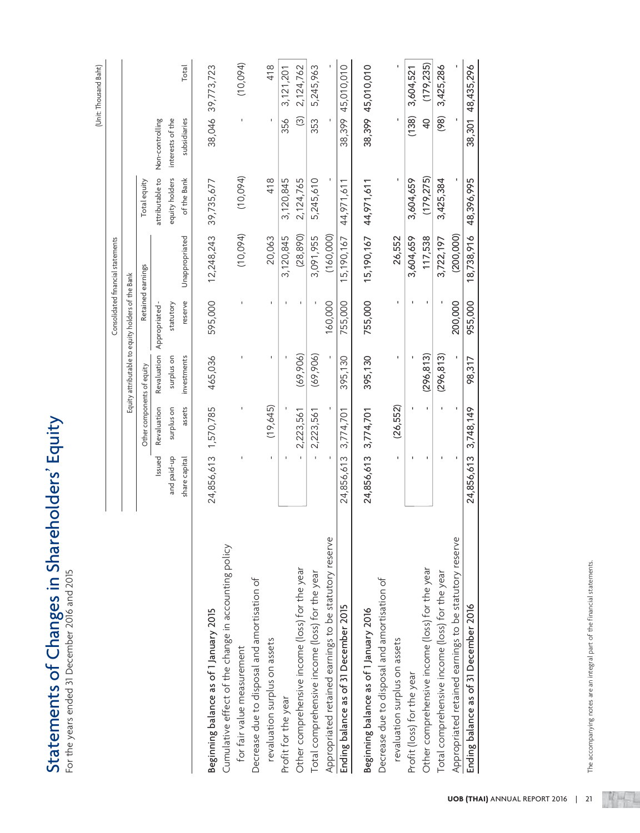| <b>FOLUT</b>                |               |
|-----------------------------|---------------|
|                             |               |
| Changes in Shareholders' E  |               |
|                             |               |
|                             |               |
|                             |               |
|                             |               |
|                             |               |
|                             |               |
|                             |               |
|                             | $\frac{1}{2}$ |
|                             |               |
|                             |               |
|                             |               |
|                             | $\frac{1}{2}$ |
|                             |               |
|                             |               |
|                             |               |
|                             |               |
|                             |               |
|                             |               |
|                             |               |
|                             | $-20$         |
|                             |               |
|                             |               |
|                             |               |
|                             |               |
|                             |               |
| <b>Exatements of Circus</b> |               |
|                             |               |
| Ċ                           |               |

|                                                        |                      |                            |             |                                                   | Consolidated financial statements |                 |                   | (Unit: Thousand Baht) |
|--------------------------------------------------------|----------------------|----------------------------|-------------|---------------------------------------------------|-----------------------------------|-----------------|-------------------|-----------------------|
|                                                        |                      |                            |             | Equity attributable to equity holders of the Bank |                                   |                 |                   |                       |
|                                                        |                      | Other components of equity |             |                                                   | Retained earnings                 | Total equity    |                   |                       |
|                                                        | Issued               | Revaluation                | Revaluation | Appropriated-                                     |                                   | attributable to | Non-controlling   |                       |
|                                                        | and paid-up          | surplus on                 | surplus on  | statutory                                         |                                   | equity holders  | interests of the  |                       |
|                                                        | share capital        | assets                     | investments | reserve                                           | Unappropriated                    | of the Bank     | subsidiaries      | Total                 |
| Beginning balance as of 1 January 2015                 | 24,856,613 1,570,785 |                            | 465,036     | 595,000                                           | 12,248,243                        | 39,735,677      |                   | 38,046 39,773,723     |
| Cumulative effect of the change in accounting policy   |                      |                            |             |                                                   |                                   |                 |                   |                       |
| for fair value measurement                             |                      |                            |             |                                                   | (10,094)                          | (10,094)        | $\mathbf I$       | (10,094)              |
| Decrease due to disposal and amortisation of           |                      |                            |             |                                                   |                                   |                 |                   |                       |
| revaluation surplus on assets                          | I.                   | (19,645)                   |             |                                                   | 20,063                            | 418             |                   | 418                   |
| Profit for the year                                    |                      |                            |             |                                                   | 3,120,845                         | 3,120,845       | 356               | 3,121,201             |
| Other comprehensive income (loss) for the year         |                      | 2,223,561                  | (69, 906)   | J.                                                | (28, 890)                         | 2,124,765       | $\widehat{\odot}$ | 2,124,762             |
| Total comprehensive income (loss) for the year         |                      | 2,223,561                  | (69, 906)   |                                                   | 3,091,955                         | 5,245,610       | 353               | 5,245,963             |
| Appropriated retained earnings to be statutory reserve |                      |                            |             | 160,000                                           | (160,000)                         |                 |                   |                       |
| Ending balance as of 31 December 2015                  | 24,856,613           | 3,774,701                  | 395,130     | 755,000                                           | 15,190,167                        | 44,971,611      | 38,399            | 45,010,010            |
| Beginning balance as of 1 January 2016                 | 24,856,613 3,774,701 |                            | 395,130     | 755,000                                           | 15,190,167                        | 44,971,611      |                   | 38,399 45,010,010     |
| Decrease due to disposal and amortisation of           |                      |                            |             |                                                   |                                   |                 |                   |                       |
| revaluation surplus on assets                          | $\mathbf{I}$         | (26, 552)                  | $\mathbf I$ | J.                                                | 26,552                            |                 |                   |                       |
| Profit (loss) for the year                             |                      |                            |             | $\mathbf{I}$                                      | 3,604,659                         | 3,604,659       | (138)             | 3,604,521             |
| Other comprehensive income (loss) for the year         | ٠                    | ı.                         | (296, 813)  | ٠                                                 | 117,538                           | (179, 275)      | $\overline{a}$    | (179, 235)            |
| Total comprehensive income (loss) for the year         |                      | $\blacksquare$             | (296, 813)  |                                                   | 3,722,197                         | 3,425,384       | (98)              | 3,425,286             |
| Appropriated retained earnings to be statutory reserve |                      |                            |             | 200,000                                           | (200, 000)                        |                 |                   |                       |
| Ending balance as of 31 December 2016                  | 24,856,613           | 3,748,149                  | 98,317      | 955,000                                           | 18,738,916                        | 48,396,995      | 38,301            | 48,435,296            |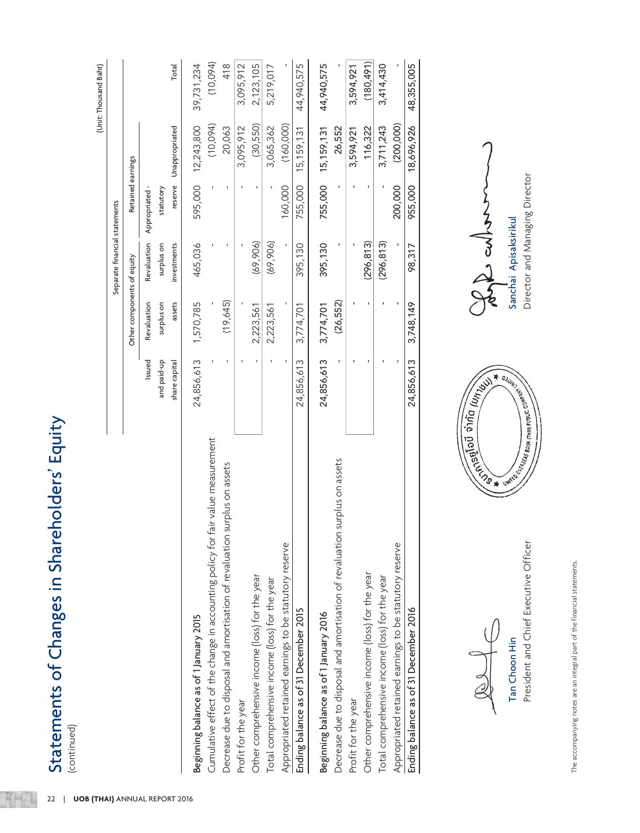| ֞֓֓֓֓֓֓֓֓׆<br>ׇ֛֛֓֘      |  |
|--------------------------|--|
|                          |  |
| hareholders<br>1<br>・コリコ |  |
|                          |  |
| レココニ                     |  |
| hannos in SI             |  |
|                          |  |
| ミリノム                     |  |
|                          |  |
|                          |  |
| ſ                        |  |
| $\overline{\mathbf{b}}$  |  |
|                          |  |
|                          |  |
| THOMAN I                 |  |
| うつち                      |  |
|                          |  |
|                          |  |

MH-

| Statements of Changes in Shareholders' Equity<br>(continued)<br>22              |               |                            |                               |                           |                |                       |
|---------------------------------------------------------------------------------|---------------|----------------------------|-------------------------------|---------------------------|----------------|-----------------------|
| <b>UOB (THAI) ANNUAL REPORT 2016</b>                                            |               |                            |                               |                           |                | (Unit: Thousand Baht) |
|                                                                                 |               |                            | Separate financial statements |                           |                |                       |
|                                                                                 |               | Other components of equity |                               | Retained earnings         |                |                       |
|                                                                                 | Issued        | Revaluation                |                               | Revaluation Appropriated- |                |                       |
|                                                                                 | and paid-up   | surplus on                 | surplus on                    | statutory                 |                |                       |
|                                                                                 | share capital | assets                     | investments                   | reserve                   | Unappropriated | Total                 |
| Beginning balance as of 1 January 2015                                          | 24,856,613    | 1,570,785                  | 465,036                       | 595,000                   | 12,243,800     | 39,731,234            |
| Cumulative effect of the change in accounting policy for fair value measurement |               |                            |                               |                           | (10,094)       | (10,094)              |
| Decrease due to disposal and amortisation of revaluation surplus on assets      |               | (19, 645)                  |                               |                           | 20,063         | 418                   |
| Profit for the year                                                             |               |                            |                               |                           | 3,095,912      | 3,095,912             |
| Other comprehensive income (loss) for the year                                  |               | 2,223,561                  | (69, 906)                     |                           | (30, 550)      | 2,123,105             |
| Total comprehensive income (loss) for the year                                  |               | 2,223,561                  | (69, 906)                     |                           | 3,065,362      | 5,219,017             |
| Appropriated retained earnings to be statutory reserve                          |               |                            |                               | 160,000                   | (160,000)      |                       |
| Ending balance as of 31 December 2015                                           | 24,856,613    | 3,774,701                  | 395,130                       | 755,000                   | 15, 159, 131   | 44,940,575            |
| Beginning balance as of 1 January 2016                                          | 24,856,613    | 3,774,701                  | 395,130                       | 755,000                   | 15, 159, 131   | 44,940,575            |
| Decrease due to disposal and amortisation of revaluation surplus on assets      |               | (26, 552)                  |                               |                           | 26,552         |                       |
| Profit for the year                                                             |               |                            |                               |                           | 3,594,921      | 3,594,921             |
| Other comprehensive income (loss) for the year                                  |               |                            | (296, 813)                    |                           | 116,322        | (180, 491)            |
| Total comprehensive income (loss) for the year                                  |               |                            | (296, 813)                    |                           | 3,711,243      | 3,414,430             |
| Appropriated retained earnings to be statutory reserve                          |               |                            |                               | 200,000                   | (200, 000)     |                       |
| Ending balance as of 31 December 2016                                           | 24,856,613    | 3,748,149                  | 98,317                        | 955,000                   | 18,696,926     | 48,355,005            |

 $\frac{1}{2}$ 

President and Chief Executive Officer Tan Choon Hin



**Compte cultured to the Compt Sanchai Apisaksirikul** 

The accompanying notes are an integral part of the financial statements. The accompanying notes are an integral part of the financial statements.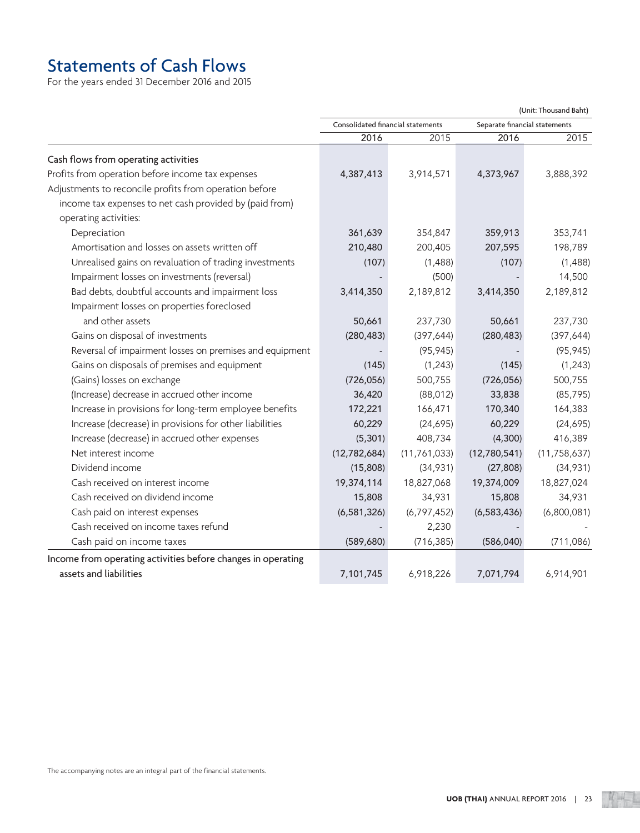# Statements of Cash Flows

For the years ended 31 December 2016 and 2015

(Unit: Thousand Baht)

|                                                              | Consolidated financial statements<br>Separate financial statements |                |               |                |
|--------------------------------------------------------------|--------------------------------------------------------------------|----------------|---------------|----------------|
|                                                              | 2016                                                               | 2015           | 2016          | 2015           |
| Cash flows from operating activities                         |                                                                    |                |               |                |
| Profits from operation before income tax expenses            | 4,387,413                                                          | 3,914,571      | 4,373,967     | 3,888,392      |
| Adjustments to reconcile profits from operation before       |                                                                    |                |               |                |
| income tax expenses to net cash provided by (paid from)      |                                                                    |                |               |                |
| operating activities:                                        |                                                                    |                |               |                |
| Depreciation                                                 | 361,639                                                            | 354,847        | 359,913       | 353,741        |
| Amortisation and losses on assets written off                | 210,480                                                            | 200,405        | 207,595       | 198,789        |
| Unrealised gains on revaluation of trading investments       | (107)                                                              | (1,488)        | (107)         | (1,488)        |
| Impairment losses on investments (reversal)                  |                                                                    | (500)          |               | 14,500         |
| Bad debts, doubtful accounts and impairment loss             | 3,414,350                                                          | 2,189,812      | 3,414,350     | 2,189,812      |
| Impairment losses on properties foreclosed                   |                                                                    |                |               |                |
| and other assets                                             | 50,661                                                             | 237,730        | 50,661        | 237,730        |
| Gains on disposal of investments                             | (280, 483)                                                         | (397, 644)     | (280, 483)    | (397, 644)     |
| Reversal of impairment losses on premises and equipment      |                                                                    | (95, 945)      |               | (95, 945)      |
| Gains on disposals of premises and equipment                 | (145)                                                              | (1, 243)       | (145)         | (1, 243)       |
| (Gains) losses on exchange                                   | (726, 056)                                                         | 500,755        | (726, 056)    | 500,755        |
| (Increase) decrease in accrued other income                  | 36,420                                                             | (88, 012)      | 33,838        | (85, 795)      |
| Increase in provisions for long-term employee benefits       | 172,221                                                            | 166,471        | 170,340       | 164,383        |
| Increase (decrease) in provisions for other liabilities      | 60,229                                                             | (24, 695)      | 60,229        | (24, 695)      |
| Increase (decrease) in accrued other expenses                | (5, 301)                                                           | 408,734        | (4,300)       | 416,389        |
| Net interest income                                          | (12, 782, 684)                                                     | (11, 761, 033) | (12,780,541)  | (11, 758, 637) |
| Dividend income                                              | (15,808)                                                           | (34,931)       | (27, 808)     | (34,931)       |
| Cash received on interest income                             | 19,374,114                                                         | 18,827,068     | 19,374,009    | 18,827,024     |
| Cash received on dividend income                             | 15,808                                                             | 34,931         | 15,808        | 34,931         |
| Cash paid on interest expenses                               | (6, 581, 326)                                                      | (6, 797, 452)  | (6, 583, 436) | (6,800,081)    |
| Cash received on income taxes refund                         |                                                                    | 2,230          |               |                |
| Cash paid on income taxes                                    | (589, 680)                                                         | (716, 385)     | (586, 040)    | (711, 086)     |
| Income from operating activities before changes in operating |                                                                    |                |               |                |
| assets and liabilities                                       | 7,101,745                                                          | 6,918,226      | 7,071,794     | 6,914,901      |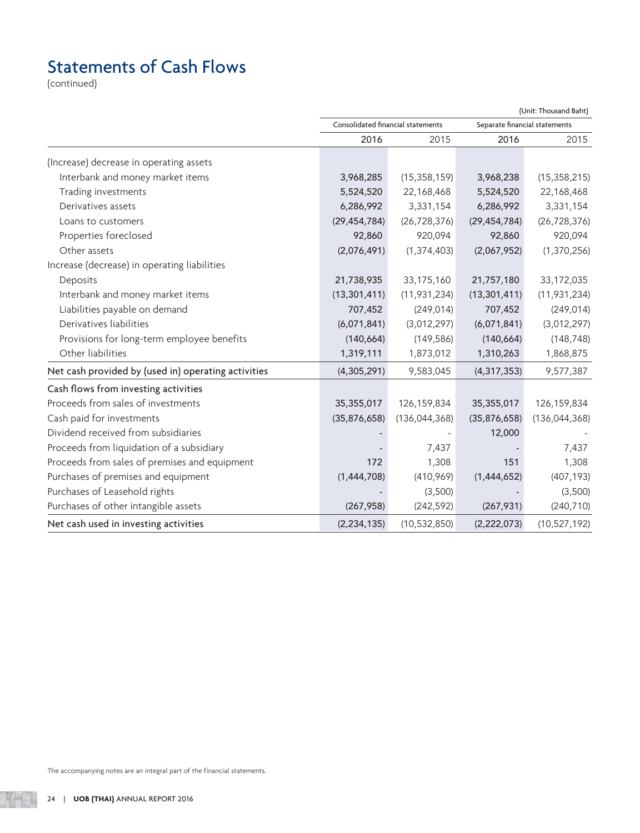# Statements of Cash Flows

(continued)

|                                                     | Consolidated financial statements |                 | Separate financial statements |                 |
|-----------------------------------------------------|-----------------------------------|-----------------|-------------------------------|-----------------|
|                                                     | 2016                              | 2015            | 2016                          | 2015            |
| (Increase) decrease in operating assets             |                                   |                 |                               |                 |
| Interbank and money market items                    | 3,968,285                         | (15, 358, 159)  | 3,968,238                     | (15, 358, 215)  |
| Trading investments                                 | 5,524,520                         | 22,168,468      | 5,524,520                     | 22,168,468      |
| Derivatives assets                                  | 6,286,992                         | 3,331,154       | 6,286,992                     | 3,331,154       |
| Loans to customers                                  | (29, 454, 784)                    | (26, 728, 376)  | (29, 454, 784)                | (26, 728, 376)  |
| Properties foreclosed                               | 92,860                            | 920,094         | 92,860                        | 920,094         |
| Other assets                                        | (2,076,491)                       | (1, 374, 403)   | (2,067,952)                   | (1, 370, 256)   |
| Increase (decrease) in operating liabilities        |                                   |                 |                               |                 |
| Deposits                                            | 21,738,935                        | 33,175,160      | 21,757,180                    | 33,172,035      |
| Interbank and money market items                    | (13, 301, 411)                    | (11, 931, 234)  | (13, 301, 411)                | (11, 931, 234)  |
| Liabilities payable on demand                       | 707,452                           | (249, 014)      | 707,452                       | (249, 014)      |
| Derivatives liabilities                             | (6,071,841)                       | (3,012,297)     | (6,071,841)                   | (3,012,297)     |
| Provisions for long-term employee benefits          | (140, 664)                        | (149, 586)      | (140, 664)                    | (148, 748)      |
| Other liabilities                                   | 1,319,111                         | 1,873,012       | 1,310,263                     | 1,868,875       |
| Net cash provided by (used in) operating activities | (4,305,291)                       | 9,583,045       | (4, 317, 353)                 | 9,577,387       |
| Cash flows from investing activities                |                                   |                 |                               |                 |
| Proceeds from sales of investments                  | 35,355,017                        | 126,159,834     | 35,355,017                    | 126, 159, 834   |
| Cash paid for investments                           | (35,876,658)                      | (136, 044, 368) | (35,876,658)                  | (136, 044, 368) |
| Dividend received from subsidiaries                 |                                   |                 | 12,000                        |                 |
| Proceeds from liquidation of a subsidiary           |                                   | 7,437           |                               | 7,437           |
| Proceeds from sales of premises and equipment       | 172                               | 1,308           | 151                           | 1,308           |
| Purchases of premises and equipment                 | (1,444,708)                       | (410,969)       | (1,444,652)                   | (407, 193)      |
| Purchases of Leasehold rights                       |                                   | (3,500)         |                               | (3,500)         |
| Purchases of other intangible assets                | (267, 958)                        | (242, 592)      | (267, 931)                    | (240, 710)      |
| Net cash used in investing activities               | (2, 234, 135)                     | (10, 532, 850)  | (2,222,073)                   | (10, 527, 192)  |

(Unit: Thousand Baht)

The accompanying notes are an integral part of the financial statements.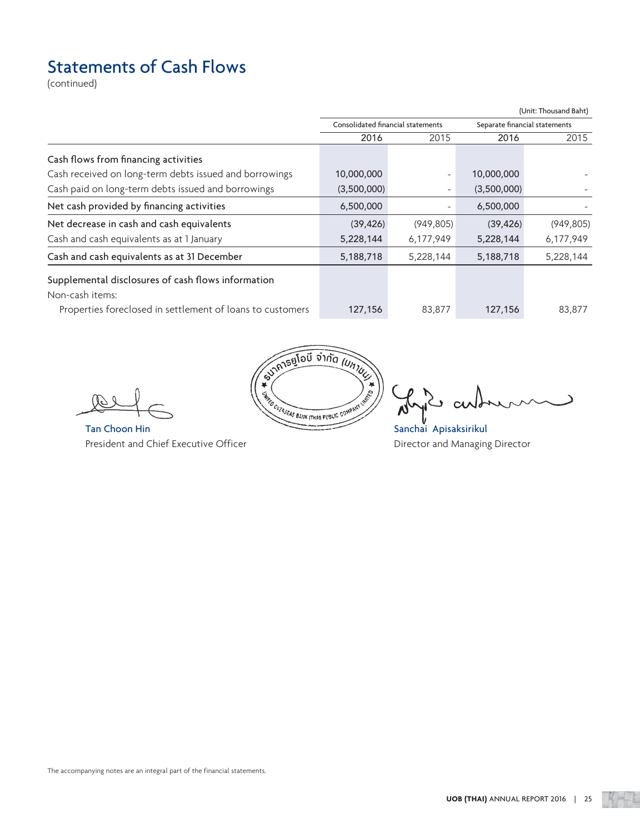# Statements of Cash Flows

(continued)

|                                                                                                                                    |                                   |                          |             | (Unit: Thousand Baht)         |
|------------------------------------------------------------------------------------------------------------------------------------|-----------------------------------|--------------------------|-------------|-------------------------------|
|                                                                                                                                    | Consolidated financial statements |                          |             | Separate financial statements |
|                                                                                                                                    | 2016                              | 2015                     | 2016        | 2015                          |
| Cash flows from financing activities                                                                                               |                                   |                          |             |                               |
| Cash received on long-term debts issued and borrowings                                                                             | 10,000,000                        | $\overline{\phantom{0}}$ | 10,000,000  |                               |
| Cash paid on long-term debts issued and borrowings                                                                                 | (3,500,000)                       |                          | (3,500,000) |                               |
| Net cash provided by financing activities                                                                                          | 6,500,000                         | $\qquad \qquad -$        | 6,500,000   |                               |
| Net decrease in cash and cash equivalents                                                                                          | (39, 426)                         | (949, 805)               | (39, 426)   | (949, 805)                    |
| Cash and cash equivalents as at 1 January                                                                                          | 5,228,144                         | 6,177,949                | 5,228,144   | 6,177,949                     |
| Cash and cash equivalents as at 31 December                                                                                        | 5,188,718                         | 5,228,144                | 5,188,718   | 5,228,144                     |
| Supplemental disclosures of cash flows information<br>Non-cash items:<br>Properties foreclosed in settlement of loans to customers | 127,156                           | 83,877                   | 127,156     | 83,877                        |
|                                                                                                                                    |                                   |                          |             |                               |

President and Chief Executive Officer **Director and Managing Director** and Managing Director



 $\cup$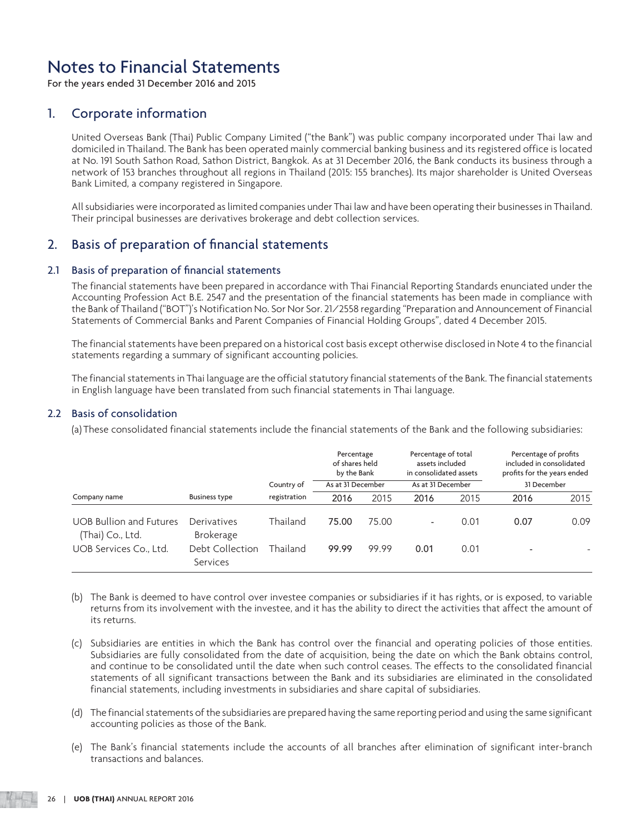For the years ended 31 December 2016 and 2015

## 1. Corporate information

 United Overseas Bank (Thai) Public Company Limited ("the Bank") was public company incorporated under Thai law and domiciled in Thailand. The Bank has been operated mainly commercial banking business and its registered office is located at No. 191 South Sathon Road, Sathon District, Bangkok. As at 31 December 2016, the Bank conducts its business through a network of 153 branches throughout all regions in Thailand (2015: 155 branches). Its major shareholder is United Overseas Bank Limited, a company registered in Singapore.

 All subsidiaries were incorporated as limited companies under Thai law and have been operating their businesses in Thailand. Their principal businesses are derivatives brokerage and debt collection services.

## 2. Basis of preparation of financial statements

## 2.1 Basis of preparation of financial statements

 The financial statements have been prepared in accordance with Thai Financial Reporting Standards enunciated under the Accounting Profession Act B.E. 2547 and the presentation of the financial statements has been made in compliance with the Bank of Thailand ("BOT")'s Notification No. Sor Nor Sor. 21/2558 regarding "Preparation and Announcement of Financial Statements of Commercial Banks and Parent Companies of Financial Holding Groups", dated 4 December 2015.

 The financial statements have been prepared on a historical cost basis except otherwise disclosed in Note 4 to the financial statements regarding a summary of significant accounting policies.

 The financial statements in Thai language are the official statutory financial statements of the Bank. The financial statements in English language have been translated from such financial statements in Thai language.

## 2.2 Basis of consolidation

(a) These consolidated financial statements include the financial statements of the Bank and the following subsidiaries:

|                                                    |                                 | Country of   | Percentage<br>of shares held<br>by the Bank<br>As at 31 December |       | Percentage of total<br>assets included<br>in consolidated assets<br>As at 31 December |      | Percentage of profits<br>included in consolidated<br>profits for the years ended<br>31 December |      |
|----------------------------------------------------|---------------------------------|--------------|------------------------------------------------------------------|-------|---------------------------------------------------------------------------------------|------|-------------------------------------------------------------------------------------------------|------|
| Company name                                       | <b>Business type</b>            | registration | 2016                                                             | 2015  | 2016                                                                                  | 2015 | 2016                                                                                            | 2015 |
| <b>UOB Bullion and Futures</b><br>(Thai) Co., Ltd. | Derivatives<br><b>Brokerage</b> | Thailand     | 75.00                                                            | 75.00 | $\overline{\phantom{0}}$                                                              | 0.01 | 0.07                                                                                            | 0.09 |
| UOB Services Co., Ltd.                             | Debt Collection<br>Services     | Thailand     | 99.99                                                            | 99.99 | 0.01                                                                                  | 0.01 | $\overline{\phantom{a}}$                                                                        |      |

- (b) The Bank is deemed to have control over investee companies or subsidiaries if it has rights, or is exposed, to variable returns from its involvement with the investee, and it has the ability to direct the activities that affect the amount of its returns.
- (c) Subsidiaries are entities in which the Bank has control over the financial and operating policies of those entities. Subsidiaries are fully consolidated from the date of acquisition, being the date on which the Bank obtains control, and continue to be consolidated until the date when such control ceases. The effects to the consolidated financial statements of all significant transactions between the Bank and its subsidiaries are eliminated in the consolidated financial statements, including investments in subsidiaries and share capital of subsidiaries.
- (d) The financial statements of the subsidiaries are prepared having the same reporting period and using the same significant accounting policies as those of the Bank.
- (e) The Bank's financial statements include the accounts of all branches after elimination of significant inter-branch transactions and balances.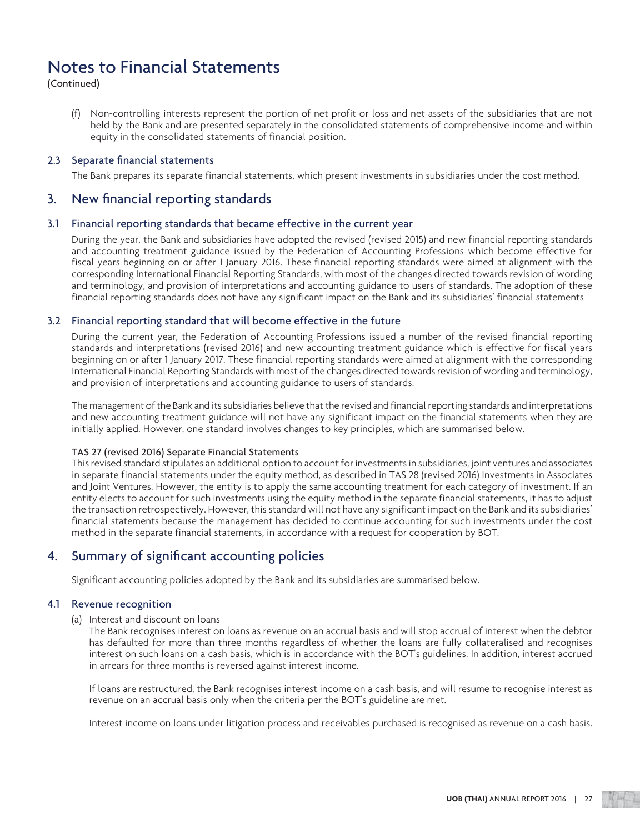(Continued)

 (f) Non-controlling interests represent the portion of net profit or loss and net assets of the subsidiaries that are not held by the Bank and are presented separately in the consolidated statements of comprehensive income and within equity in the consolidated statements of financial position.

## 2.3 Separate financial statements

The Bank prepares its separate financial statements, which present investments in subsidiaries under the cost method.

## 3. New financial reporting standards

### 3.1 Financial reporting standards that became effective in the current year

 During the year, the Bank and subsidiaries have adopted the revised (revised 2015) and new financial reporting standards and accounting treatment guidance issued by the Federation of Accounting Professions which become effective for fiscal years beginning on or after 1 January 2016. These financial reporting standards were aimed at alignment with the corresponding International Financial Reporting Standards, with most of the changes directed towards revision of wording and terminology, and provision of interpretations and accounting guidance to users of standards. The adoption of these financial reporting standards does not have any significant impact on the Bank and its subsidiaries' financial statements

## 3.2 Financial reporting standard that will become effective in the future

 During the current year, the Federation of Accounting Professions issued a number of the revised financial reporting standards and interpretations (revised 2016) and new accounting treatment guidance which is effective for fiscal years beginning on or after 1 January 2017. These financial reporting standards were aimed at alignment with the corresponding International Financial Reporting Standards with most of the changes directed towards revision of wording and terminology, and provision of interpretations and accounting guidance to users of standards.

 The management of the Bank and its subsidiaries believe that the revised and financial reporting standards and interpretations and new accounting treatment guidance will not have any significant impact on the financial statements when they are initially applied. However, one standard involves changes to key principles, which are summarised below.

### TAS 27 (revised 2016) Separate Financial Statements

 This revised standard stipulates an additional option to account for investments in subsidiaries, joint ventures and associates in separate financial statements under the equity method, as described in TAS 28 (revised 2016) Investments in Associates and Joint Ventures. However, the entity is to apply the same accounting treatment for each category of investment. If an entity elects to account for such investments using the equity method in the separate financial statements, it has to adjust the transaction retrospectively. However, this standard will not have any significant impact on the Bank and its subsidiaries' financial statements because the management has decided to continue accounting for such investments under the cost method in the separate financial statements, in accordance with a request for cooperation by BOT.

## 4. Summary of significant accounting policies

Significant accounting policies adopted by the Bank and its subsidiaries are summarised below.

### 4.1 Revenue recognition

## (a) Interest and discount on loans

 The Bank recognises interest on loans as revenue on an accrual basis and will stop accrual of interest when the debtor has defaulted for more than three months regardless of whether the loans are fully collateralised and recognises interest on such loans on a cash basis, which is in accordance with the BOT's guidelines. In addition, interest accrued in arrears for three months is reversed against interest income.

 If loans are restructured, the Bank recognises interest income on a cash basis, and will resume to recognise interest as revenue on an accrual basis only when the criteria per the BOT's guideline are met.

Interest income on loans under litigation process and receivables purchased is recognised as revenue on a cash basis.

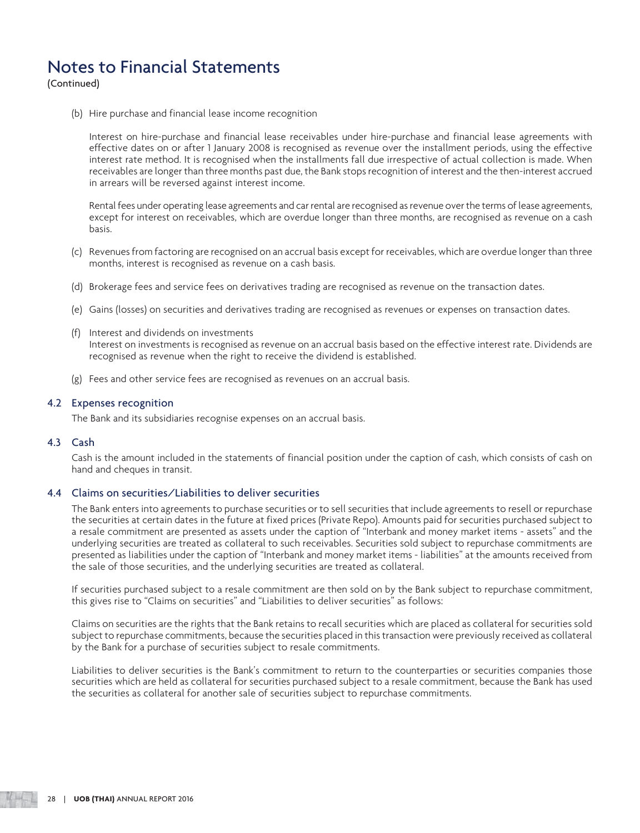(Continued)

(b) Hire purchase and financial lease income recognition

 Interest on hire-purchase and financial lease receivables under hire-purchase and financial lease agreements with effective dates on or after 1 January 2008 is recognised as revenue over the installment periods, using the effective interest rate method. It is recognised when the installments fall due irrespective of actual collection is made. When receivables are longer than three months past due, the Bank stops recognition of interest and the then-interest accrued in arrears will be reversed against interest income.

 Rental fees under operating lease agreements and car rental are recognised as revenue over the terms of lease agreements, except for interest on receivables, which are overdue longer than three months, are recognised as revenue on a cash basis.

- (c) Revenues from factoring are recognised on an accrual basis except for receivables, which are overdue longer than three months, interest is recognised as revenue on a cash basis.
- (d) Brokerage fees and service fees on derivatives trading are recognised as revenue on the transaction dates.
- (e) Gains (losses) on securities and derivatives trading are recognised as revenues or expenses on transaction dates.
- (f) Interest and dividends on investments Interest on investments is recognised as revenue on an accrual basis based on the effective interest rate. Dividends are recognised as revenue when the right to receive the dividend is established.
- (g) Fees and other service fees are recognised as revenues on an accrual basis.

### 4.2 Expenses recognition

The Bank and its subsidiaries recognise expenses on an accrual basis.

### 4.3 Cash

 Cash is the amount included in the statements of financial position under the caption of cash, which consists of cash on hand and cheques in transit.

### 4.4 Claims on securities/Liabilities to deliver securities

 The Bank enters into agreements to purchase securities or to sell securities that include agreements to resell or repurchase the securities at certain dates in the future at fixed prices (Private Repo). Amounts paid for securities purchased subject to a resale commitment are presented as assets under the caption of "Interbank and money market items - assets" and the underlying securities are treated as collateral to such receivables. Securities sold subject to repurchase commitments are presented as liabilities under the caption of "Interbank and money market items - liabilities" at the amounts received from the sale of those securities, and the underlying securities are treated as collateral.

 If securities purchased subject to a resale commitment are then sold on by the Bank subject to repurchase commitment, this gives rise to "Claims on securities" and "Liabilities to deliver securities" as follows:

 Claims on securities are the rights that the Bank retains to recall securities which are placed as collateral for securities sold subject to repurchase commitments, because the securities placed in this transaction were previously received as collateral by the Bank for a purchase of securities subject to resale commitments.

 Liabilities to deliver securities is the Bank's commitment to return to the counterparties or securities companies those securities which are held as collateral for securities purchased subject to a resale commitment, because the Bank has used the securities as collateral for another sale of securities subject to repurchase commitments.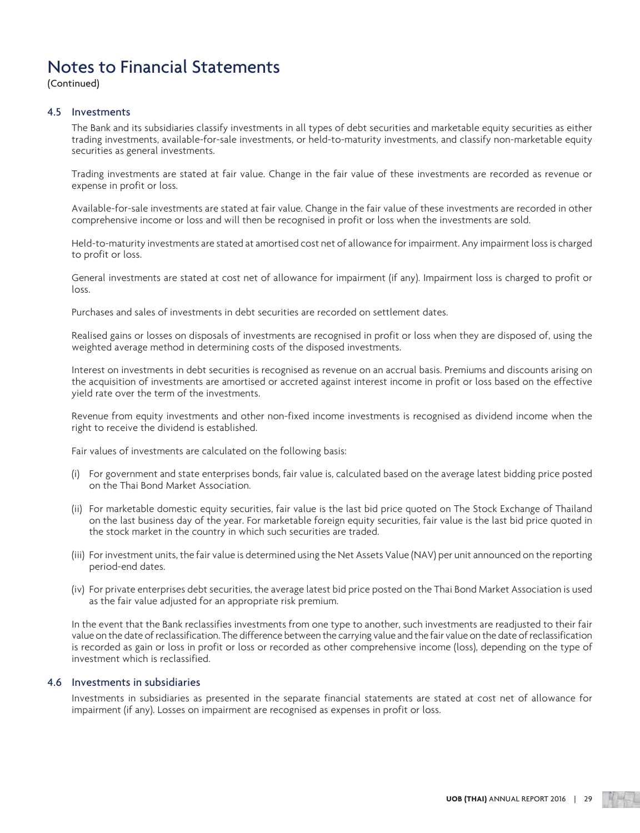(Continued)

## 4.5 Investments

 The Bank and its subsidiaries classify investments in all types of debt securities and marketable equity securities as either trading investments, available-for-sale investments, or held-to-maturity investments, and classify non-marketable equity securities as general investments.

 Trading investments are stated at fair value. Change in the fair value of these investments are recorded as revenue or expense in profit or loss.

 Available-for-sale investments are stated at fair value. Change in the fair value of these investments are recorded in other comprehensive income or loss and will then be recognised in profit or loss when the investments are sold.

 Held-to-maturity investments are stated at amortised cost net of allowance for impairment. Any impairment loss is charged to profit or loss.

 General investments are stated at cost net of allowance for impairment (if any). Impairment loss is charged to profit or loss.

Purchases and sales of investments in debt securities are recorded on settlement dates.

 Realised gains or losses on disposals of investments are recognised in profit or loss when they are disposed of, using the weighted average method in determining costs of the disposed investments.

 Interest on investments in debt securities is recognised as revenue on an accrual basis. Premiums and discounts arising on the acquisition of investments are amortised or accreted against interest income in profit or loss based on the effective yield rate over the term of the investments.

 Revenue from equity investments and other non-fixed income investments is recognised as dividend income when the right to receive the dividend is established.

Fair values of investments are calculated on the following basis:

- (i) For government and state enterprises bonds, fair value is, calculated based on the average latest bidding price posted on the Thai Bond Market Association.
- (ii) For marketable domestic equity securities, fair value is the last bid price quoted on The Stock Exchange of Thailand on the last business day of the year. For marketable foreign equity securities, fair value is the last bid price quoted in the stock market in the country in which such securities are traded.
- (iii) For investment units, the fair value is determined using the Net Assets Value (NAV) per unit announced on the reporting period-end dates.
- (iv) For private enterprises debt securities, the average latest bid price posted on the Thai Bond Market Association is used as the fair value adjusted for an appropriate risk premium.

 In the event that the Bank reclassifies investments from one type to another, such investments are readjusted to their fair value on the date of reclassification. The difference between the carrying value and the fair value on the date of reclassification is recorded as gain or loss in profit or loss or recorded as other comprehensive income (loss), depending on the type of investment which is reclassified.

### 4.6 Investments in subsidiaries

 Investments in subsidiaries as presented in the separate financial statements are stated at cost net of allowance for impairment (if any). Losses on impairment are recognised as expenses in profit or loss.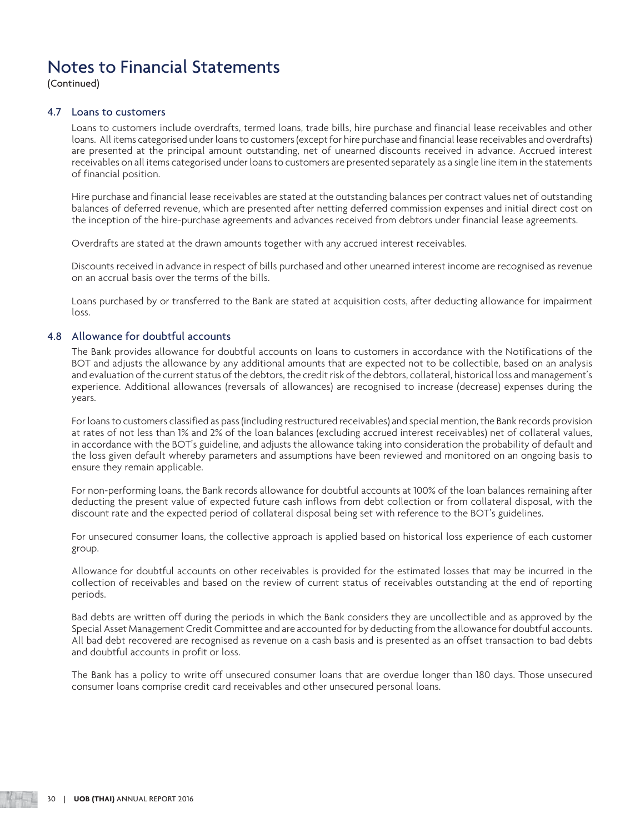(Continued)

## 4.7 Loans to customers

 Loans to customers include overdrafts, termed loans, trade bills, hire purchase and financial lease receivables and other loans. All items categorised under loans to customers (except for hire purchase and financial lease receivables and overdrafts) are presented at the principal amount outstanding, net of unearned discounts received in advance. Accrued interest receivables on all items categorised under loans to customers are presented separately as a single line item in the statements of financial position.

 Hire purchase and financial lease receivables are stated at the outstanding balances per contract values net of outstanding balances of deferred revenue, which are presented after netting deferred commission expenses and initial direct cost on the inception of the hire-purchase agreements and advances received from debtors under financial lease agreements.

Overdrafts are stated at the drawn amounts together with any accrued interest receivables.

 Discounts received in advance in respect of bills purchased and other unearned interest income are recognised as revenue on an accrual basis over the terms of the bills.

 Loans purchased by or transferred to the Bank are stated at acquisition costs, after deducting allowance for impairment loss.

### 4.8 Allowance for doubtful accounts

 The Bank provides allowance for doubtful accounts on loans to customers in accordance with the Notifications of the BOT and adjusts the allowance by any additional amounts that are expected not to be collectible, based on an analysis and evaluation of the current status of the debtors, the credit risk of the debtors, collateral, historical loss and management's experience. Additional allowances (reversals of allowances) are recognised to increase (decrease) expenses during the years.

 For loans to customers classified as pass (including restructured receivables) and special mention, the Bank records provision at rates of not less than 1% and 2% of the loan balances (excluding accrued interest receivables) net of collateral values, in accordance with the BOT's guideline, and adjusts the allowance taking into consideration the probability of default and the loss given default whereby parameters and assumptions have been reviewed and monitored on an ongoing basis to ensure they remain applicable.

 For non-performing loans, the Bank records allowance for doubtful accounts at 100% of the loan balances remaining after deducting the present value of expected future cash inflows from debt collection or from collateral disposal, with the discount rate and the expected period of collateral disposal being set with reference to the BOT's guidelines.

 For unsecured consumer loans, the collective approach is applied based on historical loss experience of each customer group.

 Allowance for doubtful accounts on other receivables is provided for the estimated losses that may be incurred in the collection of receivables and based on the review of current status of receivables outstanding at the end of reporting periods.

 Bad debts are written off during the periods in which the Bank considers they are uncollectible and as approved by the Special Asset Management Credit Committee and are accounted for by deducting from the allowance for doubtful accounts. All bad debt recovered are recognised as revenue on a cash basis and is presented as an offset transaction to bad debts and doubtful accounts in profit or loss.

 The Bank has a policy to write off unsecured consumer loans that are overdue longer than 180 days. Those unsecured consumer loans comprise credit card receivables and other unsecured personal loans.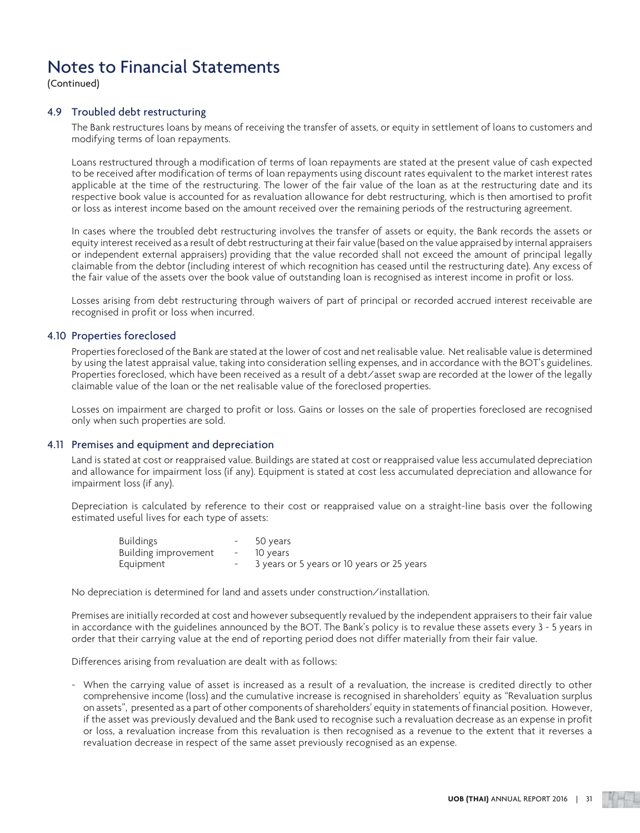(Continued)

## 4.9 Troubled debt restructuring

 The Bank restructures loans by means of receiving the transfer of assets, or equity in settlement of loans to customers and modifying terms of loan repayments.

 Loans restructured through a modification of terms of loan repayments are stated at the present value of cash expected to be received after modification of terms of loan repayments using discount rates equivalent to the market interest rates applicable at the time of the restructuring. The lower of the fair value of the loan as at the restructuring date and its respective book value is accounted for as revaluation allowance for debt restructuring, which is then amortised to profit or loss as interest income based on the amount received over the remaining periods of the restructuring agreement.

 In cases where the troubled debt restructuring involves the transfer of assets or equity, the Bank records the assets or equity interest received as a result of debt restructuring at their fair value (based on the value appraised by internal appraisers or independent external appraisers) providing that the value recorded shall not exceed the amount of principal legally claimable from the debtor (including interest of which recognition has ceased until the restructuring date). Any excess of the fair value of the assets over the book value of outstanding loan is recognised as interest income in profit or loss.

 Losses arising from debt restructuring through waivers of part of principal or recorded accrued interest receivable are recognised in profit or loss when incurred.

## 4.10 Properties foreclosed

 Properties foreclosed of the Bank are stated at the lower of cost and net realisable value. Net realisable value is determined by using the latest appraisal value, taking into consideration selling expenses, and in accordance with the BOT's guidelines. Properties foreclosed, which have been received as a result of a debt/asset swap are recorded at the lower of the legally claimable value of the loan or the net realisable value of the foreclosed properties.

 Losses on impairment are charged to profit or loss. Gains or losses on the sale of properties foreclosed are recognised only when such properties are sold.

### 4.11 Premises and equipment and depreciation

 Land is stated at cost or reappraised value. Buildings are stated at cost or reappraised value less accumulated depreciation and allowance for impairment loss (if any). Equipment is stated at cost less accumulated depreciation and allowance for impairment loss (if any).

 Depreciation is calculated by reference to their cost or reappraised value on a straight-line basis over the following estimated useful lives for each type of assets:

| <b>Buildings</b>     | - 50 years                                   |
|----------------------|----------------------------------------------|
| Building improvement | - 10 vears                                   |
| Equipment            | - 3 years or 5 years or 10 years or 25 years |

No depreciation is determined for land and assets under construction/installation.

 Premises are initially recorded at cost and however subsequently revalued by the independent appraisers to their fair value in accordance with the guidelines announced by the BOT. The Bank's policy is to revalue these assets every 3 - 5 years in order that their carrying value at the end of reporting period does not differ materially from their fair value.

Differences arising from revaluation are dealt with as follows:

 - When the carrying value of asset is increased as a result of a revaluation, the increase is credited directly to other comprehensive income (loss) and the cumulative increase is recognised in shareholders' equity as "Revaluation surplus on assets", presented as a part of other components of shareholders' equity in statements of financial position. However, if the asset was previously devalued and the Bank used to recognise such a revaluation decrease as an expense in profit or loss, a revaluation increase from this revaluation is then recognised as a revenue to the extent that it reverses a revaluation decrease in respect of the same asset previously recognised as an expense.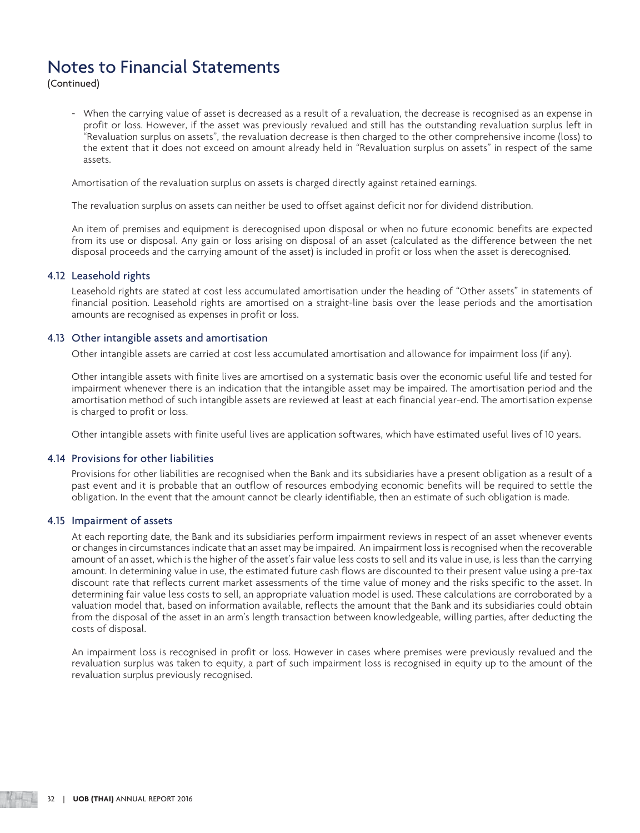(Continued)

 - When the carrying value of asset is decreased as a result of a revaluation, the decrease is recognised as an expense in profit or loss. However, if the asset was previously revalued and still has the outstanding revaluation surplus left in "Revaluation surplus on assets", the revaluation decrease is then charged to the other comprehensive income (loss) to the extent that it does not exceed on amount already held in "Revaluation surplus on assets" in respect of the same assets.

Amortisation of the revaluation surplus on assets is charged directly against retained earnings.

The revaluation surplus on assets can neither be used to offset against deficit nor for dividend distribution.

 An item of premises and equipment is derecognised upon disposal or when no future economic benefits are expected from its use or disposal. Any gain or loss arising on disposal of an asset (calculated as the difference between the net disposal proceeds and the carrying amount of the asset) is included in profit or loss when the asset is derecognised.

## 4.12 Leasehold rights

 Leasehold rights are stated at cost less accumulated amortisation under the heading of "Other assets" in statements of financial position. Leasehold rights are amortised on a straight-line basis over the lease periods and the amortisation amounts are recognised as expenses in profit or loss.

## 4.13 Other intangible assets and amortisation

Other intangible assets are carried at cost less accumulated amortisation and allowance for impairment loss (if any).

 Other intangible assets with finite lives are amortised on a systematic basis over the economic useful life and tested for impairment whenever there is an indication that the intangible asset may be impaired. The amortisation period and the amortisation method of such intangible assets are reviewed at least at each financial year-end. The amortisation expense is charged to profit or loss.

Other intangible assets with finite useful lives are application softwares, which have estimated useful lives of 10 years.

## 4.14 Provisions for other liabilities

 Provisions for other liabilities are recognised when the Bank and its subsidiaries have a present obligation as a result of a past event and it is probable that an outflow of resources embodying economic benefits will be required to settle the obligation. In the event that the amount cannot be clearly identifiable, then an estimate of such obligation is made.

### 4.15 Impairment of assets

 At each reporting date, the Bank and its subsidiaries perform impairment reviews in respect of an asset whenever events or changes in circumstances indicate that an asset may be impaired. An impairment loss is recognised when the recoverable amount of an asset, which is the higher of the asset's fair value less costs to sell and its value in use, is less than the carrying amount. In determining value in use, the estimated future cash flows are discounted to their present value using a pre-tax discount rate that reflects current market assessments of the time value of money and the risks specific to the asset. In determining fair value less costs to sell, an appropriate valuation model is used. These calculations are corroborated by a valuation model that, based on information available, reflects the amount that the Bank and its subsidiaries could obtain from the disposal of the asset in an arm's length transaction between knowledgeable, willing parties, after deducting the costs of disposal.

 An impairment loss is recognised in profit or loss. However in cases where premises were previously revalued and the revaluation surplus was taken to equity, a part of such impairment loss is recognised in equity up to the amount of the revaluation surplus previously recognised.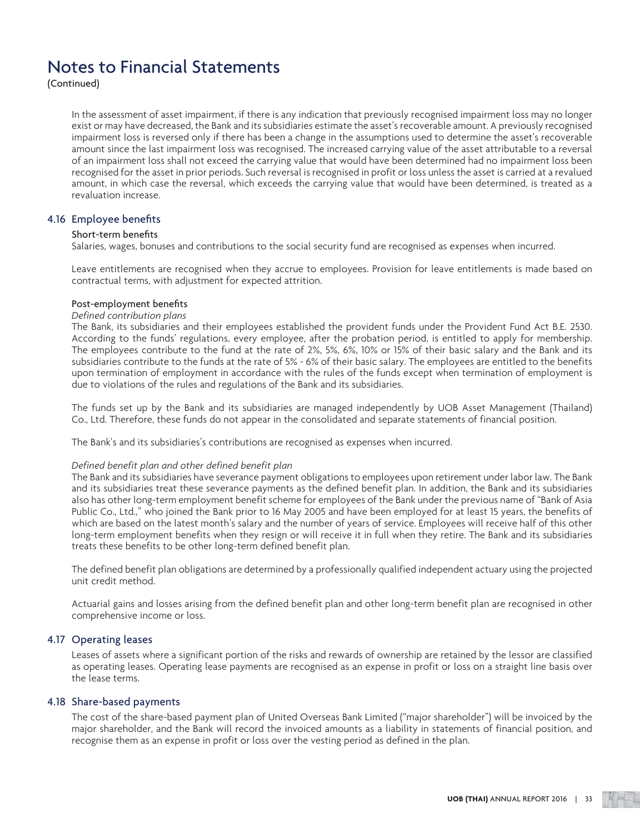(Continued)

 In the assessment of asset impairment, if there is any indication that previously recognised impairment loss may no longer exist or may have decreased, the Bank and its subsidiaries estimate the asset's recoverable amount. A previously recognised impairment loss is reversed only if there has been a change in the assumptions used to determine the asset's recoverable amount since the last impairment loss was recognised. The increased carrying value of the asset attributable to a reversal of an impairment loss shall not exceed the carrying value that would have been determined had no impairment loss been recognised for the asset in prior periods. Such reversal is recognised in profit or loss unless the asset is carried at a revalued amount, in which case the reversal, which exceeds the carrying value that would have been determined, is treated as a revaluation increase.

## 4.16 Employee benefits

#### Short-term benefits

Salaries, wages, bonuses and contributions to the social security fund are recognised as expenses when incurred.

 Leave entitlements are recognised when they accrue to employees. Provision for leave entitlements is made based on contractual terms, with adjustment for expected attrition.

### Post-employment benefits

## *Defined contribution plans*

 The Bank, its subsidiaries and their employees established the provident funds under the Provident Fund Act B.E. 2530. According to the funds' regulations, every employee, after the probation period, is entitled to apply for membership. The employees contribute to the fund at the rate of 2%, 5%, 6%, 10% or 15% of their basic salary and the Bank and its subsidiaries contribute to the funds at the rate of 5% - 6% of their basic salary. The employees are entitled to the benefits upon termination of employment in accordance with the rules of the funds except when termination of employment is due to violations of the rules and regulations of the Bank and its subsidiaries.

 The funds set up by the Bank and its subsidiaries are managed independently by UOB Asset Management (Thailand) Co., Ltd. Therefore, these funds do not appear in the consolidated and separate statements of financial position.

The Bank's and its subsidiaries's contributions are recognised as expenses when incurred.

### *Defined benefit plan and other defined benefit plan*

 The Bank and its subsidiaries have severance payment obligations to employees upon retirement under labor law. The Bank and its subsidiaries treat these severance payments as the defined benefit plan. In addition, the Bank and its subsidiaries also has other long-term employment benefit scheme for employees of the Bank under the previous name of "Bank of Asia Public Co., Ltd.," who joined the Bank prior to 16 May 2005 and have been employed for at least 15 years, the benefits of which are based on the latest month's salary and the number of years of service. Employees will receive half of this other long-term employment benefits when they resign or will receive it in full when they retire. The Bank and its subsidiaries treats these benefits to be other long-term defined benefit plan.

 The defined benefit plan obligations are determined by a professionally qualified independent actuary using the projected unit credit method.

 Actuarial gains and losses arising from the defined benefit plan and other long-term benefit plan are recognised in other comprehensive income or loss.

### 4.17 Operating leases

 Leases of assets where a significant portion of the risks and rewards of ownership are retained by the lessor are classified as operating leases. Operating lease payments are recognised as an expense in profit or loss on a straight line basis over the lease terms.

## 4.18 Share-based payments

 The cost of the share-based payment plan of United Overseas Bank Limited ("major shareholder") will be invoiced by the major shareholder, and the Bank will record the invoiced amounts as a liability in statements of financial position, and recognise them as an expense in profit or loss over the vesting period as defined in the plan.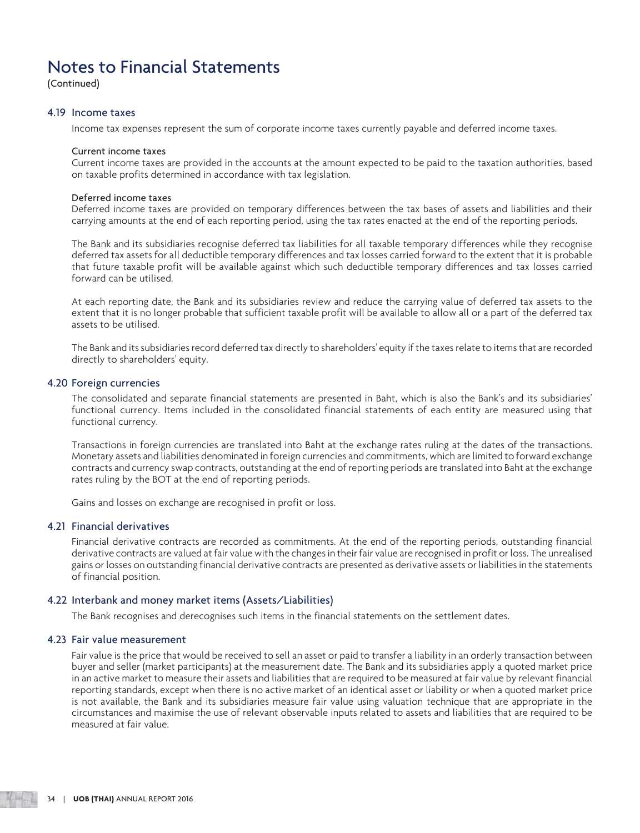(Continued)

### 4.19 Income taxes

Income tax expenses represent the sum of corporate income taxes currently payable and deferred income taxes.

#### Current income taxes

 Current income taxes are provided in the accounts at the amount expected to be paid to the taxation authorities, based on taxable profits determined in accordance with tax legislation.

### Deferred income taxes

 Deferred income taxes are provided on temporary differences between the tax bases of assets and liabilities and their carrying amounts at the end of each reporting period, using the tax rates enacted at the end of the reporting periods.

 The Bank and its subsidiaries recognise deferred tax liabilities for all taxable temporary differences while they recognise deferred tax assets for all deductible temporary differences and tax losses carried forward to the extent that it is probable that future taxable profit will be available against which such deductible temporary differences and tax losses carried forward can be utilised.

 At each reporting date, the Bank and its subsidiaries review and reduce the carrying value of deferred tax assets to the extent that it is no longer probable that sufficient taxable profit will be available to allow all or a part of the deferred tax assets to be utilised.

 The Bank and its subsidiaries record deferred tax directly to shareholders' equity if the taxes relate to items that are recorded directly to shareholders' equity.

### 4.20 Foreign currencies

 The consolidated and separate financial statements are presented in Baht, which is also the Bank's and its subsidiaries' functional currency. Items included in the consolidated financial statements of each entity are measured using that functional currency.

 Transactions in foreign currencies are translated into Baht at the exchange rates ruling at the dates of the transactions. Monetary assets and liabilities denominated in foreign currencies and commitments, which are limited to forward exchange contracts and currency swap contracts, outstanding at the end of reporting periods are translated into Baht at the exchange rates ruling by the BOT at the end of reporting periods.

Gains and losses on exchange are recognised in profit or loss.

## 4.21 Financial derivatives

 Financial derivative contracts are recorded as commitments. At the end of the reporting periods, outstanding financial derivative contracts are valued at fair value with the changes in their fair value are recognised in profit or loss. The unrealised gains or losses on outstanding financial derivative contracts are presented as derivative assets or liabilities in the statements of financial position.

### 4.22 Interbank and money market items (Assets/Liabilities)

The Bank recognises and derecognises such items in the financial statements on the settlement dates.

### 4.23 Fair value measurement

 Fair value is the price that would be received to sell an asset or paid to transfer a liability in an orderly transaction between buyer and seller (market participants) at the measurement date. The Bank and its subsidiaries apply a quoted market price in an active market to measure their assets and liabilities that are required to be measured at fair value by relevant financial reporting standards, except when there is no active market of an identical asset or liability or when a quoted market price is not available, the Bank and its subsidiaries measure fair value using valuation technique that are appropriate in the circumstances and maximise the use of relevant observable inputs related to assets and liabilities that are required to be measured at fair value.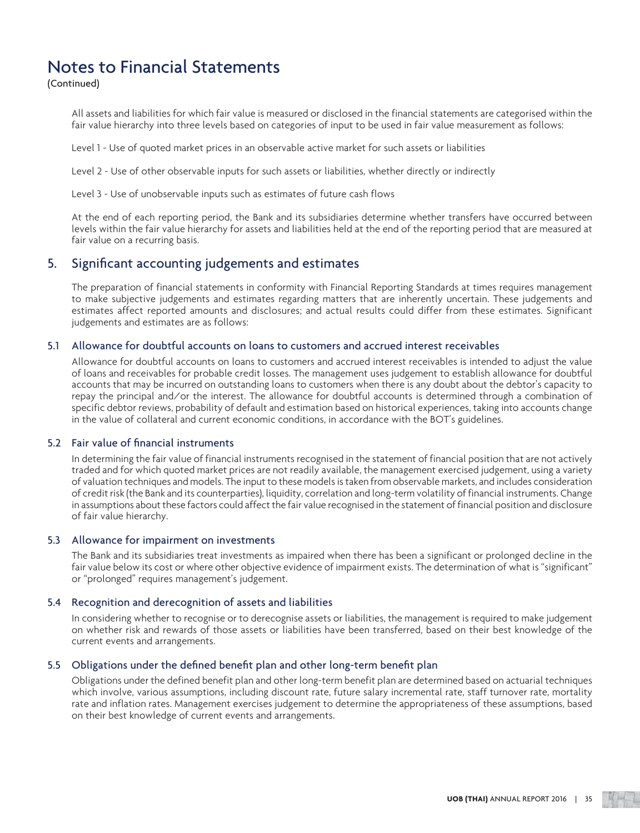(Continued)

 All assets and liabilities for which fair value is measured or disclosed in the financial statements are categorised within the fair value hierarchy into three levels based on categories of input to be used in fair value measurement as follows:

Level 1 - Use of quoted market prices in an observable active market for such assets or liabilities

Level 2 - Use of other observable inputs for such assets or liabilities, whether directly or indirectly

Level 3 - Use of unobservable inputs such as estimates of future cash flows

 At the end of each reporting period, the Bank and its subsidiaries determine whether transfers have occurred between levels within the fair value hierarchy for assets and liabilities held at the end of the reporting period that are measured at fair value on a recurring basis.

## 5. Significant accounting judgements and estimates

 The preparation of financial statements in conformity with Financial Reporting Standards at times requires management to make subjective judgements and estimates regarding matters that are inherently uncertain. These judgements and estimates affect reported amounts and disclosures; and actual results could differ from these estimates. Significant judgements and estimates are as follows:

#### 5.1 Allowance for doubtful accounts on loans to customers and accrued interest receivables

 Allowance for doubtful accounts on loans to customers and accrued interest receivables is intended to adjust the value of loans and receivables for probable credit losses. The management uses judgement to establish allowance for doubtful accounts that may be incurred on outstanding loans to customers when there is any doubt about the debtor's capacity to repay the principal and/or the interest. The allowance for doubtful accounts is determined through a combination of specific debtor reviews, probability of default and estimation based on historical experiences, taking into accounts change in the value of collateral and current economic conditions, in accordance with the BOT's guidelines.

#### 5.2 Fair value of financial instruments

 In determining the fair value of financial instruments recognised in the statement of financial position that are not actively traded and for which quoted market prices are not readily available, the management exercised judgement, using a variety of valuation techniques and models. The input to these models is taken from observable markets, and includes consideration of credit risk (the Bank and its counterparties), liquidity, correlation and long-term volatility of financial instruments. Change in assumptions about these factors could affect the fair value recognised in the statement of financial position and disclosure of fair value hierarchy.

#### 5.3 Allowance for impairment on investments

 The Bank and its subsidiaries treat investments as impaired when there has been a significant or prolonged decline in the fair value below its cost or where other objective evidence of impairment exists. The determination of what is "significant" or "prolonged" requires management's judgement.

#### 5.4 Recognition and derecognition of assets and liabilities

 In considering whether to recognise or to derecognise assets or liabilities, the management is required to make judgement on whether risk and rewards of those assets or liabilities have been transferred, based on their best knowledge of the current events and arrangements.

#### 5.5 Obligations under the defined benefit plan and other long-term benefit plan

 Obligations under the defined benefit plan and other long-term benefit plan are determined based on actuarial techniques which involve, various assumptions, including discount rate, future salary incremental rate, staff turnover rate, mortality rate and inflation rates. Management exercises judgement to determine the appropriateness of these assumptions, based on their best knowledge of current events and arrangements.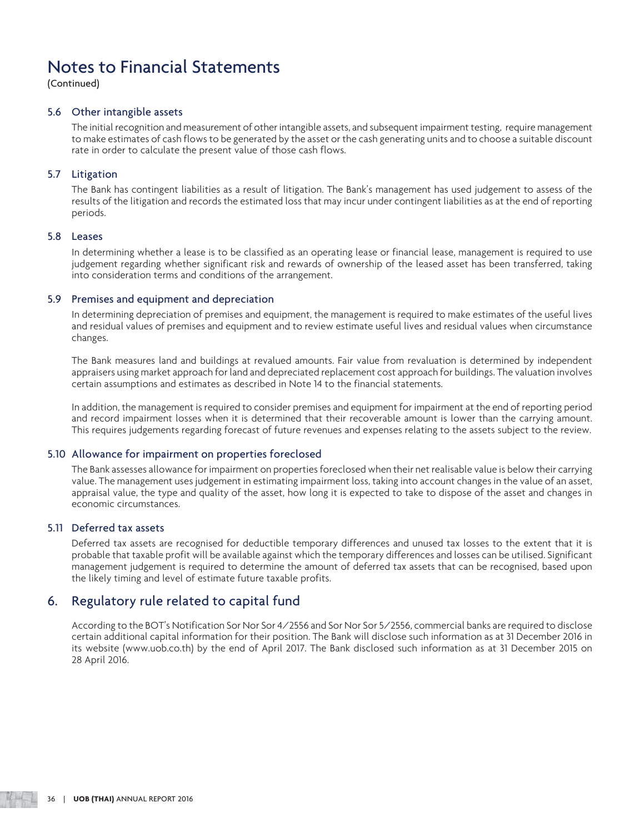(Continued)

#### 5.6 Other intangible assets

 The initial recognition and measurement of other intangible assets, and subsequent impairment testing, require management to make estimates of cash flows to be generated by the asset or the cash generating units and to choose a suitable discount rate in order to calculate the present value of those cash flows.

#### 5.7 Litigation

 The Bank has contingent liabilities as a result of litigation. The Bank's management has used judgement to assess of the results of the litigation and records the estimated loss that may incur under contingent liabilities as at the end of reporting periods.

## 5.8 Leases

 In determining whether a lease is to be classified as an operating lease or financial lease, management is required to use judgement regarding whether significant risk and rewards of ownership of the leased asset has been transferred, taking into consideration terms and conditions of the arrangement.

#### 5.9 Premises and equipment and depreciation

 In determining depreciation of premises and equipment, the management is required to make estimates of the useful lives and residual values of premises and equipment and to review estimate useful lives and residual values when circumstance changes.

 The Bank measures land and buildings at revalued amounts. Fair value from revaluation is determined by independent appraisers using market approach for land and depreciated replacement cost approach for buildings. The valuation involves certain assumptions and estimates as described in Note 14 to the financial statements.

 In addition, the management is required to consider premises and equipment for impairment at the end of reporting period and record impairment losses when it is determined that their recoverable amount is lower than the carrying amount. This requires judgements regarding forecast of future revenues and expenses relating to the assets subject to the review.

#### 5.10 Allowance for impairment on properties foreclosed

 The Bank assesses allowance for impairment on properties foreclosed when their net realisable value is below their carrying value. The management uses judgement in estimating impairment loss, taking into account changes in the value of an asset, appraisal value, the type and quality of the asset, how long it is expected to take to dispose of the asset and changes in economic circumstances.

#### 5.11 Deferred tax assets

 Deferred tax assets are recognised for deductible temporary differences and unused tax losses to the extent that it is probable that taxable profit will be available against which the temporary differences and losses can be utilised. Significant management judgement is required to determine the amount of deferred tax assets that can be recognised, based upon the likely timing and level of estimate future taxable profits.

## 6. Regulatory rule related to capital fund

 According to the BOT's Notification Sor Nor Sor 4/2556 and Sor Nor Sor 5/2556, commercial banks are required to disclose certain additional capital information for their position. The Bank will disclose such information as at 31 December 2016 in its website (www.uob.co.th) by the end of April 2017. The Bank disclosed such information as at 31 December 2015 on 28 April 2016.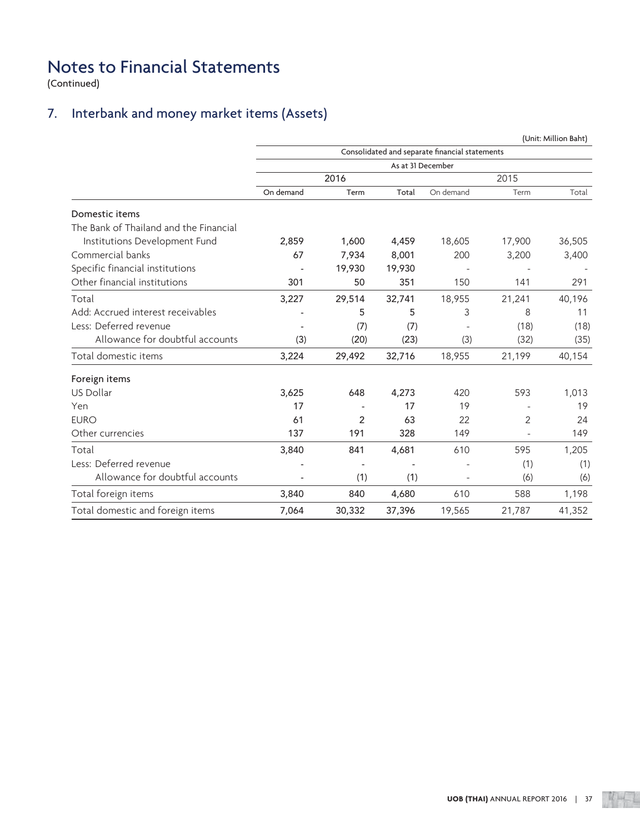(Continued)

## 7. Interbank and money market items (Assets)

|                                        |           |                |                   |                                                |        | (Unit: Million Baht) |
|----------------------------------------|-----------|----------------|-------------------|------------------------------------------------|--------|----------------------|
|                                        |           |                |                   | Consolidated and separate financial statements |        |                      |
|                                        |           |                | As at 31 December |                                                |        |                      |
|                                        |           | 2016           |                   |                                                | 2015   |                      |
|                                        | On demand | Term           | Total             | On demand                                      | Term   | Total                |
| Domestic items                         |           |                |                   |                                                |        |                      |
| The Bank of Thailand and the Financial |           |                |                   |                                                |        |                      |
| Institutions Development Fund          | 2,859     | 1,600          | 4,459             | 18,605                                         | 17,900 | 36,505               |
| Commercial banks                       | 67        | 7,934          | 8,001             | 200                                            | 3,200  | 3,400                |
| Specific financial institutions        |           | 19,930         | 19,930            |                                                |        |                      |
| Other financial institutions           | 301       | 50             | 351               | 150                                            | 141    | 291                  |
| Total                                  | 3,227     | 29,514         | 32,741            | 18,955                                         | 21,241 | 40,196               |
| Add: Accrued interest receivables      |           | 5              | 5                 | 3                                              | 8      | 11                   |
| Less: Deferred revenue                 |           | (7)            | (7)               |                                                | (18)   | (18)                 |
| Allowance for doubtful accounts        | (3)       | (20)           | (23)              | (3)                                            | (32)   | (35)                 |
| Total domestic items                   | 3,224     | 29,492         | 32,716            | 18,955                                         | 21,199 | 40,154               |
| Foreign items                          |           |                |                   |                                                |        |                      |
| US Dollar                              | 3,625     | 648            | 4,273             | 420                                            | 593    | 1,013                |
| Yen                                    | 17        |                | 17                | 19                                             |        | 19                   |
| <b>EURO</b>                            | 61        | $\overline{2}$ | 63                | 22                                             | 2      | 24                   |
| Other currencies                       | 137       | 191            | 328               | 149                                            |        | 149                  |
| Total                                  | 3,840     | 841            | 4,681             | 610                                            | 595    | 1,205                |
| Less: Deferred revenue                 |           |                |                   |                                                | (1)    | (1)                  |
| Allowance for doubtful accounts        |           | (1)            | (1)               |                                                | (6)    | (6)                  |
| Total foreign items                    | 3,840     | 840            | 4,680             | 610                                            | 588    | 1,198                |
| Total domestic and foreign items       | 7,064     | 30,332         | 37,396            | 19,565                                         | 21,787 | 41,352               |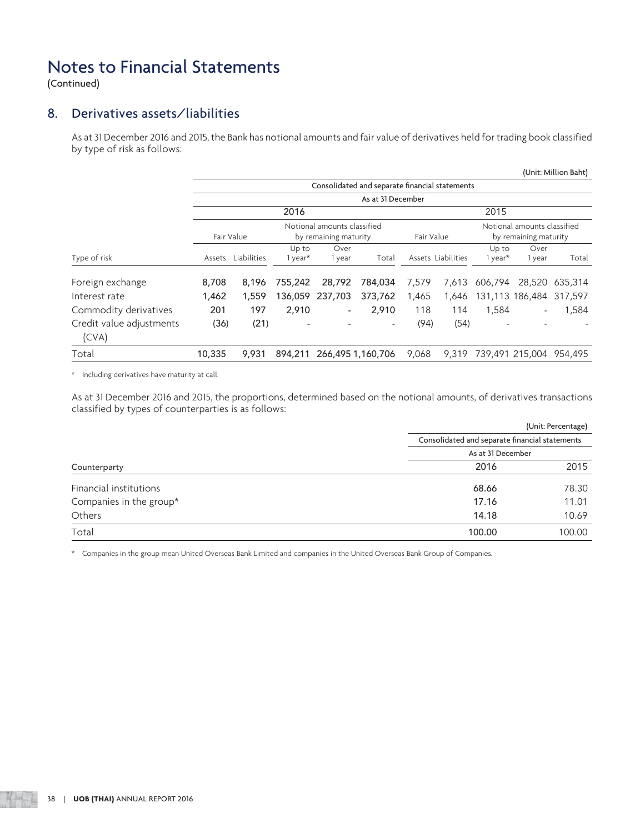(Continued)

## 8. Derivatives assets/liabilities

 As at 31 December 2016 and 2015, the Bank has notional amounts and fair value of derivatives held for trading book classified by type of risk as follows:

|                                   |        |                    |                  |                                                      |                                                |            |                    |                  |                                                      | (Unit: Million Baht)          |
|-----------------------------------|--------|--------------------|------------------|------------------------------------------------------|------------------------------------------------|------------|--------------------|------------------|------------------------------------------------------|-------------------------------|
|                                   |        |                    |                  |                                                      | Consolidated and separate financial statements |            |                    |                  |                                                      |                               |
|                                   |        |                    |                  |                                                      | As at 31 December                              |            |                    |                  |                                                      |                               |
|                                   |        |                    | 2016             |                                                      |                                                |            |                    | 2015             |                                                      |                               |
|                                   |        | Fair Value         |                  | Notional amounts classified<br>by remaining maturity |                                                | Fair Value |                    |                  | Notional amounts classified<br>by remaining maturity |                               |
| Type of risk                      |        | Assets Liabilities | Up to<br>1 year* | Over<br>1 year                                       | Total                                          |            | Assets Liabilities | Up to<br>1 year* | Over<br>1 year                                       | Total                         |
| Foreign exchange                  | 8,708  | 8,196              | 755,242          | 28,792                                               | 784,034                                        | 7,579      | 7.613              | 606,794          | 28,520                                               | 635,314                       |
| Interest rate                     | 1,462  | 1,559              |                  | 136,059 237,703                                      | 373,762                                        | 1,465      | 1,646              |                  | 131,113 186,484 317,597                              |                               |
| Commodity derivatives             | 201    | 197                | 2,910            | $\overline{\phantom{a}}$                             | 2,910                                          | 118        | 114                | 1,584            | $\overline{\phantom{a}}$                             | 1,584                         |
| Credit value adjustments<br>(CVA) | (36)   | (21)               |                  |                                                      | $\overline{\phantom{a}}$                       | (94)       | (54)               |                  |                                                      |                               |
| Total                             | 10,335 | 9,931              | 894,211          |                                                      | 266,495 1,160,706                              | 9,068      |                    |                  |                                                      | 9,319 739,491 215,004 954,495 |

\* Including derivatives have maturity at call.

 As at 31 December 2016 and 2015, the proportions, determined based on the notional amounts, of derivatives transactions classified by types of counterparties is as follows:

|                         |                                                | (Unit: Percentage) |  |  |  |  |
|-------------------------|------------------------------------------------|--------------------|--|--|--|--|
|                         | Consolidated and separate financial statements |                    |  |  |  |  |
|                         | As at 31 December                              |                    |  |  |  |  |
| Counterparty            | 2016                                           | 2015               |  |  |  |  |
| Financial institutions  | 68.66                                          | 78.30              |  |  |  |  |
| Companies in the group* | 17.16                                          | 11.01              |  |  |  |  |
| Others                  | 14.18                                          | 10.69              |  |  |  |  |
| Total                   | 100.00                                         | 100.00             |  |  |  |  |

\* Companies in the group mean United Overseas Bank Limited and companies in the United Overseas Bank Group of Companies.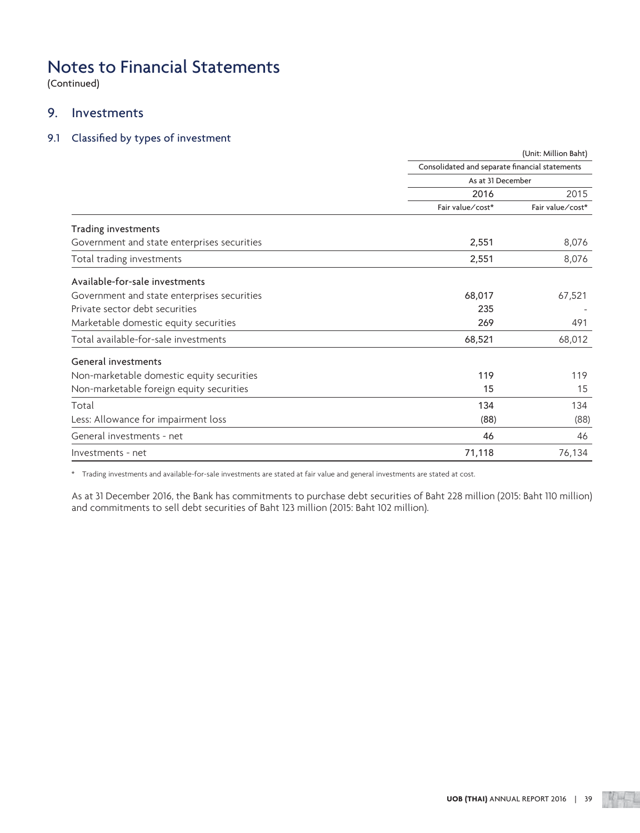(Continued)

## 9. Investments

## 9.1 Classified by types of investment

|                                             |                                                | (Unit: Million Baht) |
|---------------------------------------------|------------------------------------------------|----------------------|
|                                             | Consolidated and separate financial statements |                      |
|                                             | As at 31 December                              |                      |
|                                             | 2016                                           | 2015                 |
|                                             | Fair value/cost*                               | Fair value/cost*     |
| Trading investments                         |                                                |                      |
| Government and state enterprises securities | 2,551                                          | 8,076                |
| Total trading investments                   | 2,551                                          | 8,076                |
| Available-for-sale investments              |                                                |                      |
| Government and state enterprises securities | 68,017                                         | 67,521               |
| Private sector debt securities              | 235                                            |                      |
| Marketable domestic equity securities       | 269                                            | 491                  |
| Total available-for-sale investments        | 68,521                                         | 68,012               |
| General investments                         |                                                |                      |
| Non-marketable domestic equity securities   | 119                                            | 119                  |
| Non-marketable foreign equity securities    | 15                                             | 15                   |
| Total                                       | 134                                            | 134                  |
| Less: Allowance for impairment loss         | (88)                                           | (88)                 |
| General investments - net                   | 46                                             | 46                   |
| Investments - net                           | 71,118                                         | 76,134               |

\* Trading investments and available-for-sale investments are stated at fair value and general investments are stated at cost.

 As at 31 December 2016, the Bank has commitments to purchase debt securities of Baht 228 million (2015: Baht 110 million) and commitments to sell debt securities of Baht 123 million (2015: Baht 102 million).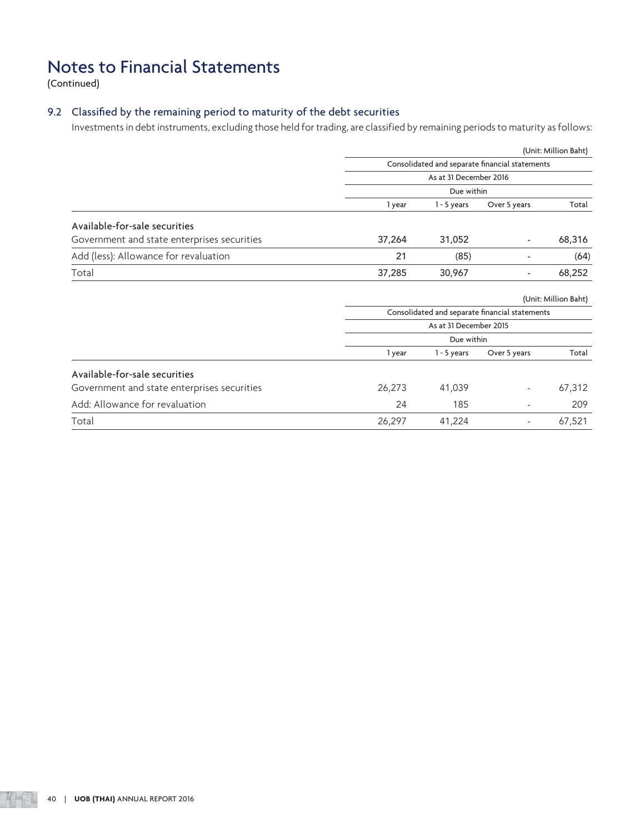(Continued)

## 9.2 Classified by the remaining period to maturity of the debt securities

Investments in debt instruments, excluding those held for trading, are classified by remaining periods to maturity as follows:

|                                             |                                                |                        |                                                | (Unit: Million Baht) |  |  |
|---------------------------------------------|------------------------------------------------|------------------------|------------------------------------------------|----------------------|--|--|
|                                             |                                                |                        | Consolidated and separate financial statements |                      |  |  |
|                                             |                                                | As at 31 December 2016 |                                                |                      |  |  |
|                                             |                                                | Due within             |                                                |                      |  |  |
|                                             | 1 year                                         | $1 - 5$ years          | Over 5 years                                   | Total                |  |  |
| Available-for-sale securities               |                                                |                        |                                                |                      |  |  |
| Government and state enterprises securities | 37,264                                         | 31,052                 | $\overline{\phantom{a}}$                       | 68,316               |  |  |
| Add (less): Allowance for revaluation       | 21                                             | (85)                   |                                                | (64)                 |  |  |
| Total                                       | 37,285                                         | 30,967                 | $\overline{\phantom{a}}$                       | 68,252               |  |  |
|                                             | (Unit: Million Baht)                           |                        |                                                |                      |  |  |
|                                             | Consolidated and separate financial statements |                        |                                                |                      |  |  |
|                                             |                                                | As at 31 December 2015 |                                                |                      |  |  |
|                                             |                                                | Due within             |                                                |                      |  |  |
|                                             | 1 year                                         | $1 - 5$ years          | Over 5 years                                   | Total                |  |  |
| Available-for-sale securities               |                                                |                        |                                                |                      |  |  |
| Government and state enterprises securities | 26,273                                         | 41,039                 |                                                | 67,312               |  |  |
| Add: Allowance for revaluation              | 24                                             | 185                    |                                                | 209                  |  |  |
| Total                                       | 26,297                                         | 41,224                 | $\overline{\phantom{a}}$                       | 67,521               |  |  |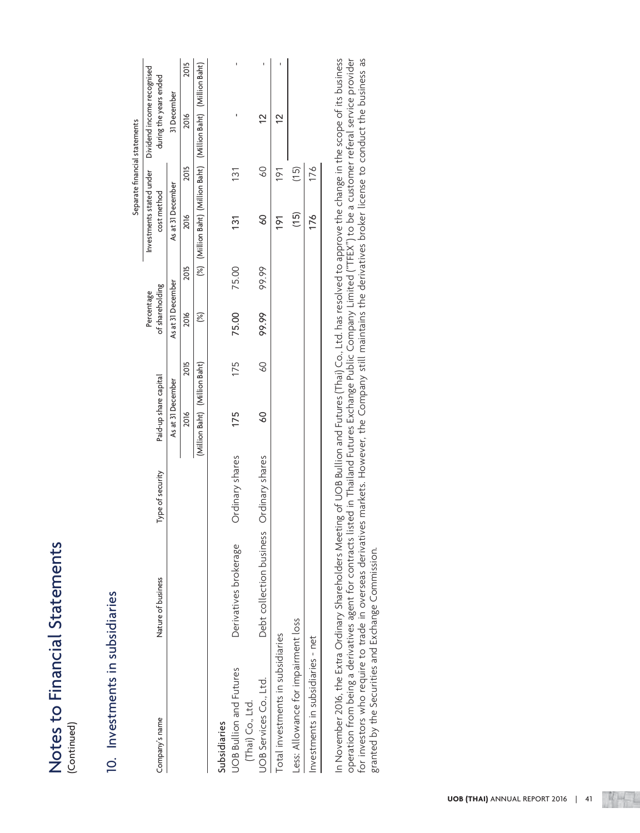| $+2+0$ mont       |  |
|-------------------|--|
| Č<br>ij           |  |
| <u>ומחממות</u>    |  |
|                   |  |
| くみ しんけん<br>)<br>) |  |
|                   |  |

# 10. Investments in subsidiaries 10. Investments in subsidiaries

| Notes to Financial Statements<br>(Continued) |                          |                  |                               |                 |                               |       |                                         |                 |                                                                 |      |
|----------------------------------------------|--------------------------|------------------|-------------------------------|-----------------|-------------------------------|-------|-----------------------------------------|-----------------|-----------------------------------------------------------------|------|
| 10. Investments in subsidiaries              |                          |                  |                               |                 |                               |       |                                         |                 |                                                                 |      |
|                                              |                          |                  |                               |                 |                               |       |                                         |                 | Separate financial statements                                   |      |
| Company's name                               | Nature of business       | Type of security | Paid-up share capital         |                 | of shareholding<br>Percentage |       | Investments stated under<br>cost method |                 | Dividend income recognised<br>during the years ended            |      |
|                                              |                          |                  | As at 31 December             |                 | As at 31 December             |       | As at 31 December                       |                 | 31 December                                                     |      |
|                                              |                          |                  | 2016                          | 2015            | 2016                          | 2015  | 2016                                    | 2015            | 2016                                                            | 2015 |
|                                              |                          |                  | (Million Baht) (Million Baht) |                 | $\infty$                      |       |                                         |                 | (%) (Million Baht) (Million Baht) (Million Baht) (Million Baht) |      |
| Subsidiaries                                 |                          |                  |                               |                 |                               |       |                                         |                 |                                                                 |      |
| <b>UOB Bullion and Futures</b>               | Derivatives brokerage    | Ordinary shares  | 175                           | 175             | 75.00                         | 75.00 | 131                                     | 131             | ı                                                               | ı    |
| UOB Services Co., Ltd.<br>(Thai) Co., Ltd.   | Debt collection business | Ordinary shares  | $\overline{6}$                | $\overline{60}$ | 99.99                         | 99.99 | $\infty$                                | $\overline{60}$ | $\frac{2}{3}$                                                   |      |
|                                              |                          |                  |                               |                 |                               |       |                                         |                 |                                                                 | ï    |
| Total investments in subsidiaries            |                          |                  |                               |                 |                               |       | 191                                     | 191             | $\frac{2}{3}$                                                   | ı    |
| ess: Allowance for impairment loss           |                          |                  |                               |                 |                               |       | (15)                                    | (15)            |                                                                 |      |
| Investments in subsidiaries - net            |                          |                  |                               |                 |                               |       | 176                                     | 176             |                                                                 |      |
|                                              |                          |                  |                               |                 |                               |       |                                         |                 |                                                                 |      |
|                                              |                          |                  |                               |                 |                               |       |                                         |                 |                                                                 |      |

In November 2016, the Extra Ordinary Shareholders Meeting of UOB Bullion and Futures (Thai) Co., Ltd. has resolved to approve the change in the scope of its business<br>operation from being a derivatives agent for contracts l In November 2016, the Extra Ordinary Shareholders Meeting of UOB Bullion and Futures (Thai) Co., Ltd. has resolved to approve the change in the scope of its business operation from being a derivatives agent for contracts listed in Thailand Futures Exchange Public Company Limited ("TFEX") to be a customer referal service provider for investors who require to trade in overseas derivatives markets. However, the Company still maintains the derivatives broker license to conduct the business as for investors who require to trade in overseas derivatives markets. However, the Company still maintains the derivatives broker license to conduct the business as granted by the Securities and Exchange Commission. granted by the Securities and Exchange Commission.

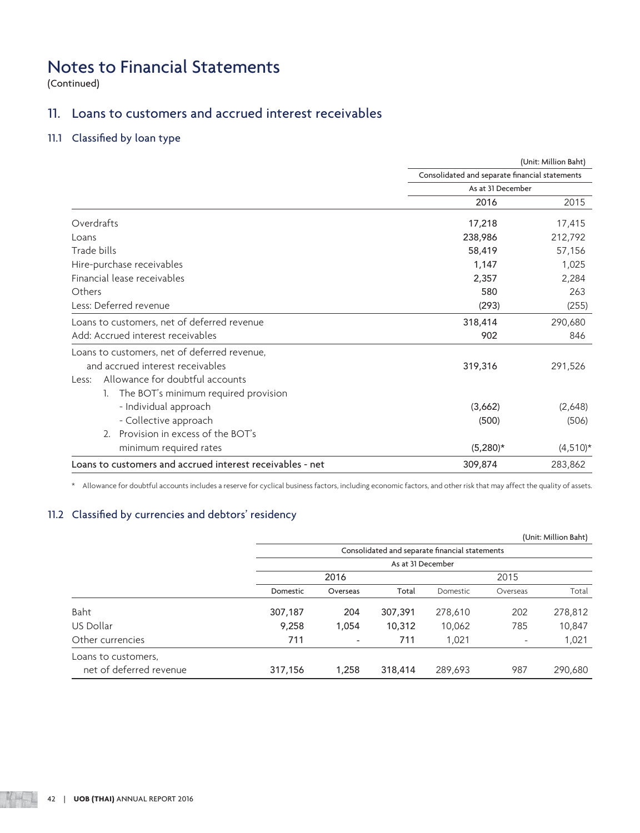(Continued)

## 11. Loans to customers and accrued interest receivables

## 11.1 Classified by loan type

|                                                           |                                                | (Unit: Million Baht) |
|-----------------------------------------------------------|------------------------------------------------|----------------------|
|                                                           | Consolidated and separate financial statements |                      |
|                                                           | As at 31 December                              |                      |
|                                                           | 2016                                           | 2015                 |
| Overdrafts                                                | 17,218                                         | 17,415               |
| Loans                                                     | 238,986                                        | 212,792              |
| Trade bills                                               | 58,419                                         | 57,156               |
| Hire-purchase receivables                                 | 1,147                                          | 1,025                |
| Financial lease receivables                               | 2,357                                          | 2,284                |
| Others                                                    | 580                                            | 263                  |
| Less: Deferred revenue                                    | (293)                                          | (255)                |
| Loans to customers, net of deferred revenue               | 318,414                                        | 290,680              |
| Add: Accrued interest receivables                         | 902                                            | 846                  |
| Loans to customers, net of deferred revenue,              |                                                |                      |
| and accrued interest receivables                          | 319,316                                        | 291,526              |
| Allowance for doubtful accounts<br>Less:                  |                                                |                      |
| The BOT's minimum required provision<br>1.                |                                                |                      |
| - Individual approach                                     | (3,662)                                        | (2,648)              |
| - Collective approach                                     | (500)                                          | (506)                |
| Provision in excess of the BOT's<br>2.                    |                                                |                      |
| minimum required rates                                    | $(5,280)*$                                     | $(4,510)^*$          |
| Loans to customers and accrued interest receivables - net | 309,874                                        | 283,862              |

\* Allowance for doubtful accounts includes a reserve for cyclical business factors, including economic factors, and other risk that may affect the quality of assets.

## 11.2 Classified by currencies and debtors' residency

|                         |          |                |                   |                                                |                          | (Unit: Million Baht) |
|-------------------------|----------|----------------|-------------------|------------------------------------------------|--------------------------|----------------------|
|                         |          |                |                   | Consolidated and separate financial statements |                          |                      |
|                         |          |                | As at 31 December |                                                |                          |                      |
|                         |          | 2016           |                   |                                                | 2015                     |                      |
|                         | Domestic | Overseas       | Total             | Domestic                                       | Overseas                 | Total                |
| Baht                    | 307,187  | 204            | 307,391           | 278,610                                        | 202                      | 278,812              |
| US Dollar               | 9,258    | 1,054          | 10,312            | 10,062                                         | 785                      | 10,847               |
| Other currencies        | 711      | $\overline{a}$ | 711               | 1,021                                          | $\overline{\phantom{a}}$ | 1,021                |
| Loans to customers.     |          |                |                   |                                                |                          |                      |
| net of deferred revenue | 317,156  | 1,258          | 318,414           | 289,693                                        | 987                      | 290,680              |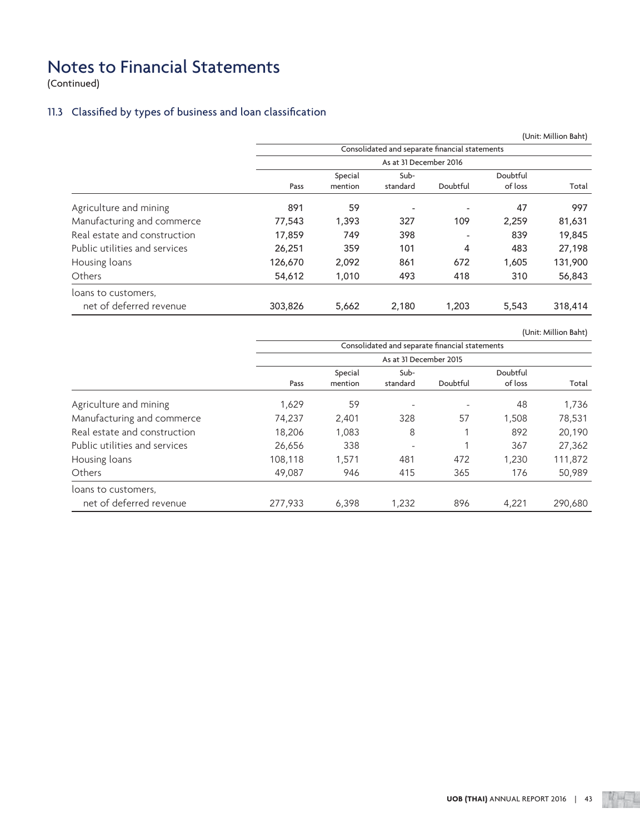(Continued)

## 11.3 Classified by types of business and loan classification

|                               |         |         |                        |                                                |          | (Unit: Million Baht) |
|-------------------------------|---------|---------|------------------------|------------------------------------------------|----------|----------------------|
|                               |         |         |                        | Consolidated and separate financial statements |          |                      |
|                               |         |         | As at 31 December 2016 |                                                |          |                      |
|                               |         | Special | Sub-                   |                                                | Doubtful |                      |
|                               | Pass    | mention | standard               | Doubtful                                       | of loss  | Total                |
| Agriculture and mining        | 891     | 59      | ٠                      |                                                | 47       | 997                  |
| Manufacturing and commerce    | 77,543  | 1,393   | 327                    | 109                                            | 2,259    | 81,631               |
| Real estate and construction  | 17,859  | 749     | 398                    |                                                | 839      | 19,845               |
| Public utilities and services | 26,251  | 359     | 101                    | 4                                              | 483      | 27,198               |
| Housing loans                 | 126,670 | 2,092   | 861                    | 672                                            | 1,605    | 131,900              |
| Others                        | 54,612  | 1,010   | 493                    | 418                                            | 310      | 56,843               |
| loans to customers.           |         |         |                        |                                                |          |                      |
| net of deferred revenue       | 303,826 | 5,662   | 2,180                  | 1,203                                          | 5,543    | 318,414              |

(Unit: Million Baht)

|                               |         |                    |                        | Consolidated and separate financial statements |                     |         |
|-------------------------------|---------|--------------------|------------------------|------------------------------------------------|---------------------|---------|
|                               |         |                    | As at 31 December 2015 |                                                |                     |         |
|                               | Pass    | Special<br>mention | Sub-<br>standard       | Doubtful                                       | Doubtful<br>of loss | Total   |
| Agriculture and mining        | 1,629   | 59                 | ۰                      | ٠                                              | 48                  | 1,736   |
| Manufacturing and commerce    | 74,237  | 2,401              | 328                    | 57                                             | 1,508               | 78,531  |
| Real estate and construction  | 18,206  | 1,083              | 8                      |                                                | 892                 | 20,190  |
| Public utilities and services | 26,656  | 338                |                        |                                                | 367                 | 27,362  |
| Housing loans                 | 108,118 | 1,571              | 481                    | 472                                            | 1,230               | 111,872 |
| Others                        | 49,087  | 946                | 415                    | 365                                            | 176                 | 50,989  |
| loans to customers.           |         |                    |                        |                                                |                     |         |
| net of deferred revenue       | 277,933 | 6,398              | 1.232                  | 896                                            | 4.221               | 290.680 |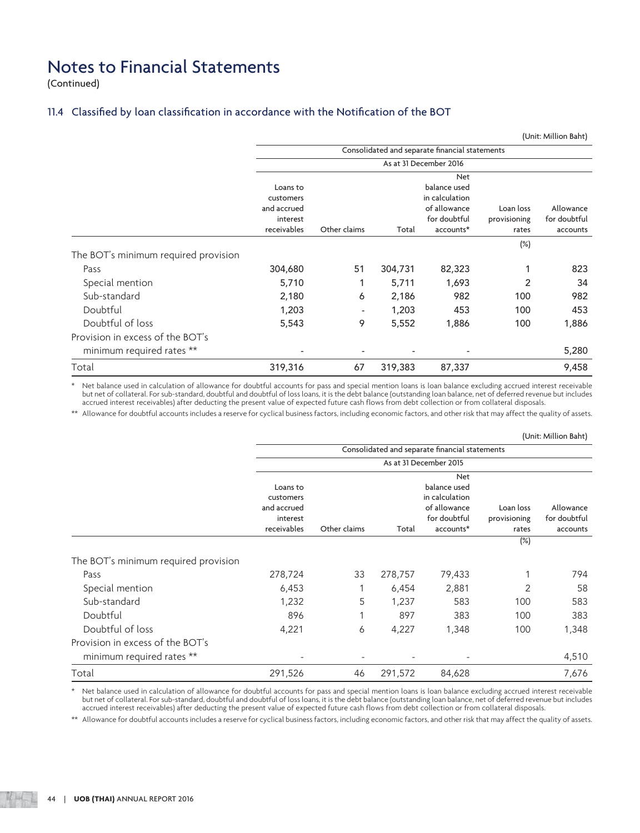(Continued)

## 11.4 Classified by loan classification in accordance with the Notification of the BOT

|                                              |                                                  |                          |         |                                                                              |                           | (Unit: Million Baht)      |
|----------------------------------------------|--------------------------------------------------|--------------------------|---------|------------------------------------------------------------------------------|---------------------------|---------------------------|
|                                              |                                                  |                          |         | Consolidated and separate financial statements                               |                           |                           |
|                                              |                                                  |                          |         | As at 31 December 2016                                                       |                           |                           |
|                                              | Loans to<br>customers<br>and accrued<br>interest |                          |         | <b>Net</b><br>balance used<br>in calculation<br>of allowance<br>for doubtful | Loan loss<br>provisioning | Allowance<br>for doubtful |
|                                              | receivables                                      | Other claims             | Total   | accounts*                                                                    | rates                     | accounts                  |
| The BOT's minimum required provision<br>Pass | 304,680                                          | 51                       | 304,731 | 82,323                                                                       | (%)                       | 823                       |
| Special mention                              | 5,710                                            |                          | 5,711   | 1,693                                                                        | 2                         | 34                        |
| Sub-standard                                 | 2,180                                            | 6                        | 2,186   | 982                                                                          | 100                       | 982                       |
| Doubtful                                     | 1,203                                            | $\overline{\phantom{a}}$ | 1,203   | 453                                                                          | 100                       | 453                       |
| Doubtful of loss                             | 5,543                                            | 9                        | 5,552   | 1,886                                                                        | 100                       | 1,886                     |
| Provision in excess of the BOT's             |                                                  |                          |         |                                                                              |                           |                           |
| minimum required rates **                    |                                                  | $\overline{\phantom{0}}$ |         |                                                                              |                           | 5,280                     |
| Total                                        | 319,316                                          | 67                       | 319,383 | 87,337                                                                       |                           | 9,458                     |

\* Net balance used in calculation of allowance for doubtful accounts for pass and special mention loans is loan balance excluding accrued interest receivable but net of collateral. For sub-standard, doubtful and doubtful of loss loans, it is the debt balance (outstanding loan balance, net of deferred revenue but includes accrued interest receivables) after deducting the present value of expected future cash flows from debt collection or from collateral disposals.

\*\* Allowance for doubtful accounts includes a reserve for cyclical business factors, including economic factors, and other risk that may affect the quality of assets.

|                                      |                          |              |         |                                                |              | (Unit: Million Baht) |
|--------------------------------------|--------------------------|--------------|---------|------------------------------------------------|--------------|----------------------|
|                                      |                          |              |         | Consolidated and separate financial statements |              |                      |
|                                      | As at 31 December 2015   |              |         |                                                |              |                      |
|                                      |                          |              |         | <b>Net</b>                                     |              |                      |
|                                      | Loans to                 |              |         | balance used                                   |              |                      |
|                                      | customers<br>and accrued |              |         | in calculation<br>of allowance                 | Loan loss    | Allowance            |
|                                      | interest                 |              |         | for doubtful                                   | provisioning | for doubtful         |
|                                      | receivables              | Other claims | Total   | accounts*                                      | rates        | accounts             |
|                                      |                          |              |         |                                                | $(\%)$       |                      |
| The BOT's minimum required provision |                          |              |         |                                                |              |                      |
| Pass                                 | 278,724                  | 33           | 278,757 | 79,433                                         |              | 794                  |
| Special mention                      | 6,453                    |              | 6,454   | 2,881                                          | 2            | 58                   |
| Sub-standard                         | 1,232                    | 5            | 1,237   | 583                                            | 100          | 583                  |
| Doubtful                             | 896                      |              | 897     | 383                                            | 100          | 383                  |
| Doubtful of loss                     | 4,221                    | 6            | 4,227   | 1,348                                          | 100          | 1,348                |
| Provision in excess of the BOT's     |                          |              |         |                                                |              |                      |
| minimum required rates **            |                          |              |         |                                                |              | 4,510                |
| Total                                | 291,526                  | 46           | 291,572 | 84,628                                         |              | 7,676                |

 \* Net balance used in calculation of allowance for doubtful accounts for pass and special mention loans is loan balance excluding accrued interest receivable but net of collateral. For sub-standard, doubtful and doubtful of loss loans, it is the debt balance (outstanding loan balance, net of deferred revenue but includes accrued interest receivables) after deducting the present value of expected future cash flows from debt collection or from collateral disposals.

\*\* Allowance for doubtful accounts includes a reserve for cyclical business factors, including economic factors, and other risk that may affect the quality of assets.

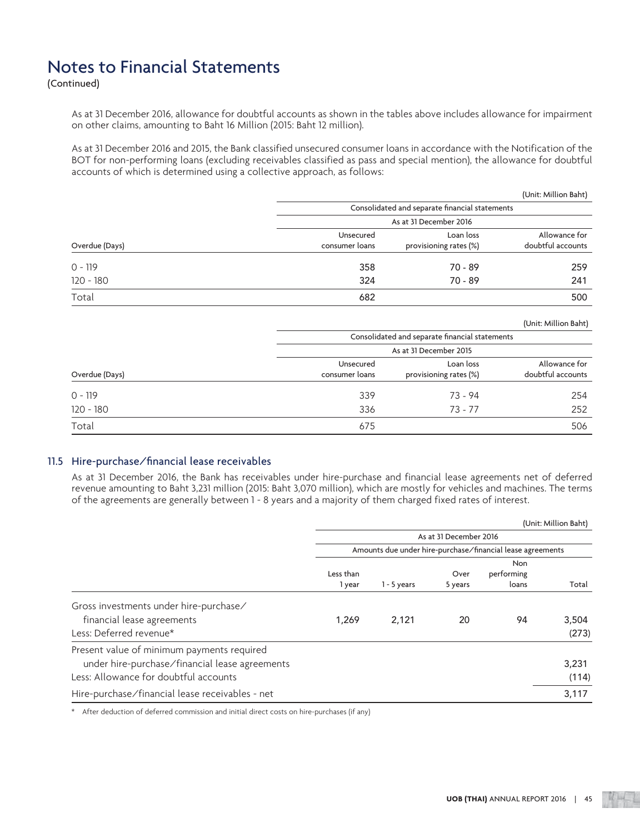(Continued)

 As at 31 December 2016, allowance for doubtful accounts as shown in the tables above includes allowance for impairment on other claims, amounting to Baht 16 Million (2015: Baht 12 million).

 As at 31 December 2016 and 2015, the Bank classified unsecured consumer loans in accordance with the Notification of the BOT for non-performing loans (excluding receivables classified as pass and special mention), the allowance for doubtful accounts of which is determined using a collective approach, as follows:

|                |                |                                                | (Unit: Million Baht) |  |
|----------------|----------------|------------------------------------------------|----------------------|--|
|                |                | Consolidated and separate financial statements |                      |  |
|                |                | As at 31 December 2016                         |                      |  |
|                | Unsecured      | Loan loss                                      | Allowance for        |  |
| Overdue (Days) | consumer loans | provisioning rates (%)                         | doubtful accounts    |  |
| $0 - 119$      | 358            | 70 - 89                                        | 259                  |  |
| $120 - 180$    | 324            | 70 - 89                                        | 241                  |  |
| Total          | 682            |                                                | 500                  |  |

(Unit: Million Baht)

|                |                             | Consolidated and separate financial statements |                                    |
|----------------|-----------------------------|------------------------------------------------|------------------------------------|
|                |                             | As at 31 December 2015                         |                                    |
| Overdue (Days) | Unsecured<br>consumer loans | Loan loss<br>provisioning rates (%)            | Allowance for<br>doubtful accounts |
| $0 - 119$      | 339                         | 73 - 94                                        | 254                                |
| $120 - 180$    | 336                         | $73 - 77$                                      | 252                                |
| Total          | 675                         |                                                | 506                                |

## 11.5 Hire-purchase/financial lease receivables

 As at 31 December 2016, the Bank has receivables under hire-purchase and financial lease agreements net of deferred revenue amounting to Baht 3,231 million (2015: Baht 3,070 million), which are mostly for vehicles and machines. The terms of the agreements are generally between 1 - 8 years and a majority of them charged fixed rates of interest.

|                                                                                                                                       |                        |               |                 |                                                            | (Unit: Million Baht) |
|---------------------------------------------------------------------------------------------------------------------------------------|------------------------|---------------|-----------------|------------------------------------------------------------|----------------------|
|                                                                                                                                       | As at 31 December 2016 |               |                 |                                                            |                      |
|                                                                                                                                       |                        |               |                 | Amounts due under hire-purchase/financial lease agreements |                      |
|                                                                                                                                       | Less than<br>1 year    | $1 - 5$ years | Over<br>5 years | Non<br>performing<br>loans                                 | Total                |
| Gross investments under hire-purchase/<br>financial lease agreements<br>Less: Deferred revenue*                                       | 1,269                  | 2,121         | 20              | 94                                                         | 3,504<br>(273)       |
| Present value of minimum payments required<br>under hire-purchase/financial lease agreements<br>Less: Allowance for doubtful accounts |                        |               |                 |                                                            | 3,231<br>(114)       |
| Hire-purchase/financial lease receivables - net                                                                                       |                        |               |                 |                                                            | 3,117                |

\* After deduction of deferred commission and initial direct costs on hire-purchases (if any)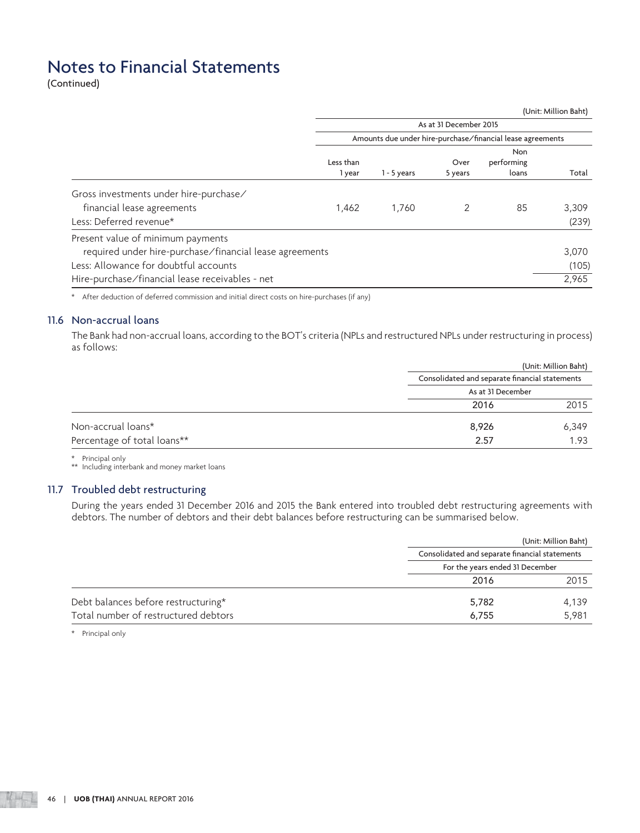(Continued)

|                                                         |                     |               |                        |                                                            | (Unit: Million Baht) |
|---------------------------------------------------------|---------------------|---------------|------------------------|------------------------------------------------------------|----------------------|
|                                                         |                     |               | As at 31 December 2015 |                                                            |                      |
|                                                         |                     |               |                        | Amounts due under hire-purchase/financial lease agreements |                      |
|                                                         | Less than<br>1 year | $1 - 5$ years | Over<br>5 years        | <b>Non</b><br>performing<br>loans                          | Total                |
| Gross investments under hire-purchase/                  |                     |               |                        |                                                            |                      |
| financial lease agreements                              | 1,462               | 1.760         |                        | 85                                                         | 3,309                |
| Less: Deferred revenue*                                 |                     |               |                        |                                                            | (239)                |
| Present value of minimum payments                       |                     |               |                        |                                                            |                      |
| required under hire-purchase/financial lease agreements |                     |               |                        |                                                            | 3,070                |
| Less: Allowance for doubtful accounts                   |                     |               |                        |                                                            | (105)                |
| Hire-purchase/financial lease receivables - net         |                     |               |                        |                                                            | 2,965                |

\* After deduction of deferred commission and initial direct costs on hire-purchases (if any)

## 11.6 Non-accrual loans

 The Bank had non-accrual loans, according to the BOT's criteria (NPLs and restructured NPLs under restructuring in process) as follows:

|                             | (Unit: Million Baht)                           |
|-----------------------------|------------------------------------------------|
|                             | Consolidated and separate financial statements |
|                             | As at 31 December                              |
|                             | 2016<br>2015                                   |
| Non-accrual loans*          | 8,926<br>6,349                                 |
| Percentage of total loans** | 2.57<br>1.93                                   |

\* Principal only

\*\* Including interbank and money market loans

## 11.7 Troubled debt restructuring

 During the years ended 31 December 2016 and 2015 the Bank entered into troubled debt restructuring agreements with debtors. The number of debtors and their debt balances before restructuring can be summarised below.

|                                      |                                                | (Unit: Million Baht) |
|--------------------------------------|------------------------------------------------|----------------------|
|                                      | Consolidated and separate financial statements |                      |
|                                      | For the years ended 31 December                |                      |
|                                      | 2016                                           | 2015                 |
| Debt balances before restructuring*  | 5,782                                          | 4.139                |
| Total number of restructured debtors | 6.755                                          | 5.981                |

\* Principal only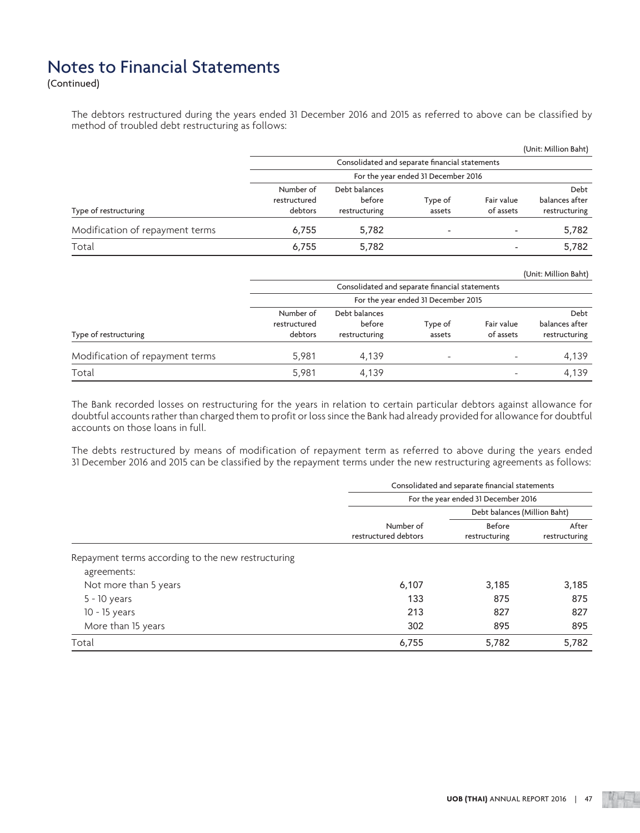(Continued)

 The debtors restructured during the years ended 31 December 2016 and 2015 as referred to above can be classified by method of troubled debt restructuring as follows:

|                                 |                                      |                                                |                   |                         | (Unit: Million Baht)                    |
|---------------------------------|--------------------------------------|------------------------------------------------|-------------------|-------------------------|-----------------------------------------|
|                                 |                                      | Consolidated and separate financial statements |                   |                         |                                         |
|                                 | For the year ended 31 December 2016  |                                                |                   |                         |                                         |
| Type of restructuring           | Number of<br>restructured<br>debtors | Debt balances<br>before<br>restructuring       | Type of<br>assets | Fair value<br>of assets | Debt<br>balances after<br>restructuring |
| Modification of repayment terms | 6.755                                | 5,782                                          | -                 |                         | 5,782                                   |
| Total                           | 6.755                                | 5,782                                          |                   | ۰                       | 5,782                                   |

|                                 |                                     |                                                |                   |                          | (Unit: Million Baht)            |
|---------------------------------|-------------------------------------|------------------------------------------------|-------------------|--------------------------|---------------------------------|
|                                 |                                     | Consolidated and separate financial statements |                   |                          |                                 |
|                                 | For the year ended 31 December 2015 |                                                |                   |                          |                                 |
|                                 | Number of                           | Debt balances                                  |                   |                          | Debt                            |
| Type of restructuring           | restructured<br>debtors             | before<br>restructuring                        | Type of<br>assets | Fair value<br>of assets  | balances after<br>restructuring |
|                                 |                                     |                                                |                   |                          |                                 |
| Modification of repayment terms | 5,981                               | 4.139                                          | -                 | $\overline{\phantom{a}}$ | 4.139                           |
| Total                           | 5.981                               | 4,139                                          |                   | $\overline{\phantom{a}}$ | 4,139                           |

 The Bank recorded losses on restructuring for the years in relation to certain particular debtors against allowance for doubtful accounts rather than charged them to profit or loss since the Bank had already provided for allowance for doubtful accounts on those loans in full.

 The debts restructured by means of modification of repayment term as referred to above during the years ended 31 December 2016 and 2015 can be classified by the repayment terms under the new restructuring agreements as follows:

|                                                    | Consolidated and separate financial statements |                              |                        |  |
|----------------------------------------------------|------------------------------------------------|------------------------------|------------------------|--|
|                                                    | For the year ended 31 December 2016            |                              |                        |  |
|                                                    |                                                | Debt balances (Million Baht) |                        |  |
|                                                    | Number of<br>restructured debtors              | Before<br>restructuring      | After<br>restructuring |  |
| Repayment terms according to the new restructuring |                                                |                              |                        |  |
| agreements:                                        |                                                |                              |                        |  |
| Not more than 5 years                              | 6,107                                          | 3.185                        | 3,185                  |  |
| $5 - 10$ years                                     | 133                                            | 875                          | 875                    |  |
| $10 - 15$ years                                    | 213                                            | 827                          | 827                    |  |
| More than 15 years                                 | 302                                            | 895                          | 895                    |  |
| Total                                              | 6,755                                          | 5,782                        | 5,782                  |  |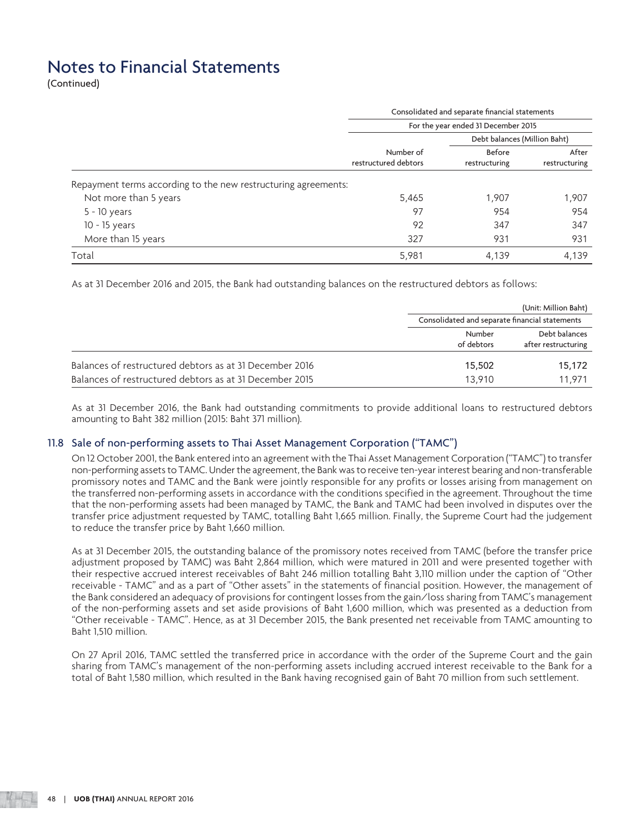(Continued)

|                                                                |                                   | Consolidated and separate financial statements |                        |  |  |
|----------------------------------------------------------------|-----------------------------------|------------------------------------------------|------------------------|--|--|
|                                                                |                                   | For the year ended 31 December 2015            |                        |  |  |
|                                                                |                                   | Debt balances (Million Baht)                   |                        |  |  |
|                                                                | Number of<br>restructured debtors | Before<br>restructuring                        | After<br>restructuring |  |  |
| Repayment terms according to the new restructuring agreements: |                                   |                                                |                        |  |  |
| Not more than 5 years                                          | 5,465                             | 1,907                                          | 1,907                  |  |  |
| 5 - 10 years                                                   | 97                                | 954                                            | 954                    |  |  |
| $10 - 15$ years                                                | 92                                | 347                                            | 347                    |  |  |
| More than 15 years                                             | 327                               | 931                                            | 931                    |  |  |
|                                                                |                                   |                                                |                        |  |  |

As at 31 December 2016 and 2015, the Bank had outstanding balances on the restructured debtors as follows:

|                                                         |                                                | (Unit: Million Baht)                 |
|---------------------------------------------------------|------------------------------------------------|--------------------------------------|
|                                                         | Consolidated and separate financial statements |                                      |
|                                                         | Number<br>of debtors                           | Debt balances<br>after restructuring |
| Balances of restructured debtors as at 31 December 2016 | 15,502                                         | 15,172                               |
| Balances of restructured debtors as at 31 December 2015 | 13.910                                         | 11.971                               |

 As at 31 December 2016, the Bank had outstanding commitments to provide additional loans to restructured debtors amounting to Baht 382 million (2015: Baht 371 million).

#### 11.8 Sale of non-performing assets to Thai Asset Management Corporation ("TAMC")

 On 12 October 2001, the Bank entered into an agreement with the Thai Asset Management Corporation ("TAMC") to transfer non-performing assets to TAMC. Under the agreement, the Bank was to receive ten-year interest bearing and non-transferable promissory notes and TAMC and the Bank were jointly responsible for any profits or losses arising from management on the transferred non-performing assets in accordance with the conditions specified in the agreement. Throughout the time that the non-performing assets had been managed by TAMC, the Bank and TAMC had been involved in disputes over the transfer price adjustment requested by TAMC, totalling Baht 1,665 million. Finally, the Supreme Court had the judgement to reduce the transfer price by Baht 1,660 million.

 As at 31 December 2015, the outstanding balance of the promissory notes received from TAMC (before the transfer price adjustment proposed by TAMC) was Baht 2,864 million, which were matured in 2011 and were presented together with their respective accrued interest receivables of Baht 246 million totalling Baht 3,110 million under the caption of "Other receivable - TAMC" and as a part of "Other assets" in the statements of financial position. However, the management of the Bank considered an adequacy of provisions for contingent losses from the gain/loss sharing from TAMC's management of the non-performing assets and set aside provisions of Baht 1,600 million, which was presented as a deduction from "Other receivable - TAMC". Hence, as at 31 December 2015, the Bank presented net receivable from TAMC amounting to Baht 1,510 million.

 On 27 April 2016, TAMC settled the transferred price in accordance with the order of the Supreme Court and the gain sharing from TAMC's management of the non-performing assets including accrued interest receivable to the Bank for a total of Baht 1,580 million, which resulted in the Bank having recognised gain of Baht 70 million from such settlement.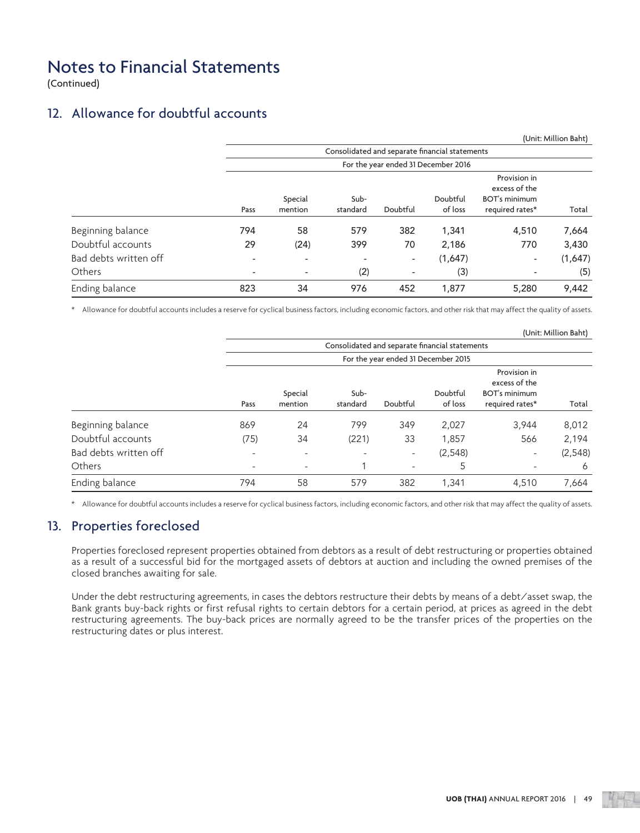(Continued)

## 12. Allowance for doubtful accounts

|                       |                          |                          |                                                |                                     |          |                                                       | (Unit: Million Baht) |
|-----------------------|--------------------------|--------------------------|------------------------------------------------|-------------------------------------|----------|-------------------------------------------------------|----------------------|
|                       |                          |                          | Consolidated and separate financial statements |                                     |          |                                                       |                      |
|                       |                          |                          |                                                | For the year ended 31 December 2016 |          |                                                       |                      |
|                       |                          | Special                  | Sub-                                           |                                     | Doubtful | Provision in<br>excess of the<br><b>BOT's minimum</b> |                      |
|                       | Pass                     | mention                  | standard                                       | Doubtful                            | of loss  | required rates*                                       | Total                |
| Beginning balance     | 794                      | 58                       | 579                                            | 382                                 | 1,341    | 4,510                                                 | 7,664                |
| Doubtful accounts     | 29                       | (24)                     | 399                                            | 70                                  | 2,186    | 770                                                   | 3,430                |
| Bad debts written off | ٠                        | $\overline{\phantom{a}}$ | ۰                                              | $\overline{\phantom{a}}$            | (1,647)  | ٠                                                     | (1,647)              |
| Others                | $\overline{\phantom{a}}$ | $\overline{\phantom{a}}$ | (2)                                            | $\overline{\phantom{a}}$            | (3)      | $\overline{\phantom{a}}$                              | (5)                  |
| Ending balance        | 823                      | 34                       | 976                                            | 452                                 | 1,877    | 5,280                                                 | 9,442                |

\* Allowance for doubtful accounts includes a reserve for cyclical business factors, including economic factors, and other risk that may affect the quality of assets.

|                       |                          |                                     |                                                |                          |                     |                                                                          | (Unit: Million Baht) |
|-----------------------|--------------------------|-------------------------------------|------------------------------------------------|--------------------------|---------------------|--------------------------------------------------------------------------|----------------------|
|                       |                          |                                     | Consolidated and separate financial statements |                          |                     |                                                                          |                      |
|                       |                          | For the year ended 31 December 2015 |                                                |                          |                     |                                                                          |                      |
|                       | Pass                     | Special<br>mention                  | Sub-<br>standard                               | Doubtful                 | Doubtful<br>of loss | Provision in<br>excess of the<br><b>BOT's minimum</b><br>required rates* | Total                |
|                       |                          |                                     |                                                |                          |                     |                                                                          |                      |
| Beginning balance     | 869                      | 24                                  | 799                                            | 349                      | 2,027               | 3,944                                                                    | 8,012                |
| Doubtful accounts     | (75)                     | 34                                  | (221)                                          | 33                       | 1,857               | 566                                                                      | 2,194                |
| Bad debts written off | $\overline{\phantom{a}}$ | -                                   | ٠                                              | $\overline{\phantom{a}}$ | (2,548)             | -                                                                        | (2, 548)             |
| Others                | ۰                        | $\overline{\phantom{a}}$            |                                                | $\overline{\phantom{a}}$ | 5                   | -                                                                        | 6                    |
| Ending balance        | 794                      | 58                                  | 579                                            | 382                      | 1,341               | 4,510                                                                    | 7,664                |

\* Allowance for doubtful accounts includes a reserve for cyclical business factors, including economic factors, and other risk that may affect the quality of assets.

## 13. Properties foreclosed

 Properties foreclosed represent properties obtained from debtors as a result of debt restructuring or properties obtained as a result of a successful bid for the mortgaged assets of debtors at auction and including the owned premises of the closed branches awaiting for sale.

 Under the debt restructuring agreements, in cases the debtors restructure their debts by means of a debt/asset swap, the Bank grants buy-back rights or first refusal rights to certain debtors for a certain period, at prices as agreed in the debt restructuring agreements. The buy-back prices are normally agreed to be the transfer prices of the properties on the restructuring dates or plus interest.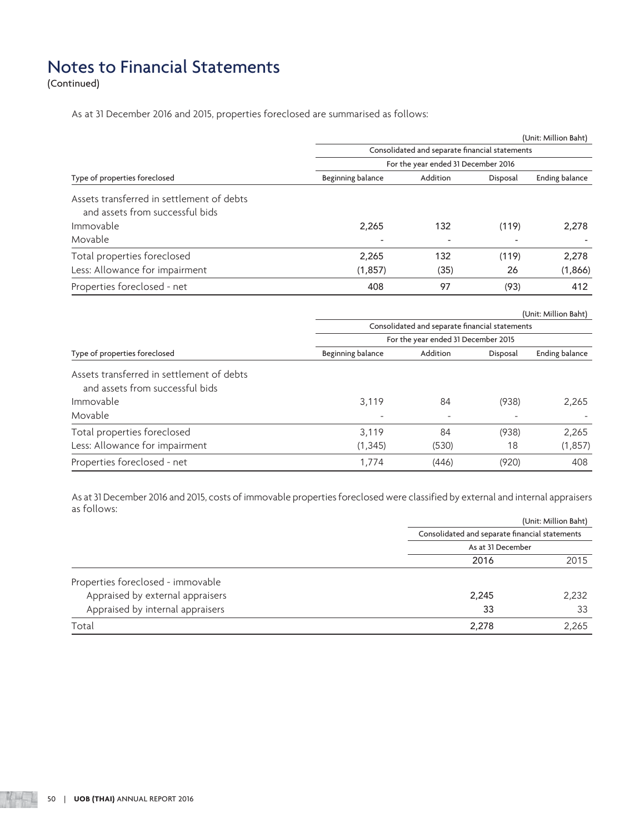(Continued)

As at 31 December 2016 and 2015, properties foreclosed are summarised as follows:

|                   |          |          | (Unit: Million Baht)                                                                                                                                                           |
|-------------------|----------|----------|--------------------------------------------------------------------------------------------------------------------------------------------------------------------------------|
|                   |          |          |                                                                                                                                                                                |
|                   |          |          |                                                                                                                                                                                |
| Beginning balance | Addition | Disposal | Ending balance                                                                                                                                                                 |
|                   |          |          |                                                                                                                                                                                |
|                   |          |          |                                                                                                                                                                                |
| 2,265             | 132      | (119)    | 2,278                                                                                                                                                                          |
|                   |          |          |                                                                                                                                                                                |
| 2,265             | 132      | (119)    | 2,278                                                                                                                                                                          |
| (1, 857)          | (35)     | 26       | (1,866)                                                                                                                                                                        |
| 408               | 97       | (93)     | 412                                                                                                                                                                            |
|                   |          |          |                                                                                                                                                                                |
|                   |          |          | (Unit: Million Baht)                                                                                                                                                           |
|                   |          |          |                                                                                                                                                                                |
| Beginning balance | Addition | Disposal | Ending balance                                                                                                                                                                 |
|                   |          |          |                                                                                                                                                                                |
|                   |          |          |                                                                                                                                                                                |
| 3,119             | 84       | (938)    | 2,265                                                                                                                                                                          |
|                   |          |          |                                                                                                                                                                                |
| 3,119             | 84       | (938)    | 2,265                                                                                                                                                                          |
| (1, 345)          | (530)    | 18       | (1, 857)                                                                                                                                                                       |
| 1,774             | (446)    | (920)    | 408                                                                                                                                                                            |
|                   |          |          | Consolidated and separate financial statements<br>For the year ended 31 December 2016<br>Consolidated and separate financial statements<br>For the year ended 31 December 2015 |

 As at 31 December 2016 and 2015, costs of immovable properties foreclosed were classified by external and internal appraisers as follows:

|                                   |                                                | (Unit: Million Baht) |
|-----------------------------------|------------------------------------------------|----------------------|
|                                   | Consolidated and separate financial statements |                      |
|                                   | As at 31 December                              |                      |
|                                   | 2016                                           | 2015                 |
| Properties foreclosed - immovable |                                                |                      |
| Appraised by external appraisers  | 2,245                                          | 2.232                |
| Appraised by internal appraisers  | 33                                             | 33                   |
| Total                             | 2,278                                          | 2.265                |
|                                   |                                                |                      |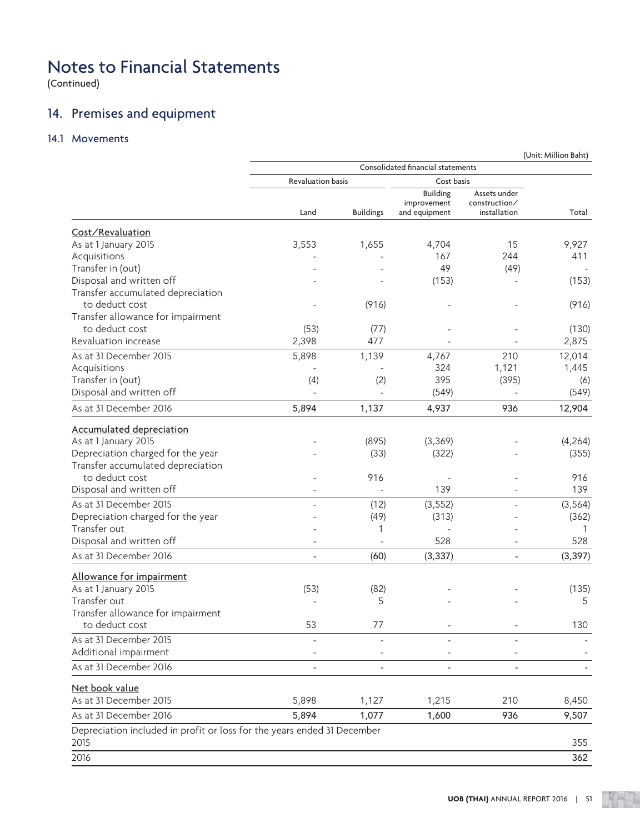(Continued)

## 14. Premises and equipment

## 14.1 Movements

|                                                                                 |                          |                          | Consolidated financial statements               |                                               |          |
|---------------------------------------------------------------------------------|--------------------------|--------------------------|-------------------------------------------------|-----------------------------------------------|----------|
|                                                                                 | <b>Revaluation basis</b> |                          | Cost basis                                      |                                               |          |
|                                                                                 | Land                     | <b>Buildings</b>         | <b>Building</b><br>improvement<br>and equipment | Assets under<br>construction/<br>installation | Total    |
| Cost/Revaluation                                                                |                          |                          |                                                 |                                               |          |
| As at 1 January 2015                                                            | 3,553                    | 1,655                    | 4,704                                           | 15                                            | 9,927    |
| Acquisitions                                                                    |                          |                          | 167                                             | 244                                           | 411      |
| Transfer in (out)                                                               |                          |                          | 49                                              | (49)                                          |          |
| Disposal and written off                                                        |                          |                          | (153)                                           |                                               | (153)    |
| Transfer accumulated depreciation                                               |                          |                          |                                                 |                                               |          |
| to deduct cost                                                                  |                          | (916)                    |                                                 |                                               | (916)    |
| Transfer allowance for impairment                                               |                          |                          |                                                 |                                               |          |
| to deduct cost                                                                  | (53)                     | (77)                     |                                                 |                                               | (130)    |
| Revaluation increase                                                            | 2,398                    | 477                      |                                                 |                                               | 2,875    |
| As at 31 December 2015                                                          | 5,898                    | 1,139                    | 4,767                                           | 210                                           | 12,014   |
| Acquisitions                                                                    | L,                       |                          | 324                                             | 1,121                                         | 1,445    |
| Transfer in (out)                                                               | (4)                      | (2)                      | 395                                             | (395)                                         | (6)      |
| Disposal and written off                                                        |                          |                          | (549)                                           |                                               | (549)    |
| As at 31 December 2016                                                          | 5,894                    | 1,137                    | 4,937                                           | 936                                           | 12,904   |
| <b>Accumulated depreciation</b>                                                 |                          |                          |                                                 |                                               |          |
| As at 1 January 2015                                                            |                          | (895)                    | (3,369)                                         |                                               | (4, 264) |
| Depreciation charged for the year                                               |                          | (33)                     | (322)                                           |                                               | (355)    |
| Transfer accumulated depreciation                                               |                          |                          |                                                 |                                               |          |
| to deduct cost                                                                  |                          | 916                      |                                                 |                                               | 916      |
| Disposal and written off                                                        |                          | $\overline{\phantom{a}}$ | 139                                             |                                               | 139      |
| As at 31 December 2015                                                          |                          | (12)                     | (3, 552)                                        |                                               | (3, 564) |
| Depreciation charged for the year                                               |                          | (49)                     | (313)                                           |                                               | (362)    |
| Transfer out                                                                    |                          | 1                        |                                                 |                                               | 1        |
| Disposal and written off                                                        |                          |                          | 528                                             |                                               | 528      |
| As at 31 December 2016                                                          | L,                       | (60)                     | (3, 337)                                        | $\overline{\phantom{a}}$                      | (3, 397) |
| Allowance for impairment                                                        |                          |                          |                                                 |                                               |          |
| As at 1 January 2015                                                            | (53)                     | (82)                     |                                                 |                                               | (135)    |
| Transfer out                                                                    |                          | 5                        |                                                 |                                               | 5        |
| Transfer allowance for impairment                                               |                          |                          |                                                 |                                               |          |
| to deduct cost                                                                  | 53                       | 77                       |                                                 |                                               | 130      |
| As at 31 December 2015                                                          |                          |                          |                                                 |                                               |          |
| Additional impairment                                                           |                          |                          |                                                 |                                               |          |
| As at 31 December 2016                                                          |                          |                          |                                                 |                                               |          |
| Net book value                                                                  |                          |                          |                                                 |                                               |          |
| As at 31 December 2015                                                          | 5,898                    | 1,127                    | 1,215                                           | 210                                           | 8,450    |
| As at 31 December 2016                                                          | 5,894                    | 1,077                    | 1,600                                           | 936                                           | 9,507    |
| Depreciation included in profit or loss for the years ended 31 December<br>2015 |                          |                          |                                                 |                                               | 355      |
| 2016                                                                            |                          |                          |                                                 |                                               | 362      |
|                                                                                 |                          |                          |                                                 |                                               |          |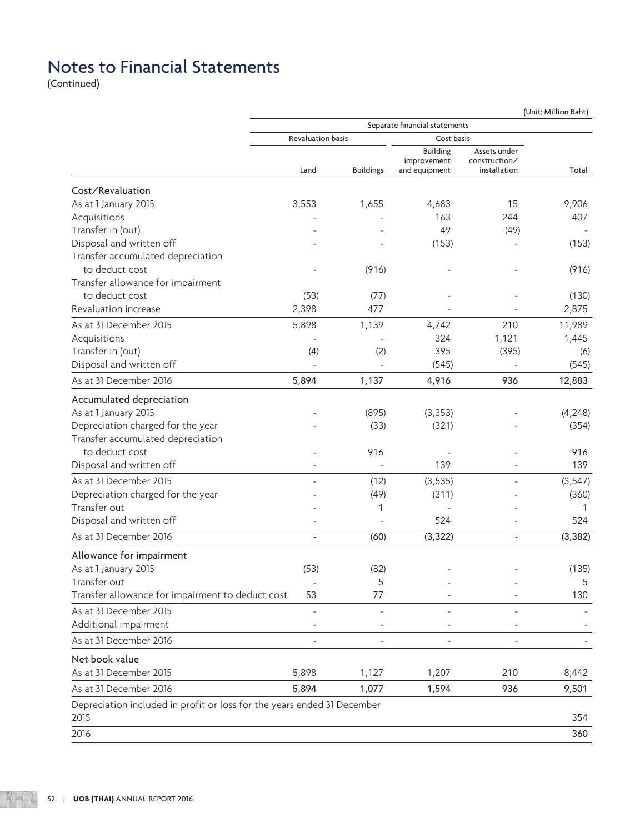(Continued)

|                                                                         | Separate financial statements<br><b>Revaluation basis</b><br>Cost basis |                  |                                                 |                                               |          |
|-------------------------------------------------------------------------|-------------------------------------------------------------------------|------------------|-------------------------------------------------|-----------------------------------------------|----------|
|                                                                         |                                                                         |                  |                                                 |                                               |          |
|                                                                         | Land                                                                    | <b>Buildings</b> | <b>Building</b><br>improvement<br>and equipment | Assets under<br>construction/<br>installation | Total    |
| Cost/Revaluation                                                        |                                                                         |                  |                                                 |                                               |          |
| As at 1 January 2015                                                    | 3,553                                                                   | 1,655            | 4,683                                           | 15                                            | 9,906    |
| Acquisitions                                                            |                                                                         |                  | 163                                             | 244                                           | 407      |
| Transfer in (out)                                                       |                                                                         |                  | 49                                              | (49)                                          |          |
| Disposal and written off                                                |                                                                         |                  | (153)                                           |                                               | (153)    |
| Transfer accumulated depreciation                                       |                                                                         |                  |                                                 |                                               |          |
| to deduct cost                                                          |                                                                         | (916)            |                                                 |                                               | (916)    |
| Transfer allowance for impairment                                       |                                                                         |                  |                                                 |                                               |          |
| to deduct cost                                                          | (53)                                                                    | (77)             |                                                 |                                               | (130)    |
| Revaluation increase                                                    | 2,398                                                                   | 477              |                                                 |                                               | 2,875    |
|                                                                         |                                                                         |                  |                                                 |                                               |          |
| As at 31 December 2015                                                  | 5,898                                                                   | 1,139            | 4,742                                           | 210                                           | 11,989   |
| Acquisitions                                                            |                                                                         |                  | 324                                             | 1,121                                         | 1,445    |
| Transfer in (out)                                                       | (4)                                                                     | (2)              | 395                                             | (395)                                         | (6)      |
| Disposal and written off                                                |                                                                         |                  | (545)                                           |                                               | (545)    |
| As at 31 December 2016                                                  | 5,894                                                                   | 1,137            | 4,916                                           | 936                                           | 12,883   |
| <b>Accumulated depreciation</b>                                         |                                                                         |                  |                                                 |                                               |          |
| As at 1 January 2015                                                    |                                                                         | (895)            | (3, 353)                                        |                                               | (4, 248) |
| Depreciation charged for the year                                       |                                                                         | (33)             | (321)                                           |                                               | (354)    |
| Transfer accumulated depreciation                                       |                                                                         |                  |                                                 |                                               |          |
| to deduct cost                                                          |                                                                         | 916              |                                                 |                                               | 916      |
| Disposal and written off                                                |                                                                         |                  | 139                                             |                                               | 139      |
| As at 31 December 2015                                                  |                                                                         | (12)             | (3, 535)                                        |                                               | (3, 547) |
| Depreciation charged for the year                                       |                                                                         | (49)             | (311)                                           |                                               | (360)    |
| Transfer out                                                            |                                                                         | 1                |                                                 |                                               | 1        |
| Disposal and written off                                                |                                                                         |                  | 524                                             |                                               | 524      |
| As at 31 December 2016                                                  | $\overline{\phantom{a}}$                                                | (60)             | (3, 322)                                        | $\blacksquare$                                | (3, 382) |
| Allowance for impairment                                                |                                                                         |                  |                                                 |                                               |          |
| As at 1 January 2015                                                    | (53)                                                                    | (82)             |                                                 |                                               | (135)    |
| Transfer out                                                            |                                                                         | 5                |                                                 |                                               | 5        |
| Transfer allowance for impairment to deduct cost                        | 53                                                                      | 77               |                                                 |                                               | 130      |
| As at 31 December 2015                                                  |                                                                         |                  |                                                 |                                               |          |
|                                                                         |                                                                         |                  |                                                 |                                               |          |
| Additional impairment                                                   |                                                                         |                  |                                                 |                                               |          |
| As at 31 December 2016                                                  |                                                                         |                  |                                                 |                                               |          |
| Net book value                                                          |                                                                         |                  |                                                 |                                               |          |
| As at 31 December 2015                                                  | 5,898                                                                   | 1,127            | 1,207                                           | 210                                           | 8,442    |
| As at 31 December 2016                                                  | 5,894                                                                   | 1,077            | 1,594                                           | 936                                           | 9,501    |
| Depreciation included in profit or loss for the years ended 31 December |                                                                         |                  |                                                 |                                               |          |
| 2015                                                                    |                                                                         |                  |                                                 |                                               | 354      |
| 2016                                                                    |                                                                         |                  |                                                 |                                               | 360      |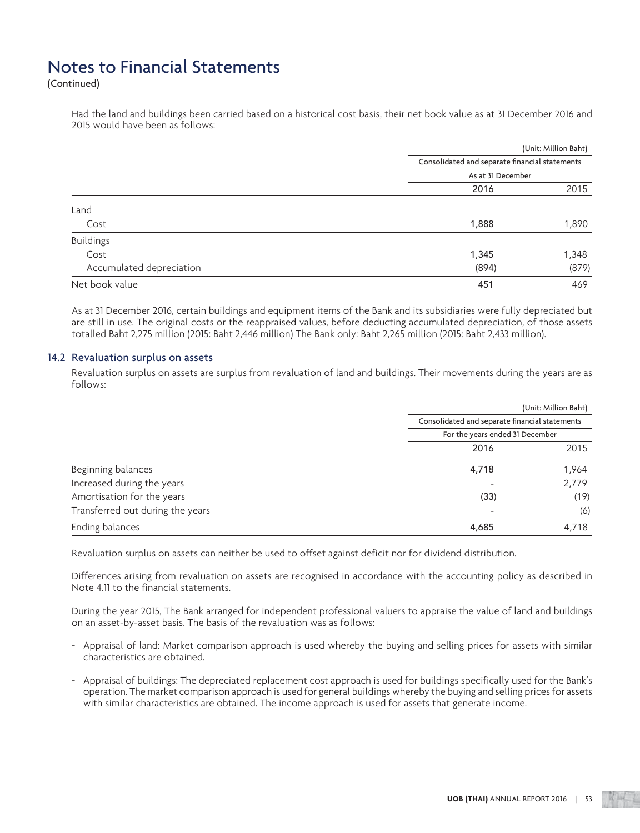(Continued)

 Had the land and buildings been carried based on a historical cost basis, their net book value as at 31 December 2016 and 2015 would have been as follows:

| Land<br>Cost<br><b>Buildings</b><br>Cost |                                                                     | (Unit: Million Baht) |  |
|------------------------------------------|---------------------------------------------------------------------|----------------------|--|
|                                          | Consolidated and separate financial statements<br>As at 31 December |                      |  |
|                                          |                                                                     |                      |  |
|                                          | 2016                                                                | 2015                 |  |
|                                          |                                                                     |                      |  |
|                                          | 1,888                                                               | 1,890                |  |
|                                          |                                                                     |                      |  |
|                                          | 1,345                                                               | 1,348                |  |
| Accumulated depreciation                 | (894)                                                               | (879)                |  |
| Net book value                           | 451                                                                 | 469                  |  |

 As at 31 December 2016, certain buildings and equipment items of the Bank and its subsidiaries were fully depreciated but are still in use. The original costs or the reappraised values, before deducting accumulated depreciation, of those assets totalled Baht 2,275 million (2015: Baht 2,446 million) The Bank only: Baht 2,265 million (2015: Baht 2,433 million).

#### 14.2 Revaluation surplus on assets

 Revaluation surplus on assets are surplus from revaluation of land and buildings. Their movements during the years are as follows:

|                                  |                                                | (Unit: Million Baht) |  |
|----------------------------------|------------------------------------------------|----------------------|--|
|                                  | Consolidated and separate financial statements |                      |  |
|                                  | For the years ended 31 December                |                      |  |
|                                  | 2016                                           | 2015                 |  |
| Beginning balances               | 4,718                                          | 1,964                |  |
| Increased during the years       |                                                | 2,779                |  |
| Amortisation for the years       | (33)                                           | (19)                 |  |
| Transferred out during the years |                                                | (6)                  |  |
| Ending balances                  | 4,685                                          | 4,718                |  |

Revaluation surplus on assets can neither be used to offset against deficit nor for dividend distribution.

 Differences arising from revaluation on assets are recognised in accordance with the accounting policy as described in Note 4.11 to the financial statements.

 During the year 2015, The Bank arranged for independent professional valuers to appraise the value of land and buildings on an asset-by-asset basis. The basis of the revaluation was as follows:

- Appraisal of land: Market comparison approach is used whereby the buying and selling prices for assets with similar characteristics are obtained.
- Appraisal of buildings: The depreciated replacement cost approach is used for buildings specifically used for the Bank's operation. The market comparison approach is used for general buildings whereby the buying and selling prices for assets with similar characteristics are obtained. The income approach is used for assets that generate income.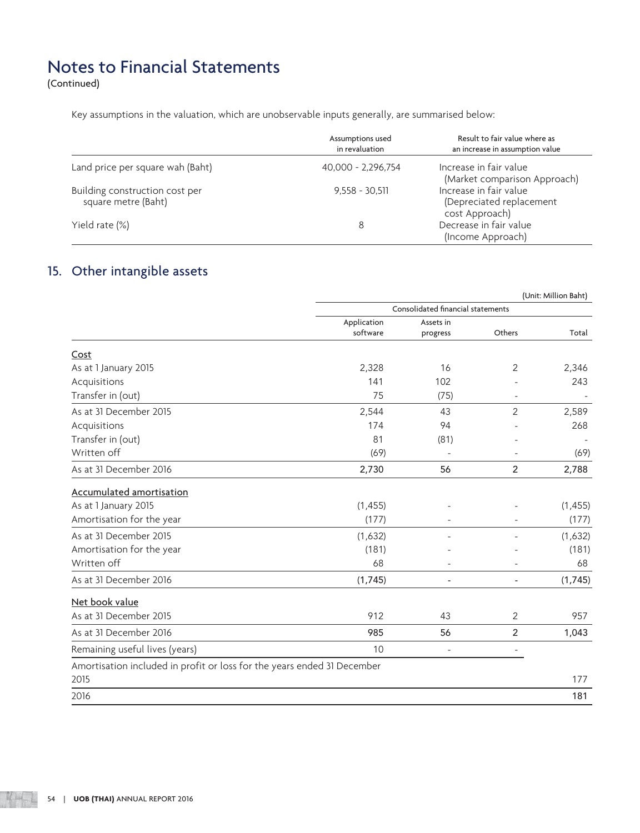(Continued)

Key assumptions in the valuation, which are unobservable inputs generally, are summarised below:

|                                                       | Assumptions used<br>in revaluation | Result to fair value where as<br>an increase in assumption value     |
|-------------------------------------------------------|------------------------------------|----------------------------------------------------------------------|
| Land price per square wah (Baht)                      | 40,000 - 2,296,754                 | Increase in fair value<br>(Market comparison Approach)               |
| Building construction cost per<br>square metre (Baht) | $9.558 - 30.511$                   | Increase in fair value<br>(Depreciated replacement<br>cost Approach) |
| Yield rate (%)                                        |                                    | Decrease in fair value<br>(Income Approach)                          |

## 15. Other intangible assets

|                                                                         | (Unit: Million Baht)    |                                   |                          |          |  |
|-------------------------------------------------------------------------|-------------------------|-----------------------------------|--------------------------|----------|--|
|                                                                         |                         | Consolidated financial statements |                          |          |  |
|                                                                         | Application<br>software | Assets in<br>progress             | Others                   | Total    |  |
| Cost                                                                    |                         |                                   |                          |          |  |
| As at 1 January 2015                                                    | 2,328                   | 16                                | 2                        | 2,346    |  |
| Acquisitions                                                            | 141                     | 102                               |                          | 243      |  |
| Transfer in (out)                                                       | 75                      | (75)                              |                          |          |  |
| As at 31 December 2015                                                  | 2,544                   | 43                                | 2                        | 2,589    |  |
| Acquisitions                                                            | 174                     | 94                                |                          | 268      |  |
| Transfer in (out)                                                       | 81                      | (81)                              |                          |          |  |
| Written off                                                             | (69)                    |                                   |                          | (69)     |  |
| As at 31 December 2016                                                  | 2,730                   | 56                                | 2                        | 2,788    |  |
| <b>Accumulated amortisation</b>                                         |                         |                                   |                          |          |  |
| As at 1 January 2015                                                    | (1, 455)                |                                   |                          | (1, 455) |  |
| Amortisation for the year                                               | (177)                   |                                   |                          | (177)    |  |
| As at 31 December 2015                                                  | (1,632)                 |                                   |                          | (1,632)  |  |
| Amortisation for the year                                               | (181)                   |                                   |                          | (181)    |  |
| Written off                                                             | 68                      |                                   |                          | 68       |  |
| As at 31 December 2016                                                  | (1,745)                 | $\overline{\phantom{a}}$          | $\overline{\phantom{a}}$ | (1,745)  |  |
| Net book value                                                          |                         |                                   |                          |          |  |
| As at 31 December 2015                                                  | 912                     | 43                                | 2                        | 957      |  |
| As at 31 December 2016                                                  | 985                     | 56                                | $\overline{2}$           | 1,043    |  |
| Remaining useful lives (years)                                          | 10                      | $\blacksquare$                    | $\sim$                   |          |  |
| Amortisation included in profit or loss for the years ended 31 December |                         |                                   |                          |          |  |
| 2015                                                                    |                         |                                   |                          | 177      |  |
| 2016                                                                    |                         |                                   |                          | 181      |  |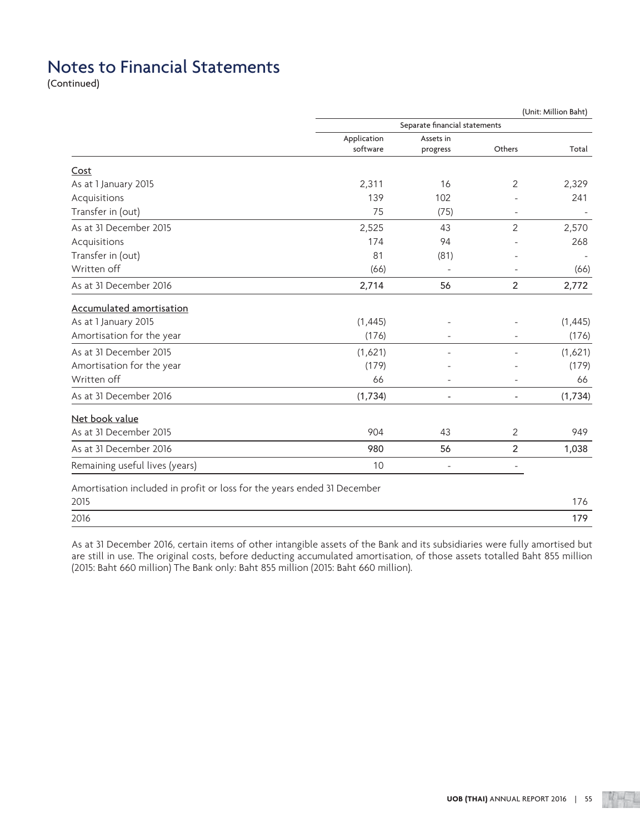(Continued)

|                                                                         | (Unit: Million Baht) |                               |                          |          |  |
|-------------------------------------------------------------------------|----------------------|-------------------------------|--------------------------|----------|--|
|                                                                         |                      | Separate financial statements |                          |          |  |
|                                                                         | Application          | Assets in                     |                          |          |  |
|                                                                         | software             | progress                      | Others                   | Total    |  |
| Cost                                                                    |                      |                               |                          |          |  |
| As at 1 January 2015                                                    | 2,311                | 16                            | 2                        | 2,329    |  |
| Acquisitions                                                            | 139                  | 102                           |                          | 241      |  |
| Transfer in (out)                                                       | 75                   | (75)                          |                          |          |  |
| As at 31 December 2015                                                  | 2,525                | 43                            | 2                        | 2,570    |  |
| Acquisitions                                                            | 174                  | 94                            |                          | 268      |  |
| Transfer in (out)                                                       | 81                   | (81)                          |                          |          |  |
| Written off                                                             | (66)                 |                               |                          | (66)     |  |
| As at 31 December 2016                                                  | 2,714                | 56                            | $\overline{2}$           | 2,772    |  |
| Accumulated amortisation                                                |                      |                               |                          |          |  |
| As at 1 January 2015                                                    | (1,445)              |                               |                          | (1, 445) |  |
| Amortisation for the year                                               | (176)                |                               |                          | (176)    |  |
| As at 31 December 2015                                                  | (1,621)              |                               |                          | (1,621)  |  |
| Amortisation for the year                                               | (179)                |                               |                          | (179)    |  |
| Written off                                                             | 66                   | ÷.                            | $\overline{a}$           | 66       |  |
| As at 31 December 2016                                                  | (1,734)              | $\overline{\phantom{a}}$      | $\overline{\phantom{0}}$ | (1,734)  |  |
| Net book value                                                          |                      |                               |                          |          |  |
| As at 31 December 2015                                                  | 904                  | 43                            | 2                        | 949      |  |
| As at 31 December 2016                                                  | 980                  | 56                            | $\overline{2}$           | 1,038    |  |
| Remaining useful lives (years)                                          | 10                   | $\sim$                        | $\overline{\phantom{a}}$ |          |  |
| Amortisation included in profit or loss for the years ended 31 December |                      |                               |                          |          |  |
| 2015                                                                    |                      |                               |                          | 176      |  |

| Ult<br>$\sim$ $\sim$ $\sim$ |  |  |  |
|-----------------------------|--|--|--|
|                             |  |  |  |

 As at 31 December 2016, certain items of other intangible assets of the Bank and its subsidiaries were fully amortised but are still in use. The original costs, before deducting accumulated amortisation, of those assets totalled Baht 855 million (2015: Baht 660 million) The Bank only: Baht 855 million (2015: Baht 660 million).

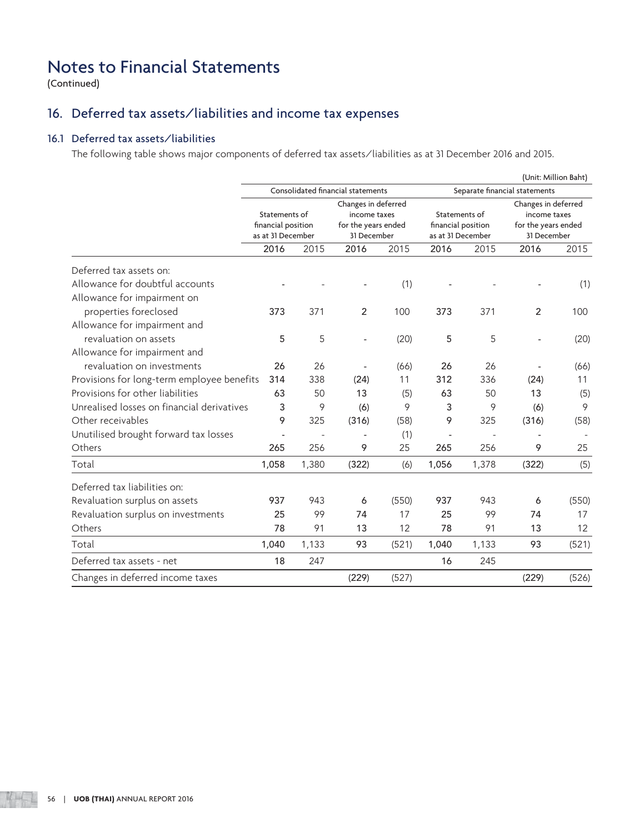(Continued)

## 16. Deferred tax assets/liabilities and income tax expenses

## 16.1 Deferred tax assets/liabilities

The following table shows major components of deferred tax assets/liabilities as at 31 December 2016 and 2015.

|                                            |                                                          |       |                                                                           |       |                                                          |       |                                                                           | (Unit: Million Baht) |  |
|--------------------------------------------|----------------------------------------------------------|-------|---------------------------------------------------------------------------|-------|----------------------------------------------------------|-------|---------------------------------------------------------------------------|----------------------|--|
|                                            | Consolidated financial statements                        |       |                                                                           |       |                                                          |       | Separate financial statements                                             |                      |  |
|                                            | Statements of<br>financial position<br>as at 31 December |       | Changes in deferred<br>income taxes<br>for the years ended<br>31 December |       | Statements of<br>financial position<br>as at 31 December |       | Changes in deferred<br>income taxes<br>for the years ended<br>31 December |                      |  |
|                                            | 2016                                                     | 2015  | 2016                                                                      | 2015  | 2016                                                     | 2015  | 2016                                                                      | 2015                 |  |
| Deferred tax assets on:                    |                                                          |       |                                                                           |       |                                                          |       |                                                                           |                      |  |
| Allowance for doubtful accounts            |                                                          |       |                                                                           | (1)   |                                                          |       |                                                                           | (1)                  |  |
| Allowance for impairment on                |                                                          |       |                                                                           |       |                                                          |       |                                                                           |                      |  |
| properties foreclosed                      | 373                                                      | 371   | $\overline{2}$                                                            | 100   | 373                                                      | 371   | $\overline{2}$                                                            | 100                  |  |
| Allowance for impairment and               |                                                          |       |                                                                           |       |                                                          |       |                                                                           |                      |  |
| revaluation on assets                      | 5                                                        | 5     |                                                                           | (20)  | 5                                                        | 5     |                                                                           | (20)                 |  |
| Allowance for impairment and               |                                                          |       |                                                                           |       |                                                          |       |                                                                           |                      |  |
| revaluation on investments                 | 26                                                       | 26    |                                                                           | (66)  | 26                                                       | 26    |                                                                           | (66)                 |  |
| Provisions for long-term employee benefits | 314                                                      | 338   | (24)                                                                      | 11    | 312                                                      | 336   | (24)                                                                      | 11                   |  |
| Provisions for other liabilities           | 63                                                       | 50    | 13                                                                        | (5)   | 63                                                       | 50    | 13                                                                        | (5)                  |  |
| Unrealised losses on financial derivatives | 3                                                        | 9     | (6)                                                                       | 9     | 3                                                        | 9     | (6)                                                                       | 9                    |  |
| Other receivables                          | 9                                                        | 325   | (316)                                                                     | (58)  | 9                                                        | 325   | (316)                                                                     | (58)                 |  |
| Unutilised brought forward tax losses      |                                                          |       |                                                                           | (1)   |                                                          |       |                                                                           |                      |  |
| Others                                     | 265                                                      | 256   | 9                                                                         | 25    | 265                                                      | 256   | 9                                                                         | 25                   |  |
| Total                                      | 1,058                                                    | 1,380 | (322)                                                                     | (6)   | 1,056                                                    | 1,378 | (322)                                                                     | (5)                  |  |
| Deferred tax liabilities on:               |                                                          |       |                                                                           |       |                                                          |       |                                                                           |                      |  |
| Revaluation surplus on assets              | 937                                                      | 943   | 6                                                                         | (550) | 937                                                      | 943   | 6                                                                         | (550)                |  |
| Revaluation surplus on investments         | 25                                                       | 99    | 74                                                                        | 17    | 25                                                       | 99    | 74                                                                        | 17                   |  |
| Others                                     | 78                                                       | 91    | 13                                                                        | 12    | 78                                                       | 91    | 13                                                                        | 12                   |  |
| Total                                      | 1,040                                                    | 1,133 | 93                                                                        | (521) | 1,040                                                    | 1,133 | 93                                                                        | (521)                |  |
| Deferred tax assets - net                  | 18                                                       | 247   |                                                                           |       | 16                                                       | 245   |                                                                           |                      |  |
| Changes in deferred income taxes           |                                                          |       | (229)                                                                     | (527) |                                                          |       | (229)                                                                     | (526)                |  |
|                                            |                                                          |       |                                                                           |       |                                                          |       |                                                                           |                      |  |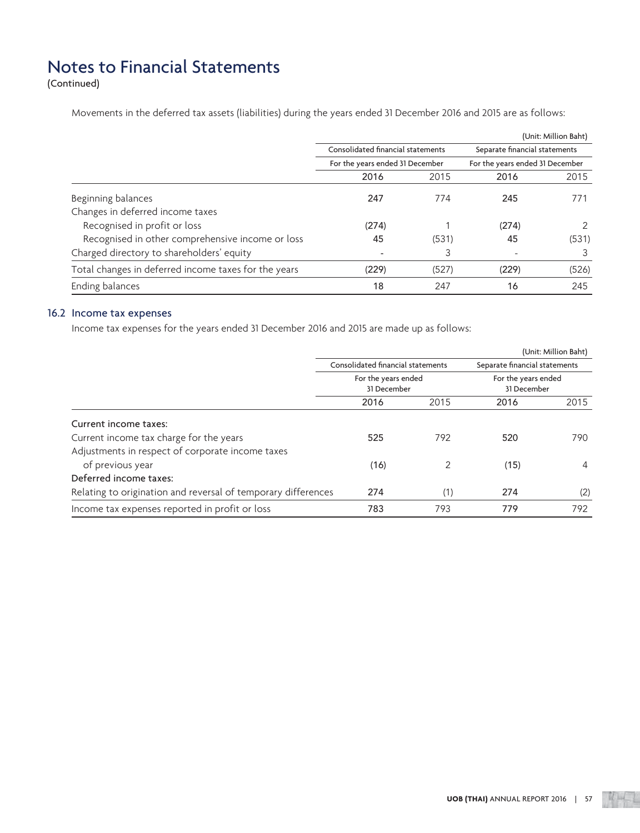(Continued)

Movements in the deferred tax assets (liabilities) during the years ended 31 December 2016 and 2015 are as follows:

|                                                      |                                   |                                 |                               | (Unit: Million Baht)            |  |
|------------------------------------------------------|-----------------------------------|---------------------------------|-------------------------------|---------------------------------|--|
|                                                      | Consolidated financial statements |                                 | Separate financial statements |                                 |  |
|                                                      |                                   | For the years ended 31 December |                               | For the years ended 31 December |  |
|                                                      | 2016                              | 2015                            | 2016                          | 2015                            |  |
| Beginning balances                                   | 247                               | 774                             | 245                           | 771                             |  |
| Changes in deferred income taxes                     |                                   |                                 |                               |                                 |  |
| Recognised in profit or loss                         | (274)                             |                                 | (274)                         | $\mathcal{P}$                   |  |
| Recognised in other comprehensive income or loss     | 45                                | (531)                           | 45                            | (531)                           |  |
| Charged directory to shareholders' equity            |                                   | 3                               |                               | 3                               |  |
| Total changes in deferred income taxes for the years | (229)                             | (527)                           | (229)                         | (526)                           |  |
| Ending balances                                      | 18                                | 247                             | 16                            | 245                             |  |

## 16.2 Income tax expenses

Income tax expenses for the years ended 31 December 2016 and 2015 are made up as follows:

|                                                               |                                   |                                    |                               | (Unit: Million Baht)               |
|---------------------------------------------------------------|-----------------------------------|------------------------------------|-------------------------------|------------------------------------|
|                                                               | Consolidated financial statements |                                    | Separate financial statements |                                    |
|                                                               |                                   | For the years ended<br>31 December |                               | For the years ended<br>31 December |
|                                                               | 2016                              | 2015                               | 2016                          | 2015                               |
| Current income taxes:                                         |                                   |                                    |                               |                                    |
| Current income tax charge for the years                       | 525                               | 792                                | 520                           | 790                                |
| Adjustments in respect of corporate income taxes              |                                   |                                    |                               |                                    |
| of previous year                                              | (16)                              | $\mathfrak{D}$                     | (15)                          | $\overline{4}$                     |
| Deferred income taxes:                                        |                                   |                                    |                               |                                    |
| Relating to origination and reversal of temporary differences | 274                               | (1)                                | 274                           | (2)                                |
| Income tax expenses reported in profit or loss                | 783                               | 793                                | 779                           | 792                                |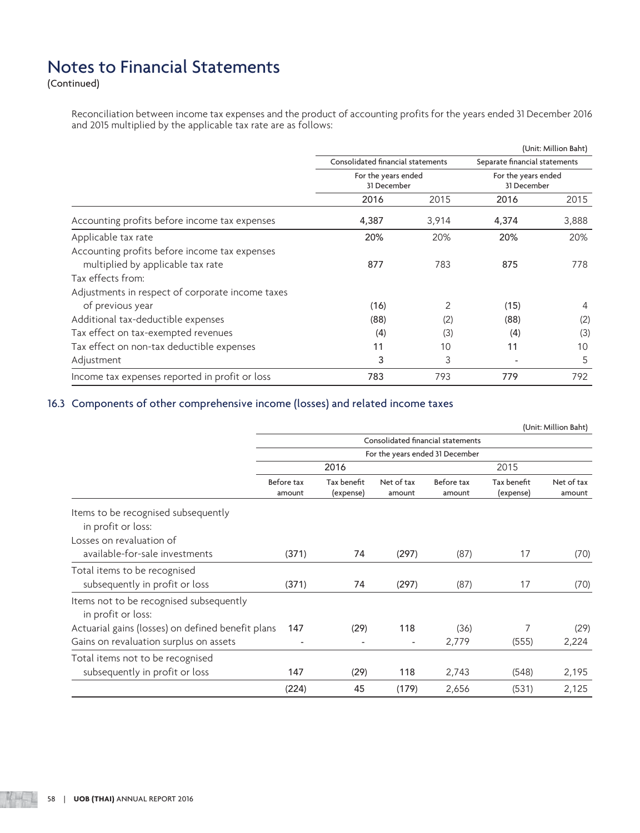(Continued)

 Reconciliation between income tax expenses and the product of accounting profits for the years ended 31 December 2016 and 2015 multiplied by the applicable tax rate are as follows:

|                                                  |                                   |       |                               | (Unit: Million Baht) |
|--------------------------------------------------|-----------------------------------|-------|-------------------------------|----------------------|
|                                                  | Consolidated financial statements |       | Separate financial statements |                      |
|                                                  | For the years ended               |       | For the years ended           |                      |
|                                                  | 31 December                       |       | 31 December                   |                      |
|                                                  | 2016                              | 2015  | 2016                          | 2015                 |
| Accounting profits before income tax expenses    | 4,387                             | 3,914 | 4,374                         | 3,888                |
| Applicable tax rate                              | 20%                               | 20%   | 20%                           | 20%                  |
| Accounting profits before income tax expenses    |                                   |       |                               |                      |
| multiplied by applicable tax rate                | 877                               | 783   | 875                           | 778                  |
| Tax effects from:                                |                                   |       |                               |                      |
| Adjustments in respect of corporate income taxes |                                   |       |                               |                      |
| of previous year                                 | (16)                              | 2     | (15)                          | 4                    |
| Additional tax-deductible expenses               | (88)                              | (2)   | (88)                          | (2)                  |
| Tax effect on tax-exempted revenues              | (4)                               | (3)   | (4)                           | (3)                  |
| Tax effect on non-tax deductible expenses        | 11                                | 10    | 11                            | 10                   |
| Adjustment                                       | 3                                 | 3     | $\overline{\phantom{a}}$      | 5                    |
| Income tax expenses reported in profit or loss   | 783                               | 793   | 779                           | 792                  |

## 16.3 Components of other comprehensive income (losses) and related income taxes

|                                                               |                                 |                          |                          |                                   |                          | (Unit: Million Baht) |
|---------------------------------------------------------------|---------------------------------|--------------------------|--------------------------|-----------------------------------|--------------------------|----------------------|
|                                                               |                                 |                          |                          | Consolidated financial statements |                          |                      |
|                                                               | For the years ended 31 December |                          |                          |                                   |                          |                      |
|                                                               |                                 | 2016                     |                          |                                   | 2015                     |                      |
|                                                               | Before tax<br>amount            | Tax benefit<br>(expense) | Net of tax<br>amount     | Before tax<br>amount              | Tax benefit<br>(expense) | Net of tax<br>amount |
| Items to be recognised subsequently                           |                                 |                          |                          |                                   |                          |                      |
| in profit or loss:                                            |                                 |                          |                          |                                   |                          |                      |
| Losses on revaluation of                                      |                                 |                          |                          |                                   |                          |                      |
| available-for-sale investments                                | (371)                           | 74                       | (297)                    | (87)                              | 17                       | (70)                 |
| Total items to be recognised                                  |                                 |                          |                          |                                   |                          |                      |
| subsequently in profit or loss                                | (371)                           | 74                       | (297)                    | (87)                              | 17                       | (70)                 |
| Items not to be recognised subsequently<br>in profit or loss: |                                 |                          |                          |                                   |                          |                      |
| Actuarial gains (losses) on defined benefit plans             | 147                             | (29)                     | 118                      | (36)                              | 7                        | (29)                 |
| Gains on revaluation surplus on assets                        | $\overline{\phantom{0}}$        | $\overline{a}$           | $\overline{\phantom{a}}$ | 2,779                             | (555)                    | 2,224                |
| Total items not to be recognised                              |                                 |                          |                          |                                   |                          |                      |
| subsequently in profit or loss                                | 147                             | (29)                     | 118                      | 2,743                             | (548)                    | 2,195                |
|                                                               | (224)                           | 45                       | (179)                    | 2,656                             | (531)                    | 2,125                |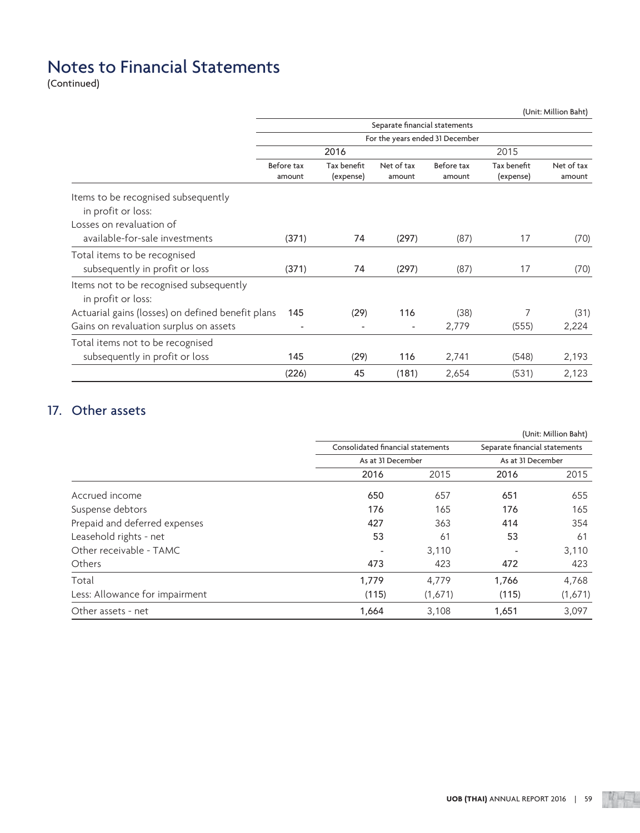(Continued)

|                                                               |                      |                          |                               |                                 |                          | (Unit: Million Baht) |  |
|---------------------------------------------------------------|----------------------|--------------------------|-------------------------------|---------------------------------|--------------------------|----------------------|--|
|                                                               |                      |                          | Separate financial statements |                                 |                          |                      |  |
|                                                               |                      |                          |                               | For the years ended 31 December |                          |                      |  |
|                                                               |                      | 2016                     |                               |                                 | 2015                     |                      |  |
|                                                               | Before tax<br>amount | Tax benefit<br>(expense) | Net of tax<br>amount          | Before tax<br>amount            | Tax benefit<br>(expense) | Net of tax<br>amount |  |
| Items to be recognised subsequently<br>in profit or loss:     |                      |                          |                               |                                 |                          |                      |  |
| Losses on revaluation of                                      |                      |                          |                               |                                 |                          |                      |  |
| available-for-sale investments                                | (371)                | 74                       | (297)                         | (87)                            | 17                       | (70)                 |  |
| Total items to be recognised                                  |                      |                          |                               |                                 |                          |                      |  |
| subsequently in profit or loss                                | (371)                | 74                       | (297)                         | (87)                            | 17                       | (70)                 |  |
| Items not to be recognised subsequently<br>in profit or loss: |                      |                          |                               |                                 |                          |                      |  |
| Actuarial gains (losses) on defined benefit plans             | 145                  | (29)                     | 116                           | (38)                            | 7                        | (31)                 |  |
| Gains on revaluation surplus on assets                        | $\overline{a}$       |                          | $\overline{\phantom{a}}$      | 2,779                           | (555)                    | 2,224                |  |
| Total items not to be recognised                              |                      |                          |                               |                                 |                          |                      |  |
| subsequently in profit or loss                                | 145                  | (29)                     | 116                           | 2,741                           | (548)                    | 2,193                |  |
|                                                               | (226)                | 45                       | (181)                         | 2,654                           | (531)                    | 2,123                |  |

## 17. Other assets

|                                |                   |                                   |                          | (Unit: Million Baht)          |  |
|--------------------------------|-------------------|-----------------------------------|--------------------------|-------------------------------|--|
|                                |                   | Consolidated financial statements |                          | Separate financial statements |  |
|                                | As at 31 December |                                   | As at 31 December        |                               |  |
|                                | 2016              | 2015                              | 2016                     | 2015                          |  |
| Accrued income                 | 650               | 657                               | 651                      | 655                           |  |
| Suspense debtors               | 176               | 165                               | 176                      | 165                           |  |
| Prepaid and deferred expenses  | 427               | 363                               | 414                      | 354                           |  |
| Leasehold rights - net         | 53                | 61                                | 53                       | 61                            |  |
| Other receivable - TAMC        |                   | 3,110                             | $\overline{\phantom{a}}$ | 3,110                         |  |
| <b>Others</b>                  | 473               | 423                               | 472                      | 423                           |  |
| Total                          | 1,779             | 4,779                             | 1,766                    | 4,768                         |  |
| Less: Allowance for impairment | (115)             | (1,671)                           | (115)                    | (1,671)                       |  |
| Other assets - net             | 1,664             | 3,108                             | 1,651                    | 3,097                         |  |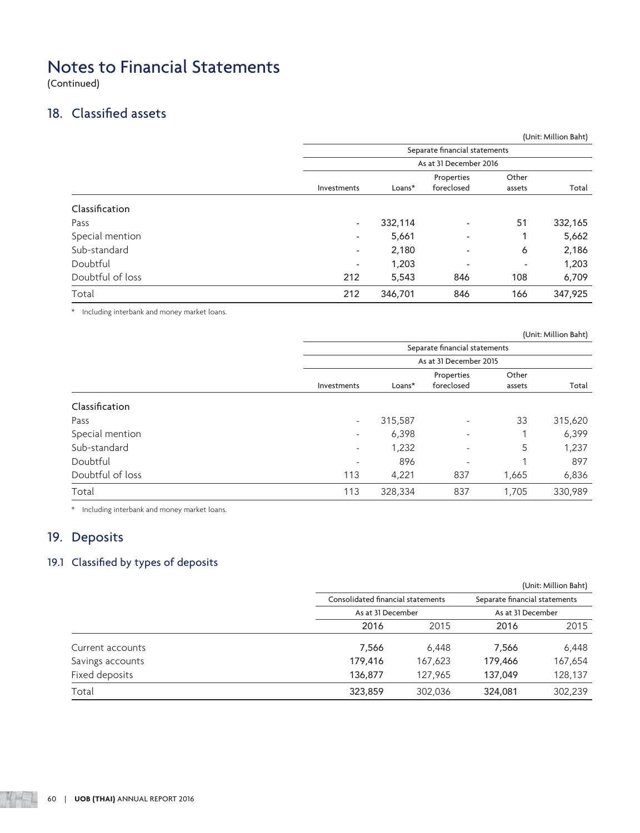(Continued)

## 18. Classified assets

|                  |                          |                               |                          |                 | (Unit: Million Baht) |  |  |  |
|------------------|--------------------------|-------------------------------|--------------------------|-----------------|----------------------|--|--|--|
|                  |                          | Separate financial statements |                          |                 |                      |  |  |  |
|                  |                          |                               | As at 31 December 2016   |                 |                      |  |  |  |
|                  | Investments              | Loans*                        | Properties<br>foreclosed | Other<br>assets | Total                |  |  |  |
| Classification   |                          |                               |                          |                 |                      |  |  |  |
| Pass             | $\overline{\phantom{a}}$ | 332,114                       | ٠                        | 51              | 332,165              |  |  |  |
| Special mention  | $\overline{\phantom{a}}$ | 5,661                         | $\overline{\phantom{a}}$ |                 | 5,662                |  |  |  |
| Sub-standard     | $\overline{\phantom{a}}$ | 2,180                         | $\overline{\phantom{a}}$ | 6               | 2,186                |  |  |  |
| Doubtful         | $\overline{\phantom{a}}$ | 1,203                         | $\overline{\phantom{a}}$ | ۰               | 1,203                |  |  |  |
| Doubtful of loss | 212                      | 5,543                         | 846                      | 108             | 6,709                |  |  |  |
| Total            | 212                      | 346,701                       | 846                      | 166             | 347,925              |  |  |  |
|                  |                          |                               |                          |                 |                      |  |  |  |

\* Including interbank and money market loans.

|                  |                               |         |                          |        | (Unit: Million Baht) |  |  |
|------------------|-------------------------------|---------|--------------------------|--------|----------------------|--|--|
|                  | Separate financial statements |         |                          |        |                      |  |  |
|                  |                               |         | As at 31 December 2015   |        |                      |  |  |
|                  |                               |         | Properties               | Other  |                      |  |  |
|                  | Investments                   | Loans*  | foreclosed               | assets | Total                |  |  |
| Classification   |                               |         |                          |        |                      |  |  |
| Pass             | $\overline{\phantom{a}}$      | 315,587 | $\overline{\phantom{a}}$ | 33     | 315,620              |  |  |
| Special mention  | $\overline{a}$                | 6,398   | ۰                        |        | 6,399                |  |  |
| Sub-standard     | $\overline{a}$                | 1,232   | $\overline{\phantom{a}}$ | 5      | 1,237                |  |  |
| Doubtful         | ٠                             | 896     | ۰                        |        | 897                  |  |  |
| Doubtful of loss | 113                           | 4,221   | 837                      | 1,665  | 6,836                |  |  |
| Total            | 113                           | 328,334 | 837                      | 1,705  | 330,989              |  |  |

\* Including interbank and money market loans.

## 19. Deposits

## 19.1 Classified by types of deposits

|         | (Unit: Million Baht)              |                   |                               |  |  |
|---------|-----------------------------------|-------------------|-------------------------------|--|--|
|         | Consolidated financial statements |                   | Separate financial statements |  |  |
|         |                                   | As at 31 December |                               |  |  |
| 2016    | 2015                              | 2016              | 2015                          |  |  |
| 7.566   | 6,448                             | 7,566             | 6,448                         |  |  |
| 179,416 | 167,623                           | 179,466           | 167,654                       |  |  |
| 136,877 | 127.965                           | 137,049           | 128,137                       |  |  |
| 323,859 | 302,036                           | 324,081           | 302,239                       |  |  |
|         |                                   | As at 31 December |                               |  |  |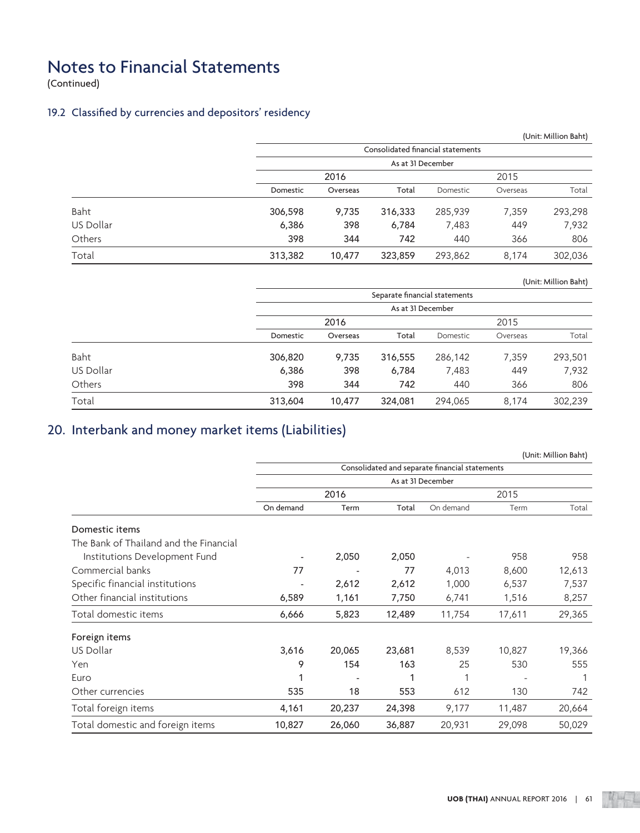(Continued)

## 19.2 Classified by currencies and depositors' residency

|           |          |          |                   |                                   |          | (Unit: Million Baht) |
|-----------|----------|----------|-------------------|-----------------------------------|----------|----------------------|
|           |          |          |                   | Consolidated financial statements |          |                      |
|           |          |          | As at 31 December |                                   |          |                      |
|           |          | 2016     |                   |                                   |          |                      |
|           | Domestic | Overseas | Total             | Domestic                          | Overseas | Total                |
| Baht      | 306,598  | 9,735    | 316,333           | 285,939                           | 7,359    | 293,298              |
| US Dollar | 6,386    | 398      | 6,784             | 7,483                             | 449      | 7,932                |
| Others    | 398      | 344      | 742               | 440                               | 366      | 806                  |
| Total     | 313,382  | 10.477   | 323,859           | 293,862                           | 8,174    | 302,036              |

(Unit: Million Baht)

|           | Separate financial statements |          |         |                                                            |       |         |  |
|-----------|-------------------------------|----------|---------|------------------------------------------------------------|-------|---------|--|
|           |                               |          |         | As at 31 December<br>2015<br>Total<br>Domestic<br>Overseas |       |         |  |
|           |                               | 2016     |         |                                                            |       |         |  |
|           | Domestic                      | Overseas |         |                                                            |       | Total   |  |
| Baht      | 306,820                       | 9,735    | 316,555 | 286,142                                                    | 7,359 | 293,501 |  |
| US Dollar | 6,386                         | 398      | 6,784   | 7,483                                                      | 449   | 7,932   |  |
| Others    | 398                           | 344      | 742     | 440                                                        | 366   | 806     |  |
| Total     | 313,604                       | 10,477   | 324,081 | 294,065                                                    | 8,174 | 302,239 |  |

## 20. Interbank and money market items (Liabilities)

|                                        |                   |                          |        |                                                |        | (Unit: Million Baht) |  |
|----------------------------------------|-------------------|--------------------------|--------|------------------------------------------------|--------|----------------------|--|
|                                        |                   |                          |        | Consolidated and separate financial statements |        |                      |  |
|                                        | As at 31 December |                          |        |                                                |        |                      |  |
|                                        |                   | 2016                     |        |                                                | 2015   |                      |  |
|                                        | On demand         | Term                     | Total  | On demand                                      | Term   | Total                |  |
| Domestic items                         |                   |                          |        |                                                |        |                      |  |
| The Bank of Thailand and the Financial |                   |                          |        |                                                |        |                      |  |
| Institutions Development Fund          |                   | 2,050                    | 2,050  |                                                | 958    | 958                  |  |
| Commercial banks                       | 77                |                          | 77     | 4,013                                          | 8,600  | 12,613               |  |
| Specific financial institutions        |                   | 2,612                    | 2,612  | 1,000                                          | 6,537  | 7,537                |  |
| Other financial institutions           | 6,589             | 1,161                    | 7,750  | 6,741                                          | 1,516  | 8,257                |  |
| Total domestic items                   | 6,666             | 5,823                    | 12,489 | 11,754                                         | 17,611 | 29,365               |  |
| Foreign items                          |                   |                          |        |                                                |        |                      |  |
| US Dollar                              | 3,616             | 20,065                   | 23,681 | 8,539                                          | 10,827 | 19,366               |  |
| Yen                                    | 9                 | 154                      | 163    | 25                                             | 530    | 555                  |  |
| Euro                                   | 1                 | $\overline{\phantom{a}}$ | 1      |                                                |        |                      |  |
| Other currencies                       | 535               | 18                       | 553    | 612                                            | 130    | 742                  |  |
| Total foreign items                    | 4,161             | 20,237                   | 24,398 | 9,177                                          | 11,487 | 20,664               |  |
| Total domestic and foreign items       | 10,827            | 26,060                   | 36,887 | 20,931                                         | 29,098 | 50,029               |  |

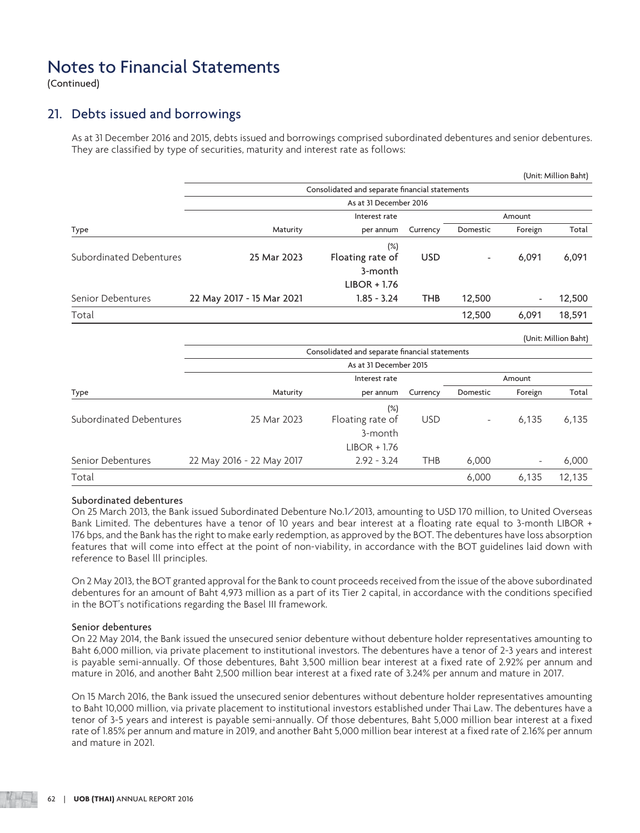(Continued)

## 21. Debts issued and borrowings

 As at 31 December 2016 and 2015, debts issued and borrowings comprised subordinated debentures and senior debentures. They are classified by type of securities, maturity and interest rate as follows:

|                           |                  |            |                          |                                                | (Unit: Million Baht) |
|---------------------------|------------------|------------|--------------------------|------------------------------------------------|----------------------|
|                           |                  |            |                          |                                                |                      |
|                           |                  |            |                          |                                                |                      |
|                           | Interest rate    |            |                          |                                                |                      |
| Maturity                  | per annum        | Currency   | Domestic                 | Foreign                                        | Total                |
|                           | $(\%)$           |            |                          |                                                |                      |
| 25 Mar 2023               | Floating rate of | <b>USD</b> | $\overline{\phantom{a}}$ | 6,091                                          | 6,091                |
|                           | 3-month          |            |                          |                                                |                      |
|                           | $LIBOR + 1.76$   |            |                          |                                                |                      |
| 22 May 2017 - 15 Mar 2021 | $1.85 - 3.24$    | <b>THB</b> | 12,500                   | $\overline{\phantom{a}}$                       | 12,500               |
|                           |                  |            | 12,500                   | 6,091                                          | 18,591               |
|                           |                  |            | As at 31 December 2016   | Consolidated and separate financial statements | Amount               |

|                         |                           |                                                |            |          |                | (Unit: Million Baht) |
|-------------------------|---------------------------|------------------------------------------------|------------|----------|----------------|----------------------|
|                         |                           | Consolidated and separate financial statements |            |          |                |                      |
|                         |                           | As at 31 December 2015                         |            |          |                |                      |
|                         |                           | Interest rate                                  |            |          | Amount         |                      |
| Type                    | Maturity                  | per annum                                      | Currency   | Domestic | Foreign        | Total                |
|                         |                           | $(\%)$                                         |            |          |                |                      |
| Subordinated Debentures | 25 Mar 2023               | Floating rate of                               | <b>USD</b> | ۰        | 6,135          | 6,135                |
|                         |                           | 3-month                                        |            |          |                |                      |
|                         |                           | $LIBOR + 1.76$                                 |            |          |                |                      |
| Senior Debentures       | 22 May 2016 - 22 May 2017 | $2.92 - 3.24$                                  | <b>THB</b> | 6,000    | $\overline{a}$ | 6,000                |
| Total                   |                           |                                                |            | 6,000    | 6,135          | 12,135               |

#### Subordinated debentures

 On 25 March 2013, the Bank issued Subordinated Debenture No.1/2013, amounting to USD 170 million, to United Overseas Bank Limited. The debentures have a tenor of 10 years and bear interest at a floating rate equal to 3-month LIBOR + 176 bps, and the Bank has the right to make early redemption, as approved by the BOT. The debentures have loss absorption features that will come into effect at the point of non-viability, in accordance with the BOT guidelines laid down with reference to Basel lll principles.

 On 2 May 2013, the BOT granted approval for the Bank to count proceeds received from the issue of the above subordinated debentures for an amount of Baht 4,973 million as a part of its Tier 2 capital, in accordance with the conditions specified in the BOT's notifications regarding the Basel III framework.

#### Senior debentures

 On 22 May 2014, the Bank issued the unsecured senior debenture without debenture holder representatives amounting to Baht 6,000 million, via private placement to institutional investors. The debentures have a tenor of 2-3 years and interest is payable semi-annually. Of those debentures, Baht 3,500 million bear interest at a fixed rate of 2.92% per annum and mature in 2016, and another Baht 2,500 million bear interest at a fixed rate of 3.24% per annum and mature in 2017.

 On 15 March 2016, the Bank issued the unsecured senior debentures without debenture holder representatives amounting to Baht 10,000 million, via private placement to institutional investors established under Thai Law. The debentures have a tenor of 3-5 years and interest is payable semi-annually. Of those debentures, Baht 5,000 million bear interest at a fixed rate of 1.85% per annum and mature in 2019, and another Baht 5,000 million bear interest at a fixed rate of 2.16% per annum and mature in 2021.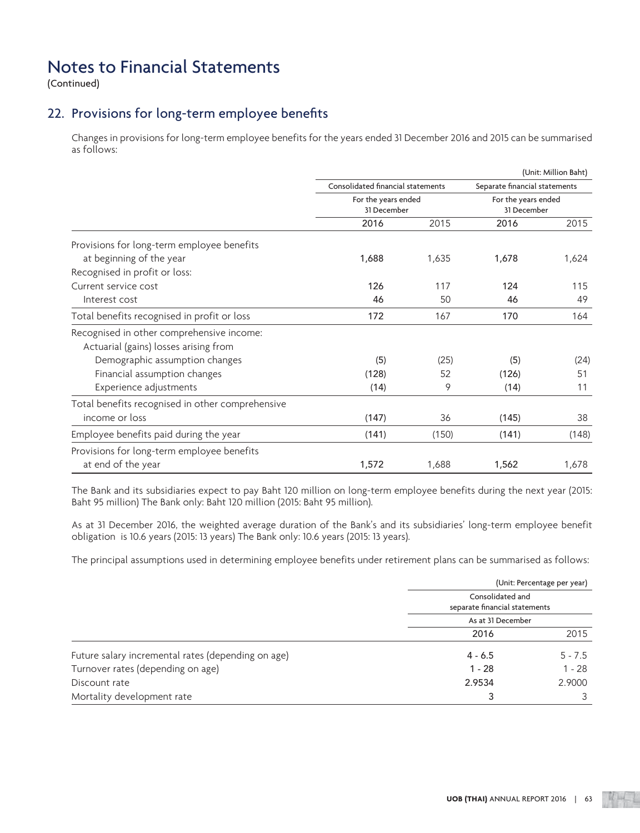(Continued)

## 22. Provisions for long-term employee benefits

 Changes in provisions for long-term employee benefits for the years ended 31 December 2016 and 2015 can be summarised as follows:

|                                                  |                                   |                                    |                               | (Unit: Million Baht)               |  |
|--------------------------------------------------|-----------------------------------|------------------------------------|-------------------------------|------------------------------------|--|
|                                                  | Consolidated financial statements |                                    | Separate financial statements |                                    |  |
|                                                  |                                   | For the years ended<br>31 December |                               | For the years ended<br>31 December |  |
|                                                  | 2016                              | 2015                               | 2016                          | 2015                               |  |
| Provisions for long-term employee benefits       |                                   |                                    |                               |                                    |  |
| at beginning of the year                         | 1,688                             | 1,635                              | 1,678                         | 1,624                              |  |
| Recognised in profit or loss:                    |                                   |                                    |                               |                                    |  |
| Current service cost                             | 126                               | 117                                | 124                           | 115                                |  |
| Interest cost                                    | 46                                | 50                                 | 46                            | 49                                 |  |
| Total benefits recognised in profit or loss      | 172                               | 167                                | 170                           | 164                                |  |
| Recognised in other comprehensive income:        |                                   |                                    |                               |                                    |  |
| Actuarial (gains) losses arising from            |                                   |                                    |                               |                                    |  |
| Demographic assumption changes                   | (5)                               | (25)                               | (5)                           | (24)                               |  |
| Financial assumption changes                     | (128)                             | 52                                 | (126)                         | 51                                 |  |
| Experience adjustments                           | (14)                              | 9                                  | (14)                          | 11                                 |  |
| Total benefits recognised in other comprehensive |                                   |                                    |                               |                                    |  |
| income or loss                                   | (147)                             | 36                                 | (145)                         | 38                                 |  |
| Employee benefits paid during the year           | (141)                             | (150)                              | (141)                         | (148)                              |  |
| Provisions for long-term employee benefits       |                                   |                                    |                               |                                    |  |
| at end of the year                               | 1,572                             | 1,688                              | 1,562                         | 1,678                              |  |

 The Bank and its subsidiaries expect to pay Baht 120 million on long-term employee benefits during the next year (2015: Baht 95 million) The Bank only: Baht 120 million (2015: Baht 95 million).

 As at 31 December 2016, the weighted average duration of the Bank's and its subsidiaries' long-term employee benefit obligation is 10.6 years (2015: 13 years) The Bank only: 10.6 years (2015: 13 years).

The principal assumptions used in determining employee benefits under retirement plans can be summarised as follows:

|                                                    |                                                   | (Unit: Percentage per year) |
|----------------------------------------------------|---------------------------------------------------|-----------------------------|
|                                                    | Consolidated and<br>separate financial statements |                             |
|                                                    | As at 31 December                                 |                             |
|                                                    | 2016                                              | 2015                        |
| Future salary incremental rates (depending on age) | $4 - 6.5$                                         | $5 - 7.5$                   |
| Turnover rates (depending on age)                  | $1 - 28$                                          | $1 - 28$                    |
| Discount rate                                      | 2.9534                                            | 2.9000                      |
| Mortality development rate                         |                                                   |                             |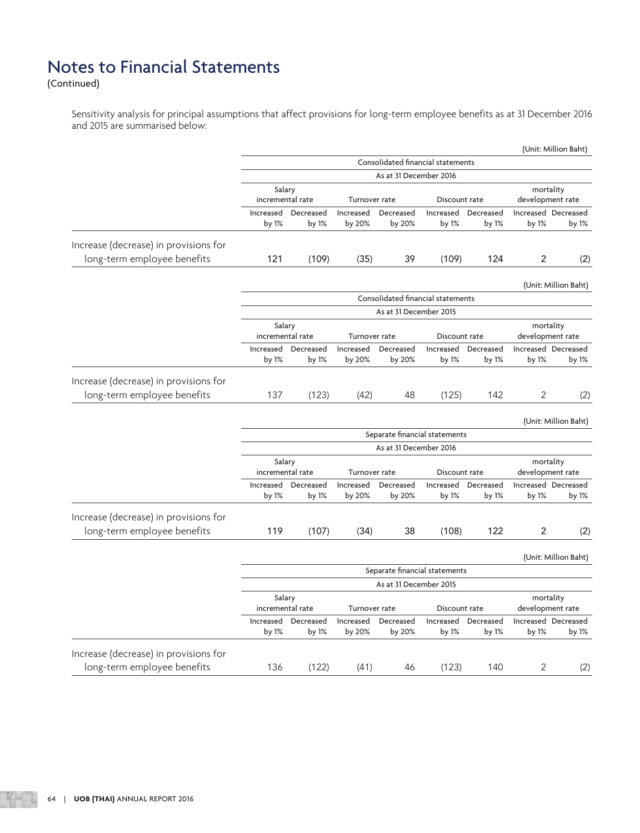(Continued)

 Sensitivity analysis for principal assumptions that affect provisions for long-term employee benefits as at 31 December 2016 and 2015 are summarised below:

|                                                                      |                            |                    |                     |                                   |                    |                    |                               | (Unit: Million Baht)         |
|----------------------------------------------------------------------|----------------------------|--------------------|---------------------|-----------------------------------|--------------------|--------------------|-------------------------------|------------------------------|
|                                                                      |                            |                    |                     | Consolidated financial statements |                    |                    |                               |                              |
|                                                                      |                            |                    |                     | As at 31 December 2016            |                    |                    |                               |                              |
|                                                                      | Salary<br>incremental rate |                    | Turnover rate       |                                   | Discount rate      |                    | mortality<br>development rate |                              |
|                                                                      | Increased<br>by 1%         | Decreased<br>by 1% | Increased<br>by 20% | Decreased<br>by 20%               | Increased<br>by 1% | Decreased<br>by 1% | by 1%                         | Increased Decreased<br>by 1% |
| Increase (decrease) in provisions for                                |                            |                    |                     |                                   |                    |                    |                               |                              |
| long-term employee benefits                                          | 121                        | (109)              | (35)                | 39                                | (109)              | 124                | 2                             | (2)                          |
|                                                                      |                            |                    |                     |                                   |                    |                    |                               | (Unit: Million Baht)         |
|                                                                      |                            |                    |                     | Consolidated financial statements |                    |                    |                               |                              |
|                                                                      |                            |                    |                     | As at 31 December 2015            |                    |                    |                               |                              |
|                                                                      | Salary<br>incremental rate |                    | Turnover rate       |                                   | Discount rate      |                    | mortality<br>development rate |                              |
|                                                                      | Increased                  | Decreased          | Increased           | Decreased                         | Increased          | Decreased          |                               | Increased Decreased          |
|                                                                      | by 1%                      | by 1%              | by 20%              | by 20%                            | by 1%              | by 1%              | by 1%                         | by 1%                        |
| Increase (decrease) in provisions for<br>long-term employee benefits | 137                        | (123)              | (42)                | 48                                | (125)              | 142                | 2                             | (2)                          |
|                                                                      |                            |                    |                     |                                   |                    |                    |                               |                              |
|                                                                      |                            |                    |                     | Separate financial statements     |                    |                    |                               | (Unit: Million Baht)         |
|                                                                      |                            |                    |                     | As at 31 December 2016            |                    |                    |                               |                              |
|                                                                      | Salary<br>incremental rate |                    | Turnover rate       |                                   | Discount rate      |                    | mortality<br>development rate |                              |
|                                                                      | Increased<br>by 1%         | Decreased<br>by 1% | Increased<br>by 20% | Decreased<br>by 20%               | Increased<br>by 1% | Decreased<br>by 1% | by 1%                         | Increased Decreased<br>by 1% |
| Increase (decrease) in provisions for                                |                            |                    |                     |                                   |                    |                    |                               |                              |
| long-term employee benefits                                          | 119                        | (107)              | (34)                | 38                                | (108)              | 122                | 2                             | (2)                          |
|                                                                      |                            |                    |                     |                                   |                    |                    |                               | (Unit: Million Baht)         |
|                                                                      |                            |                    |                     | Separate financial statements     |                    |                    |                               |                              |
|                                                                      |                            |                    |                     | As at 31 December 2015            |                    |                    |                               |                              |
|                                                                      | Salary<br>incremental rate |                    | Turnover rate       |                                   | Discount rate      |                    | mortality<br>development rate |                              |
|                                                                      | Increased<br>by 1%         | Decreased<br>by 1% | Increased<br>by 20% | Decreased<br>by 20%               | Increased<br>by 1% | Decreased<br>by 1% | by 1%                         | Increased Decreased<br>by 1% |
| Increase (decrease) in provisions for                                |                            |                    |                     |                                   |                    |                    |                               |                              |
| long-term employee benefits                                          | 136                        | (122)              | (41)                | 46                                | (123)              | 140                | 2                             | (2)                          |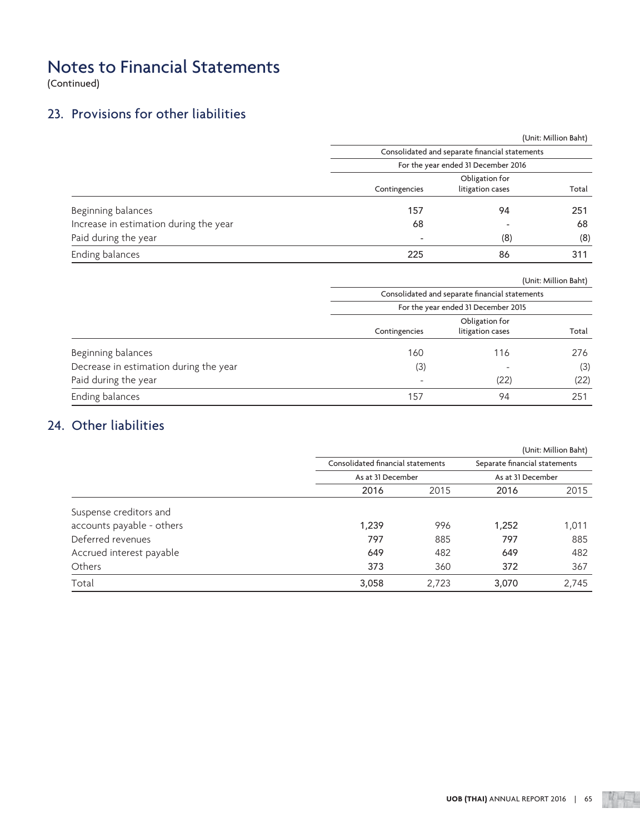(Continued)

## 23. Provisions for other liabilities

|                                        |                          |                                                | (Unit: Million Baht) |
|----------------------------------------|--------------------------|------------------------------------------------|----------------------|
|                                        |                          | Consolidated and separate financial statements |                      |
|                                        |                          | For the year ended 31 December 2016            |                      |
|                                        |                          | Obligation for                                 |                      |
|                                        | Contingencies            | litigation cases                               | Total                |
| Beginning balances                     | 157                      | 94                                             | 251                  |
| Increase in estimation during the year | 68                       |                                                | 68                   |
| Paid during the year                   | $\overline{\phantom{a}}$ | (8)                                            | (8)                  |
| Ending balances                        | 225                      | 86                                             | 311                  |

|                                        | (Unit: Million Baht)                           |                  |       |  |  |  |
|----------------------------------------|------------------------------------------------|------------------|-------|--|--|--|
|                                        | Consolidated and separate financial statements |                  |       |  |  |  |
|                                        | For the year ended 31 December 2015            |                  |       |  |  |  |
|                                        |                                                | Obligation for   |       |  |  |  |
|                                        | Contingencies                                  | litigation cases | Total |  |  |  |
| Beginning balances                     | 160                                            | 116              | 276   |  |  |  |
| Decrease in estimation during the year | (3)                                            |                  | (3)   |  |  |  |
| Paid during the year                   |                                                | (22)             | (22)  |  |  |  |
| Ending balances                        | 157                                            | 94               | 251   |  |  |  |

## 24. Other liabilities

|                           |                   |                                   |                   | (Unit: Million Baht)          |
|---------------------------|-------------------|-----------------------------------|-------------------|-------------------------------|
|                           |                   | Consolidated financial statements |                   | Separate financial statements |
|                           | As at 31 December |                                   | As at 31 December |                               |
|                           | 2016              | 2015                              | 2016              | 2015                          |
| Suspense creditors and    |                   |                                   |                   |                               |
| accounts payable - others | 1,239             | 996                               | 1,252             | 1,011                         |
| Deferred revenues         | 797               | 885                               | 797               | 885                           |
| Accrued interest payable  | 649               | 482                               | 649               | 482                           |
| <b>Others</b>             | 373               | 360                               | 372               | 367                           |
| Total                     | 3,058             | 2,723                             | 3,070             | 2,745                         |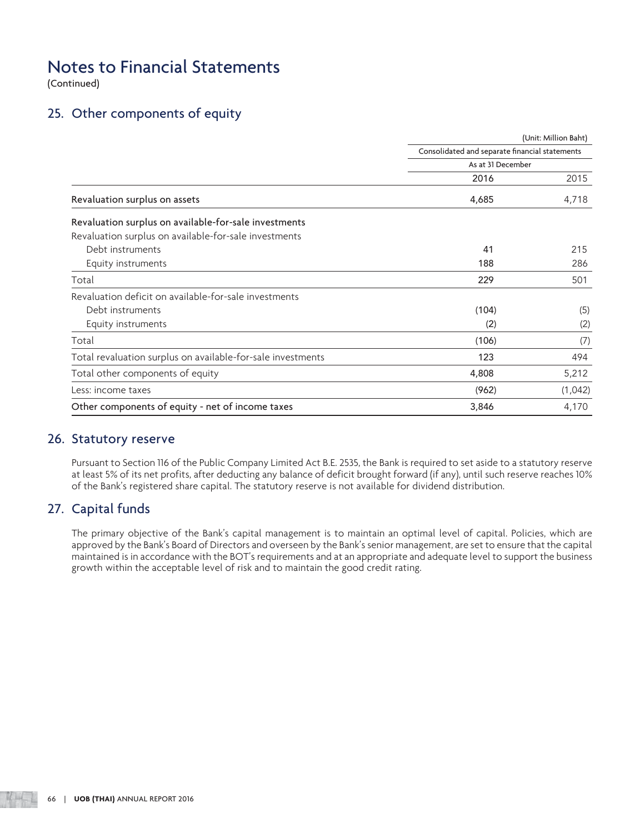(Continued)

## 25. Other components of equity

|                                                             |                                                | (Unit: Million Baht) |  |  |  |
|-------------------------------------------------------------|------------------------------------------------|----------------------|--|--|--|
|                                                             | Consolidated and separate financial statements |                      |  |  |  |
|                                                             | As at 31 December                              |                      |  |  |  |
|                                                             | 2016                                           | 2015                 |  |  |  |
| Revaluation surplus on assets                               | 4,685                                          | 4,718                |  |  |  |
| Revaluation surplus on available-for-sale investments       |                                                |                      |  |  |  |
| Revaluation surplus on available-for-sale investments       |                                                |                      |  |  |  |
| Debt instruments                                            | 41                                             | 215                  |  |  |  |
| Equity instruments                                          | 188                                            | 286                  |  |  |  |
| Total                                                       | 229                                            | 501                  |  |  |  |
| Revaluation deficit on available-for-sale investments       |                                                |                      |  |  |  |
| Debt instruments                                            | (104)                                          | (5)                  |  |  |  |
| Equity instruments                                          | (2)                                            | (2)                  |  |  |  |
| Total                                                       | (106)                                          | (7)                  |  |  |  |
| Total revaluation surplus on available-for-sale investments | 123                                            | 494                  |  |  |  |
| Total other components of equity                            | 4,808                                          | 5,212                |  |  |  |
| Less: income taxes                                          | (962)                                          | (1,042)              |  |  |  |
| Other components of equity - net of income taxes            | 3,846                                          | 4,170                |  |  |  |

## 26. Statutory reserve

 Pursuant to Section 116 of the Public Company Limited Act B.E. 2535, the Bank is required to set aside to a statutory reserve at least 5% of its net profits, after deducting any balance of deficit brought forward (if any), until such reserve reaches 10% of the Bank's registered share capital. The statutory reserve is not available for dividend distribution.

## 27. Capital funds

 The primary objective of the Bank's capital management is to maintain an optimal level of capital. Policies, which are approved by the Bank's Board of Directors and overseen by the Bank's senior management, are set to ensure that the capital maintained is in accordance with the BOT's requirements and at an appropriate and adequate level to support the business growth within the acceptable level of risk and to maintain the good credit rating.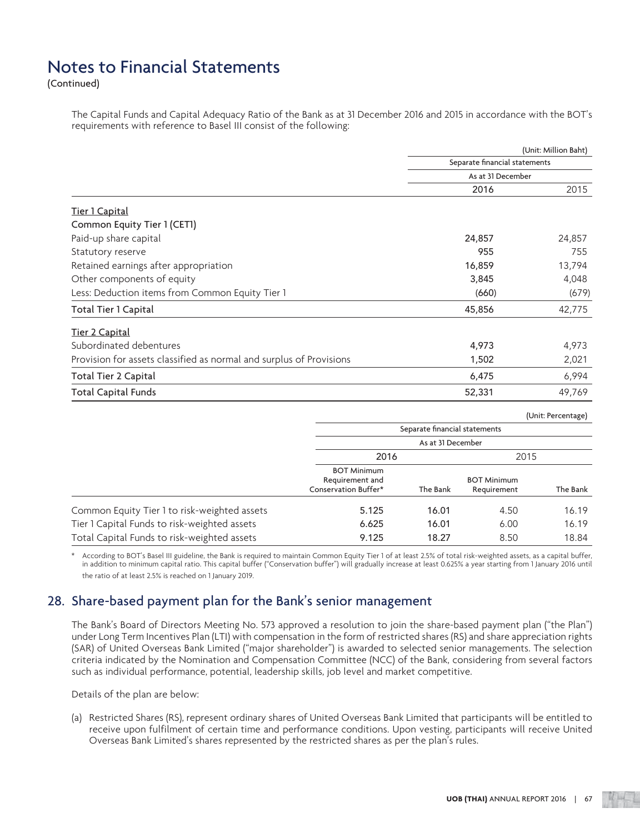(Continued)

 The Capital Funds and Capital Adequacy Ratio of the Bank as at 31 December 2016 and 2015 in accordance with the BOT's requirements with reference to Basel III consist of the following:

|                                                                     |                                                                                                                                                        | (Unit: Million Baht)                           |
|---------------------------------------------------------------------|--------------------------------------------------------------------------------------------------------------------------------------------------------|------------------------------------------------|
|                                                                     |                                                                                                                                                        |                                                |
|                                                                     | Separate financial statements<br>As at 31 December<br>2016<br>24,857<br>955<br>16,859<br>3,845<br>(660)<br>45,856<br>4,973<br>1,502<br>6,475<br>52,331 |                                                |
|                                                                     |                                                                                                                                                        | 2015                                           |
| Tier 1 Capital                                                      |                                                                                                                                                        |                                                |
| Common Equity Tier 1 (CET1)                                         |                                                                                                                                                        |                                                |
| Paid-up share capital                                               |                                                                                                                                                        | 24,857                                         |
| Statutory reserve                                                   |                                                                                                                                                        | 755                                            |
| Retained earnings after appropriation                               |                                                                                                                                                        | 13,794                                         |
| Other components of equity                                          |                                                                                                                                                        | 4,048                                          |
| Less: Deduction items from Common Equity Tier 1                     |                                                                                                                                                        | (679)                                          |
| Total Tier 1 Capital                                                |                                                                                                                                                        | 42,775                                         |
| Tier 2 Capital                                                      |                                                                                                                                                        |                                                |
| Subordinated debentures                                             |                                                                                                                                                        | 4,973                                          |
| Provision for assets classified as normal and surplus of Provisions |                                                                                                                                                        | 2,021                                          |
| Total Tier 2 Capital                                                |                                                                                                                                                        | 6,994                                          |
| <b>Total Capital Funds</b>                                          |                                                                                                                                                        | 49,769                                         |
|                                                                     |                                                                                                                                                        | $\mathbf{a}$ and $\mathbf{a}$ and $\mathbf{a}$ |

|                                              |                                                               |                               |                                   | (Unit: Percentage) |  |
|----------------------------------------------|---------------------------------------------------------------|-------------------------------|-----------------------------------|--------------------|--|
|                                              |                                                               | Separate financial statements |                                   |                    |  |
|                                              | As at 31 December                                             |                               |                                   |                    |  |
|                                              | 2016                                                          |                               |                                   | 2015               |  |
|                                              | <b>BOT Minimum</b><br>Requirement and<br>Conservation Buffer* | The Bank                      | <b>BOT Minimum</b><br>Requirement | The Bank           |  |
| Common Equity Tier 1 to risk-weighted assets | 5.125                                                         | 16.01                         | 4.50                              | 16.19              |  |
| Tier 1 Capital Funds to risk-weighted assets | 6.625                                                         | 16.01                         | 6.00                              | 16.19              |  |
| Total Capital Funds to risk-weighted assets  | 9.125                                                         | 18.27                         | 8.50                              | 18.84              |  |

According to BOT's Basel III guideline, the Bank is required to maintain Common Equity Tier 1 of at least 2.5% of total risk-weighted assets, as a capital buffer, in addition to minimum capital ratio. This capital buffer ("Conservation buffer") will gradually increase at least 0.625% a year starting from 1 January 2016 until the ratio of at least 2.5% is reached on 1 January 2019.

## 28. Share-based payment plan for the Bank's senior management

 The Bank's Board of Directors Meeting No. 573 approved a resolution to join the share-based payment plan ("the Plan") under Long Term Incentives Plan (LTI) with compensation in the form of restricted shares (RS) and share appreciation rights (SAR) of United Overseas Bank Limited ("major shareholder") is awarded to selected senior managements. The selection criteria indicated by the Nomination and Compensation Committee (NCC) of the Bank, considering from several factors such as individual performance, potential, leadership skills, job level and market competitive.

Details of the plan are below:

 (a) Restricted Shares (RS), represent ordinary shares of United Overseas Bank Limited that participants will be entitled to receive upon fulfilment of certain time and performance conditions. Upon vesting, participants will receive United Overseas Bank Limited's shares represented by the restricted shares as per the plan's rules.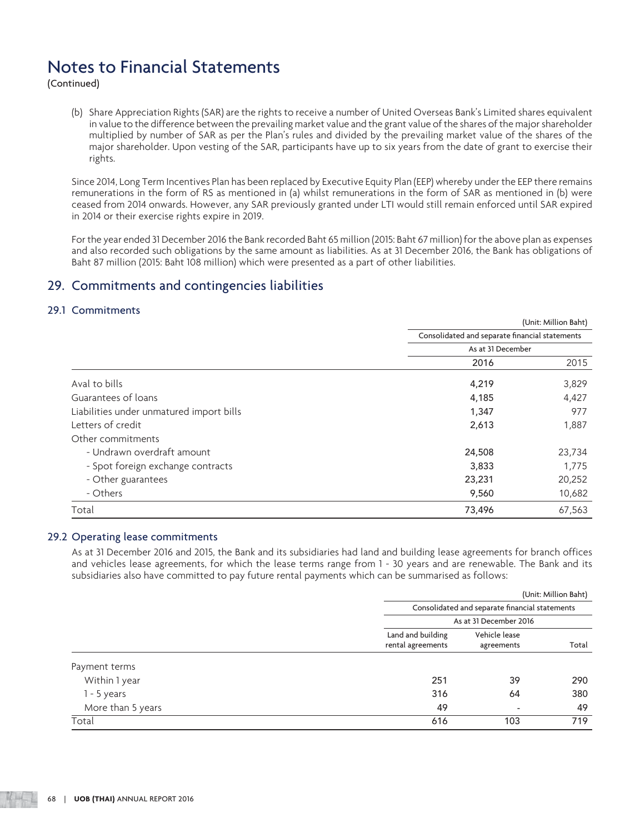(Continued)

 (b) Share Appreciation Rights (SAR) are the rights to receive a number of United Overseas Bank's Limited shares equivalent in value to the difference between the prevailing market value and the grant value of the shares of the major shareholder multiplied by number of SAR as per the Plan's rules and divided by the prevailing market value of the shares of the major shareholder. Upon vesting of the SAR, participants have up to six years from the date of grant to exercise their rights.

 Since 2014, Long Term Incentives Plan has been replaced by Executive Equity Plan (EEP) whereby under the EEP there remains remunerations in the form of RS as mentioned in (a) whilst remunerations in the form of SAR as mentioned in (b) were ceased from 2014 onwards. However, any SAR previously granted under LTI would still remain enforced until SAR expired in 2014 or their exercise rights expire in 2019.

 For the year ended 31 December 2016 the Bank recorded Baht 65 million (2015: Baht 67 million) for the above plan as expenses and also recorded such obligations by the same amount as liabilities. As at 31 December 2016, the Bank has obligations of Baht 87 million (2015: Baht 108 million) which were presented as a part of other liabilities.

## 29. Commitments and contingencies liabilities

## 29.1 Commitments

|                                          | (Unit: Million Baht)<br>Consolidated and separate financial statements |        |  |
|------------------------------------------|------------------------------------------------------------------------|--------|--|
|                                          |                                                                        |        |  |
|                                          | As at 31 December                                                      |        |  |
|                                          | 2016                                                                   | 2015   |  |
| Aval to bills                            | 4,219                                                                  | 3,829  |  |
| Guarantees of loans                      | 4,185                                                                  | 4,427  |  |
| Liabilities under unmatured import bills | 1,347                                                                  | 977    |  |
| Letters of credit                        | 2,613                                                                  | 1,887  |  |
| Other commitments                        |                                                                        |        |  |
| - Undrawn overdraft amount               | 24,508                                                                 | 23,734 |  |
| - Spot foreign exchange contracts        | 3,833                                                                  | 1,775  |  |
| - Other guarantees                       | 23,231                                                                 | 20,252 |  |
| - Others                                 | 9,560                                                                  | 10,682 |  |
| Total                                    | 73,496                                                                 | 67,563 |  |

#### 29.2 Operating lease commitments

 As at 31 December 2016 and 2015, the Bank and its subsidiaries had land and building lease agreements for branch offices and vehicles lease agreements, for which the lease terms range from 1 - 30 years and are renewable. The Bank and its subsidiaries also have committed to pay future rental payments which can be summarised as follows:

|                   | (Unit: Million Baht)                           |                          |       |  |
|-------------------|------------------------------------------------|--------------------------|-------|--|
|                   | Consolidated and separate financial statements |                          |       |  |
|                   | As at 31 December 2016                         |                          |       |  |
|                   | Land and building                              | Vehicle lease            |       |  |
|                   | rental agreements                              | agreements               | Total |  |
| Payment terms     |                                                |                          |       |  |
| Within 1 year     | 251                                            | 39                       | 290   |  |
| $1 - 5$ years     | 316                                            | 64                       | 380   |  |
| More than 5 years | 49                                             | $\overline{\phantom{a}}$ | 49    |  |
| Total             | 616                                            | 103                      | 719   |  |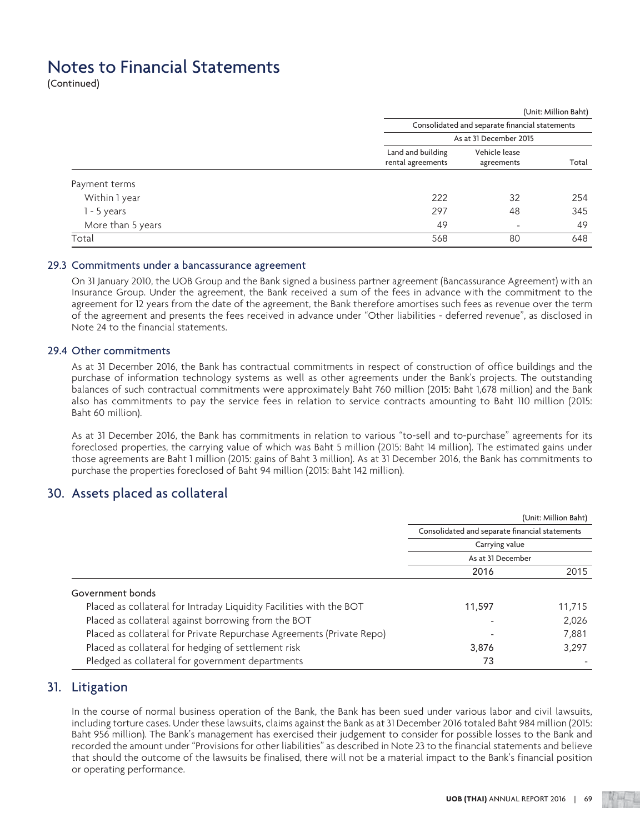(Continued)

|                   | (Unit: Million Baht)                   |                                                |       |  |  |
|-------------------|----------------------------------------|------------------------------------------------|-------|--|--|
|                   |                                        | Consolidated and separate financial statements |       |  |  |
|                   | As at 31 December 2015                 |                                                |       |  |  |
|                   | Land and building<br>rental agreements | Vehicle lease<br>agreements                    | Total |  |  |
| Payment terms     |                                        |                                                |       |  |  |
| Within 1 year     | 222                                    | 32                                             | 254   |  |  |
| $1 - 5$ years     | 297                                    | 48                                             | 345   |  |  |
| More than 5 years | 49                                     | -                                              | 49    |  |  |
| Total             | 568                                    | 80                                             | 648   |  |  |

#### 29.3 Commitments under a bancassurance agreement

 On 31 January 2010, the UOB Group and the Bank signed a business partner agreement (Bancassurance Agreement) with an Insurance Group. Under the agreement, the Bank received a sum of the fees in advance with the commitment to the agreement for 12 years from the date of the agreement, the Bank therefore amortises such fees as revenue over the term of the agreement and presents the fees received in advance under "Other liabilities - deferred revenue", as disclosed in Note 24 to the financial statements.

#### 29.4 Other commitments

 As at 31 December 2016, the Bank has contractual commitments in respect of construction of office buildings and the purchase of information technology systems as well as other agreements under the Bank's projects. The outstanding balances of such contractual commitments were approximately Baht 760 million (2015: Baht 1,678 million) and the Bank also has commitments to pay the service fees in relation to service contracts amounting to Baht 110 million (2015: Baht 60 million).

 As at 31 December 2016, the Bank has commitments in relation to various "to-sell and to-purchase" agreements for its foreclosed properties, the carrying value of which was Baht 5 million (2015: Baht 14 million). The estimated gains under those agreements are Baht 1 million (2015: gains of Baht 3 million). As at 31 December 2016, the Bank has commitments to purchase the properties foreclosed of Baht 94 million (2015: Baht 142 million).

## 30. Assets placed as collateral

|                                                                       | (Unit: Million Baht)                                                                  |        |  |
|-----------------------------------------------------------------------|---------------------------------------------------------------------------------------|--------|--|
|                                                                       | Consolidated and separate financial statements<br>Carrying value<br>As at 31 December |        |  |
|                                                                       |                                                                                       |        |  |
|                                                                       |                                                                                       |        |  |
|                                                                       | 2016                                                                                  | 2015   |  |
| Government bonds                                                      |                                                                                       |        |  |
| Placed as collateral for Intraday Liquidity Facilities with the BOT   | 11,597                                                                                | 11,715 |  |
| Placed as collateral against borrowing from the BOT                   |                                                                                       | 2,026  |  |
| Placed as collateral for Private Repurchase Agreements (Private Repo) |                                                                                       | 7,881  |  |
| Placed as collateral for hedging of settlement risk                   | 3,876                                                                                 | 3,297  |  |
| Pledged as collateral for government departments                      | 73                                                                                    |        |  |

## 31. Litigation

 In the course of normal business operation of the Bank, the Bank has been sued under various labor and civil lawsuits, including torture cases. Under these lawsuits, claims against the Bank as at 31 December 2016 totaled Baht 984 million (2015: Baht 956 million). The Bank's management has exercised their judgement to consider for possible losses to the Bank and recorded the amount under "Provisions for other liabilities" as described in Note 23 to the financial statements and believe that should the outcome of the lawsuits be finalised, there will not be a material impact to the Bank's financial position or operating performance.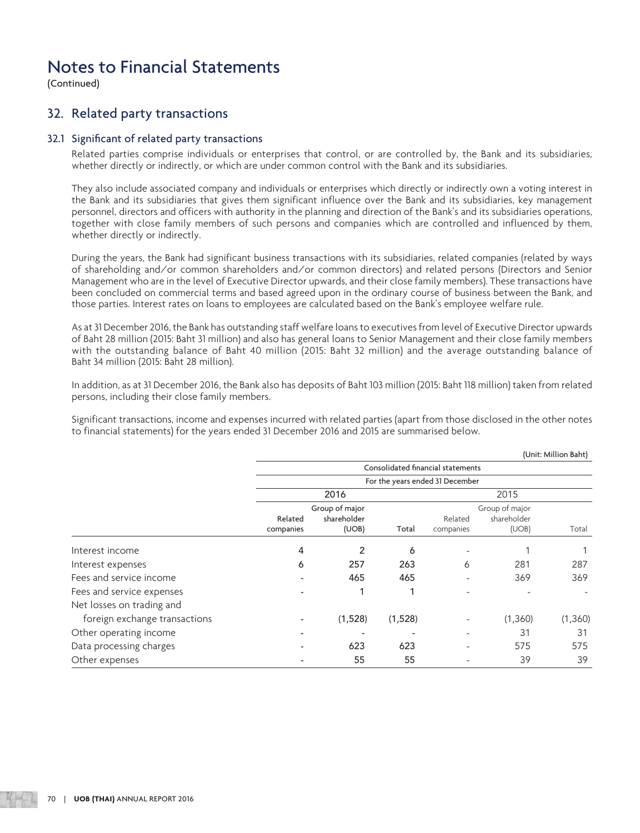(Continued)

## 32. Related party transactions

#### 32.1 Significant of related party transactions

 Related parties comprise individuals or enterprises that control, or are controlled by, the Bank and its subsidiaries, whether directly or indirectly, or which are under common control with the Bank and its subsidiaries.

 They also include associated company and individuals or enterprises which directly or indirectly own a voting interest in the Bank and its subsidiaries that gives them significant influence over the Bank and its subsidiaries, key management personnel, directors and officers with authority in the planning and direction of the Bank's and its subsidiaries operations, together with close family members of such persons and companies which are controlled and influenced by them, whether directly or indirectly.

 During the years, the Bank had significant business transactions with its subsidiaries, related companies (related by ways of shareholding and/or common shareholders and/or common directors) and related persons (Directors and Senior Management who are in the level of Executive Director upwards, and their close family members). These transactions have been concluded on commercial terms and based agreed upon in the ordinary course of business between the Bank, and those parties. Interest rates on loans to employees are calculated based on the Bank's employee welfare rule.

 As at 31 December 2016, the Bank has outstanding staff welfare loans to executives from level of Executive Director upwards of Baht 28 million (2015: Baht 31 million) and also has general loans to Senior Management and their close family members with the outstanding balance of Baht 40 million (2015: Baht 32 million) and the average outstanding balance of Baht 34 million (2015: Baht 28 million).

 In addition, as at 31 December 2016, the Bank also has deposits of Baht 103 million (2015: Baht 118 million) taken from related persons, including their close family members.

 Significant transactions, income and expenses incurred with related parties (apart from those disclosed in the other notes to financial statements) for the years ended 31 December 2016 and 2015 are summarised below.

|                               |                                          |         |         |                                          |         | (Unit: Million Baht) |  |
|-------------------------------|------------------------------------------|---------|---------|------------------------------------------|---------|----------------------|--|
|                               |                                          |         |         | Consolidated financial statements        |         |                      |  |
|                               | For the years ended 31 December          |         |         |                                          |         |                      |  |
|                               | 2016                                     |         |         | 2015                                     |         |                      |  |
|                               | Group of major<br>shareholder<br>Related |         |         | Group of major<br>shareholder<br>Related |         |                      |  |
|                               | companies                                | (UOB)   | Total   | companies                                | (UOB)   | Total                |  |
| Interest income               | 4                                        | 2       | 6       |                                          |         |                      |  |
| Interest expenses             | 6                                        | 257     | 263     | 6                                        | 281     | 287                  |  |
| Fees and service income       |                                          | 465     | 465     |                                          | 369     | 369                  |  |
| Fees and service expenses     |                                          |         | 4       | ۰                                        |         |                      |  |
| Net losses on trading and     |                                          |         |         |                                          |         |                      |  |
| foreign exchange transactions |                                          | (1,528) | (1,528) |                                          | (1,360) | (1,360)              |  |
| Other operating income        |                                          |         |         | -                                        | 31      | 31                   |  |
| Data processing charges       |                                          | 623     | 623     | -                                        | 575     | 575                  |  |
| Other expenses                |                                          | 55      | 55      |                                          | 39      | 39                   |  |

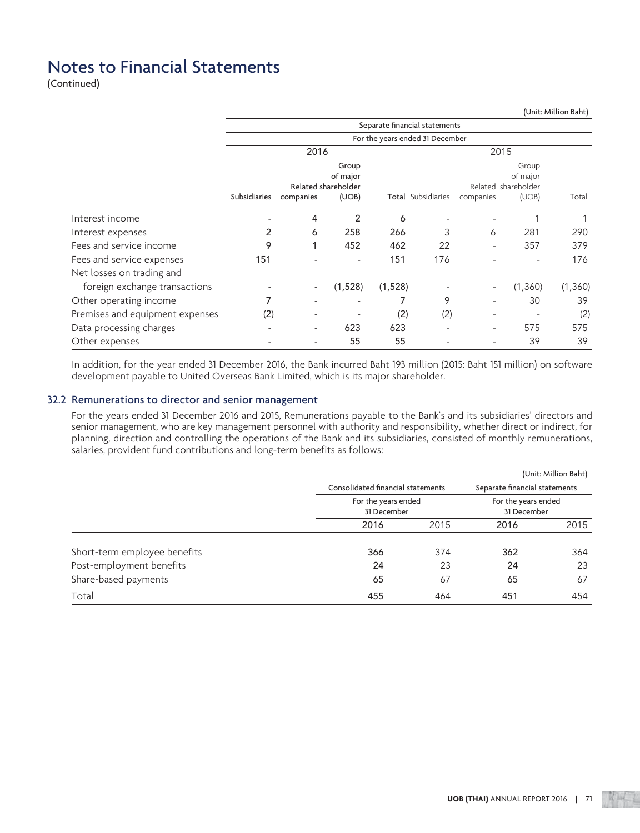(Continued)

|                                 |              |                          |                                 |         |                                 |                          |                                 | (Unit: Million Baht) |
|---------------------------------|--------------|--------------------------|---------------------------------|---------|---------------------------------|--------------------------|---------------------------------|----------------------|
|                                 |              |                          |                                 |         | Separate financial statements   |                          |                                 |                      |
|                                 |              |                          |                                 |         | For the years ended 31 December |                          |                                 |                      |
|                                 |              | 2016                     |                                 |         |                                 | 2015                     |                                 |                      |
|                                 |              |                          | Group                           |         |                                 |                          | Group                           |                      |
|                                 |              |                          | of major<br>Related shareholder |         |                                 |                          | of major<br>Related shareholder |                      |
|                                 | Subsidiaries | companies                | (UOB)                           |         | Total Subsidiaries              | companies                | (UOB)                           | Total                |
|                                 |              |                          |                                 |         |                                 |                          |                                 |                      |
| Interest income                 |              | 4                        | 2                               | 6       |                                 |                          |                                 |                      |
| Interest expenses               | 2            | 6                        | 258                             | 266     | 3                               | 6                        | 281                             | 290                  |
| Fees and service income         | 9            | 1                        | 452                             | 462     | 22                              | $\overline{\phantom{a}}$ | 357                             | 379                  |
| Fees and service expenses       | 151          |                          | $\overline{\phantom{a}}$        | 151     | 176                             |                          |                                 | 176                  |
| Net losses on trading and       |              |                          |                                 |         |                                 |                          |                                 |                      |
| foreign exchange transactions   |              | $\overline{\phantom{a}}$ | (1,528)                         | (1,528) |                                 |                          | (1,360)                         | (1,360)              |
| Other operating income          | 7            |                          |                                 |         | 9                               |                          | 30                              | 39                   |
| Premises and equipment expenses | (2)          |                          |                                 | (2)     | (2)                             | $\overline{\phantom{a}}$ |                                 | (2)                  |
| Data processing charges         |              | $\overline{\phantom{0}}$ | 623                             | 623     |                                 | $\overline{\phantom{a}}$ | 575                             | 575                  |
| Other expenses                  | ٠            |                          | 55                              | 55      |                                 |                          | 39                              | 39                   |

 In addition, for the year ended 31 December 2016, the Bank incurred Baht 193 million (2015: Baht 151 million) on software development payable to United Overseas Bank Limited, which is its major shareholder.

### 32.2 Remunerations to director and senior management

 For the years ended 31 December 2016 and 2015, Remunerations payable to the Bank's and its subsidiaries' directors and senior management, who are key management personnel with authority and responsibility, whether direct or indirect, for planning, direction and controlling the operations of the Bank and its subsidiaries, consisted of monthly remunerations, salaries, provident fund contributions and long-term benefits as follows:

|                              |                                    |      |                                    | (Unit: Million Baht) |
|------------------------------|------------------------------------|------|------------------------------------|----------------------|
|                              | Consolidated financial statements  |      | Separate financial statements      |                      |
|                              | For the years ended<br>31 December |      | For the years ended<br>31 December |                      |
|                              | 2016                               | 2015 | 2016                               | 2015                 |
| Short-term employee benefits | 366                                | 374  | 362                                | 364                  |
| Post-employment benefits     | 24                                 | 23   | 24                                 | 23                   |
| Share-based payments         | 65                                 | 67   | 65                                 | 67                   |
| Total                        | 455                                | 464  | 451                                | 454                  |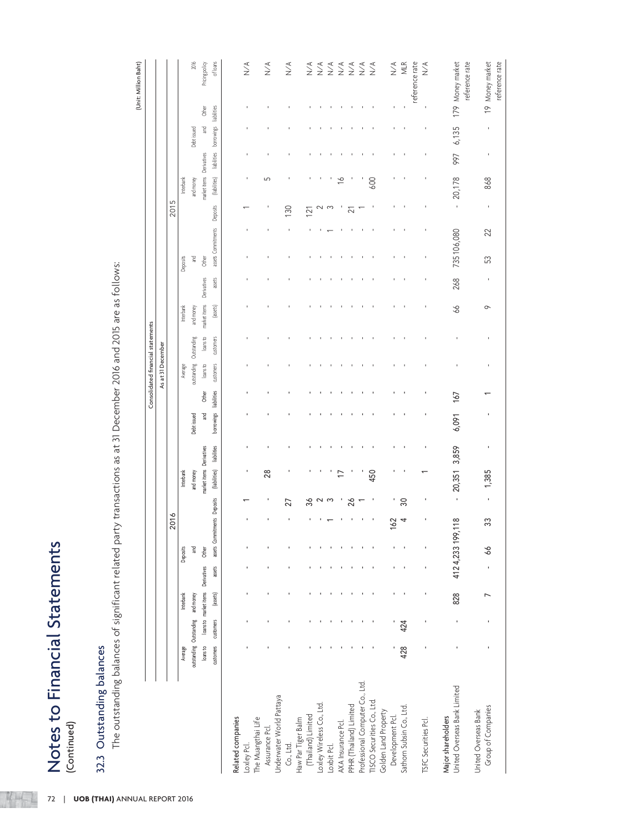| ì             |
|---------------|
|               |
|               |
|               |
| ľ             |
|               |
| י<br>ז        |
|               |
|               |
|               |
|               |
| $\frac{1}{2}$ |
|               |
|               |
|               |
|               |
| $\frac{1}{2}$ |
|               |
| ļ             |
|               |
|               |
|               |
|               |

**KHET** 

| (Unit: Million Baht) |                                   |                   |      |                  | 2016                    | Pricing policy                    | of loans                    |                   | $\stackrel{\triangle}{\geq}$ |                    | $\stackrel{\triangle}{\geq}$ | $\underset{\textstyle\sim}{\leq}$     |                    | $\underset{\text{N}}{\leq}$ | $\underset{\text{N}}{\leq}$ | $\underset{\text{N}}{\leq}$ | $\underset{\text{N}}{\leq}$ | $\underset{\text{N}}{\leq}$ | $\underset{\text{N}}{\leq}$     | $\sum^{\mathcal{A}}$       |                      | $\underset{\text{N}}{\lessgtr}$ | MLR                      | reference rate<br>$\sum_{i=1}^{n}$ | 179 Money market                                   | reference rate<br>19 Money market |
|----------------------|-----------------------------------|-------------------|------|------------------|-------------------------|-----------------------------------|-----------------------------|-------------------|------------------------------|--------------------|------------------------------|---------------------------------------|--------------------|-----------------------------|-----------------------------|-----------------------------|-----------------------------|-----------------------------|---------------------------------|----------------------------|----------------------|---------------------------------|--------------------------|------------------------------------|----------------------------------------------------|-----------------------------------|
|                      |                                   |                   |      |                  |                         | Other                             | liabilities                 |                   |                              |                    |                              |                                       |                    |                             |                             |                             |                             |                             |                                 |                            |                      |                                 |                          |                                    |                                                    |                                   |
|                      |                                   |                   |      |                  | Debt issued             | $\mathbb{R}$                      | borrowings                  |                   |                              |                    |                              |                                       |                    |                             |                             |                             |                             |                             |                                 |                            |                      |                                 |                          | ı                                  | 6,135                                              |                                   |
|                      |                                   |                   |      |                  |                         | Derivatives                       | liabilities                 |                   |                              |                    |                              |                                       |                    |                             |                             |                             |                             |                             |                                 |                            |                      |                                 |                          |                                    | 997                                                |                                   |
|                      |                                   |                   |      | Interbank        | and money               | market items                      | (liabilities)               |                   | ٠                            |                    | 5                            |                                       |                    |                             |                             |                             | $\widetilde{\phantom{a}}$   |                             |                                 | 600                        |                      |                                 |                          |                                    | 20,178                                             | 868                               |
|                      |                                   |                   | 2015 |                  |                         |                                   | Deposits                    |                   |                              |                    |                              | 130                                   |                    | 121                         |                             |                             |                             | 21                          |                                 |                            |                      |                                 |                          | ı                                  | $\,$                                               |                                   |
|                      |                                   |                   |      |                  |                         |                                   |                             |                   |                              |                    |                              |                                       |                    |                             |                             |                             |                             |                             |                                 |                            |                      |                                 |                          |                                    |                                                    | 22                                |
|                      |                                   |                   |      |                  | ξ                       | Other                             | assets Commitments          |                   |                              |                    |                              |                                       |                    |                             |                             |                             |                             |                             |                                 |                            |                      |                                 |                          |                                    | 735106,080                                         | S                                 |
|                      |                                   |                   |      | Deposits         |                         |                                   | assets                      |                   |                              |                    |                              |                                       |                    |                             |                             |                             |                             |                             |                                 |                            |                      |                                 | ٠                        | ı                                  | 268                                                |                                   |
|                      |                                   |                   |      |                  |                         | Derivatives                       |                             |                   |                              |                    |                              |                                       |                    |                             |                             |                             |                             |                             |                                 |                            |                      |                                 | J.                       |                                    | 66                                                 | $\circ$                           |
|                      |                                   |                   |      | hterbank         | and money               | market items                      | (assets)                    |                   |                              |                    |                              |                                       |                    |                             |                             |                             |                             |                             |                                 |                            |                      |                                 |                          |                                    |                                                    |                                   |
|                      |                                   |                   |      |                  | Outstanding             | loans to                          | customers                   |                   |                              |                    |                              |                                       |                    |                             |                             |                             |                             |                             |                                 |                            |                      |                                 |                          |                                    | ï                                                  |                                   |
|                      | Consolidated financial statements | As at 31 December |      | Average          | outstanding             | loans to                          | customers                   |                   |                              |                    |                              |                                       |                    |                             |                             |                             |                             |                             |                                 |                            |                      |                                 |                          |                                    |                                                    |                                   |
|                      |                                   |                   |      |                  |                         | <b>Other</b>                      | liabilities                 |                   |                              |                    |                              |                                       |                    |                             |                             |                             |                             |                             |                                 |                            |                      |                                 |                          |                                    | 167                                                |                                   |
|                      |                                   |                   |      |                  | Debt issued             | $\overline{a}$                    | borrowings                  |                   |                              |                    |                              |                                       |                    |                             |                             |                             |                             |                             |                                 |                            |                      |                                 |                          |                                    | 6,091                                              |                                   |
|                      |                                   |                   |      |                  |                         |                                   | liabilities                 |                   |                              |                    |                              |                                       |                    |                             |                             |                             |                             |                             |                                 |                            |                      |                                 |                          |                                    | 3,859                                              |                                   |
|                      |                                   |                   |      | <b>Interbank</b> | and money               | market items Derivatives          | (liabilities)               |                   | ٠                            |                    | 28                           |                                       |                    |                             |                             |                             |                             |                             |                                 | 450                        |                      |                                 |                          |                                    | 20,351                                             |                                   |
|                      |                                   |                   |      |                  |                         |                                   |                             |                   |                              |                    |                              | 27                                    |                    |                             | న ~                         | က                           | p                           | 26                          |                                 | p                          |                      |                                 | 8                        |                                    | $\blacksquare$                                     |                                   |
|                      |                                   |                   | 2016 |                  |                         |                                   | assets Commitments Deposits |                   |                              |                    |                              |                                       |                    |                             |                             |                             |                             |                             |                                 |                            |                      | 162                             | 4                        |                                    |                                                    |                                   |
|                      |                                   |                   |      | Deposits         | <u>ក្នុ</u>             | Other                             |                             |                   |                              |                    |                              |                                       |                    |                             |                             |                             |                             |                             |                                 |                            |                      |                                 |                          |                                    | 4124,233 199,118                                   |                                   |
|                      |                                   |                   |      |                  |                         |                                   | assets                      |                   |                              |                    |                              |                                       |                    |                             |                             |                             |                             |                             |                                 |                            |                      |                                 |                          |                                    |                                                    |                                   |
|                      |                                   |                   |      | Interbank        | and money               | loans to market items Derivatives | (assets)                    |                   |                              |                    |                              |                                       |                    |                             |                             |                             |                             |                             |                                 |                            |                      |                                 |                          |                                    | 828                                                |                                   |
|                      |                                   |                   |      |                  |                         |                                   | customers                   |                   |                              |                    |                              |                                       |                    |                             |                             |                             |                             |                             |                                 |                            |                      |                                 | 424                      |                                    |                                                    |                                   |
|                      |                                   |                   |      | Average          | outstanding Outstanding | loans to                          | customers                   |                   |                              |                    |                              |                                       |                    |                             |                             |                             |                             |                             |                                 |                            |                      |                                 | 428                      |                                    |                                                    |                                   |
|                      |                                   |                   |      |                  |                         |                                   |                             |                   |                              |                    |                              |                                       |                    |                             |                             |                             |                             |                             |                                 |                            |                      |                                 |                          |                                    |                                                    |                                   |
|                      |                                   |                   |      |                  |                         |                                   |                             | Related companies | Loxley Pcl.                  | The Muangthai Life | Assurance Pcl.               | Underwater World Pattaya<br>Co., Ltd. | Haw Par Tiger Balm | (Thailand) Limited          | Loxley Wireless Co., Ltd.   | Loxbit Pcl.                 | AXA Insurance Pcl.          | PPHR (Thailand) Limited     | Professional Computer Co., Ltd. | TISCO Securities Co., Ltd. | Golden Land Property | Development Pcl.                | Sathorn Subsin Co., Ltd. | TSFC Securities Pcl.               | United Overseas Bank Limited<br>Major shareholders | United Overseas Bank              |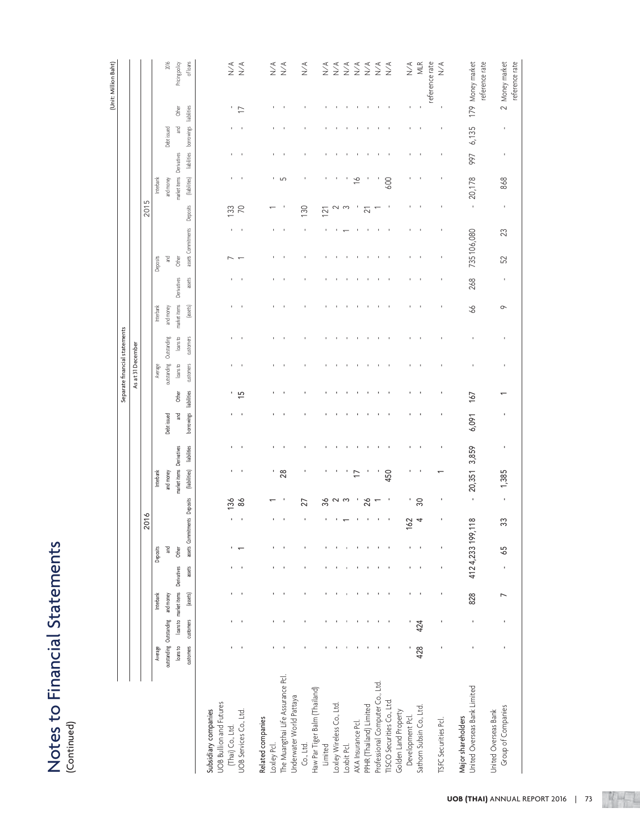# Notes to Financial Statements<br>(Continued) Notes to Financial Statements

|                                                        |                         |           |                                   |        |                  |                             |                 |                          |                |             |                 |                          | Separate financial statements |                |                          |           |                          |           |                          |                          |                          |                | (Unit: Million Baht)                                           |
|--------------------------------------------------------|-------------------------|-----------|-----------------------------------|--------|------------------|-----------------------------|-----------------|--------------------------|----------------|-------------|-----------------|--------------------------|-------------------------------|----------------|--------------------------|-----------|--------------------------|-----------|--------------------------|--------------------------|--------------------------|----------------|----------------------------------------------------------------|
|                                                        |                         |           |                                   |        |                  |                             |                 |                          |                |             |                 | As at 31 December        |                               |                |                          |           |                          |           |                          |                          |                          |                |                                                                |
|                                                        |                         |           |                                   |        |                  | 2016                        |                 |                          |                |             |                 |                          |                               |                |                          |           |                          | 2015      |                          |                          |                          |                |                                                                |
|                                                        | Average                 |           | Interbank                         |        | Deposits         |                             |                 | Interbank                |                |             |                 | Average                  |                               | Interbank      |                          | Deposits  |                          |           | Interbank                |                          |                          |                |                                                                |
|                                                        | outstanding Outstanding |           | and money                         |        | <b>Pa</b>        |                             |                 | and money                |                | Debt issued |                 | outstanding              | Outstanding                   | and money      |                          | <b>Su</b> |                          |           | and money                |                          | Debt issued              |                | 2016                                                           |
|                                                        | loans to                |           | loans to market items Derivatives |        | Other            |                             |                 | market items Derivatives |                | ា<br>ក្ន    | Other           | loansto                  | loans to                      | market items   | Derivatives              | Other     |                          |           | market items Derivatives |                          | $\mathbb{R}$             | Other          | Pricing policy                                                 |
|                                                        | customers               | customers | (assets)                          | assets |                  | assets Commitments Deposits |                 | (liabilities)            | liabilities    | borrowings  | liabilities     | customers                | customers                     | (assets)       | assets                   |           | assets Commitments       | Deposits  | (liabilities)            | liabilities              | borrowings               | liabilities    | of loans                                                       |
| <b>UOB Bullion and Futures</b><br>Subsidiary companies |                         |           |                                   |        |                  |                             |                 |                          |                |             |                 |                          |                               |                |                          |           |                          |           |                          |                          |                          |                |                                                                |
| (Thai) Co., Ltd.                                       |                         |           |                                   |        |                  |                             | 136             | ٠                        |                |             |                 |                          |                               |                | $\blacksquare$           |           |                          | 133       | $\mathbf{I}$             | ٠                        | $\blacksquare$           | ٠.             |                                                                |
| UOB Services Co., Ltd.                                 |                         |           |                                   |        |                  |                             | 8 <sup>o</sup>  | $\mathcal{A}$            |                |             | $\overline{15}$ | $\overline{\phantom{a}}$ | J.                            |                | $\overline{\phantom{a}}$ |           | $\overline{\phantom{a}}$ | 70        | $\blacksquare$           | $\overline{\phantom{a}}$ | $\overline{\phantom{a}}$ | $\overline{1}$ | $\begin{array}{c}\n\prec \\ \searrow \\ \searrow\n\end{array}$ |
| Related companies                                      |                         |           |                                   |        |                  |                             |                 |                          |                |             |                 |                          |                               |                |                          |           |                          |           |                          |                          |                          |                |                                                                |
| Loxley Pcl.                                            |                         |           |                                   |        |                  |                             |                 |                          | ٠              | ٠           | ٠               | ٠                        |                               |                | ٠                        |           | ٠                        |           |                          | ٠                        | ٠                        |                | $\stackrel{\prec}{\geq}$                                       |
| The Muangthai Life Assurance Pcl.                      |                         |           |                                   |        |                  |                             |                 | 28                       |                |             |                 |                          |                               |                |                          |           |                          |           | ה י                      |                          |                          |                | $\underset{\text{N}}{\leq}$                                    |
| Underwater World Pattaya                               |                         |           |                                   |        |                  |                             |                 |                          |                |             |                 |                          |                               |                |                          |           |                          |           |                          |                          |                          |                |                                                                |
| Co., Ltd.                                              |                         |           |                                   |        |                  |                             | 27              |                          |                |             |                 |                          |                               |                |                          | ٠         | ٠                        | 130       | ı                        |                          |                          |                | $\sum^{\text{A}}$                                              |
| Haw Par Tiger Balm (Thailand)                          |                         |           |                                   |        |                  |                             |                 |                          |                |             |                 |                          |                               |                |                          |           |                          |           |                          |                          |                          |                |                                                                |
| Limited                                                |                         |           |                                   |        |                  |                             | %               |                          |                |             |                 |                          |                               |                |                          |           |                          | 121       |                          |                          |                          |                | $\underset{\text{N}}{\leq}$                                    |
| Loxley Wireless Co., Ltd.                              |                         |           |                                   |        |                  |                             | ്               |                          |                |             |                 |                          |                               |                | ×                        | ×         |                          |           |                          | ×                        | ٠                        |                | $\underset{\text{N}}{\leq}$                                    |
| Loxbit Pcl.                                            |                         |           |                                   |        |                  |                             |                 |                          |                |             |                 |                          |                               |                |                          |           |                          |           |                          |                          |                          |                | $\underset{\text{N}}{\leq}$                                    |
| AXA Insurance Pcl.                                     |                         |           |                                   |        |                  |                             |                 | F                        |                |             |                 |                          |                               |                | $\blacksquare$           |           |                          |           | $\frac{6}{1}$            | $\blacksquare$           | $\blacksquare$           |                | $\underset{\text{N}}{\leq}$                                    |
| PPHR (Thailand) Limited                                |                         |           |                                   |        |                  |                             | $\frac{8}{2}$   |                          |                |             |                 |                          |                               |                | ×                        | ×         |                          | ត         |                          | ×                        | ×                        |                | $\underset{\text{N}}{\leq}$                                    |
| Professional Computer Co., Ltd.                        |                         |           |                                   |        |                  |                             |                 |                          |                |             |                 |                          |                               |                |                          |           |                          |           |                          |                          |                          |                | $\underset{\text{N}}{\leq}$                                    |
| TISCO Securities Co., Ltd.                             |                         |           |                                   |        |                  |                             |                 | 450                      |                |             |                 |                          |                               |                |                          |           |                          |           | 600                      |                          |                          |                | $\sum^{\mathcal{A}}$                                           |
| Golden Land Property<br>Development Pcl.               |                         |           |                                   |        |                  | 62                          | ٠               |                          |                |             |                 |                          |                               |                |                          |           |                          |           |                          |                          |                          |                | $\underset{\text{N}}{\leq}$                                    |
| Sathorn Subsin Co., Ltd.                               | 428                     | 424       |                                   |        |                  | 4                           | $\overline{30}$ |                          |                |             |                 |                          |                               | $\blacksquare$ |                          |           |                          |           |                          | $\overline{\phantom{a}}$ |                          |                | MLR                                                            |
|                                                        |                         |           |                                   |        |                  |                             |                 |                          |                |             |                 |                          |                               |                |                          |           |                          |           |                          |                          |                          |                | reference rate                                                 |
| TSFC Securities Pcl.                                   |                         |           |                                   |        |                  |                             | ×               |                          |                |             |                 |                          |                               |                |                          |           |                          |           |                          |                          |                          |                | $\underset{\simeq}{\searrow}$                                  |
| United Overseas Bank Limited<br>Major shareholders     |                         |           | 828                               |        | 4124,233 199,118 |                             |                 | 20,351                   | 3,859          | 6,091       | 167             |                          |                               | 66             | 268                      |           | 735106,080               |           | 20,178                   | 997                      | 6,135                    |                | 179 Money market                                               |
|                                                        |                         |           |                                   |        |                  |                             | $\cdot$         |                          |                |             |                 |                          | $\mathbf{I}$                  |                |                          |           |                          | $\bar{1}$ |                          |                          |                          |                | reference rate                                                 |
| Group of Companies<br>United Overseas Bank             |                         |           | $\overline{ }$                    |        | 59               | 33                          | $\blacksquare$  | 1,385                    | $\blacksquare$ |             |                 |                          | $\,$                          | $\circ$        | $\blacksquare$           | 52        | 23                       | $\,$      | 868                      | $\,$                     | $\blacksquare$           |                | reference rate<br>2 Money market                               |
|                                                        |                         |           |                                   |        |                  |                             |                 |                          |                |             |                 |                          |                               |                |                          |           |                          |           |                          |                          |                          |                |                                                                |

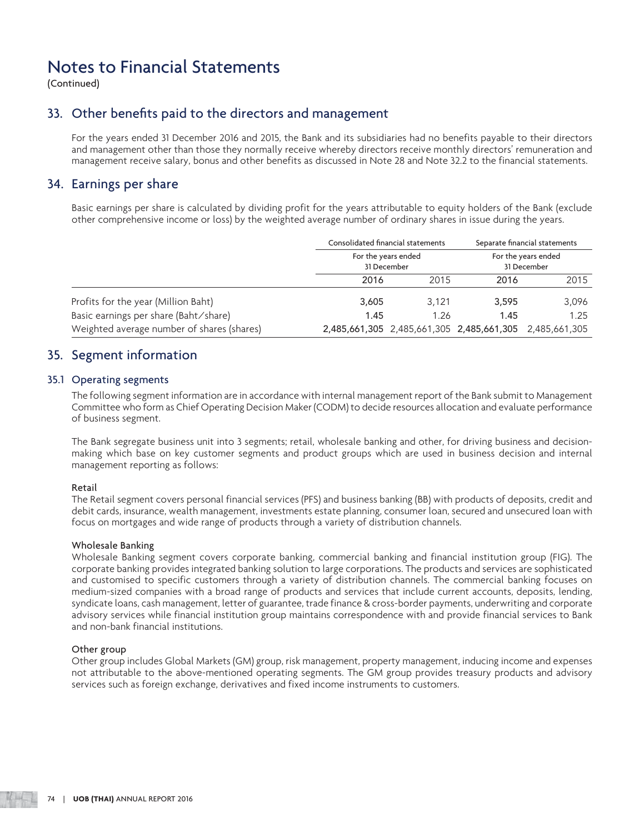(Continued)

### 33. Other benefits paid to the directors and management

 For the years ended 31 December 2016 and 2015, the Bank and its subsidiaries had no benefits payable to their directors and management other than those they normally receive whereby directors receive monthly directors' remuneration and management receive salary, bonus and other benefits as discussed in Note 28 and Note 32.2 to the financial statements.

### 34. Earnings per share

 Basic earnings per share is calculated by dividing profit for the years attributable to equity holders of the Bank (exclude other comprehensive income or loss) by the weighted average number of ordinary shares in issue during the years.

|                                            |             | Consolidated financial statements |       | Separate financial statements                           |
|--------------------------------------------|-------------|-----------------------------------|-------|---------------------------------------------------------|
|                                            | 31 December | For the years ended               |       | For the years ended<br>31 December                      |
|                                            | 2016        | 2015                              | 2016  | 2015                                                    |
| Profits for the year (Million Baht)        | 3,605       | 3.121                             | 3,595 | 3.096                                                   |
| Basic earnings per share (Baht/share)      | 1.45        | 1.26                              | 1.45  | 1.25                                                    |
| Weighted average number of shares (shares) |             |                                   |       | 2,485,661,305 2,485,661,305 2,485,661,305 2,485,661,305 |

### 35. Segment information

### 35.1 Operating segments

 The following segment information are in accordance with internal management report of the Bank submit to Management Committee who form as Chief Operating Decision Maker (CODM) to decide resources allocation and evaluate performance of business segment.

 The Bank segregate business unit into 3 segments; retail, wholesale banking and other, for driving business and decision making which base on key customer segments and product groups which are used in business decision and internal management reporting as follows:

### Retail

 The Retail segment covers personal financial services (PFS) and business banking (BB) with products of deposits, credit and debit cards, insurance, wealth management, investments estate planning, consumer loan, secured and unsecured loan with focus on mortgages and wide range of products through a variety of distribution channels.

### Wholesale Banking

 Wholesale Banking segment covers corporate banking, commercial banking and financial institution group (FIG). The corporate banking provides integrated banking solution to large corporations. The products and services are sophisticated and customised to specific customers through a variety of distribution channels. The commercial banking focuses on medium-sized companies with a broad range of products and services that include current accounts, deposits, lending, syndicate loans, cash management, letter of guarantee, trade finance & cross-border payments, underwriting and corporate advisory services while financial institution group maintains correspondence with and provide financial services to Bank and non-bank financial institutions.

### Other group

 Other group includes Global Markets (GM) group, risk management, property management, inducing income and expenses not attributable to the above-mentioned operating segments. The GM group provides treasury products and advisory services such as foreign exchange, derivatives and fixed income instruments to customers.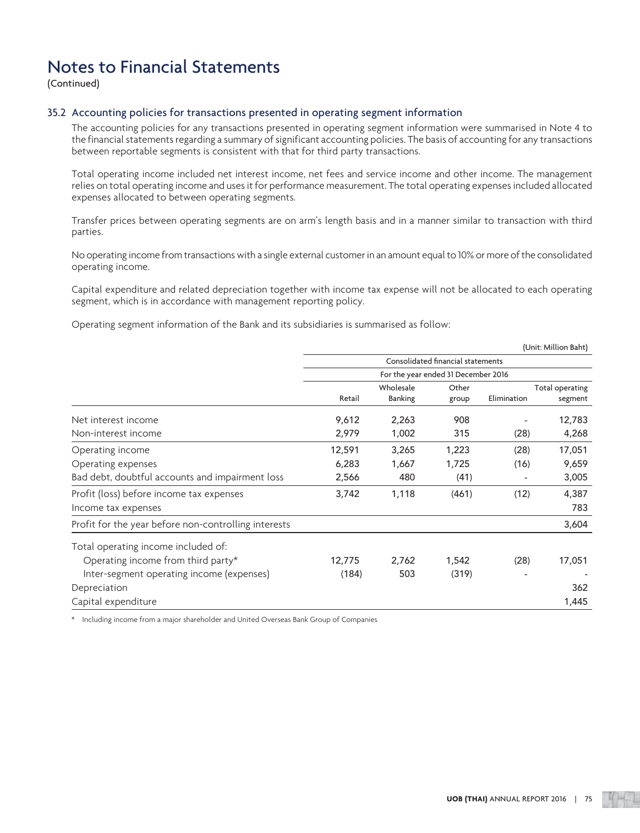(Continued)

### 35.2 Accounting policies for transactions presented in operating segment information

 The accounting policies for any transactions presented in operating segment information were summarised in Note 4 to the financial statements regarding a summary of significant accounting policies. The basis of accounting for any transactions between reportable segments is consistent with that for third party transactions.

 Total operating income included net interest income, net fees and service income and other income. The management relies on total operating income and uses it for performance measurement. The total operating expenses included allocated expenses allocated to between operating segments.

 Transfer prices between operating segments are on arm's length basis and in a manner similar to transaction with third parties.

 No operating income from transactions with a single external customer in an amount equal to 10% or more of the consolidated operating income.

 Capital expenditure and related depreciation together with income tax expense will not be allocated to each operating segment, which is in accordance with management reporting policy.

Operating segment information of the Bank and its subsidiaries is summarised as follow:

|                                                      |        |                |                                     |             | (Unit: Million Baht) |
|------------------------------------------------------|--------|----------------|-------------------------------------|-------------|----------------------|
|                                                      |        |                | Consolidated financial statements   |             |                      |
|                                                      |        |                | For the year ended 31 December 2016 |             |                      |
|                                                      |        | Wholesale      | Other                               |             | Total operating      |
|                                                      | Retail | <b>Banking</b> | group                               | Elimination | segment              |
| Net interest income                                  | 9,612  | 2,263          | 908                                 |             | 12,783               |
| Non-interest income                                  | 2,979  | 1,002          | 315                                 | (28)        | 4,268                |
| Operating income                                     | 12,591 | 3,265          | 1,223                               | (28)        | 17,051               |
| Operating expenses                                   | 6,283  | 1,667          | 1,725                               | (16)        | 9,659                |
| Bad debt, doubtful accounts and impairment loss      | 2,566  | 480            | (41)                                |             | 3,005                |
| Profit (loss) before income tax expenses             | 3,742  | 1,118          | (461)                               | (12)        | 4,387                |
| Income tax expenses                                  |        |                |                                     |             | 783                  |
| Profit for the year before non-controlling interests |        |                |                                     |             | 3,604                |
| Total operating income included of:                  |        |                |                                     |             |                      |
| Operating income from third party*                   | 12,775 | 2,762          | 1,542                               | (28)        | 17,051               |
| Inter-segment operating income (expenses)            | (184)  | 503            | (319)                               |             |                      |
| Depreciation                                         |        |                |                                     |             | 362                  |
| Capital expenditure                                  |        |                |                                     |             | 1,445                |

\* Including income from a major shareholder and United Overseas Bank Group of Companies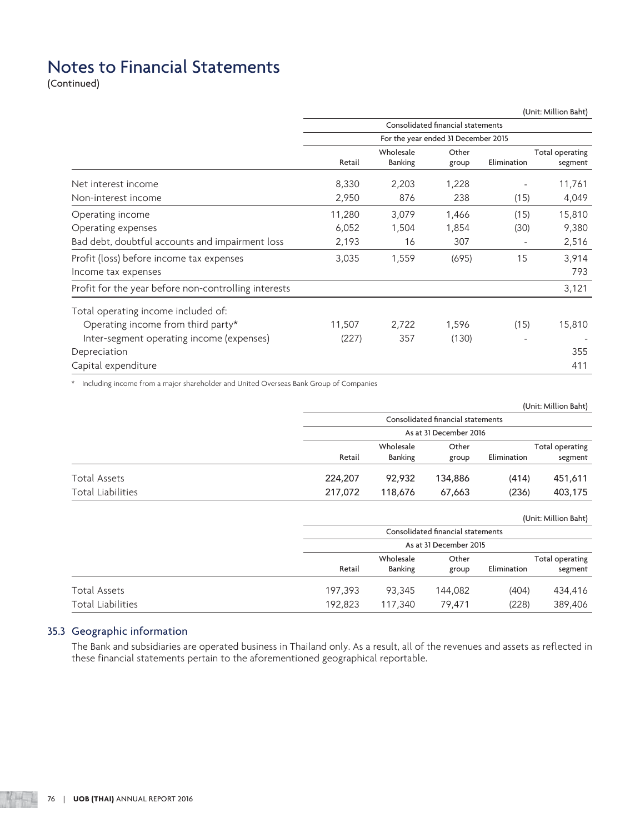(Continued)

|                                                      |        |                |                                     |             | (Unit: Million Baht) |
|------------------------------------------------------|--------|----------------|-------------------------------------|-------------|----------------------|
|                                                      |        |                | Consolidated financial statements   |             |                      |
|                                                      |        |                | For the year ended 31 December 2015 |             |                      |
|                                                      |        | Wholesale      | Other                               |             | Total operating      |
|                                                      | Retail | <b>Banking</b> | group                               | Elimination | segment              |
| Net interest income                                  | 8,330  | 2,203          | 1,228                               |             | 11,761               |
| Non-interest income                                  | 2,950  | 876            | 238                                 | (15)        | 4,049                |
| Operating income                                     | 11,280 | 3,079          | 1,466                               | (15)        | 15,810               |
| Operating expenses                                   | 6,052  | 1,504          | 1,854                               | (30)        | 9,380                |
| Bad debt, doubtful accounts and impairment loss      | 2,193  | 16             | 307                                 |             | 2,516                |
| Profit (loss) before income tax expenses             | 3,035  | 1,559          | (695)                               | 15          | 3,914                |
| Income tax expenses                                  |        |                |                                     |             | 793                  |
| Profit for the year before non-controlling interests |        |                |                                     |             | 3,121                |
| Total operating income included of:                  |        |                |                                     |             |                      |
| Operating income from third party*                   | 11,507 | 2,722          | 1,596                               | (15)        | 15,810               |
| Inter-segment operating income (expenses)            | (227)  | 357            | (130)                               |             |                      |
| Depreciation                                         |        |                |                                     |             | 355                  |
| Capital expenditure                                  |        |                |                                     |             | 411                  |

\* Including income from a major shareholder and United Overseas Bank Group of Companies

|                          |         |                |                                   |             | (Unit: Million Baht) |
|--------------------------|---------|----------------|-----------------------------------|-------------|----------------------|
|                          |         |                | Consolidated financial statements |             |                      |
|                          |         |                | As at 31 December 2016            |             |                      |
|                          |         | Wholesale      | Other                             |             | Total operating      |
|                          | Retail  | <b>Banking</b> | group                             | Elimination | segment              |
| Total Assets             | 224,207 | 92,932         | 134,886                           | (414)       | 451,611              |
| <b>Total Liabilities</b> | 217,072 | 118,676        | 67,663                            | (236)       | 403,175              |

(Unit: Million Baht)

|                   |         |                             | Consolidated financial statements<br>As at 31 December 2015 |             |                            |
|-------------------|---------|-----------------------------|-------------------------------------------------------------|-------------|----------------------------|
|                   | Retail  | Wholesale<br><b>Banking</b> | Other<br>group                                              | Elimination | Total operating<br>segment |
| Total Assets      | 197,393 | 93,345                      | 144,082                                                     | (404)       | 434,416                    |
| Total Liabilities | 192,823 | 117,340                     | 79.471                                                      | (228)       | 389,406                    |

### 35.3 Geographic information

 The Bank and subsidiaries are operated business in Thailand only. As a result, all of the revenues and assets as reflected in these financial statements pertain to the aforementioned geographical reportable.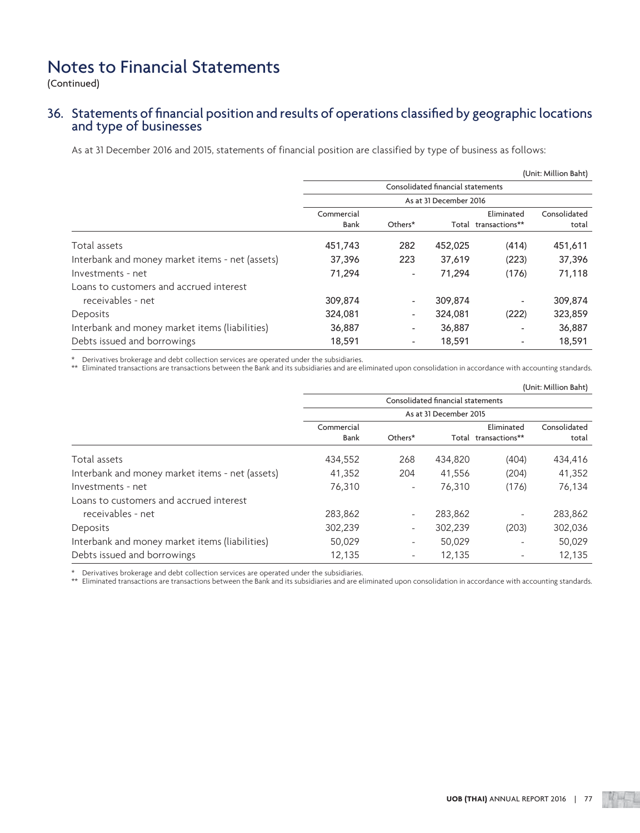(Continued)

# 36. Statements of financial position and results of operations classified by geographic locations and type of businesses

As at 31 December 2016 and 2015, statements of financial position are classified by type of business as follows:

|                                                 |            |                          |                                   |                      | (Unit: Million Baht) |
|-------------------------------------------------|------------|--------------------------|-----------------------------------|----------------------|----------------------|
|                                                 |            |                          | Consolidated financial statements |                      |                      |
|                                                 |            |                          | As at 31 December 2016            |                      |                      |
|                                                 | Commercial |                          |                                   | Eliminated           | Consolidated         |
|                                                 | Bank       | Others*                  |                                   | Total transactions** | total                |
| Total assets                                    | 451,743    | 282                      | 452,025                           | (414)                | 451,611              |
| Interbank and money market items - net (assets) | 37,396     | 223                      | 37,619                            | (223)                | 37,396               |
| Investments - net                               | 71,294     | $\overline{\phantom{0}}$ | 71,294                            | (176)                | 71,118               |
| Loans to customers and accrued interest         |            |                          |                                   |                      |                      |
| receivables - net                               | 309,874    | $\overline{\phantom{0}}$ | 309,874                           | ۰                    | 309,874              |
| Deposits                                        | 324,081    | ۰.                       | 324,081                           | (222)                | 323,859              |
| Interbank and money market items (liabilities)  | 36,887     | ٠                        | 36,887                            |                      | 36,887               |
| Debts issued and borrowings                     | 18,591     | $\overline{\phantom{a}}$ | 18,591                            | ۰                    | 18,591               |

\* Derivatives brokerage and debt collection services are operated under the subsidiaries.

\*\* Eliminated transactions are transactions between the Bank and its subsidiaries and are eliminated upon consolidation in accordance with accounting standards.

|                                                 |                    |         |                                   |                                    | (Unit: Million Baht)  |
|-------------------------------------------------|--------------------|---------|-----------------------------------|------------------------------------|-----------------------|
|                                                 |                    |         | Consolidated financial statements |                                    |                       |
|                                                 |                    |         | As at 31 December 2015            |                                    |                       |
|                                                 | Commercial<br>Bank | Others* |                                   | Eliminated<br>Total transactions** | Consolidated<br>total |
| Total assets                                    | 434,552            | 268     | 434,820                           | (404)                              | 434,416               |
| Interbank and money market items - net (assets) | 41,352             | 204     | 41,556                            | (204)                              | 41,352                |
| Investments - net                               | 76,310             | Ξ.      | 76,310                            | (176)                              | 76,134                |
| Loans to customers and accrued interest         |                    |         |                                   |                                    |                       |
| receivables - net                               | 283,862            | -       | 283,862                           | ۰                                  | 283,862               |
| Deposits                                        | 302,239            | ٠.      | 302,239                           | (203)                              | 302,036               |
| Interbank and money market items (liabilities)  | 50,029             | ٠.      | 50,029                            |                                    | 50,029                |
| Debts issued and borrowings                     | 12,135             | Ξ.      | 12,135                            |                                    | 12,135                |

\* Derivatives brokerage and debt collection services are operated under the subsidiaries.

\*\* Eliminated transactions are transactions between the Bank and its subsidiaries and are eliminated upon consolidation in accordance with accounting standards.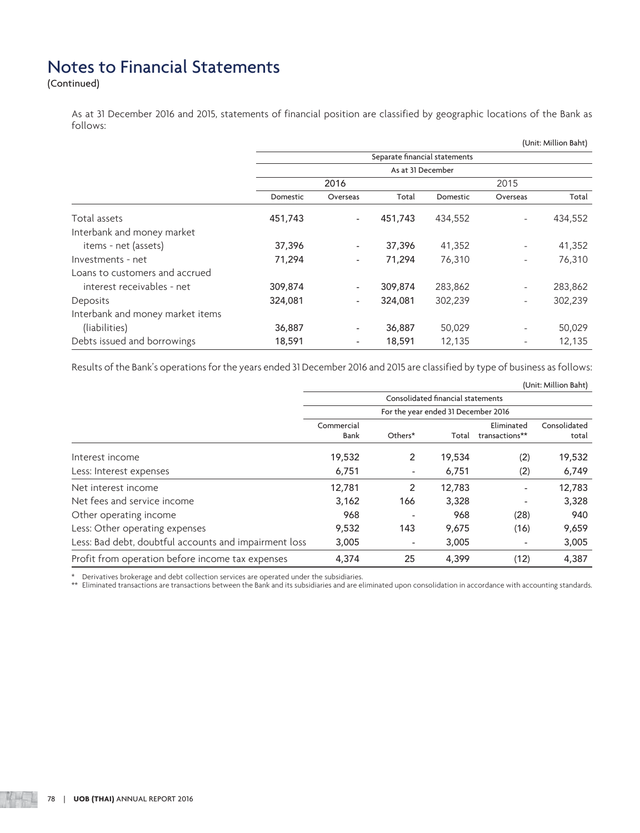(Continued)

 As at 31 December 2016 and 2015, statements of financial position are classified by geographic locations of the Bank as follows:

|                                  |                   |                              |                               |          |                          | (Unit: Million Baht) |
|----------------------------------|-------------------|------------------------------|-------------------------------|----------|--------------------------|----------------------|
|                                  |                   |                              | Separate financial statements |          |                          |                      |
|                                  | As at 31 December |                              |                               |          |                          |                      |
|                                  |                   | 2016                         |                               |          | 2015                     |                      |
|                                  | Domestic          | Overseas                     | Total                         | Domestic | Overseas                 | Total                |
| Total assets                     | 451,743           | $\overline{\phantom{a}}$     | 451,743                       | 434,552  | $\overline{\phantom{a}}$ | 434,552              |
| Interbank and money market       |                   |                              |                               |          |                          |                      |
| items - net (assets)             | 37,396            | $\overline{\phantom{0}}$     | 37,396                        | 41,352   | $\overline{\phantom{a}}$ | 41,352               |
| Investments - net                | 71,294            | -                            | 71,294                        | 76,310   | $\overline{\phantom{a}}$ | 76,310               |
| Loans to customers and accrued   |                   |                              |                               |          |                          |                      |
| interest receivables - net       | 309,874           | -                            | 309,874                       | 283,862  | $\overline{\phantom{a}}$ | 283,862              |
| Deposits                         | 324,081           | $\qquad \qquad \blacksquare$ | 324,081                       | 302,239  |                          | 302,239              |
| Interbank and money market items |                   |                              |                               |          |                          |                      |
| (liabilities)                    | 36,887            | -                            | 36,887                        | 50,029   |                          | 50,029               |
| Debts issued and borrowings      | 18,591            | $\overline{\phantom{m}}$     | 18,591                        | 12,135   |                          | 12,135               |

Results of the Bank's operations for the years ended 31 December 2016 and 2015 are classified by type of business as follows:

|                                                       |                                   |                                     |        |                              | (Unit: Million Baht) |  |
|-------------------------------------------------------|-----------------------------------|-------------------------------------|--------|------------------------------|----------------------|--|
|                                                       | Consolidated financial statements |                                     |        |                              |                      |  |
|                                                       |                                   | For the year ended 31 December 2016 |        |                              |                      |  |
|                                                       | Commercial                        |                                     |        | Eliminated                   | Consolidated         |  |
|                                                       | Bank                              | Others*                             | Total  | transactions**               | total                |  |
| Interest income                                       | 19,532                            | $\overline{2}$                      | 19,534 | (2)                          | 19,532               |  |
| Less: Interest expenses                               | 6,751                             | ٠                                   | 6,751  | (2)                          | 6,749                |  |
| Net interest income                                   | 12,781                            | 2                                   | 12,783 | $\qquad \qquad \blacksquare$ | 12,783               |  |
| Net fees and service income                           | 3,162                             | 166                                 | 3,328  |                              | 3,328                |  |
| Other operating income                                | 968                               |                                     | 968    | (28)                         | 940                  |  |
| Less: Other operating expenses                        | 9,532                             | 143                                 | 9,675  | (16)                         | 9,659                |  |
| Less: Bad debt, doubtful accounts and impairment loss | 3,005                             | $\overline{\phantom{a}}$            | 3,005  | ٠                            | 3,005                |  |
| Profit from operation before income tax expenses      | 4,374                             | 25                                  | 4,399  | (12)                         | 4,387                |  |

\* Derivatives brokerage and debt collection services are operated under the subsidiaries.

\*\* Eliminated transactions are transactions between the Bank and its subsidiaries and are eliminated upon consolidation in accordance with accounting standards.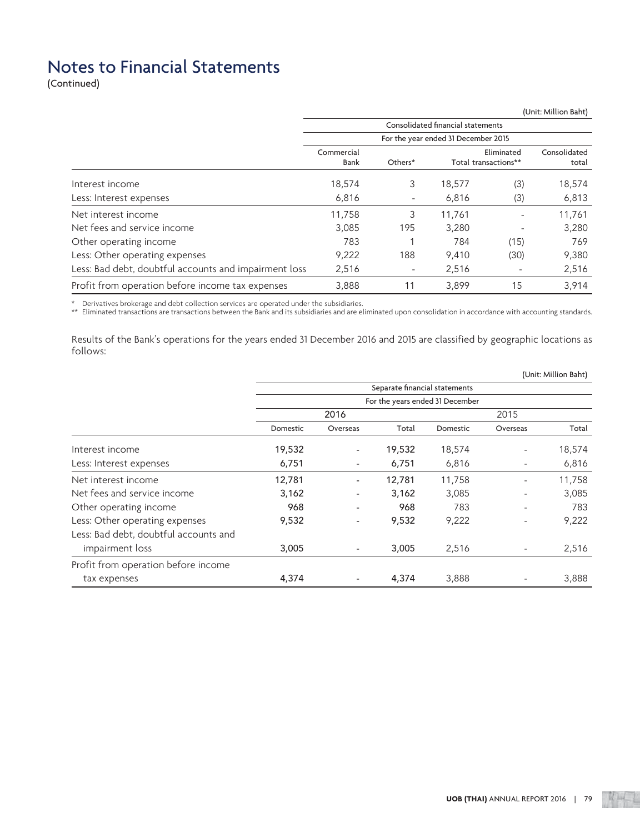(Continued)

|                                                       |                                   |                          |                                     |                                    | (Unit: Million Baht)  |  |
|-------------------------------------------------------|-----------------------------------|--------------------------|-------------------------------------|------------------------------------|-----------------------|--|
|                                                       | Consolidated financial statements |                          |                                     |                                    |                       |  |
|                                                       |                                   |                          | For the year ended 31 December 2015 |                                    |                       |  |
|                                                       | Commercial<br>Bank                | Others*                  |                                     | Eliminated<br>Total transactions** | Consolidated<br>total |  |
| Interest income                                       | 18,574                            | 3                        | 18,577                              | (3)                                | 18,574                |  |
| Less: Interest expenses                               | 6,816                             | -                        | 6,816                               | (3)                                | 6,813                 |  |
| Net interest income                                   | 11,758                            | 3                        | 11.761                              |                                    | 11,761                |  |
| Net fees and service income                           | 3,085                             | 195                      | 3,280                               |                                    | 3,280                 |  |
| Other operating income                                | 783                               |                          | 784                                 | (15)                               | 769                   |  |
| Less: Other operating expenses                        | 9,222                             | 188                      | 9,410                               | (30)                               | 9,380                 |  |
| Less: Bad debt, doubtful accounts and impairment loss | 2,516                             | $\overline{\phantom{a}}$ | 2,516                               |                                    | 2,516                 |  |
| Profit from operation before income tax expenses      | 3,888                             | 11                       | 3.899                               | 15                                 | 3,914                 |  |

\* Derivatives brokerage and debt collection services are operated under the subsidiaries.

\*\* Eliminated transactions are transactions between the Bank and its subsidiaries and are eliminated upon consolidation in accordance with accounting standards.

 Results of the Bank's operations for the years ended 31 December 2016 and 2015 are classified by geographic locations as follows:

|                                       |                                 | Separate financial statements |        |          |                          |        |  |
|---------------------------------------|---------------------------------|-------------------------------|--------|----------|--------------------------|--------|--|
|                                       | For the years ended 31 December |                               |        |          |                          |        |  |
|                                       |                                 | 2016                          |        |          | 2015                     |        |  |
|                                       | Domestic                        | Overseas                      | Total  | Domestic | Overseas                 | Total  |  |
| Interest income                       | 19,532                          | $\overline{\phantom{a}}$      | 19,532 | 18,574   | $\overline{\phantom{0}}$ | 18,574 |  |
| Less: Interest expenses               | 6,751                           | $\overline{\phantom{a}}$      | 6,751  | 6,816    | $\overline{\phantom{0}}$ | 6,816  |  |
| Net interest income                   | 12,781                          | -                             | 12,781 | 11,758   | $\overline{\phantom{0}}$ | 11,758 |  |
| Net fees and service income           | 3,162                           | -                             | 3,162  | 3,085    | ۰                        | 3,085  |  |
| Other operating income                | 968                             | $\overline{\phantom{a}}$      | 968    | 783      | $\overline{\phantom{0}}$ | 783    |  |
| Less: Other operating expenses        | 9,532                           | ٠                             | 9,532  | 9,222    |                          | 9,222  |  |
| Less: Bad debt, doubtful accounts and |                                 |                               |        |          |                          |        |  |
| impairment loss                       | 3,005                           | $\overline{\phantom{a}}$      | 3,005  | 2,516    | -                        | 2,516  |  |
| Profit from operation before income   |                                 |                               |        |          |                          |        |  |
| tax expenses                          | 4,374                           | $\qquad \qquad \blacksquare$  | 4,374  | 3,888    |                          | 3,888  |  |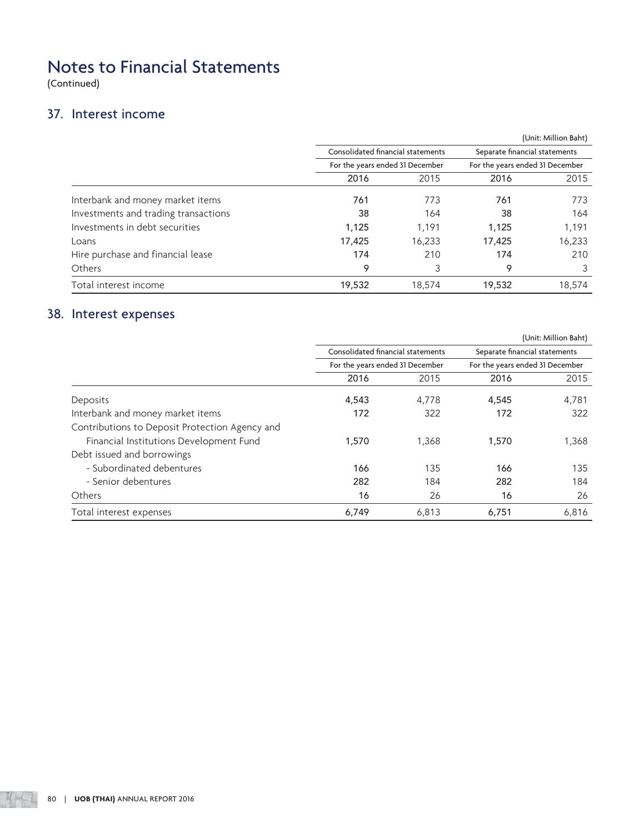(Continued)

### 37. Interest income

|        |                                 |                                   | (Unit: Million Baht)            |  |  |
|--------|---------------------------------|-----------------------------------|---------------------------------|--|--|
|        |                                 | Separate financial statements     |                                 |  |  |
|        | For the years ended 31 December |                                   |                                 |  |  |
| 2016   | 2015                            | 2016                              | 2015                            |  |  |
| 761    | 773                             | 761                               | 773                             |  |  |
| 38     | 164                             | 38                                | 164                             |  |  |
| 1.125  | 1,191                           | 1,125                             | 1,191                           |  |  |
| 17,425 | 16,233                          | 17,425                            | 16,233                          |  |  |
| 174    | 210                             | 174                               | 210                             |  |  |
| 9      | 3                               | 9                                 | 3                               |  |  |
| 19,532 | 18,574                          | 19,532                            | 18,574                          |  |  |
|        |                                 | Consolidated financial statements | For the years ended 31 December |  |  |

# 38. Interest expenses

|                                                |                                                                      |       |                                                                  | (Unit: Million Baht) |  |
|------------------------------------------------|----------------------------------------------------------------------|-------|------------------------------------------------------------------|----------------------|--|
|                                                | Consolidated financial statements<br>For the years ended 31 December |       | Separate financial statements<br>For the years ended 31 December |                      |  |
|                                                |                                                                      |       |                                                                  |                      |  |
|                                                | 2016                                                                 | 2015  | 2016                                                             | 2015                 |  |
| Deposits                                       | 4,543                                                                | 4.778 | 4,545                                                            | 4,781                |  |
| Interbank and money market items               | 172                                                                  | 322   | 172                                                              | 322                  |  |
| Contributions to Deposit Protection Agency and |                                                                      |       |                                                                  |                      |  |
| Financial Institutions Development Fund        | 1,570                                                                | 1,368 | 1,570                                                            | 1,368                |  |
| Debt issued and borrowings                     |                                                                      |       |                                                                  |                      |  |
| - Subordinated debentures                      | 166                                                                  | 135   | 166                                                              | 135                  |  |
| - Senior debentures                            | 282                                                                  | 184   | 282                                                              | 184                  |  |
| Others                                         | 16                                                                   | 26    | 16                                                               | 26                   |  |
| Total interest expenses                        | 6,749                                                                | 6,813 | 6,751                                                            | 6,816                |  |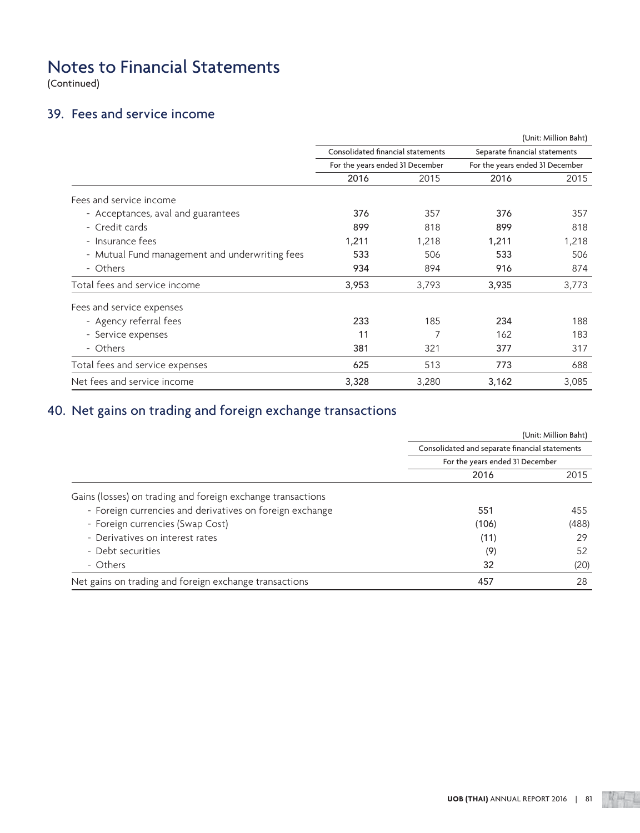(Continued)

# 39. Fees and service income

|                                                |                                                                                                                                                                                                                                       |                               | (Unit: Million Baht)            |       |  |  |
|------------------------------------------------|---------------------------------------------------------------------------------------------------------------------------------------------------------------------------------------------------------------------------------------|-------------------------------|---------------------------------|-------|--|--|
|                                                | Consolidated financial statements<br>For the years ended 31 December<br>2016<br>2015<br>376<br>357<br>899<br>818<br>1,211<br>1,218<br>533<br>506<br>934<br>894<br>3,953<br>3,793<br>233<br>185<br>7<br>11<br>381<br>321<br>625<br>513 | Separate financial statements |                                 |       |  |  |
|                                                |                                                                                                                                                                                                                                       |                               | For the years ended 31 December |       |  |  |
|                                                |                                                                                                                                                                                                                                       |                               | 2016                            | 2015  |  |  |
| Fees and service income                        |                                                                                                                                                                                                                                       |                               |                                 |       |  |  |
| - Acceptances, aval and guarantees             |                                                                                                                                                                                                                                       |                               | 376                             | 357   |  |  |
| - Credit cards                                 |                                                                                                                                                                                                                                       |                               | 899                             | 818   |  |  |
| - Insurance fees                               |                                                                                                                                                                                                                                       |                               | 1,211                           | 1,218 |  |  |
| - Mutual Fund management and underwriting fees |                                                                                                                                                                                                                                       |                               | 533                             | 506   |  |  |
| - Others                                       |                                                                                                                                                                                                                                       |                               | 916                             | 874   |  |  |
| Total fees and service income                  |                                                                                                                                                                                                                                       |                               | 3,935                           | 3,773 |  |  |
| Fees and service expenses                      |                                                                                                                                                                                                                                       |                               |                                 |       |  |  |
| - Agency referral fees                         |                                                                                                                                                                                                                                       |                               | 234                             | 188   |  |  |
| - Service expenses                             |                                                                                                                                                                                                                                       |                               | 162                             | 183   |  |  |
| - Others                                       |                                                                                                                                                                                                                                       |                               | 377                             | 317   |  |  |
| Total fees and service expenses                |                                                                                                                                                                                                                                       |                               | 773                             | 688   |  |  |
| Net fees and service income                    | 3,328                                                                                                                                                                                                                                 | 3,280                         | 3,162                           | 3,085 |  |  |

# 40. Net gains on trading and foreign exchange transactions

|                                                             |                                                | (Unit: Million Baht) |
|-------------------------------------------------------------|------------------------------------------------|----------------------|
|                                                             | Consolidated and separate financial statements |                      |
|                                                             | For the years ended 31 December                |                      |
|                                                             | 2016                                           | 2015                 |
| Gains (losses) on trading and foreign exchange transactions |                                                |                      |
| - Foreign currencies and derivatives on foreign exchange    | 551                                            | 455                  |
| - Foreign currencies (Swap Cost)                            | (106)                                          | (488)                |
| - Derivatives on interest rates                             | (11)                                           | 29                   |
| - Debt securities                                           | (9)                                            | 52                   |
| - Others                                                    | 32                                             | (20)                 |
| Net gains on trading and foreign exchange transactions      | 457                                            | 28                   |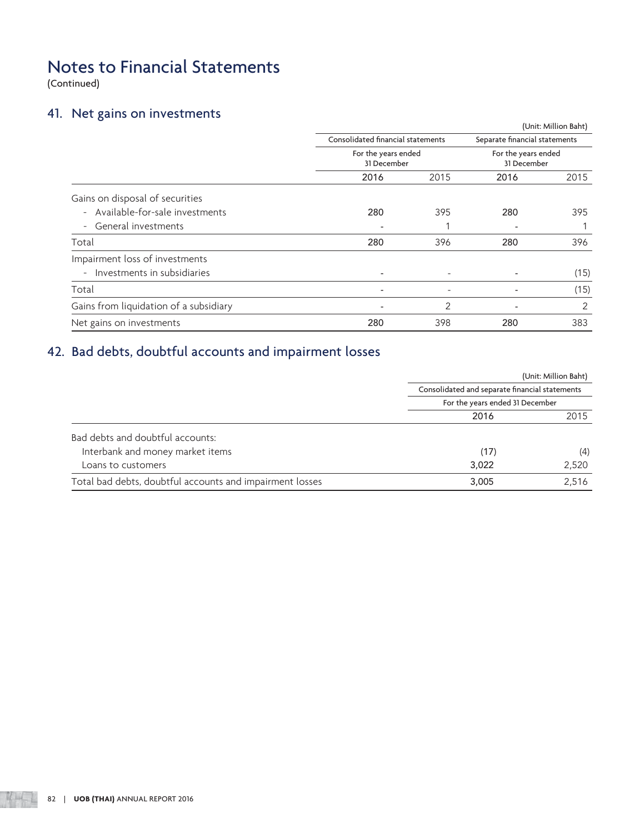(Continued)

### 41. Net gains on investments

|                                        |                          |                                   |             | (Unit: Million Baht) |  |
|----------------------------------------|--------------------------|-----------------------------------|-------------|----------------------|--|
|                                        |                          | Consolidated financial statements |             |                      |  |
|                                        | For the years ended      |                                   |             | For the years ended  |  |
|                                        | 31 December              |                                   | 31 December |                      |  |
|                                        | 2016                     | 2015                              | 2016        | 2015                 |  |
| Gains on disposal of securities        |                          |                                   |             |                      |  |
| - Available-for-sale investments       | 280                      | 395                               | 280         | 395                  |  |
| - General investments                  |                          |                                   |             |                      |  |
| Total                                  | 280                      | 396                               | 280         | 396                  |  |
| Impairment loss of investments         |                          |                                   |             |                      |  |
| - Investments in subsidiaries          |                          |                                   |             | (15)                 |  |
| Total                                  | $\overline{\phantom{a}}$ | -                                 |             | (15)                 |  |
| Gains from liquidation of a subsidiary |                          | 2                                 | ٠           | 2                    |  |
| Net gains on investments               | 280                      | 398                               | 280         | 383                  |  |

# 42. Bad debts, doubtful accounts and impairment losses

|                                                          |                                                | (Unit: Million Baht) |
|----------------------------------------------------------|------------------------------------------------|----------------------|
|                                                          | Consolidated and separate financial statements |                      |
|                                                          | For the years ended 31 December                |                      |
|                                                          | 2016                                           | 2015                 |
| Bad debts and doubtful accounts:                         |                                                |                      |
| Interbank and money market items                         | (17)                                           | (4)                  |
| Loans to customers                                       | 3,022                                          | 2,520                |
| Total bad debts, doubtful accounts and impairment losses | 3,005                                          | 2,516                |
|                                                          |                                                |                      |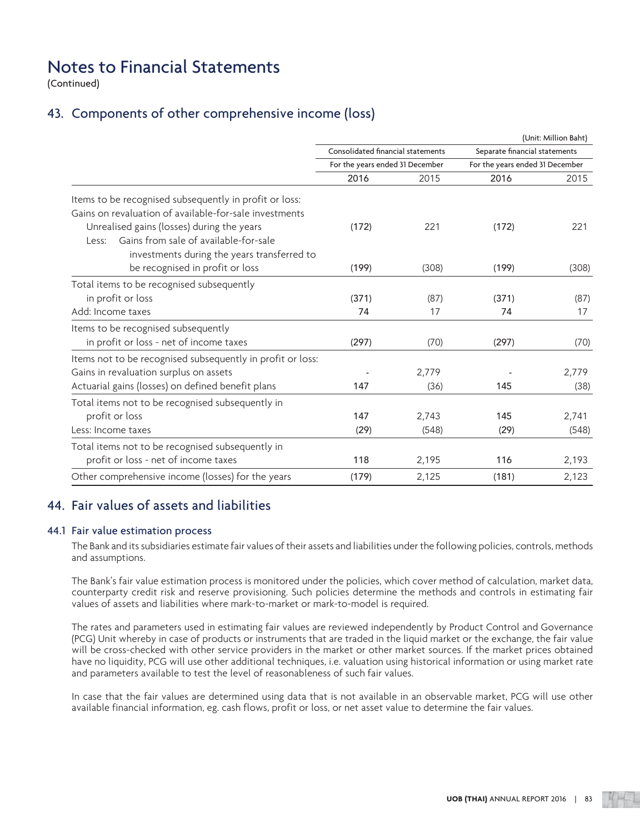(Continued)

### 43. Components of other comprehensive income (loss)

|                                                            |                                   |       |                                 | (Unit: Million Baht) |  |
|------------------------------------------------------------|-----------------------------------|-------|---------------------------------|----------------------|--|
|                                                            | Consolidated financial statements |       | Separate financial statements   |                      |  |
|                                                            | For the years ended 31 December   |       | For the years ended 31 December |                      |  |
|                                                            | 2016                              | 2015  | 2016                            | 2015                 |  |
| Items to be recognised subsequently in profit or loss:     |                                   |       |                                 |                      |  |
| Gains on revaluation of available-for-sale investments     |                                   |       |                                 |                      |  |
| Unrealised gains (losses) during the years                 | (172)                             | 221   | (172)                           | 221                  |  |
| Gains from sale of available-for-sale<br>Less:             |                                   |       |                                 |                      |  |
| investments during the years transferred to                |                                   |       |                                 |                      |  |
| be recognised in profit or loss                            | (199)                             | (308) | (199)                           | (308)                |  |
| Total items to be recognised subsequently                  |                                   |       |                                 |                      |  |
| in profit or loss                                          | (371)                             | (87)  | (371)                           | (87)                 |  |
| Add: Income taxes                                          | 74                                | 17    | 74                              | 17                   |  |
| Items to be recognised subsequently                        |                                   |       |                                 |                      |  |
| in profit or loss - net of income taxes                    | (297)                             | (70)  | (297)                           | (70)                 |  |
| Items not to be recognised subsequently in profit or loss: |                                   |       |                                 |                      |  |
| Gains in revaluation surplus on assets                     |                                   | 2,779 |                                 | 2,779                |  |
| Actuarial gains (losses) on defined benefit plans          | 147                               | (36)  | 145                             | (38)                 |  |
| Total items not to be recognised subsequently in           |                                   |       |                                 |                      |  |
| profit or loss                                             | 147                               | 2,743 | 145                             | 2,741                |  |
| Less: Income taxes                                         | (29)                              | (548) | (29)                            | (548)                |  |
| Total items not to be recognised subsequently in           |                                   |       |                                 |                      |  |
| profit or loss - net of income taxes                       | 118                               | 2,195 | 116                             | 2,193                |  |
| Other comprehensive income (losses) for the years          | (179)                             | 2,125 | (181)                           | 2,123                |  |

### 44. Fair values of assets and liabilities

### 44.1 Fair value estimation process

 The Bank and its subsidiaries estimate fair values of their assets and liabilities under the following policies, controls, methods and assumptions.

 The Bank's fair value estimation process is monitored under the policies, which cover method of calculation, market data, counterparty credit risk and reserve provisioning. Such policies determine the methods and controls in estimating fair values of assets and liabilities where mark-to-market or mark-to-model is required.

 The rates and parameters used in estimating fair values are reviewed independently by Product Control and Governance (PCG) Unit whereby in case of products or instruments that are traded in the liquid market or the exchange, the fair value will be cross-checked with other service providers in the market or other market sources. If the market prices obtained have no liquidity, PCG will use other additional techniques, i.e. valuation using historical information or using market rate and parameters available to test the level of reasonableness of such fair values.

 In case that the fair values are determined using data that is not available in an observable market, PCG will use other available financial information, eg. cash flows, profit or loss, or net asset value to determine the fair values.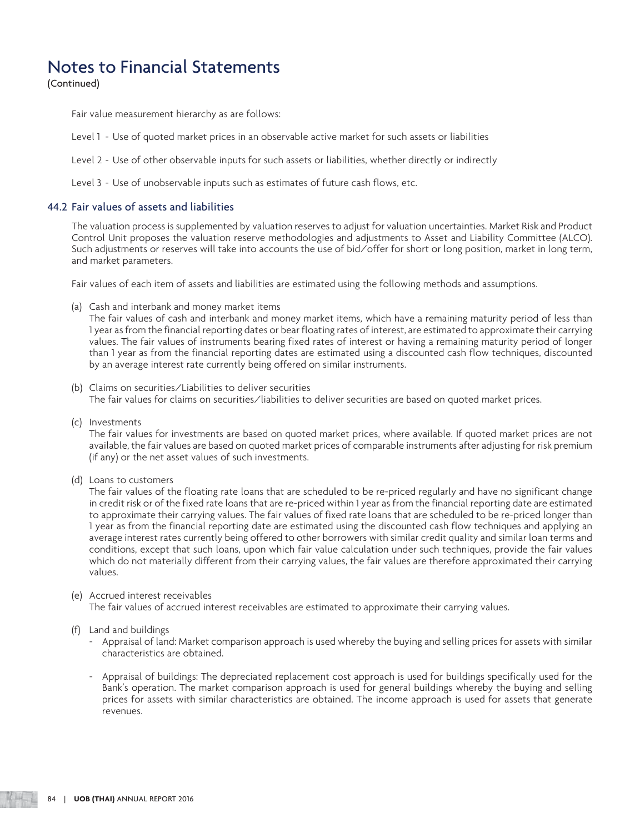(Continued)

Fair value measurement hierarchy as are follows:

- Level 1 Use of quoted market prices in an observable active market for such assets or liabilities
- Level 2 Use of other observable inputs for such assets or liabilities, whether directly or indirectly
- Level 3 Use of unobservable inputs such as estimates of future cash flows, etc.

### 44.2 Fair values of assets and liabilities

 The valuation process is supplemented by valuation reserves to adjust for valuation uncertainties. Market Risk and Product Control Unit proposes the valuation reserve methodologies and adjustments to Asset and Liability Committee (ALCO). Such adjustments or reserves will take into accounts the use of bid/offer for short or long position, market in long term, and market parameters.

Fair values of each item of assets and liabilities are estimated using the following methods and assumptions.

(a) Cash and interbank and money market items

 The fair values of cash and interbank and money market items, which have a remaining maturity period of less than 1 year as from the financial reporting dates or bear floating rates of interest, are estimated to approximate their carrying values. The fair values of instruments bearing fixed rates of interest or having a remaining maturity period of longer than 1 year as from the financial reporting dates are estimated using a discounted cash flow techniques, discounted by an average interest rate currently being offered on similar instruments.

- (b) Claims on securities/Liabilities to deliver securities The fair values for claims on securities/liabilities to deliver securities are based on quoted market prices.
- (c) Investments

 The fair values for investments are based on quoted market prices, where available. If quoted market prices are not available, the fair values are based on quoted market prices of comparable instruments after adjusting for risk premium (if any) or the net asset values of such investments.

(d) Loans to customers

 The fair values of the floating rate loans that are scheduled to be re-priced regularly and have no significant change in credit risk or of the fixed rate loans that are re-priced within 1 year as from the financial reporting date are estimated to approximate their carrying values. The fair values of fixed rate loans that are scheduled to be re-priced longer than 1 year as from the financial reporting date are estimated using the discounted cash flow techniques and applying an average interest rates currently being offered to other borrowers with similar credit quality and similar loan terms and conditions, except that such loans, upon which fair value calculation under such techniques, provide the fair values which do not materially different from their carrying values, the fair values are therefore approximated their carrying values.

### (e) Accrued interest receivables

The fair values of accrued interest receivables are estimated to approximate their carrying values.

- (f) Land and buildings
	- Appraisal of land: Market comparison approach is used whereby the buying and selling prices for assets with similar characteristics are obtained.
	- Appraisal of buildings: The depreciated replacement cost approach is used for buildings specifically used for the Bank's operation. The market comparison approach is used for general buildings whereby the buying and selling prices for assets with similar characteristics are obtained. The income approach is used for assets that generate revenues.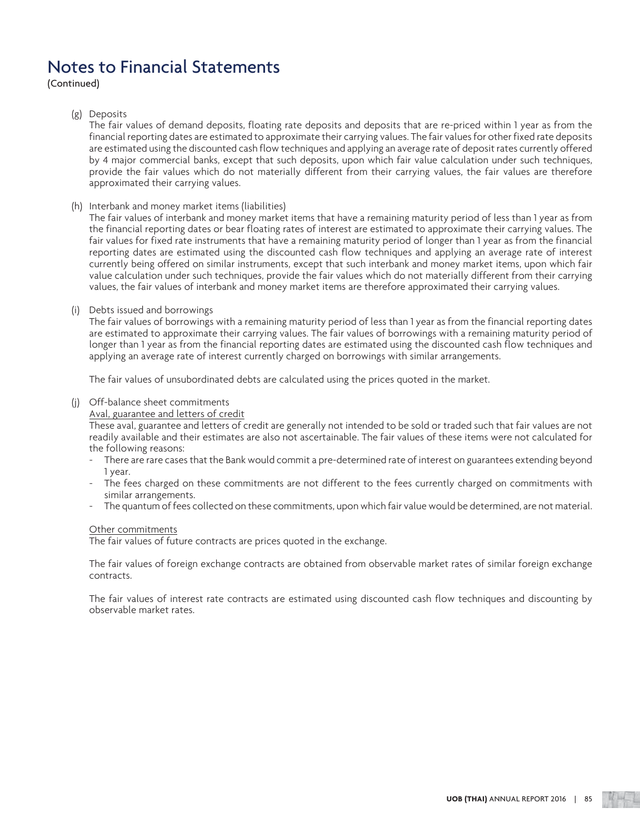(Continued)

### (g) Deposits

 The fair values of demand deposits, floating rate deposits and deposits that are re-priced within 1 year as from the financial reporting dates are estimated to approximate their carrying values. The fair values for other fixed rate deposits are estimated using the discounted cash flow techniques and applying an average rate of deposit rates currently offered by 4 major commercial banks, except that such deposits, upon which fair value calculation under such techniques, provide the fair values which do not materially different from their carrying values, the fair values are therefore approximated their carrying values.

(h) Interbank and money market items (liabilities)

 The fair values of interbank and money market items that have a remaining maturity period of less than 1 year as from the financial reporting dates or bear floating rates of interest are estimated to approximate their carrying values. The fair values for fixed rate instruments that have a remaining maturity period of longer than 1 year as from the financial reporting dates are estimated using the discounted cash flow techniques and applying an average rate of interest currently being offered on similar instruments, except that such interbank and money market items, upon which fair value calculation under such techniques, provide the fair values which do not materially different from their carrying values, the fair values of interbank and money market items are therefore approximated their carrying values.

(i) Debts issued and borrowings

 The fair values of borrowings with a remaining maturity period of less than 1 year as from the financial reporting dates are estimated to approximate their carrying values. The fair values of borrowings with a remaining maturity period of longer than 1 year as from the financial reporting dates are estimated using the discounted cash flow techniques and applying an average rate of interest currently charged on borrowings with similar arrangements.

The fair values of unsubordinated debts are calculated using the prices quoted in the market.

(j) Off-balance sheet commitments

Aval, guarantee and letters of credit

 These aval, guarantee and letters of credit are generally not intended to be sold or traded such that fair values are not readily available and their estimates are also not ascertainable. The fair values of these items were not calculated for the following reasons:

- There are rare cases that the Bank would commit a pre-determined rate of interest on guarantees extending beyond 1 year.
- The fees charged on these commitments are not different to the fees currently charged on commitments with similar arrangements.
- The quantum of fees collected on these commitments, upon which fair value would be determined, are not material.

### Other commitments

The fair values of future contracts are prices quoted in the exchange.

 The fair values of foreign exchange contracts are obtained from observable market rates of similar foreign exchange contracts.

 The fair values of interest rate contracts are estimated using discounted cash flow techniques and discounting by observable market rates.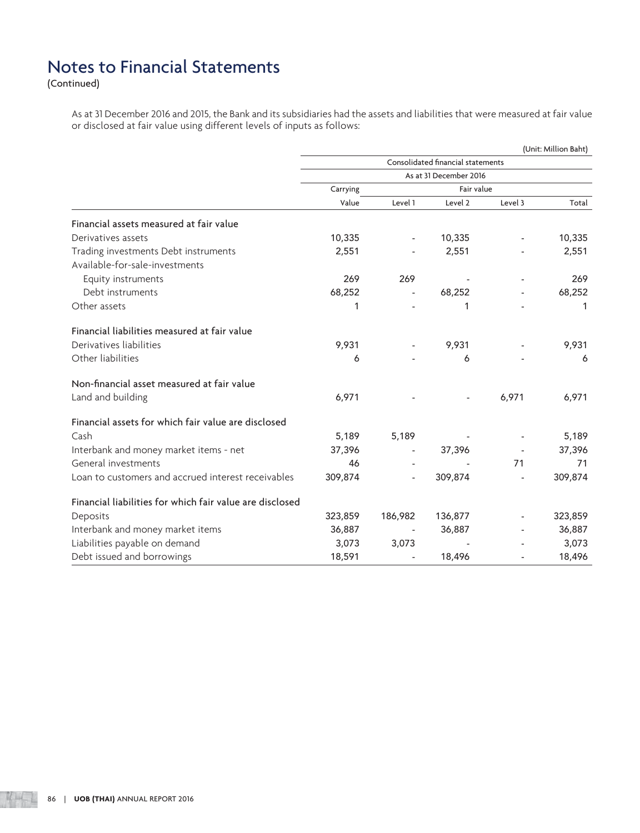(Continued)

 As at 31 December 2016 and 2015, the Bank and its subsidiaries had the assets and liabilities that were measured at fair value or disclosed at fair value using different levels of inputs as follows:

|                                                          | (Unit: Million Baht)              |                          |                          |            |         |  |
|----------------------------------------------------------|-----------------------------------|--------------------------|--------------------------|------------|---------|--|
|                                                          | Consolidated financial statements |                          |                          |            |         |  |
|                                                          | As at 31 December 2016            |                          |                          |            |         |  |
|                                                          | Carrying                          |                          |                          | Fair value |         |  |
|                                                          | Value                             | Level 1                  | Level 2                  | Level 3    | Total   |  |
| Financial assets measured at fair value                  |                                   |                          |                          |            |         |  |
| Derivatives assets                                       | 10,335                            |                          | 10,335                   |            | 10,335  |  |
| Trading investments Debt instruments                     | 2,551                             |                          | 2,551                    |            | 2,551   |  |
| Available-for-sale-investments                           |                                   |                          |                          |            |         |  |
| Equity instruments                                       | 269                               | 269                      |                          |            | 269     |  |
| Debt instruments                                         | 68,252                            |                          | 68,252                   |            | 68,252  |  |
| Other assets                                             | 1                                 |                          | 1                        |            | 1       |  |
| Financial liabilities measured at fair value             |                                   |                          |                          |            |         |  |
| Derivatives liabilities                                  | 9,931                             | $\overline{\phantom{a}}$ | 9,931                    |            | 9,931   |  |
| Other liabilities                                        | 6                                 |                          | 6                        |            | 6       |  |
| Non-financial asset measured at fair value               |                                   |                          |                          |            |         |  |
| Land and building                                        | 6,971                             |                          | $\overline{\phantom{a}}$ | 6,971      | 6,971   |  |
| Financial assets for which fair value are disclosed      |                                   |                          |                          |            |         |  |
| Cash                                                     | 5,189                             | 5,189                    |                          |            | 5,189   |  |
| Interbank and money market items - net                   | 37,396                            |                          | 37,396                   |            | 37,396  |  |
| General investments                                      | 46                                |                          |                          | 71         | 71      |  |
| Loan to customers and accrued interest receivables       | 309,874                           | $\overline{\phantom{0}}$ | 309,874                  |            | 309,874 |  |
| Financial liabilities for which fair value are disclosed |                                   |                          |                          |            |         |  |
| Deposits                                                 | 323,859                           | 186,982                  | 136,877                  |            | 323,859 |  |
| Interbank and money market items                         | 36,887                            |                          | 36,887                   |            | 36,887  |  |
| Liabilities payable on demand                            | 3,073                             | 3,073                    |                          |            | 3,073   |  |
| Debt issued and borrowings                               | 18,591                            |                          | 18,496                   |            | 18,496  |  |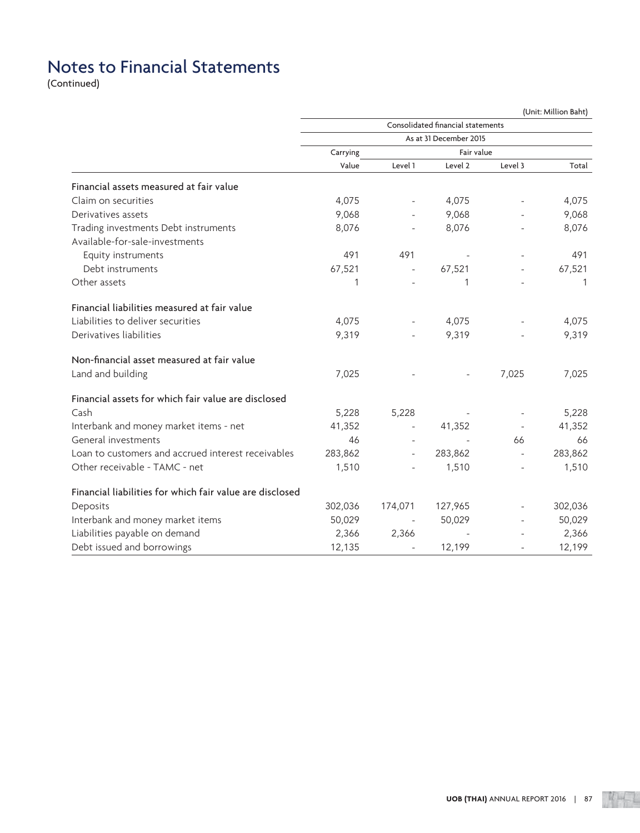(Continued)

|                                                          | (Unit: Million Baht) |                          |                                   |                          |         |  |  |
|----------------------------------------------------------|----------------------|--------------------------|-----------------------------------|--------------------------|---------|--|--|
|                                                          |                      |                          | Consolidated financial statements |                          |         |  |  |
|                                                          |                      |                          | As at 31 December 2015            |                          |         |  |  |
|                                                          | Carrying             |                          | Fair value                        |                          |         |  |  |
|                                                          | Value                | Level 1                  | Level 2                           | Level 3                  | Total   |  |  |
| Financial assets measured at fair value                  |                      |                          |                                   |                          |         |  |  |
| Claim on securities                                      | 4,075                |                          | 4,075                             |                          | 4,075   |  |  |
| Derivatives assets                                       | 9,068                |                          | 9,068                             |                          | 9,068   |  |  |
| Trading investments Debt instruments                     | 8,076                |                          | 8,076                             |                          | 8,076   |  |  |
| Available-for-sale-investments                           |                      |                          |                                   |                          |         |  |  |
| Equity instruments                                       | 491                  | 491                      |                                   |                          | 491     |  |  |
| Debt instruments                                         | 67,521               | $\overline{\phantom{a}}$ | 67,521                            |                          | 67,521  |  |  |
| Other assets                                             | 1                    |                          | 1                                 |                          | 1       |  |  |
| Financial liabilities measured at fair value             |                      |                          |                                   |                          |         |  |  |
| Liabilities to deliver securities                        | 4,075                |                          | 4,075                             |                          | 4,075   |  |  |
| Derivatives liabilities                                  | 9,319                |                          | 9,319                             |                          | 9,319   |  |  |
| Non-financial asset measured at fair value               |                      |                          |                                   |                          |         |  |  |
| Land and building                                        | 7,025                |                          |                                   | 7,025                    | 7,025   |  |  |
| Financial assets for which fair value are disclosed      |                      |                          |                                   |                          |         |  |  |
| Cash                                                     | 5,228                | 5,228                    |                                   |                          | 5,228   |  |  |
| Interbank and money market items - net                   | 41,352               | $\overline{\phantom{a}}$ | 41,352                            | $\overline{\phantom{a}}$ | 41,352  |  |  |
| General investments                                      | 46                   |                          |                                   | 66                       | 66      |  |  |
| Loan to customers and accrued interest receivables       | 283,862              |                          | 283,862                           |                          | 283,862 |  |  |
| Other receivable - TAMC - net                            | 1,510                |                          | 1,510                             |                          | 1,510   |  |  |
| Financial liabilities for which fair value are disclosed |                      |                          |                                   |                          |         |  |  |
| Deposits                                                 | 302,036              | 174,071                  | 127,965                           |                          | 302,036 |  |  |
| Interbank and money market items                         | 50,029               | $\overline{\phantom{a}}$ | 50,029                            |                          | 50,029  |  |  |
| Liabilities payable on demand                            | 2,366                | 2,366                    |                                   |                          | 2,366   |  |  |
| Debt issued and borrowings                               | 12,135               |                          | 12,199                            |                          | 12,199  |  |  |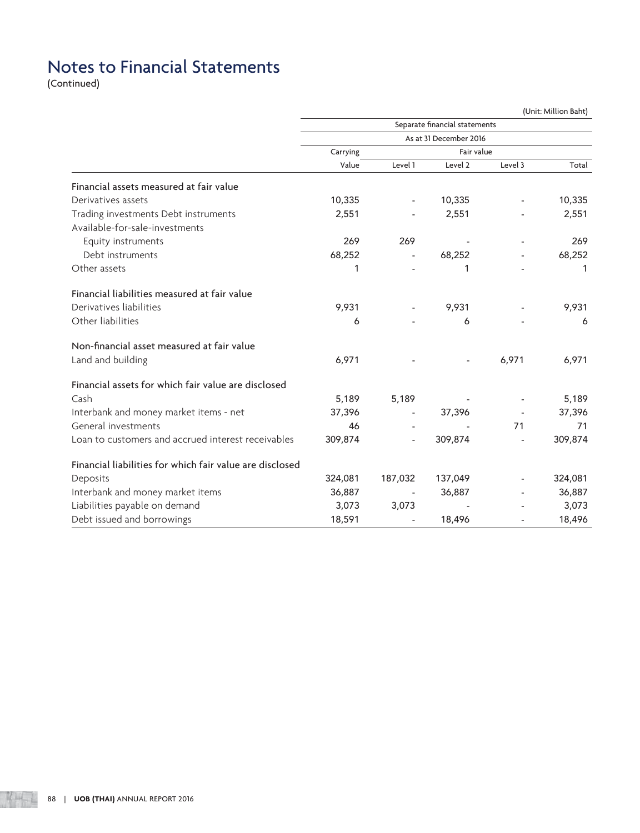(Continued)

|                                                          | (Unit: Million Baht) |                          |                               |                          |         |  |
|----------------------------------------------------------|----------------------|--------------------------|-------------------------------|--------------------------|---------|--|
|                                                          |                      |                          | Separate financial statements |                          |         |  |
|                                                          |                      |                          | As at 31 December 2016        |                          |         |  |
|                                                          | Carrying             |                          | Fair value                    |                          |         |  |
|                                                          | Value                | Level 1                  | Level 2                       | Level 3                  | Total   |  |
| Financial assets measured at fair value                  |                      |                          |                               |                          |         |  |
| Derivatives assets                                       | 10,335               | $\blacksquare$           | 10,335                        |                          | 10,335  |  |
| Trading investments Debt instruments                     | 2,551                |                          | 2,551                         |                          | 2,551   |  |
| Available-for-sale-investments                           |                      |                          |                               |                          |         |  |
| Equity instruments                                       | 269                  | 269                      |                               |                          | 269     |  |
| Debt instruments                                         | 68,252               | $\overline{\phantom{a}}$ | 68,252                        |                          | 68,252  |  |
| Other assets                                             | 1                    |                          | 1                             |                          | 1       |  |
| Financial liabilities measured at fair value             |                      |                          |                               |                          |         |  |
| Derivatives liabilities                                  | 9,931                |                          | 9,931                         |                          | 9,931   |  |
| Other liabilities                                        | 6                    |                          | 6                             |                          | 6       |  |
| Non-financial asset measured at fair value               |                      |                          |                               |                          |         |  |
| Land and building                                        | 6,971                |                          |                               | 6,971                    | 6,971   |  |
| Financial assets for which fair value are disclosed      |                      |                          |                               |                          |         |  |
| Cash                                                     | 5,189                | 5,189                    |                               |                          | 5,189   |  |
| Interbank and money market items - net                   | 37,396               | $\overline{\phantom{a}}$ | 37,396                        | $\overline{\phantom{a}}$ | 37,396  |  |
| General investments                                      | 46                   |                          |                               | 71                       | 71      |  |
| Loan to customers and accrued interest receivables       | 309,874              |                          | 309,874                       |                          | 309,874 |  |
| Financial liabilities for which fair value are disclosed |                      |                          |                               |                          |         |  |
| Deposits                                                 | 324,081              | 187,032                  | 137,049                       |                          | 324,081 |  |
| Interbank and money market items                         | 36,887               | $\overline{\phantom{a}}$ | 36,887                        | $\overline{\phantom{a}}$ | 36,887  |  |
| Liabilities payable on demand                            | 3,073                | 3,073                    |                               |                          | 3,073   |  |
| Debt issued and borrowings                               | 18,591               | $\overline{\phantom{a}}$ | 18,496                        | ÷,                       | 18,496  |  |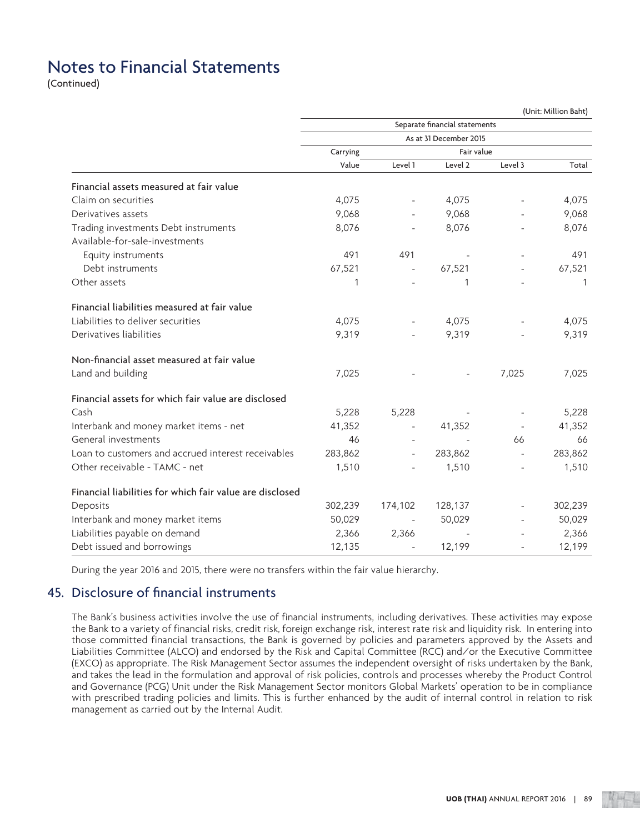(Continued)

|                                                          | (Unit: Million Baht) |         |                               |                          |         |  |  |
|----------------------------------------------------------|----------------------|---------|-------------------------------|--------------------------|---------|--|--|
|                                                          |                      |         | Separate financial statements |                          |         |  |  |
|                                                          |                      |         | As at 31 December 2015        |                          |         |  |  |
|                                                          | Carrying             |         | Fair value                    |                          |         |  |  |
|                                                          | Value                | Level 1 | Level 2                       | Level 3                  | Total   |  |  |
| Financial assets measured at fair value                  |                      |         |                               |                          |         |  |  |
| Claim on securities                                      | 4,075                |         | 4,075                         |                          | 4,075   |  |  |
| Derivatives assets                                       | 9,068                |         | 9,068                         |                          | 9,068   |  |  |
| Trading investments Debt instruments                     | 8,076                |         | 8,076                         |                          | 8,076   |  |  |
| Available-for-sale-investments                           |                      |         |                               |                          |         |  |  |
| Equity instruments                                       | 491                  | 491     |                               |                          | 491     |  |  |
| Debt instruments                                         | 67,521               |         | 67,521                        |                          | 67,521  |  |  |
| Other assets                                             | 1                    |         | 1                             |                          | 1       |  |  |
| Financial liabilities measured at fair value             |                      |         |                               |                          |         |  |  |
| Liabilities to deliver securities                        | 4,075                |         | 4,075                         |                          | 4,075   |  |  |
| Derivatives liabilities                                  | 9,319                |         | 9,319                         |                          | 9,319   |  |  |
| Non-financial asset measured at fair value               |                      |         |                               |                          |         |  |  |
| Land and building                                        | 7,025                |         |                               | 7,025                    | 7,025   |  |  |
| Financial assets for which fair value are disclosed      |                      |         |                               |                          |         |  |  |
| Cash                                                     | 5,228                | 5,228   |                               |                          | 5,228   |  |  |
| Interbank and money market items - net                   | 41,352               |         | 41,352                        | $\overline{\phantom{a}}$ | 41,352  |  |  |
| General investments                                      | 46                   |         |                               | 66                       | 66      |  |  |
| Loan to customers and accrued interest receivables       | 283,862              |         | 283,862                       | $\overline{\phantom{a}}$ | 283,862 |  |  |
| Other receivable - TAMC - net                            | 1,510                |         | 1,510                         |                          | 1,510   |  |  |
| Financial liabilities for which fair value are disclosed |                      |         |                               |                          |         |  |  |
| Deposits                                                 | 302,239              | 174,102 | 128,137                       |                          | 302,239 |  |  |
| Interbank and money market items                         | 50,029               |         | 50,029                        |                          | 50,029  |  |  |
| Liabilities payable on demand                            | 2,366                | 2,366   |                               |                          | 2,366   |  |  |
| Debt issued and borrowings                               | 12,135               |         | 12,199                        |                          | 12,199  |  |  |

During the year 2016 and 2015, there were no transfers within the fair value hierarchy.

### 45. Disclosure of financial instruments

 The Bank's business activities involve the use of financial instruments, including derivatives. These activities may expose the Bank to a variety of financial risks, credit risk, foreign exchange risk, interest rate risk and liquidity risk. In entering into those committed financial transactions, the Bank is governed by policies and parameters approved by the Assets and Liabilities Committee (ALCO) and endorsed by the Risk and Capital Committee (RCC) and/or the Executive Committee (EXCO) as appropriate. The Risk Management Sector assumes the independent oversight of risks undertaken by the Bank, and takes the lead in the formulation and approval of risk policies, controls and processes whereby the Product Control and Governance (PCG) Unit under the Risk Management Sector monitors Global Markets' operation to be in compliance with prescribed trading policies and limits. This is further enhanced by the audit of internal control in relation to risk management as carried out by the Internal Audit.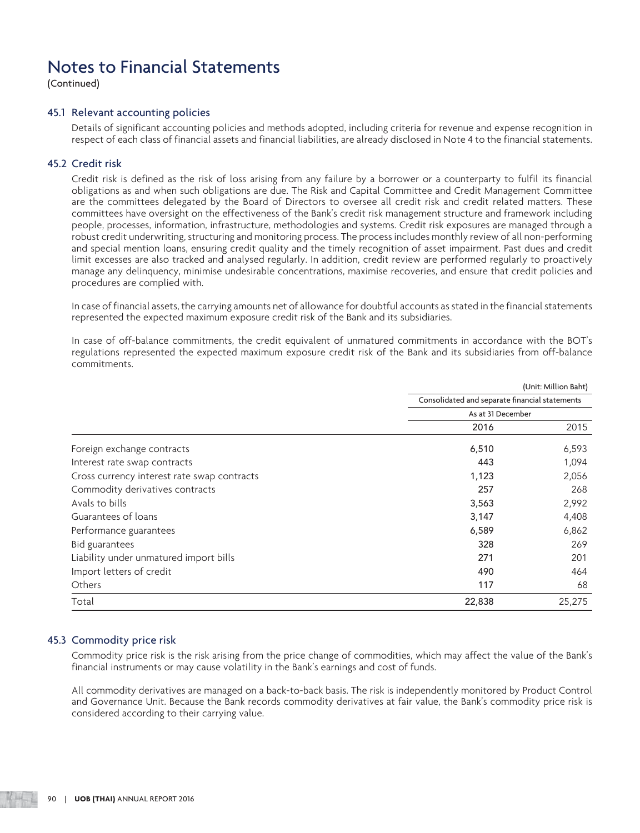(Continued)

### 45.1 Relevant accounting policies

 Details of significant accounting policies and methods adopted, including criteria for revenue and expense recognition in respect of each class of financial assets and financial liabilities, are already disclosed in Note 4 to the financial statements.

### 45.2 Credit risk

 Credit risk is defined as the risk of loss arising from any failure by a borrower or a counterparty to fulfil its financial obligations as and when such obligations are due. The Risk and Capital Committee and Credit Management Committee are the committees delegated by the Board of Directors to oversee all credit risk and credit related matters. These committees have oversight on the effectiveness of the Bank's credit risk management structure and framework including people, processes, information, infrastructure, methodologies and systems. Credit risk exposures are managed through a robust credit underwriting, structuring and monitoring process. The process includes monthly review of all non-performing and special mention loans, ensuring credit quality and the timely recognition of asset impairment. Past dues and credit limit excesses are also tracked and analysed regularly. In addition, credit review are performed regularly to proactively manage any delinquency, minimise undesirable concentrations, maximise recoveries, and ensure that credit policies and procedures are complied with.

 In case of financial assets, the carrying amounts net of allowance for doubtful accounts as stated in the financial statements represented the expected maximum exposure credit risk of the Bank and its subsidiaries.

 In case of off-balance commitments, the credit equivalent of unmatured commitments in accordance with the BOT's regulations represented the expected maximum exposure credit risk of the Bank and its subsidiaries from off-balance commitments.

|                                             |                                                | (Unit: Million Baht) |
|---------------------------------------------|------------------------------------------------|----------------------|
|                                             | Consolidated and separate financial statements |                      |
|                                             | As at 31 December                              |                      |
|                                             | 2016                                           | 2015                 |
| Foreign exchange contracts                  | 6,510                                          | 6,593                |
| Interest rate swap contracts                | 443                                            | 1,094                |
| Cross currency interest rate swap contracts | 1,123                                          | 2,056                |
| Commodity derivatives contracts             | 257                                            | 268                  |
| Avals to bills                              | 3,563                                          | 2,992                |
| Guarantees of loans                         | 3,147                                          | 4,408                |
| Performance guarantees                      | 6,589                                          | 6,862                |
| Bid guarantees                              | 328                                            | 269                  |
| Liability under unmatured import bills      | 271                                            | 201                  |
| Import letters of credit                    | 490                                            | 464                  |
| <b>Others</b>                               | 117                                            | 68                   |
| Total                                       | 22,838                                         | 25,275               |

### 45.3 Commodity price risk

 Commodity price risk is the risk arising from the price change of commodities, which may affect the value of the Bank's financial instruments or may cause volatility in the Bank's earnings and cost of funds.

 All commodity derivatives are managed on a back-to-back basis. The risk is independently monitored by Product Control and Governance Unit. Because the Bank records commodity derivatives at fair value, the Bank's commodity price risk is considered according to their carrying value.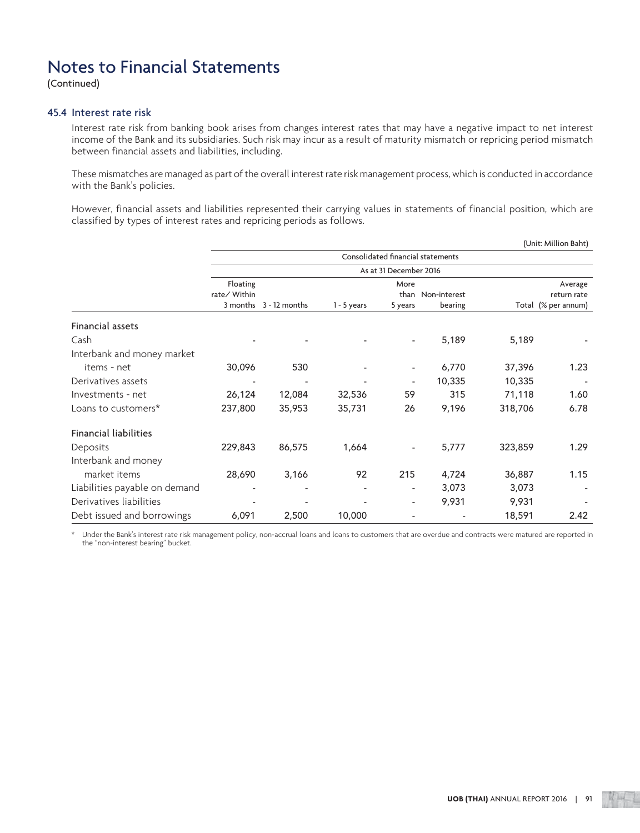(Continued)

### 45.4 Interest rate risk

 Interest rate risk from banking book arises from changes interest rates that may have a negative impact to net interest income of the Bank and its subsidiaries. Such risk may incur as a result of maturity mismatch or repricing period mismatch between financial assets and liabilities, including.

 These mismatches are managed as part of the overall interest rate risk management process, which is conducted in accordance with the Bank's policies.

 However, financial assets and liabilities represented their carrying values in statements of financial position, which are classified by types of interest rates and repricing periods as follows.

|                               | (Unit: Million Baht)     |                        |               |                          |                                   |         |                     |  |  |  |
|-------------------------------|--------------------------|------------------------|---------------|--------------------------|-----------------------------------|---------|---------------------|--|--|--|
|                               |                          |                        |               |                          | Consolidated financial statements |         |                     |  |  |  |
|                               |                          |                        |               | As at 31 December 2016   |                                   |         |                     |  |  |  |
|                               | Floating                 |                        |               | More                     |                                   |         | Average             |  |  |  |
|                               | rate/ Within             |                        |               |                          | than Non-interest                 |         | return rate         |  |  |  |
|                               |                          | 3 months 3 - 12 months | $1 - 5$ years | 5 years                  | bearing                           |         | Total (% per annum) |  |  |  |
| Financial assets              |                          |                        |               |                          |                                   |         |                     |  |  |  |
| Cash                          |                          |                        |               | $\overline{\phantom{a}}$ | 5,189                             | 5,189   |                     |  |  |  |
| Interbank and money market    |                          |                        |               |                          |                                   |         |                     |  |  |  |
| items - net                   | 30,096                   | 530                    |               | $\overline{\phantom{a}}$ | 6,770                             | 37,396  | 1.23                |  |  |  |
| Derivatives assets            | $\overline{\phantom{a}}$ |                        |               | $\overline{\phantom{a}}$ | 10,335                            | 10,335  |                     |  |  |  |
| Investments - net             | 26,124                   | 12,084                 | 32,536        | 59                       | 315                               | 71,118  | 1.60                |  |  |  |
| Loans to customers*           | 237,800                  | 35,953                 | 35,731        | 26                       | 9,196                             | 318,706 | 6.78                |  |  |  |
| <b>Financial liabilities</b>  |                          |                        |               |                          |                                   |         |                     |  |  |  |
| Deposits                      | 229,843                  | 86,575                 | 1,664         |                          | 5,777                             | 323,859 | 1.29                |  |  |  |
| Interbank and money           |                          |                        |               |                          |                                   |         |                     |  |  |  |
| market items                  | 28,690                   | 3,166                  | 92            | 215                      | 4,724                             | 36,887  | 1.15                |  |  |  |
| Liabilities payable on demand |                          |                        |               | $\overline{\phantom{a}}$ | 3,073                             | 3,073   |                     |  |  |  |
| Derivatives liabilities       |                          |                        |               | $\overline{\phantom{a}}$ | 9,931                             | 9,931   |                     |  |  |  |
| Debt issued and borrowings    | 6,091                    | 2,500                  | 10,000        |                          |                                   | 18,591  | 2.42                |  |  |  |

Under the Bank's interest rate risk management policy, non-accrual loans and loans to customers that are overdue and contracts were matured are reported in the "non-interest bearing" bucket.

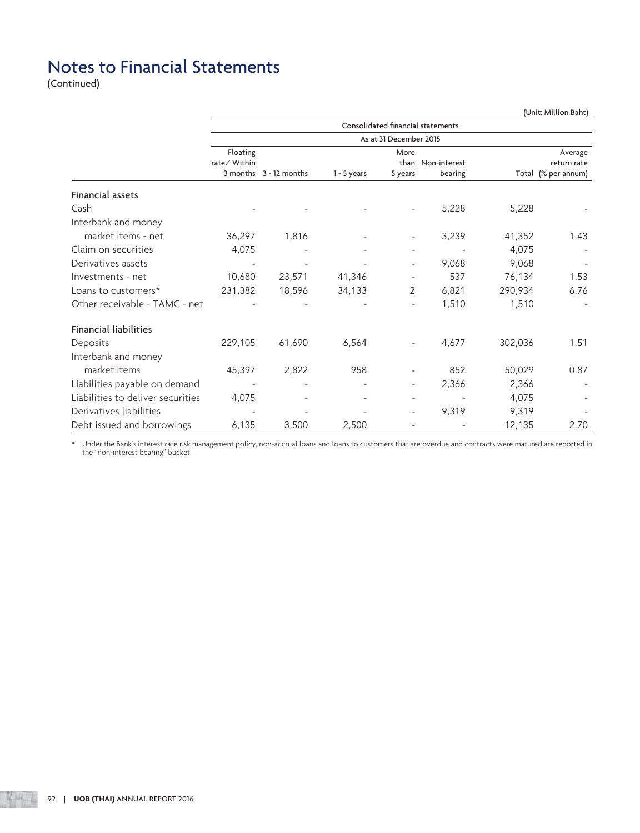(Continued)

|                                   | (Unit: Million Baht)     |                        |               |                                   |                   |         |                        |  |  |  |
|-----------------------------------|--------------------------|------------------------|---------------|-----------------------------------|-------------------|---------|------------------------|--|--|--|
|                                   |                          |                        |               | Consolidated financial statements |                   |         |                        |  |  |  |
|                                   |                          |                        |               | As at 31 December 2015            |                   |         |                        |  |  |  |
|                                   | Floating<br>rate/ Within |                        |               | More                              | than Non-interest |         | Average<br>return rate |  |  |  |
|                                   |                          | 3 months 3 - 12 months | $1 - 5$ years | 5 years                           | bearing           |         | Total (% per annum)    |  |  |  |
| Financial assets                  |                          |                        |               |                                   |                   |         |                        |  |  |  |
| Cash                              |                          |                        |               |                                   | 5,228             | 5,228   |                        |  |  |  |
| Interbank and money               |                          |                        |               |                                   |                   |         |                        |  |  |  |
| market items - net                | 36,297                   | 1,816                  |               | $\overline{\phantom{a}}$          | 3,239             | 41,352  | 1.43                   |  |  |  |
| Claim on securities               | 4,075                    |                        |               | $\overline{\phantom{a}}$          |                   | 4,075   |                        |  |  |  |
| Derivatives assets                |                          |                        |               | $\overline{\phantom{a}}$          | 9,068             | 9,068   |                        |  |  |  |
| Investments - net                 | 10,680                   | 23,571                 | 41,346        |                                   | 537               | 76,134  | 1.53                   |  |  |  |
| Loans to customers*               | 231,382                  | 18,596                 | 34,133        | 2                                 | 6,821             | 290,934 | 6.76                   |  |  |  |
| Other receivable - TAMC - net     |                          |                        |               | $\overline{\phantom{a}}$          | 1,510             | 1,510   |                        |  |  |  |
| <b>Financial liabilities</b>      |                          |                        |               |                                   |                   |         |                        |  |  |  |
| Deposits                          | 229,105                  | 61,690                 | 6,564         |                                   | 4,677             | 302,036 | 1.51                   |  |  |  |
| Interbank and money               |                          |                        |               |                                   |                   |         |                        |  |  |  |
| market items                      | 45,397                   | 2,822                  | 958           |                                   | 852               | 50,029  | 0.87                   |  |  |  |
| Liabilities payable on demand     |                          |                        |               | $\overline{\phantom{a}}$          | 2,366             | 2,366   |                        |  |  |  |
| Liabilities to deliver securities | 4,075                    |                        |               | $\overline{\phantom{a}}$          |                   | 4,075   |                        |  |  |  |
| Derivatives liabilities           |                          |                        |               |                                   | 9,319             | 9,319   |                        |  |  |  |
| Debt issued and borrowings        | 6,135                    | 3,500                  | 2,500         |                                   |                   | 12,135  | 2.70                   |  |  |  |

 \* Under the Bank's interest rate risk management policy, non-accrual loans and loans to customers that are overdue and contracts were matured are reported in the "non-interest bearing" bucket.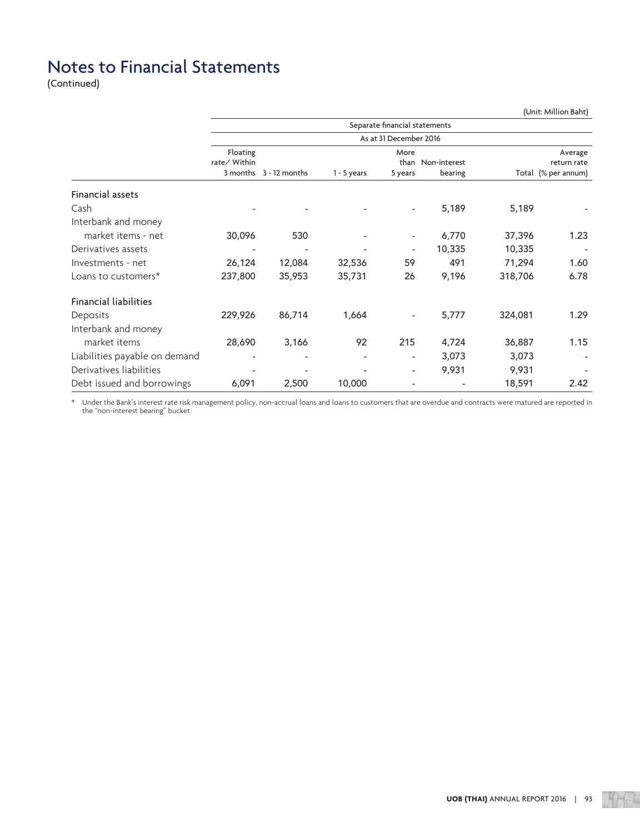(Continued)

|                               | (Unit: Million Baht) |                        |               |                               |                   |         |                     |  |  |  |
|-------------------------------|----------------------|------------------------|---------------|-------------------------------|-------------------|---------|---------------------|--|--|--|
|                               |                      |                        |               | Separate financial statements |                   |         |                     |  |  |  |
|                               |                      |                        |               | As at 31 December 2016        |                   |         |                     |  |  |  |
|                               | Floating             |                        |               | More                          |                   |         | Average             |  |  |  |
|                               | rate/ Within         | 3 months 3 - 12 months |               |                               | than Non-interest |         | return rate         |  |  |  |
|                               |                      |                        | $1 - 5$ years | 5 years                       | bearing           |         | Total (% per annum) |  |  |  |
| Financial assets              |                      |                        |               |                               |                   |         |                     |  |  |  |
| Cash                          |                      |                        |               |                               | 5,189             | 5,189   |                     |  |  |  |
| Interbank and money           |                      |                        |               |                               |                   |         |                     |  |  |  |
| market items - net            | 30,096               | 530                    |               |                               | 6,770             | 37,396  | 1.23                |  |  |  |
| Derivatives assets            |                      |                        |               | $\overline{a}$                | 10,335            | 10,335  |                     |  |  |  |
| Investments - net             | 26,124               | 12,084                 | 32,536        | 59                            | 491               | 71,294  | 1.60                |  |  |  |
| Loans to customers*           | 237,800              | 35,953                 | 35,731        | 26                            | 9,196             | 318,706 | 6.78                |  |  |  |
| <b>Financial liabilities</b>  |                      |                        |               |                               |                   |         |                     |  |  |  |
| Deposits                      | 229,926              | 86,714                 | 1,664         |                               | 5,777             | 324,081 | 1.29                |  |  |  |
| Interbank and money           |                      |                        |               |                               |                   |         |                     |  |  |  |
| market items                  | 28,690               | 3,166                  | 92            | 215                           | 4,724             | 36,887  | 1.15                |  |  |  |
| Liabilities payable on demand |                      |                        |               | $\overline{\phantom{a}}$      | 3,073             | 3,073   |                     |  |  |  |
| Derivatives liabilities       |                      |                        |               | $\overline{\phantom{a}}$      | 9,931             | 9,931   |                     |  |  |  |
| Debt issued and borrowings    | 6,091                | 2,500                  | 10,000        |                               |                   | 18,591  | 2.42                |  |  |  |

 \* Under the Bank's interest rate risk management policy, non-accrual loans and loans to customers that are overdue and contracts were matured are reported in the "non-interest bearing" bucket.

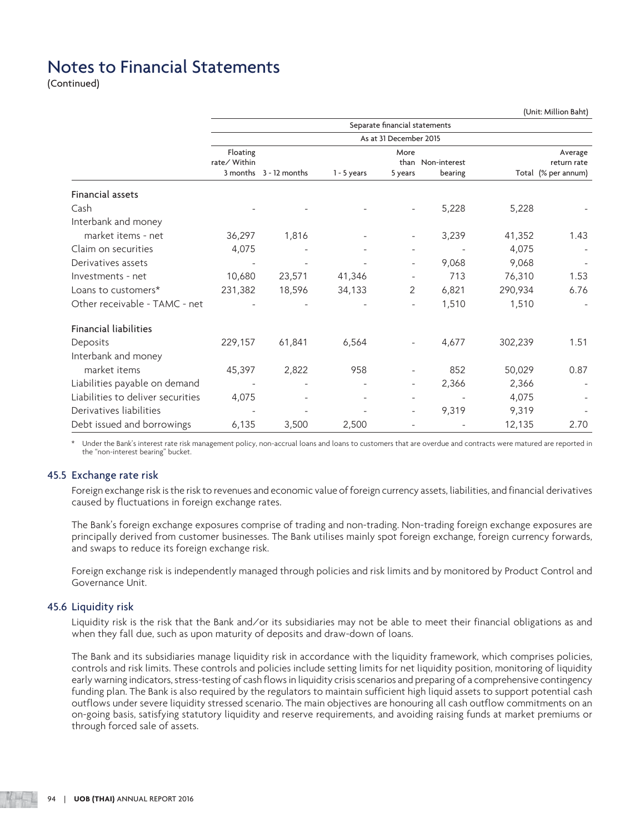(Continued)

|                                   | (Unit: Million Baht)     |                        |               |                               |                   |         |                        |  |  |  |  |
|-----------------------------------|--------------------------|------------------------|---------------|-------------------------------|-------------------|---------|------------------------|--|--|--|--|
|                                   |                          |                        |               | Separate financial statements |                   |         |                        |  |  |  |  |
|                                   |                          | As at 31 December 2015 |               |                               |                   |         |                        |  |  |  |  |
|                                   | Floating<br>rate/ Within |                        |               | More                          | than Non-interest |         | Average<br>return rate |  |  |  |  |
|                                   |                          | 3 months 3 - 12 months | $1 - 5$ years | 5 years                       | bearing           |         | Total (% per annum)    |  |  |  |  |
| Financial assets                  |                          |                        |               |                               |                   |         |                        |  |  |  |  |
| Cash                              |                          |                        |               |                               | 5,228             | 5,228   |                        |  |  |  |  |
| Interbank and money               |                          |                        |               |                               |                   |         |                        |  |  |  |  |
| market items - net                | 36,297                   | 1,816                  |               | $\overline{\phantom{a}}$      | 3,239             | 41,352  | 1.43                   |  |  |  |  |
| Claim on securities               | 4,075                    |                        |               | $\overline{\phantom{a}}$      |                   | 4,075   |                        |  |  |  |  |
| Derivatives assets                |                          |                        |               | $\overline{\phantom{a}}$      | 9,068             | 9,068   |                        |  |  |  |  |
| Investments - net                 | 10,680                   | 23,571                 | 41,346        |                               | 713               | 76,310  | 1.53                   |  |  |  |  |
| Loans to customers*               | 231,382                  | 18,596                 | 34,133        | $\overline{2}$                | 6,821             | 290,934 | 6.76                   |  |  |  |  |
| Other receivable - TAMC - net     |                          |                        |               | $\overline{\phantom{a}}$      | 1,510             | 1,510   |                        |  |  |  |  |
| <b>Financial liabilities</b>      |                          |                        |               |                               |                   |         |                        |  |  |  |  |
| Deposits                          | 229,157                  | 61,841                 | 6,564         |                               | 4,677             | 302,239 | 1.51                   |  |  |  |  |
| Interbank and money               |                          |                        |               |                               |                   |         |                        |  |  |  |  |
| market items                      | 45,397                   | 2,822                  | 958           |                               | 852               | 50,029  | 0.87                   |  |  |  |  |
| Liabilities payable on demand     |                          |                        |               | $\overline{\phantom{a}}$      | 2,366             | 2,366   |                        |  |  |  |  |
| Liabilities to deliver securities | 4,075                    |                        |               | $\overline{\phantom{a}}$      |                   | 4,075   |                        |  |  |  |  |
| Derivatives liabilities           |                          |                        |               |                               | 9,319             | 9,319   |                        |  |  |  |  |
| Debt issued and borrowings        | 6,135                    | 3,500                  | 2,500         |                               |                   | 12,135  | 2.70                   |  |  |  |  |

Under the Bank's interest rate risk management policy, non-accrual loans and loans to customers that are overdue and contracts were matured are reported in the "non-interest bearing" bucket.

### 45.5 Exchange rate risk

 Foreign exchange risk is the risk to revenues and economic value of foreign currency assets, liabilities, and financial derivatives caused by fluctuations in foreign exchange rates.

 The Bank's foreign exchange exposures comprise of trading and non-trading. Non-trading foreign exchange exposures are principally derived from customer businesses. The Bank utilises mainly spot foreign exchange, foreign currency forwards, and swaps to reduce its foreign exchange risk.

 Foreign exchange risk is independently managed through policies and risk limits and by monitored by Product Control and Governance Unit.

### 45.6 Liquidity risk

 Liquidity risk is the risk that the Bank and/or its subsidiaries may not be able to meet their financial obligations as and when they fall due, such as upon maturity of deposits and draw-down of loans.

 The Bank and its subsidiaries manage liquidity risk in accordance with the liquidity framework, which comprises policies, controls and risk limits. These controls and policies include setting limits for net liquidity position, monitoring of liquidity early warning indicators, stress-testing of cash flows in liquidity crisis scenarios and preparing of a comprehensive contingency funding plan. The Bank is also required by the regulators to maintain sufficient high liquid assets to support potential cash outflows under severe liquidity stressed scenario. The main objectives are honouring all cash outflow commitments on an on-going basis, satisfying statutory liquidity and reserve requirements, and avoiding raising funds at market premiums or through forced sale of assets.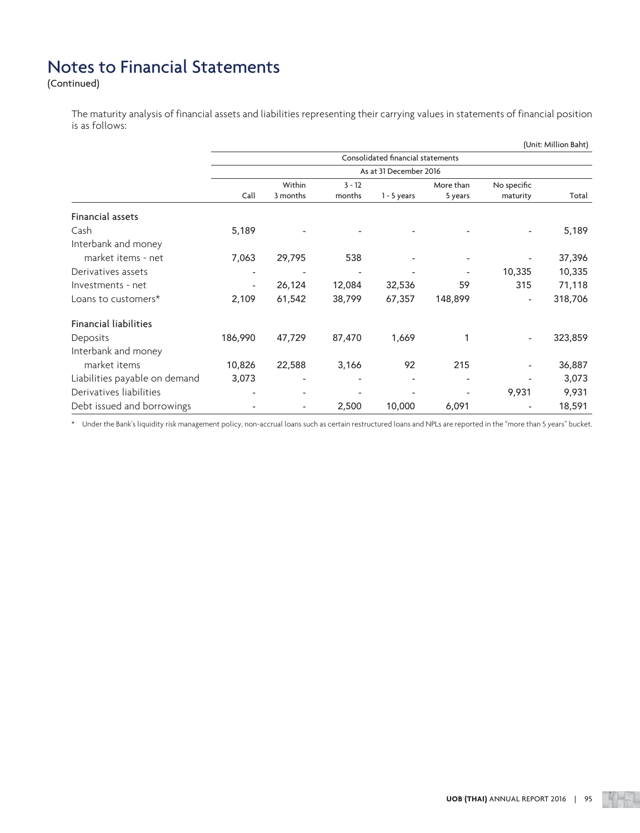(Continued)

 The maturity analysis of financial assets and liabilities representing their carrying values in statements of financial position is as follows:

|                               | (Unit: Million Baht) |                          |          |                                   |           |                          |         |  |  |  |
|-------------------------------|----------------------|--------------------------|----------|-----------------------------------|-----------|--------------------------|---------|--|--|--|
|                               |                      |                          |          | Consolidated financial statements |           |                          |         |  |  |  |
|                               |                      |                          |          | As at 31 December 2016            |           |                          |         |  |  |  |
|                               |                      | Within                   | $3 - 12$ |                                   | More than | No specific              |         |  |  |  |
|                               | Call                 | 3 months                 | months   | $1 - 5$ years                     | 5 years   | maturity                 | Total   |  |  |  |
| Financial assets              |                      |                          |          |                                   |           |                          |         |  |  |  |
| Cash                          | 5,189                |                          |          |                                   |           |                          | 5,189   |  |  |  |
| Interbank and money           |                      |                          |          |                                   |           |                          |         |  |  |  |
| market items - net            | 7,063                | 29,795                   | 538      |                                   |           |                          | 37,396  |  |  |  |
| Derivatives assets            |                      |                          |          |                                   |           | 10,335                   | 10,335  |  |  |  |
| Investments - net             | -                    | 26,124                   | 12,084   | 32,536                            | 59        | 315                      | 71,118  |  |  |  |
| Loans to customers*           | 2,109                | 61,542                   | 38,799   | 67,357                            | 148,899   | $\overline{\phantom{a}}$ | 318,706 |  |  |  |
| <b>Financial liabilities</b>  |                      |                          |          |                                   |           |                          |         |  |  |  |
| Deposits                      | 186,990              | 47,729                   | 87,470   | 1,669                             | 1         | $\overline{\phantom{a}}$ | 323,859 |  |  |  |
| Interbank and money           |                      |                          |          |                                   |           |                          |         |  |  |  |
| market items                  | 10,826               | 22,588                   | 3,166    | 92                                | 215       | -                        | 36,887  |  |  |  |
| Liabilities payable on demand | 3,073                | $\overline{\phantom{a}}$ |          |                                   |           |                          | 3,073   |  |  |  |
| Derivatives liabilities       |                      |                          |          |                                   |           | 9,931                    | 9,931   |  |  |  |
| Debt issued and borrowings    |                      | $\overline{\phantom{a}}$ | 2,500    | 10,000                            | 6,091     |                          | 18,591  |  |  |  |

\* Under the Bank's liquidity risk management policy, non-accrual loans such as certain restructured loans and NPLs are reported in the "more than 5 years" bucket.

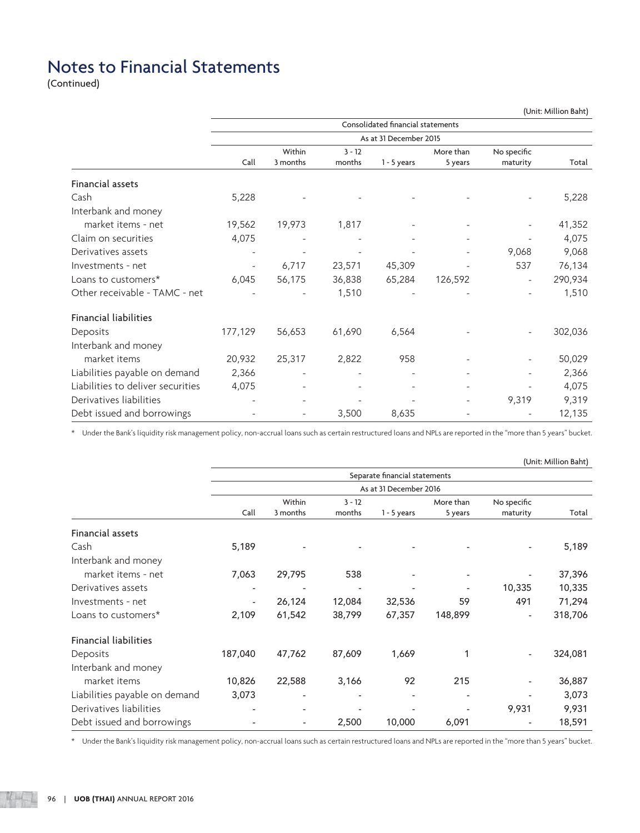(Continued)

|                                   | (Unit: Million Baht)     |                          |          |                                   |           |                          |         |  |  |  |
|-----------------------------------|--------------------------|--------------------------|----------|-----------------------------------|-----------|--------------------------|---------|--|--|--|
|                                   |                          |                          |          | Consolidated financial statements |           |                          |         |  |  |  |
|                                   |                          |                          |          | As at 31 December 2015            |           |                          |         |  |  |  |
|                                   |                          | Within                   | $3 - 12$ |                                   | More than | No specific              |         |  |  |  |
|                                   | Call                     | 3 months                 | months   | $1 - 5$ years                     | 5 years   | maturity                 | Total   |  |  |  |
| Financial assets                  |                          |                          |          |                                   |           |                          |         |  |  |  |
| Cash                              | 5,228                    |                          |          |                                   |           |                          | 5,228   |  |  |  |
| Interbank and money               |                          |                          |          |                                   |           |                          |         |  |  |  |
| market items - net                | 19,562                   | 19,973                   | 1,817    |                                   |           |                          | 41,352  |  |  |  |
| Claim on securities               | 4,075                    |                          |          |                                   |           |                          | 4,075   |  |  |  |
| Derivatives assets                |                          |                          |          |                                   |           | 9,068                    | 9,068   |  |  |  |
| Investments - net                 | $\overline{\phantom{a}}$ | 6,717                    | 23,571   | 45,309                            |           | 537                      | 76,134  |  |  |  |
| Loans to customers*               | 6,045                    | 56,175                   | 36,838   | 65,284                            | 126,592   |                          | 290,934 |  |  |  |
| Other receivable - TAMC - net     |                          |                          | 1,510    |                                   |           |                          | 1,510   |  |  |  |
| <b>Financial liabilities</b>      |                          |                          |          |                                   |           |                          |         |  |  |  |
| Deposits                          | 177,129                  | 56,653                   | 61,690   | 6,564                             |           | $\overline{\phantom{a}}$ | 302,036 |  |  |  |
| Interbank and money               |                          |                          |          |                                   |           |                          |         |  |  |  |
| market items                      | 20,932                   | 25,317                   | 2,822    | 958                               |           |                          | 50,029  |  |  |  |
| Liabilities payable on demand     | 2,366                    | $\overline{\phantom{0}}$ |          |                                   |           |                          | 2,366   |  |  |  |
| Liabilities to deliver securities | 4,075                    |                          |          |                                   |           |                          | 4,075   |  |  |  |
| Derivatives liabilities           |                          |                          |          |                                   |           | 9,319                    | 9,319   |  |  |  |
| Debt issued and borrowings        |                          | $\overline{\phantom{a}}$ | 3,500    | 8,635                             |           |                          | 12,135  |  |  |  |

\* Under the Bank's liquidity risk management policy, non-accrual loans such as certain restructured loans and NPLs are reported in the "more than 5 years" bucket.

|                               |                          |                          |          |                               |           |                          | (Unit: Million Baht) |
|-------------------------------|--------------------------|--------------------------|----------|-------------------------------|-----------|--------------------------|----------------------|
|                               |                          |                          |          | Separate financial statements |           |                          |                      |
|                               |                          |                          |          | As at 31 December 2016        |           |                          |                      |
|                               |                          | Within                   | $3 - 12$ |                               | More than | No specific              |                      |
|                               | Call                     | 3 months                 | months   | $1 - 5$ years                 | 5 years   | maturity                 | Total                |
| Financial assets              |                          |                          |          |                               |           |                          |                      |
| Cash                          | 5,189                    |                          |          |                               |           |                          | 5,189                |
| Interbank and money           |                          |                          |          |                               |           |                          |                      |
| market items - net            | 7,063                    | 29,795                   | 538      |                               |           |                          | 37,396               |
| Derivatives assets            |                          |                          |          |                               |           | 10,335                   | 10,335               |
| Investments - net             | $\overline{\phantom{a}}$ | 26,124                   | 12,084   | 32,536                        | 59        | 491                      | 71,294               |
| Loans to customers*           | 2,109                    | 61,542                   | 38,799   | 67,357                        | 148,899   |                          | 318,706              |
| <b>Financial liabilities</b>  |                          |                          |          |                               |           |                          |                      |
| Deposits                      | 187,040                  | 47,762                   | 87,609   | 1,669                         | 1         | $\overline{\phantom{a}}$ | 324,081              |
| Interbank and money           |                          |                          |          |                               |           |                          |                      |
| market items                  | 10,826                   | 22,588                   | 3,166    | 92                            | 215       |                          | 36,887               |
| Liabilities payable on demand | 3,073                    |                          |          |                               |           |                          | 3,073                |
| Derivatives liabilities       |                          |                          |          |                               |           | 9,931                    | 9,931                |
| Debt issued and borrowings    |                          | $\overline{\phantom{a}}$ | 2,500    | 10,000                        | 6,091     |                          | 18,591               |

\* Under the Bank's liquidity risk management policy, non-accrual loans such as certain restructured loans and NPLs are reported in the "more than 5 years" bucket.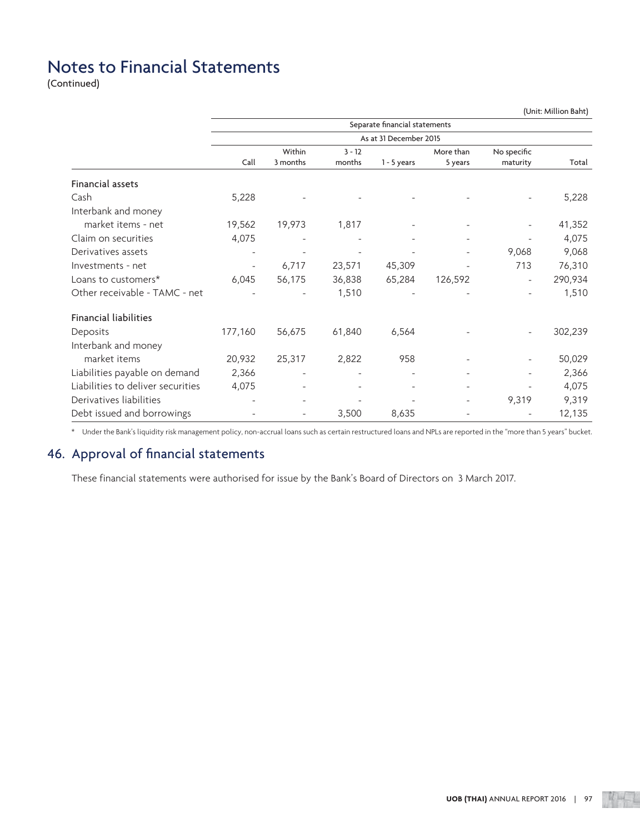(Continued)

|                                   |                | (Unit: Million Baht)     |          |                               |           |                          |         |  |  |  |  |
|-----------------------------------|----------------|--------------------------|----------|-------------------------------|-----------|--------------------------|---------|--|--|--|--|
|                                   |                |                          |          | Separate financial statements |           |                          |         |  |  |  |  |
|                                   |                |                          |          | As at 31 December 2015        |           |                          |         |  |  |  |  |
|                                   |                | Within                   | $3 - 12$ |                               | More than | No specific              |         |  |  |  |  |
|                                   | Call           | 3 months                 | months   | $1 - 5$ years                 | 5 years   | maturity                 | Total   |  |  |  |  |
| Financial assets                  |                |                          |          |                               |           |                          |         |  |  |  |  |
| Cash                              | 5,228          |                          |          |                               |           |                          | 5,228   |  |  |  |  |
| Interbank and money               |                |                          |          |                               |           |                          |         |  |  |  |  |
| market items - net                | 19,562         | 19,973                   | 1,817    |                               |           |                          | 41,352  |  |  |  |  |
| Claim on securities               | 4,075          |                          |          |                               |           |                          | 4,075   |  |  |  |  |
| Derivatives assets                |                |                          |          |                               |           | 9,068                    | 9,068   |  |  |  |  |
| Investments - net                 | $\overline{a}$ | 6,717                    | 23,571   | 45,309                        |           | 713                      | 76,310  |  |  |  |  |
| Loans to customers*               | 6,045          | 56,175                   | 36,838   | 65,284                        | 126,592   | $\overline{\phantom{a}}$ | 290,934 |  |  |  |  |
| Other receivable - TAMC - net     |                |                          | 1,510    |                               |           |                          | 1,510   |  |  |  |  |
| Financial liabilities             |                |                          |          |                               |           |                          |         |  |  |  |  |
| Deposits                          | 177,160        | 56,675                   | 61,840   | 6,564                         |           |                          | 302,239 |  |  |  |  |
| Interbank and money               |                |                          |          |                               |           |                          |         |  |  |  |  |
| market items                      | 20,932         | 25,317                   | 2,822    | 958                           |           |                          | 50,029  |  |  |  |  |
| Liabilities payable on demand     | 2,366          |                          |          | $\overline{a}$                |           | $\overline{\phantom{a}}$ | 2,366   |  |  |  |  |
| Liabilities to deliver securities | 4,075          |                          |          |                               |           |                          | 4,075   |  |  |  |  |
| Derivatives liabilities           |                |                          |          |                               |           | 9,319                    | 9,319   |  |  |  |  |
| Debt issued and borrowings        |                | $\overline{\phantom{a}}$ | 3,500    | 8,635                         |           |                          | 12,135  |  |  |  |  |

\* Under the Bank's liquidity risk management policy, non-accrual loans such as certain restructured loans and NPLs are reported in the "more than 5 years" bucket.

### 46. Approval of financial statements

These financial statements were authorised for issue by the Bank's Board of Directors on 3 March 2017.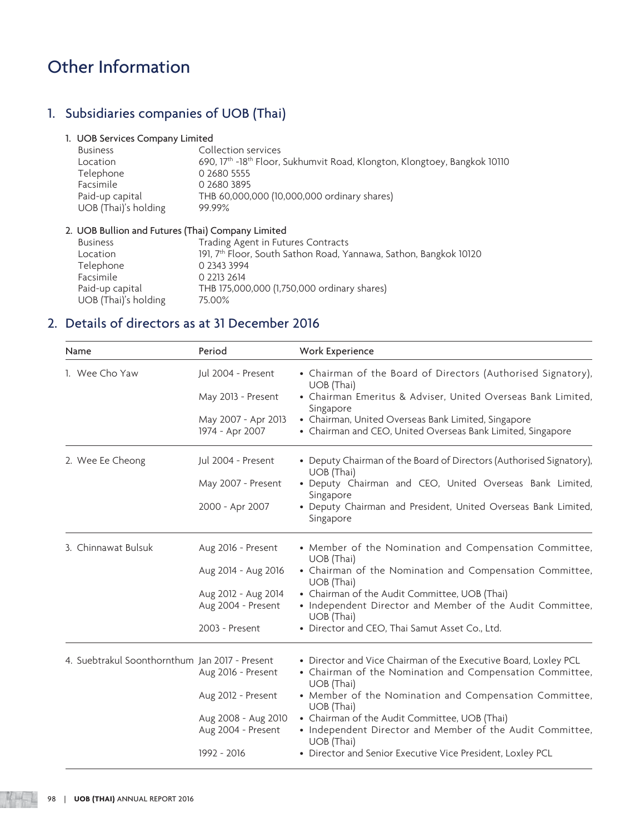# 1. Subsidiaries companies of UOB (Thai)

### 1. UOB Services Company Limited

| <b>Business</b>      | Collection services                                                       |
|----------------------|---------------------------------------------------------------------------|
| Location             | 690, 17th -18th Floor, Sukhumvit Road, Klongton, Klongtoey, Bangkok 10110 |
| Telephone            | 0 2680 5555                                                               |
| Facsimile            | 0 2680 3895                                                               |
| Paid-up capital      | THB 60,000,000 (10,000,000 ordinary shares)                               |
| UOB (Thai)'s holding | 99.99%                                                                    |

### 2. UOB Bullion and Futures (Thai) Company Limited

| <b>Business</b>      | Trading Agent in Futures Contracts                                            |
|----------------------|-------------------------------------------------------------------------------|
| Location             | 191, 7 <sup>th</sup> Floor, South Sathon Road, Yannawa, Sathon, Bangkok 10120 |
| Telephone            | 0 2343 3994                                                                   |
| Facsimile            | 0 2213 2614                                                                   |
| Paid-up capital      | THB 175,000,000 (1,750,000 ordinary shares)                                   |
| UOB (Thai)'s holding | 75.00%                                                                        |
|                      |                                                                               |

# 2. Details of directors as at 31 December 2016

| Name                                           | Period                                    | Work Experience                                                                                                                           |
|------------------------------------------------|-------------------------------------------|-------------------------------------------------------------------------------------------------------------------------------------------|
| 1. Wee Cho Yaw                                 | Jul 2004 - Present                        | • Chairman of the Board of Directors (Authorised Signatory),<br>UOB (Thai)                                                                |
|                                                | May 2013 - Present                        | • Chairman Emeritus & Adviser, United Overseas Bank Limited,<br>Singapore                                                                 |
|                                                | May 2007 - Apr 2013<br>1974 - Apr 2007    | • Chairman, United Overseas Bank Limited, Singapore<br>• Chairman and CEO, United Overseas Bank Limited, Singapore                        |
| 2. Wee Ee Cheong                               | Jul 2004 - Present                        | • Deputy Chairman of the Board of Directors (Authorised Signatory),<br>UOB (Thai)                                                         |
|                                                | May 2007 - Present                        | · Deputy Chairman and CEO, United Overseas Bank Limited,<br>Singapore                                                                     |
|                                                | 2000 - Apr 2007                           | • Deputy Chairman and President, United Overseas Bank Limited,<br>Singapore                                                               |
| 3. Chinnawat Bulsuk                            | Aug 2016 - Present                        | • Member of the Nomination and Compensation Committee,<br>UOB (Thai)                                                                      |
|                                                | Aug 2014 - Aug 2016                       | • Chairman of the Nomination and Compensation Committee,<br>UOB (Thai)                                                                    |
|                                                | Aug 2012 - Aug 2014<br>Aug 2004 - Present | • Chairman of the Audit Committee, UOB (Thai)<br>• Independent Director and Member of the Audit Committee,<br>UOB (Thai)                  |
|                                                | 2003 - Present                            | • Director and CEO, Thai Samut Asset Co., Ltd.                                                                                            |
| 4. Suebtrakul Soonthornthum Jan 2017 - Present | Aug 2016 - Present                        | • Director and Vice Chairman of the Executive Board, Loxley PCL<br>• Chairman of the Nomination and Compensation Committee,<br>UOB (Thai) |
|                                                | Aug 2012 - Present                        | • Member of the Nomination and Compensation Committee,<br>UOB (Thai)                                                                      |
|                                                | Aug 2008 - Aug 2010<br>Aug 2004 - Present | • Chairman of the Audit Committee, UOB (Thai)<br>• Independent Director and Member of the Audit Committee,<br>UOB (Thai)                  |
|                                                | 1992 - 2016                               | • Director and Senior Executive Vice President, Loxley PCL                                                                                |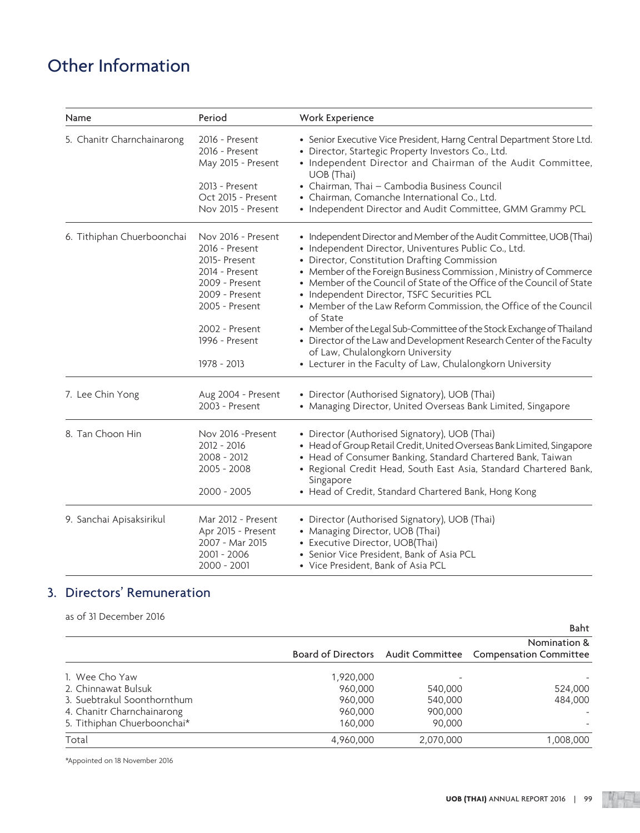| Name                       | Period                                                                                                                                                                          | Work Experience                                                                                                                                                                                                                                                                                                                                                                                                                                                                                                                                                                                                                                                                                               |
|----------------------------|---------------------------------------------------------------------------------------------------------------------------------------------------------------------------------|---------------------------------------------------------------------------------------------------------------------------------------------------------------------------------------------------------------------------------------------------------------------------------------------------------------------------------------------------------------------------------------------------------------------------------------------------------------------------------------------------------------------------------------------------------------------------------------------------------------------------------------------------------------------------------------------------------------|
| 5. Chanitr Charnchainarong | 2016 - Present<br>2016 - Present<br>May 2015 - Present                                                                                                                          | • Senior Executive Vice President, Harng Central Department Store Ltd.<br>· Director, Startegic Property Investors Co., Ltd.<br>• Independent Director and Chairman of the Audit Committee,<br>UOB (Thai)                                                                                                                                                                                                                                                                                                                                                                                                                                                                                                     |
|                            | 2013 - Present<br>Oct 2015 - Present<br>Nov 2015 - Present                                                                                                                      | • Chairman, Thai - Cambodia Business Council<br>• Chairman, Comanche International Co., Ltd.<br>• Independent Director and Audit Committee, GMM Grammy PCL                                                                                                                                                                                                                                                                                                                                                                                                                                                                                                                                                    |
| 6. Tithiphan Chuerboonchai | Nov 2016 - Present<br>2016 - Present<br>2015-Present<br>2014 - Present<br>2009 - Present<br>2009 - Present<br>2005 - Present<br>2002 - Present<br>1996 - Present<br>1978 - 2013 | • Independent Director and Member of the Audit Committee, UOB (Thai)<br>· Independent Director, Univentures Public Co., Ltd.<br>• Director, Constitution Drafting Commission<br>• Member of the Foreign Business Commission, Ministry of Commerce<br>• Member of the Council of State of the Office of the Council of State<br>• Independent Director, TSFC Securities PCL<br>• Member of the Law Reform Commission, the Office of the Council<br>of State<br>• Member of the Legal Sub-Committee of the Stock Exchange of Thailand<br>• Director of the Law and Development Research Center of the Faculty<br>of Law, Chulalongkorn University<br>• Lecturer in the Faculty of Law, Chulalongkorn University |
| 7. Lee Chin Yong           | Aug 2004 - Present<br>2003 - Present                                                                                                                                            | • Director (Authorised Signatory), UOB (Thai)<br>• Managing Director, United Overseas Bank Limited, Singapore                                                                                                                                                                                                                                                                                                                                                                                                                                                                                                                                                                                                 |
| 8. Tan Choon Hin           | Nov 2016 -Present<br>2012 - 2016<br>$2008 - 2012$<br>2005 - 2008<br>2000 - 2005                                                                                                 | • Director (Authorised Signatory), UOB (Thai)<br>· Head of Group Retail Credit, United Overseas Bank Limited, Singapore<br>• Head of Consumer Banking, Standard Chartered Bank, Taiwan<br>• Regional Credit Head, South East Asia, Standard Chartered Bank,<br>Singapore<br>• Head of Credit, Standard Chartered Bank, Hong Kong                                                                                                                                                                                                                                                                                                                                                                              |
| 9. Sanchai Apisaksirikul   | Mar 2012 - Present<br>Apr 2015 - Present<br>2007 - Mar 2015<br>2001 - 2006<br>2000 - 2001                                                                                       | • Director (Authorised Signatory), UOB (Thai)<br>• Managing Director, UOB (Thai)<br>• Executive Director, UOB(Thai)<br>• Senior Vice President, Bank of Asia PCL<br>• Vice President, Bank of Asia PCL                                                                                                                                                                                                                                                                                                                                                                                                                                                                                                        |

### 3. Directors' Remuneration

as of 31 December 2016

|                             |           |           | Baht                                                      |
|-----------------------------|-----------|-----------|-----------------------------------------------------------|
|                             |           |           | Nomination &                                              |
|                             |           |           | Board of Directors Audit Committee Compensation Committee |
| 1. Wee Cho Yaw              | 1,920,000 |           |                                                           |
| 2. Chinnawat Bulsuk         | 960,000   | 540,000   | 524,000                                                   |
| 3. Suebtrakul Soonthornthum | 960,000   | 540,000   | 484,000                                                   |
| 4. Chanitr Charnchainarong  | 960,000   | 900,000   |                                                           |
| 5. Tithiphan Chuerboonchai* | 160,000   | 90,000    |                                                           |
| Total                       | 4,960,000 | 2,070,000 | 1,008,000                                                 |

\*Appointed on 18 November 2016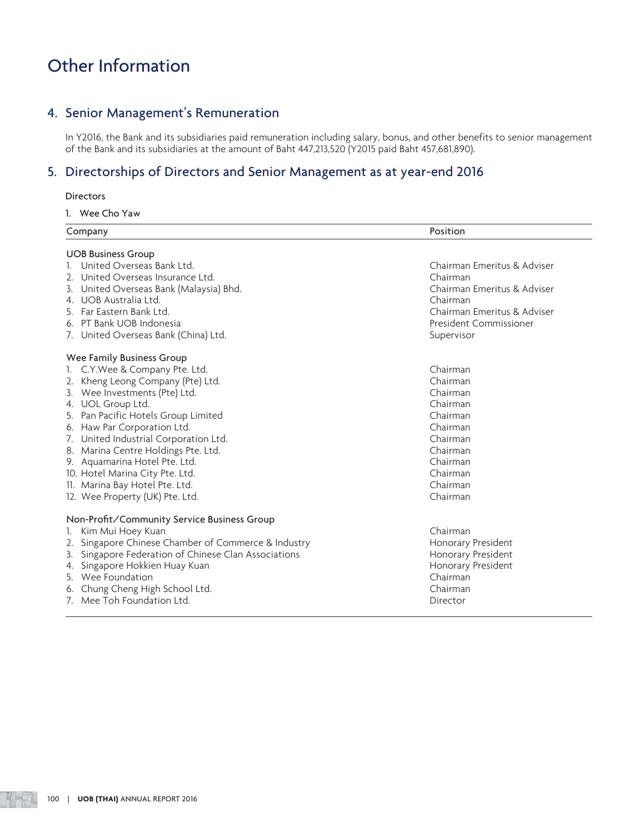### 4. Senior Management's Remuneration

 In Y2016, the Bank and its subsidiaries paid remuneration including salary, bonus, and other benefits to senior management of the Bank and its subsidiaries at the amount of Baht 447,213,520 (Y2015 paid Baht 457,681,890).

### 5. Directorships of Directors and Senior Management as at year-end 2016

### **Directors**

1. Wee Cho Yaw

| Company                                                 | Position                    |
|---------------------------------------------------------|-----------------------------|
| <b>UOB Business Group</b>                               |                             |
| United Overseas Bank Ltd.                               | Chairman Emeritus & Adviser |
| 2. United Overseas Insurance Ltd.                       | Chairman                    |
| United Overseas Bank (Malaysia) Bhd.<br>3.              | Chairman Emeritus & Adviser |
| 4. UOB Australia Ltd.                                   | Chairman                    |
| Far Eastern Bank Ltd.                                   | Chairman Emeritus & Adviser |
| 6. PT Bank UOB Indonesia                                | President Commissioner      |
| 7. United Overseas Bank (China) Ltd.                    | Supervisor                  |
| Wee Family Business Group                               |                             |
| C.Y.Wee & Company Pte. Ltd.                             | Chairman                    |
| Kheng Leong Company (Pte) Ltd.                          | Chairman                    |
| Wee Investments (Pte) Ltd.<br>3.                        | Chairman                    |
| 4. UOL Group Ltd.                                       | Chairman                    |
| Pan Pacific Hotels Group Limited<br>5.                  | Chairman                    |
| Haw Par Corporation Ltd.<br>6.                          | Chairman                    |
| United Industrial Corporation Ltd.                      | Chairman                    |
| Marina Centre Holdings Pte. Ltd.<br>8.                  | Chairman                    |
| 9. Aquamarina Hotel Pte. Ltd.                           | Chairman                    |
| 10. Hotel Marina City Pte. Ltd.                         | Chairman                    |
| 11. Marina Bay Hotel Pte. Ltd.                          | Chairman                    |
| 12. Wee Property (UK) Pte. Ltd.                         | Chairman                    |
| Non-Profit/Community Service Business Group             |                             |
| Kim Mui Hoey Kuan<br>1.                                 | Chairman                    |
| Singapore Chinese Chamber of Commerce & Industry<br>2.  | Honorary President          |
| Singapore Federation of Chinese Clan Associations<br>3. | Honorary President          |
| Singapore Hokkien Huay Kuan                             | Honorary President          |
| Wee Foundation                                          | Chairman                    |
| Chung Cheng High School Ltd.<br>6.                      | Chairman                    |
| Mee Toh Foundation Ltd.<br>7 <sub>1</sub>               | Director                    |

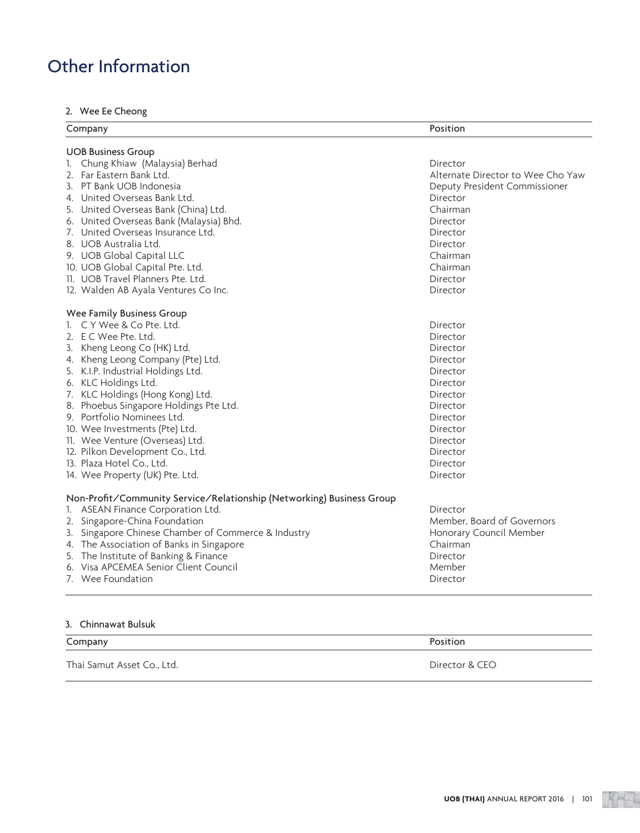### 2. Wee Ee Cheong

| Company                                                               | Position                          |
|-----------------------------------------------------------------------|-----------------------------------|
| <b>UOB Business Group</b>                                             |                                   |
| 1. Chung Khiaw (Malaysia) Berhad                                      | Director                          |
| 2. Far Eastern Bank Ltd.                                              | Alternate Director to Wee Cho Yaw |
| 3. PT Bank UOB Indonesia                                              | Deputy President Commissioner     |
| 4. United Overseas Bank Ltd.                                          | Director                          |
| 5. United Overseas Bank (China) Ltd.                                  | Chairman                          |
| 6. United Overseas Bank (Malaysia) Bhd.                               | Director                          |
| 7. United Overseas Insurance Ltd.                                     | Director                          |
| 8. UOB Australia Ltd.                                                 | Director                          |
| 9. UOB Global Capital LLC                                             | Chairman                          |
| 10. UOB Global Capital Pte. Ltd.                                      | Chairman                          |
| 11. UOB Travel Planners Pte. Ltd.                                     | Director                          |
| 12. Walden AB Ayala Ventures Co Inc.                                  | Director                          |
| Wee Family Business Group                                             |                                   |
| 1. C Y Wee & Co Pte. Ltd.                                             | Director                          |
| 2. E C Wee Pte. Ltd.                                                  | Director                          |
| 3. Kheng Leong Co (HK) Ltd.                                           | Director                          |
| 4. Kheng Leong Company (Pte) Ltd.                                     | Director                          |
| 5. K.I.P. Industrial Holdings Ltd.                                    | Director                          |
| 6. KLC Holdings Ltd.                                                  | Director                          |
| 7. KLC Holdings (Hong Kong) Ltd.                                      | Director                          |
| 8. Phoebus Singapore Holdings Pte Ltd.                                | Director                          |
| 9. Portfolio Nominees Ltd.                                            | Director                          |
| 10. Wee Investments (Pte) Ltd.                                        | Director                          |
| 11. Wee Venture (Overseas) Ltd.                                       | Director                          |
| 12. Pilkon Development Co., Ltd.                                      | Director                          |
| 13. Plaza Hotel Co., Ltd.                                             | Director                          |
| 14. Wee Property (UK) Pte. Ltd.                                       | Director                          |
| Non-Profit/Community Service/Relationship (Networking) Business Group |                                   |
| ASEAN Finance Corporation Ltd.<br>I.                                  | Director                          |
| 2. Singapore-China Foundation                                         | Member, Board of Governors        |
| Singapore Chinese Chamber of Commerce & Industry<br>3.                | Honorary Council Member           |
| 4. The Association of Banks in Singapore                              | Chairman                          |
| 5. The Institute of Banking & Finance                                 | Director                          |
| 6. Visa APCEMEA Senior Client Council                                 | Member                            |
| 7. Wee Foundation                                                     | Director                          |

### 3. Chinnawat Bulsuk

| Company                    | Position       |
|----------------------------|----------------|
| Thai Samut Asset Co., Ltd. | Director & CEO |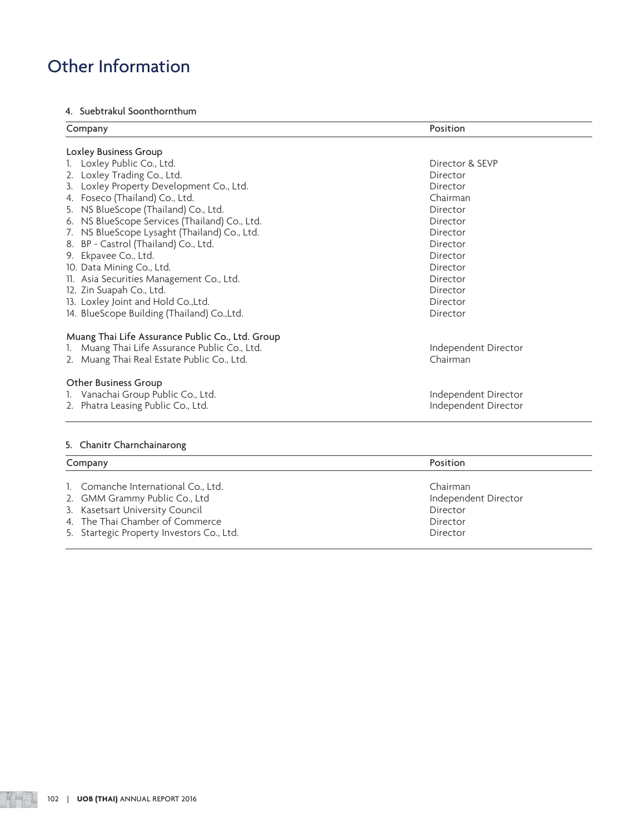### 4. Suebtrakul Soonthornthum

| Position             |
|----------------------|
|                      |
| Director & SEVP      |
| Director             |
| Director             |
| Chairman             |
| Director             |
| Director             |
| Director             |
| Director             |
| Director             |
| Director             |
| Director             |
| Director             |
| Director             |
| Director             |
|                      |
| Independent Director |
| Chairman             |
|                      |
| Independent Director |
| Independent Director |
|                      |
| Position             |
|                      |

| 1. Comanche International Co., Ltd.       | Chairman             |
|-------------------------------------------|----------------------|
| 2. GMM Grammy Public Co., Ltd             | Independent Director |
| 3. Kasetsart University Council           | Director             |
| 4. The Thai Chamber of Commerce           | Director             |
| 5. Startegic Property Investors Co., Ltd. | Director             |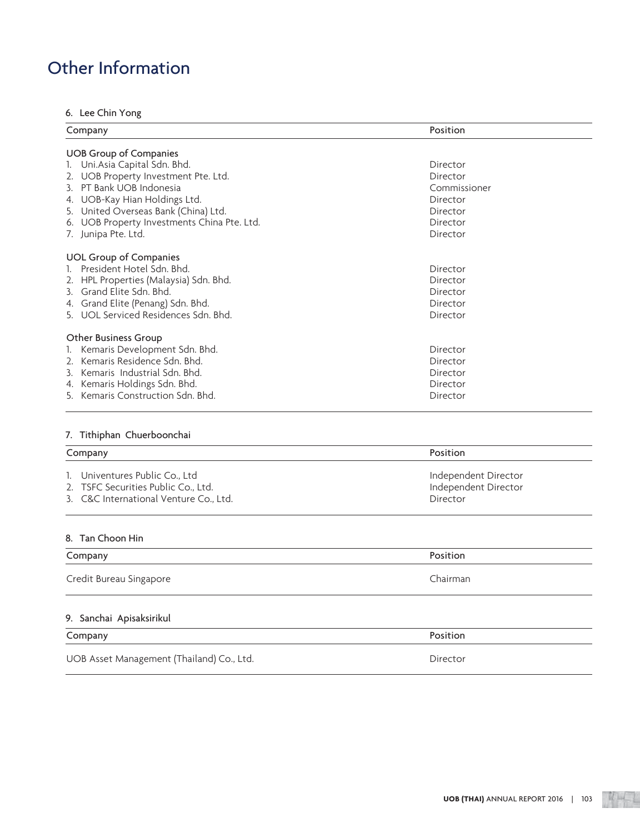### 6. Lee Chin Yong

| Company                                        | Position     |  |
|------------------------------------------------|--------------|--|
| <b>UOB Group of Companies</b>                  |              |  |
| 1. Uni. Asia Capital Sdn. Bhd.                 | Director     |  |
| UOB Property Investment Pte. Ltd.              | Director     |  |
| 3. PT Bank UOB Indonesia                       | Commissioner |  |
| UOB-Kay Hian Holdings Ltd.<br>4.               | Director     |  |
| 5. United Overseas Bank (China) Ltd.           | Director     |  |
| UOB Property Investments China Pte. Ltd.<br>6. | Director     |  |
| 7. Junipa Pte. Ltd.                            | Director     |  |
| <b>UOL Group of Companies</b>                  |              |  |
| President Hotel Sdn. Bhd.                      | Director     |  |
| HPL Properties (Malaysia) Sdn. Bhd.            | Director     |  |
| Grand Elite Sdn. Bhd.<br>3.                    | Director     |  |
| Grand Elite (Penang) Sdn. Bhd.<br>4.           | Director     |  |
| 5. UOL Serviced Residences Sdn. Bhd.           | Director     |  |
| Other Business Group                           |              |  |
| Kemaris Development Sdn. Bhd.                  | Director     |  |
| Kemaris Residence Sdn. Bhd.                    | Director     |  |
| Kemaris Industrial Sdn. Bhd.<br>3.             | Director     |  |
| Kemaris Holdings Sdn. Bhd.<br>4.               | Director     |  |
| Kemaris Construction Sdn. Bhd.<br>5.           | Director     |  |

### 7. Tithiphan Chuerboonchai

| Company                                | Position             |
|----------------------------------------|----------------------|
| 1. Univentures Public Co., Ltd         | Independent Director |
| 2. TSFC Securities Public Co., Ltd.    | Independent Director |
| 3. C&C International Venture Co., Ltd. | Director             |
|                                        |                      |
|                                        |                      |
| 8. Tan Choon Hin<br>Company            | Position             |

### 9. Sanchai Apisaksirikul

| Company | Position |
|---------|----------|
|         |          |

UOB Asset Management (Thailand) Co., Ltd. Director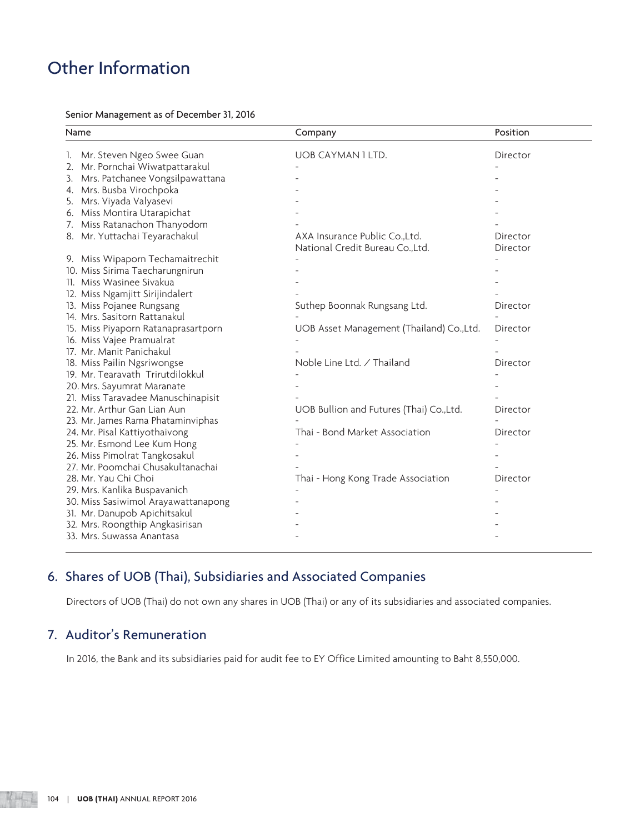Senior Management as of December 31, 2016

| Name                                  | Company                                                            | Position             |  |  |
|---------------------------------------|--------------------------------------------------------------------|----------------------|--|--|
| Mr. Steven Ngeo Swee Guan<br>1.       | <b>UOB CAYMAN 1 LTD.</b>                                           | Director             |  |  |
| Mr. Pornchai Wiwatpattarakul<br>2.    |                                                                    |                      |  |  |
| Mrs. Patchanee Vongsilpawattana<br>3. |                                                                    |                      |  |  |
| 4. Mrs. Busba Virochpoka              |                                                                    |                      |  |  |
| Mrs. Viyada Valyasevi<br>5.           |                                                                    |                      |  |  |
| 6. Miss Montira Utarapichat           |                                                                    |                      |  |  |
| 7. Miss Ratanachon Thanyodom          |                                                                    |                      |  |  |
| 8. Mr. Yuttachai Teyarachakul         | AXA Insurance Public Co., Ltd.<br>National Credit Bureau Co., Ltd. | Director<br>Director |  |  |
| 9. Miss Wipaporn Techamaitrechit      |                                                                    |                      |  |  |
| 10. Miss Sirima Taecharungnirun       |                                                                    |                      |  |  |
| 11. Miss Wasinee Sivakua              |                                                                    |                      |  |  |
| 12. Miss Ngamjitt Sirijindalert       |                                                                    |                      |  |  |
| 13. Miss Pojanee Rungsang             | Suthep Boonnak Rungsang Ltd.                                       | Director             |  |  |
| 14. Mrs. Sasitorn Rattanakul          |                                                                    |                      |  |  |
| 15. Miss Piyaporn Ratanaprasartporn   | UOB Asset Management (Thailand) Co.,Ltd.                           | Director             |  |  |
| 16. Miss Vajee Pramualrat             |                                                                    |                      |  |  |
| 17. Mr. Manit Panichakul              |                                                                    |                      |  |  |
| 18. Miss Pailin Ngsriwongse           | Noble Line Ltd. / Thailand                                         | Director             |  |  |
| 19. Mr. Tearavath Trirutdilokkul      |                                                                    |                      |  |  |
| 20. Mrs. Sayumrat Maranate            |                                                                    |                      |  |  |
| 21. Miss Taravadee Manuschinapisit    |                                                                    |                      |  |  |
| 22. Mr. Arthur Gan Lian Aun           | UOB Bullion and Futures (Thai) Co.,Ltd.                            | Director             |  |  |
| 23. Mr. James Rama Phataminviphas     |                                                                    |                      |  |  |
| 24. Mr. Pisal Kattiyothaivong         | Thai - Bond Market Association                                     | Director             |  |  |
| 25. Mr. Esmond Lee Kum Hong           |                                                                    |                      |  |  |
| 26. Miss Pimolrat Tangkosakul         |                                                                    |                      |  |  |
| 27. Mr. Poomchai Chusakultanachai     |                                                                    |                      |  |  |
| 28. Mr. Yau Chi Choi                  | Thai - Hong Kong Trade Association                                 | Director             |  |  |
| 29. Mrs. Kanlika Buspavanich          |                                                                    |                      |  |  |
| 30. Miss Sasiwimol Arayawattanapong   |                                                                    |                      |  |  |
| 31. Mr. Danupob Apichitsakul          |                                                                    |                      |  |  |
| 32. Mrs. Roongthip Angkasirisan       |                                                                    |                      |  |  |
| 33. Mrs. Suwassa Anantasa             |                                                                    |                      |  |  |

### 6. Shares of UOB (Thai), Subsidiaries and Associated Companies

Directors of UOB (Thai) do not own any shares in UOB (Thai) or any of its subsidiaries and associated companies.

### 7. Auditor's Remuneration

In 2016, the Bank and its subsidiaries paid for audit fee to EY Office Limited amounting to Baht 8,550,000.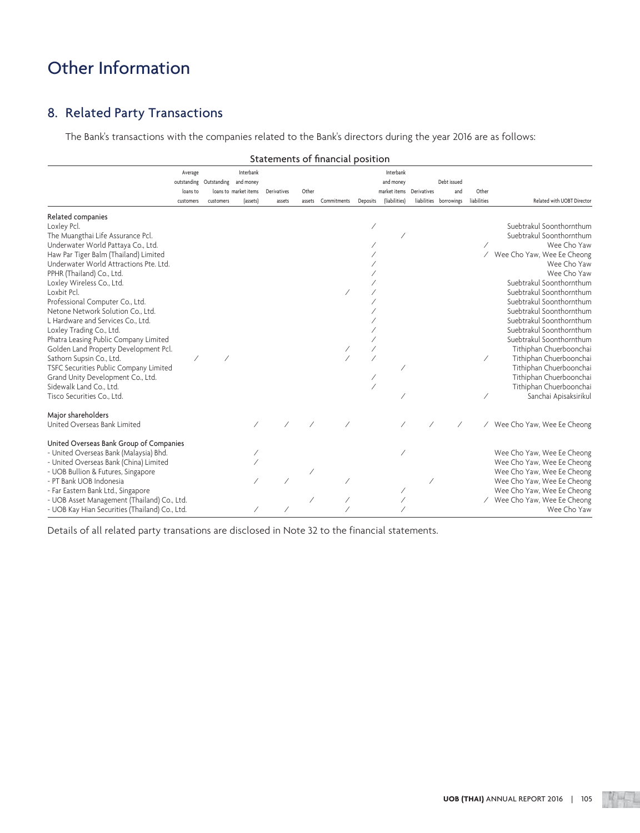### 8. Related Party Transactions

The Bank's transactions with the companies related to the Bank's directors during the year 2016 are as follows:

|                                                | Statements of financial position |  |                                   |           |  |  |  |           |                                   |                       |                 |                              |          |                                           |  |                               |                      |                            |
|------------------------------------------------|----------------------------------|--|-----------------------------------|-----------|--|--|--|-----------|-----------------------------------|-----------------------|-----------------|------------------------------|----------|-------------------------------------------|--|-------------------------------|----------------------|----------------------------|
|                                                | Average                          |  |                                   | Interbank |  |  |  |           | Interbank                         |                       |                 |                              |          |                                           |  |                               |                      |                            |
|                                                |                                  |  | outstanding Outstanding and money |           |  |  |  | and money |                                   | Debt issued           |                 |                              |          |                                           |  |                               |                      |                            |
|                                                | customers                        |  |                                   | loans to  |  |  |  | customers | loans to market items<br>(assets) | Derivatives<br>assets | Other<br>assets | Commitments                  | Deposits | market items Derivatives<br>(liabilities) |  | and<br>liabilities borrowings | Other<br>liabilities | Related with UOBT Director |
|                                                |                                  |  |                                   |           |  |  |  |           |                                   |                       |                 |                              |          |                                           |  |                               |                      |                            |
| Related companies<br>Loxley Pcl.               |                                  |  |                                   |           |  |  |  |           |                                   |                       |                 | Suebtrakul Soonthornthum     |          |                                           |  |                               |                      |                            |
| The Muangthai Life Assurance Pcl.              |                                  |  |                                   |           |  |  |  |           |                                   |                       |                 | Suebtrakul Soonthornthum     |          |                                           |  |                               |                      |                            |
| Underwater World Pattaya Co., Ltd.             |                                  |  |                                   |           |  |  |  |           |                                   |                       |                 | Wee Cho Yaw                  |          |                                           |  |                               |                      |                            |
| Haw Par Tiger Balm (Thailand) Limited          |                                  |  |                                   |           |  |  |  |           |                                   |                       |                 | / Wee Cho Yaw, Wee Ee Cheong |          |                                           |  |                               |                      |                            |
| Underwater World Attractions Pte. Ltd.         |                                  |  |                                   |           |  |  |  |           |                                   |                       |                 | Wee Cho Yaw                  |          |                                           |  |                               |                      |                            |
| PPHR (Thailand) Co., Ltd.                      |                                  |  |                                   |           |  |  |  |           |                                   |                       |                 | Wee Cho Yaw                  |          |                                           |  |                               |                      |                            |
| Loxley Wireless Co., Ltd.                      |                                  |  |                                   |           |  |  |  |           |                                   |                       |                 | Suebtrakul Soonthornthum     |          |                                           |  |                               |                      |                            |
| Loxbit Pcl.                                    |                                  |  |                                   |           |  |  |  |           |                                   |                       |                 | Suebtrakul Soonthornthum     |          |                                           |  |                               |                      |                            |
| Professional Computer Co., Ltd.                |                                  |  |                                   |           |  |  |  |           |                                   |                       |                 | Suebtrakul Soonthornthum     |          |                                           |  |                               |                      |                            |
| Netone Network Solution Co., Ltd.              |                                  |  |                                   |           |  |  |  |           |                                   |                       |                 | Suebtrakul Soonthornthum     |          |                                           |  |                               |                      |                            |
| L Hardware and Services Co., Ltd.              |                                  |  |                                   |           |  |  |  |           |                                   |                       |                 | Suebtrakul Soonthornthum     |          |                                           |  |                               |                      |                            |
| Loxley Trading Co., Ltd.                       |                                  |  |                                   |           |  |  |  |           |                                   |                       |                 | Suebtrakul Soonthornthum     |          |                                           |  |                               |                      |                            |
| Phatra Leasing Public Company Limited          |                                  |  |                                   |           |  |  |  |           |                                   |                       |                 | Suebtrakul Soonthornthum     |          |                                           |  |                               |                      |                            |
| Golden Land Property Development Pcl.          |                                  |  |                                   |           |  |  |  |           |                                   |                       |                 | Tithiphan Chuerboonchai      |          |                                           |  |                               |                      |                            |
| Sathorn Supsin Co., Ltd.                       |                                  |  |                                   |           |  |  |  |           |                                   |                       |                 | Tithiphan Chuerboonchai      |          |                                           |  |                               |                      |                            |
| TSFC Securities Public Company Limited         |                                  |  |                                   |           |  |  |  |           |                                   |                       |                 | Tithiphan Chuerboonchai      |          |                                           |  |                               |                      |                            |
| Grand Unity Development Co., Ltd.              |                                  |  |                                   |           |  |  |  |           |                                   |                       |                 | Tithiphan Chuerboonchai      |          |                                           |  |                               |                      |                            |
| Sidewalk Land Co., Ltd.                        |                                  |  |                                   |           |  |  |  |           |                                   |                       |                 | Tithiphan Chuerboonchai      |          |                                           |  |                               |                      |                            |
| Tisco Securities Co., Ltd.                     |                                  |  |                                   |           |  |  |  |           |                                   |                       |                 | Sanchai Apisaksirikul        |          |                                           |  |                               |                      |                            |
|                                                |                                  |  |                                   |           |  |  |  |           |                                   |                       |                 |                              |          |                                           |  |                               |                      |                            |
| Major shareholders                             |                                  |  |                                   |           |  |  |  |           |                                   |                       |                 |                              |          |                                           |  |                               |                      |                            |
| United Overseas Bank Limited                   |                                  |  |                                   |           |  |  |  |           |                                   |                       |                 | / Wee Cho Yaw, Wee Ee Cheong |          |                                           |  |                               |                      |                            |
| United Overseas Bank Group of Companies        |                                  |  |                                   |           |  |  |  |           |                                   |                       |                 |                              |          |                                           |  |                               |                      |                            |
| - United Overseas Bank (Malaysia) Bhd.         |                                  |  |                                   |           |  |  |  |           |                                   |                       |                 | Wee Cho Yaw, Wee Ee Cheong   |          |                                           |  |                               |                      |                            |
| - United Overseas Bank (China) Limited         |                                  |  |                                   |           |  |  |  |           |                                   |                       |                 | Wee Cho Yaw, Wee Ee Cheong   |          |                                           |  |                               |                      |                            |
| - UOB Bullion & Futures, Singapore             |                                  |  |                                   |           |  |  |  |           |                                   |                       |                 | Wee Cho Yaw, Wee Ee Cheong   |          |                                           |  |                               |                      |                            |
| - PT Bank UOB Indonesia                        |                                  |  |                                   |           |  |  |  |           |                                   |                       |                 | Wee Cho Yaw, Wee Ee Cheong   |          |                                           |  |                               |                      |                            |
| - Far Eastern Bank Ltd., Singapore             |                                  |  |                                   |           |  |  |  |           |                                   |                       |                 | Wee Cho Yaw, Wee Ee Cheong   |          |                                           |  |                               |                      |                            |
| - UOB Asset Management (Thailand) Co., Ltd.    |                                  |  |                                   |           |  |  |  |           |                                   |                       |                 | Wee Cho Yaw, Wee Ee Cheong   |          |                                           |  |                               |                      |                            |
| - UOB Kay Hian Securities (Thailand) Co., Ltd. |                                  |  |                                   |           |  |  |  |           |                                   |                       |                 | Wee Cho Yaw                  |          |                                           |  |                               |                      |                            |

Details of all related party transations are disclosed in Note 32 to the financial statements.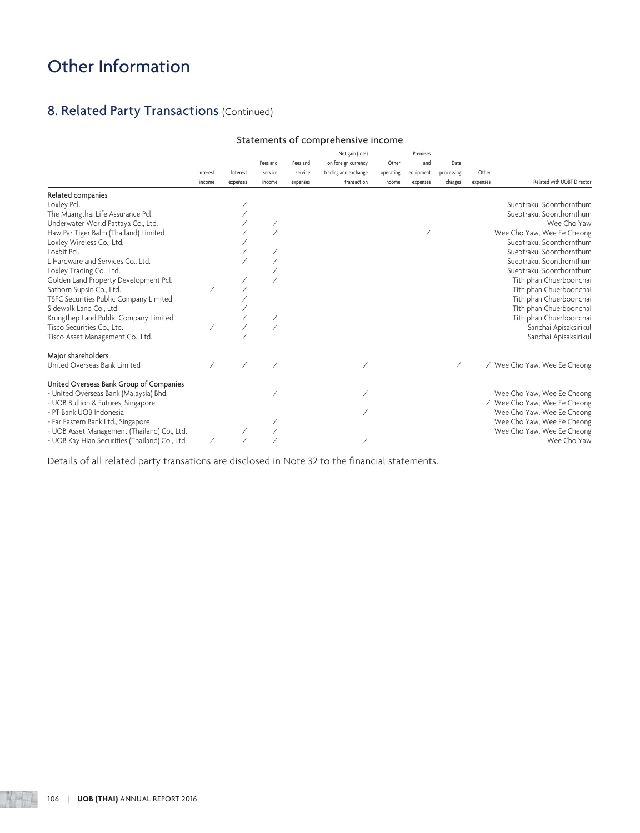## 8. Related Party Transactions (Continued)

|                                                | Statements of comprehensive income |                      |                               |                                 |                                                                               |                              |                                          |                               |                   |                              |
|------------------------------------------------|------------------------------------|----------------------|-------------------------------|---------------------------------|-------------------------------------------------------------------------------|------------------------------|------------------------------------------|-------------------------------|-------------------|------------------------------|
|                                                | Interest<br>income                 | Interest<br>expenses | Fees and<br>service<br>Income | Fees and<br>service<br>expenses | Net gain (loss)<br>on foreign currency<br>trading and exchange<br>transaction | Other<br>operating<br>income | Premises<br>and<br>equipment<br>expenses | Data<br>processing<br>charges | Other<br>expenses | Related with UOBT Director   |
| Related companies                              |                                    |                      |                               |                                 |                                                                               |                              |                                          |                               |                   |                              |
| Loxley Pcl.                                    |                                    |                      |                               |                                 |                                                                               |                              |                                          |                               |                   | Suebtrakul Soonthornthum     |
| The Muangthai Life Assurance Pcl.              |                                    |                      |                               |                                 |                                                                               |                              |                                          |                               |                   | Suebtrakul Soonthornthum     |
| Underwater World Pattaya Co., Ltd.             |                                    |                      |                               |                                 |                                                                               |                              |                                          |                               |                   | Wee Cho Yaw                  |
| Haw Par Tiger Balm (Thailand) Limited          |                                    |                      |                               |                                 |                                                                               |                              |                                          |                               |                   | Wee Cho Yaw, Wee Ee Cheong   |
| Loxley Wireless Co., Ltd.                      |                                    |                      |                               |                                 |                                                                               |                              |                                          |                               |                   | Suebtrakul Soonthornthum     |
| Loxbit Pcl.                                    |                                    |                      |                               |                                 |                                                                               |                              |                                          |                               |                   | Suebtrakul Soonthornthum     |
| L Hardware and Services Co., Ltd.              |                                    |                      |                               |                                 |                                                                               |                              |                                          |                               |                   | Suebtrakul Soonthornthum     |
| Loxley Trading Co., Ltd.                       |                                    |                      |                               |                                 |                                                                               |                              |                                          |                               |                   | Suebtrakul Soonthornthum     |
| Golden Land Property Development Pcl.          |                                    |                      |                               |                                 |                                                                               |                              |                                          |                               |                   | Tithiphan Chuerboonchai      |
| Sathorn Supsin Co., Ltd.                       |                                    |                      |                               |                                 |                                                                               |                              |                                          |                               |                   | Tithiphan Chuerboonchai      |
| TSFC Securities Public Company Limited         |                                    |                      |                               |                                 |                                                                               |                              |                                          |                               |                   | Tithiphan Chuerboonchai      |
| Sidewalk Land Co., Ltd.                        |                                    |                      |                               |                                 |                                                                               |                              |                                          |                               |                   | Tithiphan Chuerboonchai      |
| Krungthep Land Public Company Limited          |                                    |                      |                               |                                 |                                                                               |                              |                                          |                               |                   | Tithiphan Chuerboonchai      |
| Tisco Securities Co., Ltd.                     |                                    |                      |                               |                                 |                                                                               |                              |                                          |                               |                   | Sanchai Apisaksirikul        |
| Tisco Asset Management Co., Ltd.               |                                    |                      |                               |                                 |                                                                               |                              |                                          |                               |                   | Sanchai Apisaksirikul        |
| Major shareholders                             |                                    |                      |                               |                                 |                                                                               |                              |                                          |                               |                   |                              |
| United Overseas Bank Limited                   |                                    |                      |                               |                                 |                                                                               |                              |                                          |                               |                   | / Wee Cho Yaw, Wee Ee Cheong |
| United Overseas Bank Group of Companies        |                                    |                      |                               |                                 |                                                                               |                              |                                          |                               |                   |                              |
| - United Overseas Bank (Malaysia) Bhd.         |                                    |                      |                               |                                 |                                                                               |                              |                                          |                               |                   | Wee Cho Yaw, Wee Ee Cheong   |
| - UOB Bullion & Futures, Singapore             |                                    |                      |                               |                                 |                                                                               |                              |                                          |                               |                   | / Wee Cho Yaw, Wee Ee Cheong |
| - PT Bank UOB Indonesia                        |                                    |                      |                               |                                 |                                                                               |                              |                                          |                               |                   | Wee Cho Yaw, Wee Ee Cheong   |
| - Far Eastern Bank Ltd., Singapore             |                                    |                      |                               |                                 |                                                                               |                              |                                          |                               |                   | Wee Cho Yaw, Wee Ee Cheong   |
| - UOB Asset Management (Thailand) Co., Ltd.    |                                    |                      |                               |                                 |                                                                               |                              |                                          |                               |                   | Wee Cho Yaw, Wee Ee Cheong   |
| - UOB Kay Hian Securities (Thailand) Co., Ltd. |                                    |                      |                               |                                 |                                                                               |                              |                                          |                               |                   | Wee Cho Yaw                  |

Details of all related party transations are disclosed in Note 32 to the financial statements.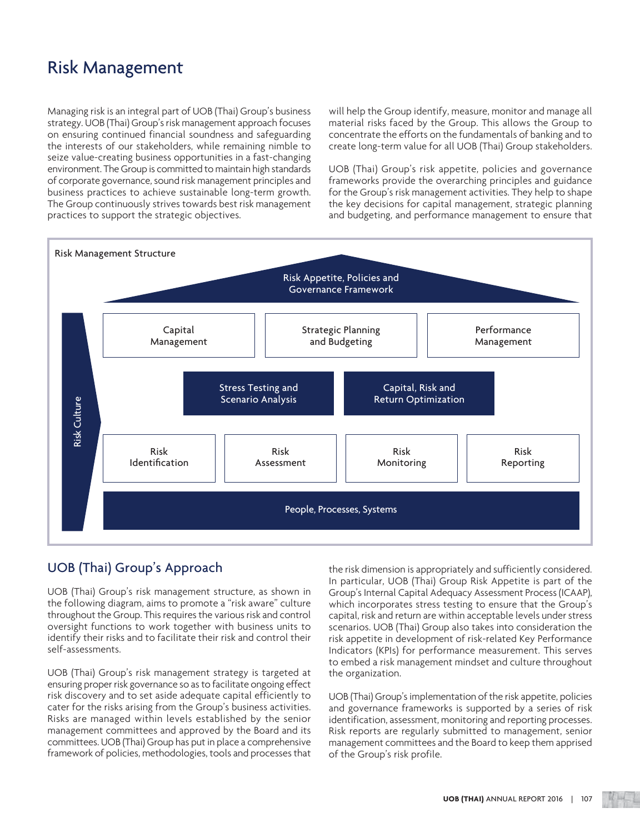Managing risk is an integral part of UOB (Thai) Group's business strategy. UOB (Thai) Group's risk management approach focuses on ensuring continued financial soundness and safeguarding the interests of our stakeholders, while remaining nimble to seize value-creating business opportunities in a fast-changing environment. The Group is committed to maintain high standards of corporate governance, sound risk management principles and business practices to achieve sustainable long-term growth. The Group continuously strives towards best risk management practices to support the strategic objectives.

will help the Group identify, measure, monitor and manage all material risks faced by the Group. This allows the Group to concentrate the efforts on the fundamentals of banking and to create long-term value for all UOB (Thai) Group stakeholders.

UOB (Thai) Group's risk appetite, policies and governance frameworks provide the overarching principles and guidance for the Group's risk management activities. They help to shape the key decisions for capital management, strategic planning and budgeting, and performance management to ensure that



### UOB (Thai) Group's Approach

UOB (Thai) Group's risk management structure, as shown in the following diagram, aims to promote a "risk aware" culture throughout the Group. This requires the various risk and control oversight functions to work together with business units to identify their risks and to facilitate their risk and control their self-assessments.

UOB (Thai) Group's risk management strategy is targeted at ensuring proper risk governance so as to facilitate ongoing effect risk discovery and to set aside adequate capital efficiently to cater for the risks arising from the Group's business activities. Risks are managed within levels established by the senior management committees and approved by the Board and its committees. UOB (Thai) Group has put in place a comprehensive framework of policies, methodologies, tools and processes that

the risk dimension is appropriately and sufficiently considered. In particular, UOB (Thai) Group Risk Appetite is part of the Group's Internal Capital Adequacy Assessment Process (ICAAP), which incorporates stress testing to ensure that the Group's capital, risk and return are within acceptable levels under stress scenarios. UOB (Thai) Group also takes into consideration the risk appetite in development of risk-related Key Performance Indicators (KPIs) for performance measurement. This serves to embed a risk management mindset and culture throughout the organization.

UOB (Thai) Group's implementation of the risk appetite, policies and governance frameworks is supported by a series of risk identification, assessment, monitoring and reporting processes. Risk reports are regularly submitted to management, senior management committees and the Board to keep them apprised of the Group's risk profile.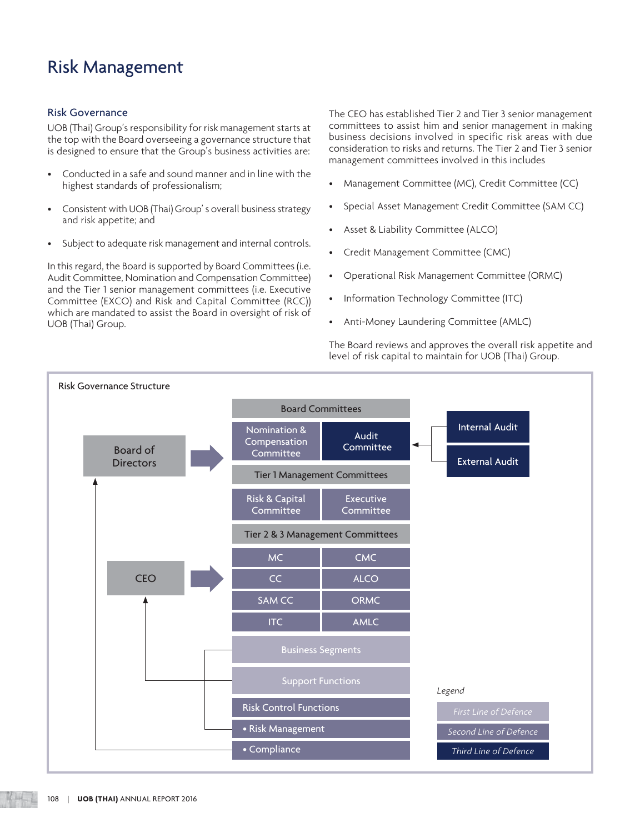### Risk Governance

UOB (Thai) Group's responsibility for risk management starts at the top with the Board overseeing a governance structure that is designed to ensure that the Group's business activities are:

- Conducted in a safe and sound manner and in line with the highest standards of professionalism;
- Consistent with UOB (Thai) Group' s overall business strategy and risk appetite; and
- Subject to adequate risk management and internal controls.

In this regard, the Board is supported by Board Committees (i.e. Audit Committee, Nomination and Compensation Committee) and the Tier 1 senior management committees (i.e. Executive Committee (EXCO) and Risk and Capital Committee (RCC)) which are mandated to assist the Board in oversight of risk of UOB (Thai) Group.

The CEO has established Tier 2 and Tier 3 senior management committees to assist him and senior management in making business decisions involved in specific risk areas with due consideration to risks and returns. The Tier 2 and Tier 3 senior management committees involved in this includes

- Management Committee (MC), Credit Committee (CC)
- Special Asset Management Credit Committee (SAM CC)
- Asset & Liability Committee (ALCO)
- Credit Management Committee (CMC)
- Operational Risk Management Committee (ORMC)
- Information Technology Committee (ITC)
- Anti-Money Laundering Committee (AMLC)

The Board reviews and approves the overall risk appetite and level of risk capital to maintain for UOB (Thai) Group.

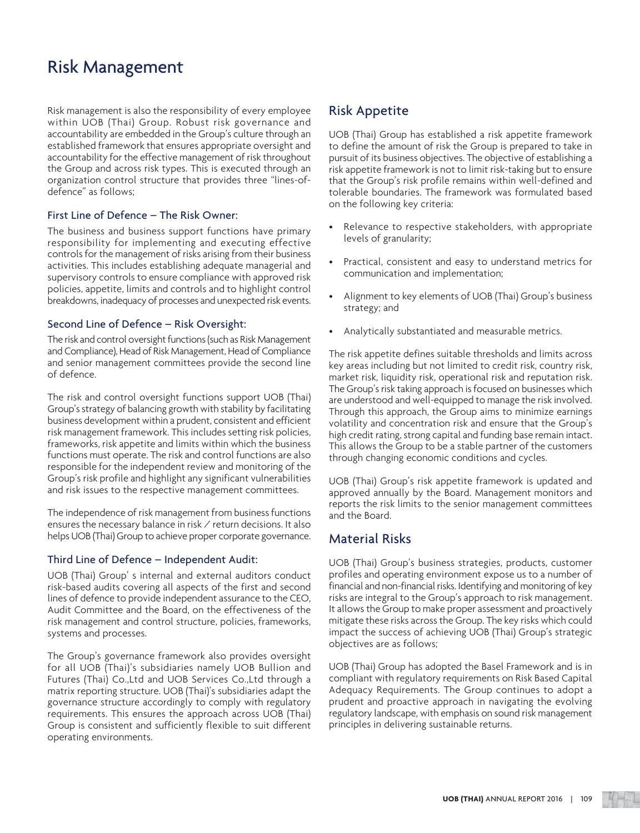Risk management is also the responsibility of every employee within UOB (Thai) Group. Robust risk governance and accountability are embedded in the Group's culture through an established framework that ensures appropriate oversight and accountability for the effective management of risk throughout the Group and across risk types. This is executed through an organization control structure that provides three "lines-ofdefence" as follows;

### First Line of Defence – The Risk Owner:

The business and business support functions have primary responsibility for implementing and executing effective controls for the management of risks arising from their business activities. This includes establishing adequate managerial and supervisory controls to ensure compliance with approved risk policies, appetite, limits and controls and to highlight control breakdowns, inadequacy of processes and unexpected risk events.

### Second Line of Defence – Risk Oversight:

The risk and control oversight functions (such as Risk Management and Compliance), Head of Risk Management, Head of Compliance and senior management committees provide the second line of defence.

The risk and control oversight functions support UOB (Thai) Group's strategy of balancing growth with stability by facilitating business development within a prudent, consistent and efficient risk management framework. This includes setting risk policies, frameworks, risk appetite and limits within which the business functions must operate. The risk and control functions are also responsible for the independent review and monitoring of the Group's risk profile and highlight any significant vulnerabilities and risk issues to the respective management committees.

The independence of risk management from business functions ensures the necessary balance in risk / return decisions. It also helps UOB (Thai) Group to achieve proper corporate governance.

### Third Line of Defence – Independent Audit:

UOB (Thai) Group' s internal and external auditors conduct risk-based audits covering all aspects of the first and second lines of defence to provide independent assurance to the CEO, Audit Committee and the Board, on the effectiveness of the risk management and control structure, policies, frameworks, systems and processes.

The Group's governance framework also provides oversight for all UOB (Thai)'s subsidiaries namely UOB Bullion and Futures (Thai) Co.,Ltd and UOB Services Co.,Ltd through a matrix reporting structure. UOB (Thai)'s subsidiaries adapt the governance structure accordingly to comply with regulatory requirements. This ensures the approach across UOB (Thai) Group is consistent and sufficiently flexible to suit different operating environments.

### Risk Appetite

UOB (Thai) Group has established a risk appetite framework to define the amount of risk the Group is prepared to take in pursuit of its business objectives. The objective of establishing a risk appetite framework is not to limit risk-taking but to ensure that the Group's risk profile remains within well-defined and tolerable boundaries. The framework was formulated based on the following key criteria:

- Relevance to respective stakeholders, with appropriate levels of granularity;
- Practical, consistent and easy to understand metrics for communication and implementation;
- Alignment to key elements of UOB (Thai) Group's business strategy; and
- Analytically substantiated and measurable metrics.

The risk appetite defines suitable thresholds and limits across key areas including but not limited to credit risk, country risk, market risk, liquidity risk, operational risk and reputation risk. The Group's risk taking approach is focused on businesses which are understood and well-equipped to manage the risk involved. Through this approach, the Group aims to minimize earnings volatility and concentration risk and ensure that the Group's high credit rating, strong capital and funding base remain intact. This allows the Group to be a stable partner of the customers through changing economic conditions and cycles.

UOB (Thai) Group's risk appetite framework is updated and approved annually by the Board. Management monitors and reports the risk limits to the senior management committees and the Board.

### Material Risks

UOB (Thai) Group's business strategies, products, customer profiles and operating environment expose us to a number of financial and non-financial risks. Identifying and monitoring of key risks are integral to the Group's approach to risk management. It allows the Group to make proper assessment and proactively mitigate these risks across the Group. The key risks which could impact the success of achieving UOB (Thai) Group's strategic objectives are as follows;

UOB (Thai) Group has adopted the Basel Framework and is in compliant with regulatory requirements on Risk Based Capital Adequacy Requirements. The Group continues to adopt a prudent and proactive approach in navigating the evolving regulatory landscape, with emphasis on sound risk management principles in delivering sustainable returns.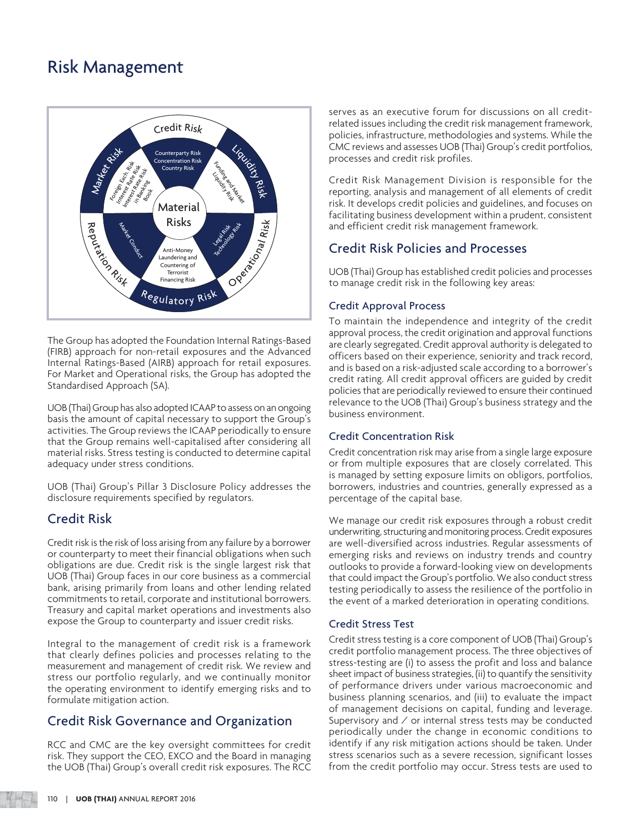

The Group has adopted the Foundation Internal Ratings-Based (FIRB) approach for non-retail exposures and the Advanced Internal Ratings-Based (AIRB) approach for retail exposures. For Market and Operational risks, the Group has adopted the Standardised Approach (SA).

UOB (Thai) Group has also adopted ICAAP to assess on an ongoing basis the amount of capital necessary to support the Group's activities. The Group reviews the ICAAP periodically to ensure that the Group remains well-capitalised after considering all material risks. Stress testing is conducted to determine capital adequacy under stress conditions.

UOB (Thai) Group's Pillar 3 Disclosure Policy addresses the disclosure requirements specified by regulators.

### Credit Risk

Credit risk is the risk of loss arising from any failure by a borrower or counterparty to meet their financial obligations when such obligations are due. Credit risk is the single largest risk that UOB (Thai) Group faces in our core business as a commercial bank, arising primarily from loans and other lending related commitments to retail, corporate and institutional borrowers. Treasury and capital market operations and investments also expose the Group to counterparty and issuer credit risks.

Integral to the management of credit risk is a framework that clearly defines policies and processes relating to the measurement and management of credit risk. We review and stress our portfolio regularly, and we continually monitor the operating environment to identify emerging risks and to formulate mitigation action.

### Credit Risk Governance and Organization

RCC and CMC are the key oversight committees for credit risk. They support the CEO, EXCO and the Board in managing the UOB (Thai) Group's overall credit risk exposures. The RCC serves as an executive forum for discussions on all creditrelated issues including the credit risk management framework, policies, infrastructure, methodologies and systems. While the CMC reviews and assesses UOB (Thai) Group's credit portfolios, processes and credit risk profiles.

Credit Risk Management Division is responsible for the reporting, analysis and management of all elements of credit risk. It develops credit policies and guidelines, and focuses on facilitating business development within a prudent, consistent and efficient credit risk management framework.

### Credit Risk Policies and Processes

UOB (Thai) Group has established credit policies and processes to manage credit risk in the following key areas:

### Credit Approval Process

To maintain the independence and integrity of the credit approval process, the credit origination and approval functions are clearly segregated. Credit approval authority is delegated to officers based on their experience, seniority and track record, and is based on a risk-adjusted scale according to a borrower's credit rating. All credit approval officers are guided by credit policies that are periodically reviewed to ensure their continued relevance to the UOB (Thai) Group's business strategy and the business environment.

### Credit Concentration Risk

Credit concentration risk may arise from a single large exposure or from multiple exposures that are closely correlated. This is managed by setting exposure limits on obligors, portfolios, borrowers, industries and countries, generally expressed as a percentage of the capital base.

We manage our credit risk exposures through a robust credit underwriting, structuring and monitoring process. Credit exposures are well-diversified across industries. Regular assessments of emerging risks and reviews on industry trends and country outlooks to provide a forward-looking view on developments that could impact the Group's portfolio. We also conduct stress testing periodically to assess the resilience of the portfolio in the event of a marked deterioration in operating conditions.

### Credit Stress Test

Credit stress testing is a core component of UOB (Thai) Group's credit portfolio management process. The three objectives of stress-testing are (i) to assess the profit and loss and balance sheet impact of business strategies, (ii) to quantify the sensitivity of performance drivers under various macroeconomic and business planning scenarios, and (iii) to evaluate the impact of management decisions on capital, funding and leverage. Supervisory and  $\angle$  or internal stress tests may be conducted periodically under the change in economic conditions to identify if any risk mitigation actions should be taken. Under stress scenarios such as a severe recession, significant losses from the credit portfolio may occur. Stress tests are used to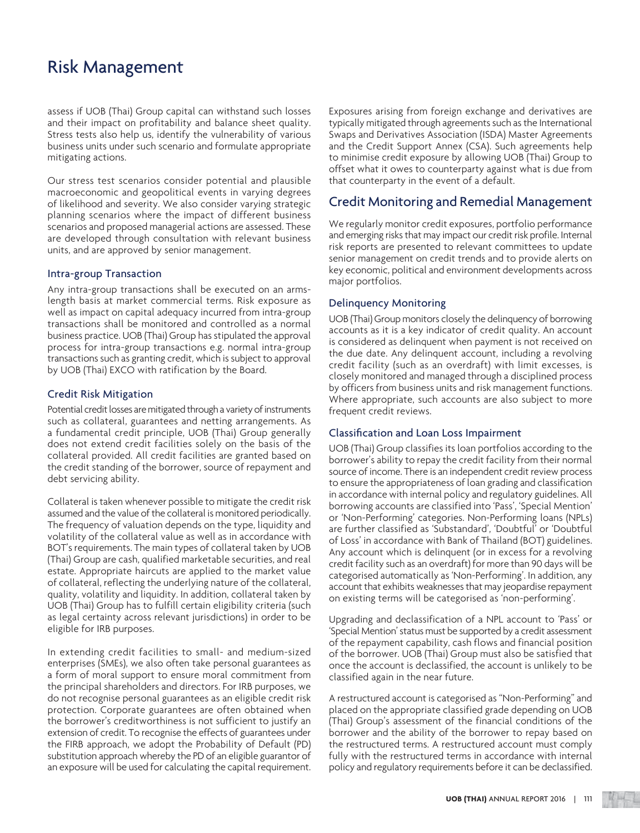assess if UOB (Thai) Group capital can withstand such losses and their impact on profitability and balance sheet quality. Stress tests also help us, identify the vulnerability of various business units under such scenario and formulate appropriate mitigating actions.

Our stress test scenarios consider potential and plausible macroeconomic and geopolitical events in varying degrees of likelihood and severity. We also consider varying strategic planning scenarios where the impact of different business scenarios and proposed managerial actions are assessed. These are developed through consultation with relevant business units, and are approved by senior management.

#### Intra-group Transaction

Any intra-group transactions shall be executed on an armslength basis at market commercial terms. Risk exposure as well as impact on capital adequacy incurred from intra-group transactions shall be monitored and controlled as a normal business practice. UOB (Thai) Group has stipulated the approval process for intra-group transactions e.g. normal intra-group transactions such as granting credit, which is subject to approval by UOB (Thai) EXCO with ratification by the Board.

#### Credit Risk Mitigation

Potential credit losses are mitigated through a variety of instruments such as collateral, guarantees and netting arrangements. As a fundamental credit principle, UOB (Thai) Group generally does not extend credit facilities solely on the basis of the collateral provided. All credit facilities are granted based on the credit standing of the borrower, source of repayment and debt servicing ability.

Collateral is taken whenever possible to mitigate the credit risk assumed and the value of the collateral is monitored periodically. The frequency of valuation depends on the type, liquidity and volatility of the collateral value as well as in accordance with BOT's requirements. The main types of collateral taken by UOB (Thai) Group are cash, qualified marketable securities, and real estate. Appropriate haircuts are applied to the market value of collateral, reflecting the underlying nature of the collateral, quality, volatility and liquidity. In addition, collateral taken by UOB (Thai) Group has to fulfill certain eligibility criteria (such as legal certainty across relevant jurisdictions) in order to be eligible for IRB purposes.

In extending credit facilities to small- and medium-sized enterprises (SMEs), we also often take personal guarantees as a form of moral support to ensure moral commitment from the principal shareholders and directors. For IRB purposes, we do not recognise personal guarantees as an eligible credit risk protection. Corporate guarantees are often obtained when the borrower's creditworthiness is not sufficient to justify an extension of credit. To recognise the effects of guarantees under the FIRB approach, we adopt the Probability of Default (PD) substitution approach whereby the PD of an eligible guarantor of an exposure will be used for calculating the capital requirement.

Exposures arising from foreign exchange and derivatives are typically mitigated through agreements such as the International Swaps and Derivatives Association (ISDA) Master Agreements and the Credit Support Annex (CSA). Such agreements help to minimise credit exposure by allowing UOB (Thai) Group to offset what it owes to counterparty against what is due from that counterparty in the event of a default.

### Credit Monitoring and Remedial Management

We regularly monitor credit exposures, portfolio performance and emerging risks that may impact our credit risk profile. Internal risk reports are presented to relevant committees to update senior management on credit trends and to provide alerts on key economic, political and environment developments across major portfolios.

### Delinquency Monitoring

UOB (Thai) Group monitors closely the delinquency of borrowing accounts as it is a key indicator of credit quality. An account is considered as delinquent when payment is not received on the due date. Any delinquent account, including a revolving credit facility (such as an overdraft) with limit excesses, is closely monitored and managed through a disciplined process by officers from business units and risk management functions. Where appropriate, such accounts are also subject to more frequent credit reviews.

### Classification and Loan Loss Impairment

UOB (Thai) Group classifies its loan portfolios according to the borrower's ability to repay the credit facility from their normal source of income. There is an independent credit review process to ensure the appropriateness of loan grading and classification in accordance with internal policy and regulatory guidelines. All borrowing accounts are classified into 'Pass', 'Special Mention' or 'Non-Performing' categories. Non-Performing loans (NPLs) are further classified as 'Substandard', 'Doubtful' or 'Doubtful of Loss' in accordance with Bank of Thailand (BOT) guidelines. Any account which is delinquent (or in excess for a revolving credit facility such as an overdraft) for more than 90 days will be categorised automatically as 'Non-Performing'. In addition, any account that exhibits weaknesses that may jeopardise repayment on existing terms will be categorised as 'non-performing'.

Upgrading and declassification of a NPL account to 'Pass' or 'Special Mention' status must be supported by a credit assessment of the repayment capability, cash flows and financial position of the borrower. UOB (Thai) Group must also be satisfied that once the account is declassified, the account is unlikely to be classified again in the near future.

A restructured account is categorised as "Non-Performing" and placed on the appropriate classified grade depending on UOB (Thai) Group's assessment of the financial conditions of the borrower and the ability of the borrower to repay based on the restructured terms. A restructured account must comply fully with the restructured terms in accordance with internal policy and regulatory requirements before it can be declassified.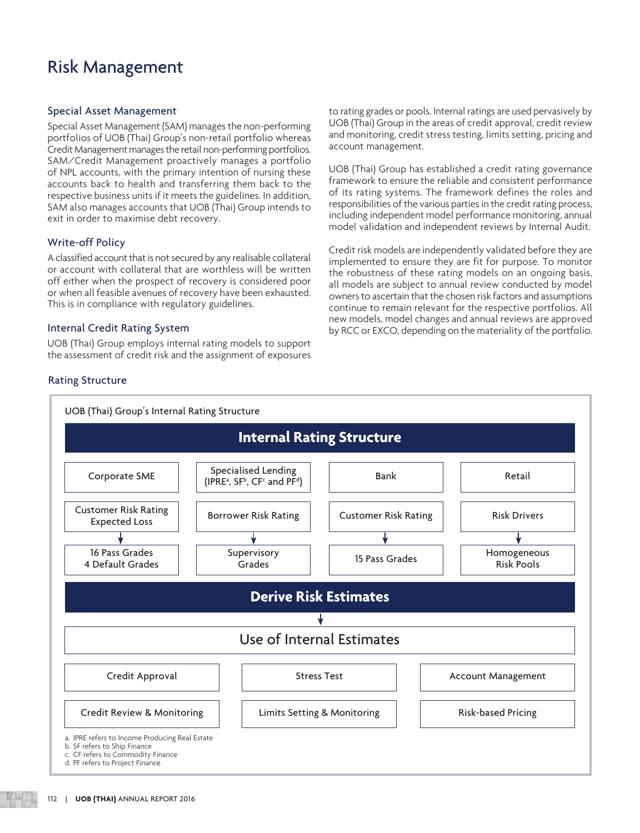### Special Asset Management

Special Asset Management (SAM) manages the non-performing portfolios of UOB (Thai) Group's non-retail portfolio whereas Credit Management manages the retail non-performing portfolios. SAM/Credit Management proactively manages a portfolio of NPL accounts, with the primary intention of nursing these accounts back to health and transferring them back to the respective business units if it meets the guidelines. In addition, SAM also manages accounts that UOB (Thai) Group intends to exit in order to maximise debt recovery.

### Write-off Policy

A classified account that is not secured by any realisable collateral or account with collateral that are worthless will be written off either when the prospect of recovery is considered poor or when all feasible avenues of recovery have been exhausted. This is in compliance with regulatory guidelines.

### Internal Credit Rating System

UOB (Thai) Group employs internal rating models to support the assessment of credit risk and the assignment of exposures to rating grades or pools. Internal ratings are used pervasively by UOB (Thai) Group in the areas of credit approval, credit review and monitoring, credit stress testing, limits setting, pricing and account management.

UOB (Thai) Group has established a credit rating governance framework to ensure the reliable and consistent performance of its rating systems. The framework defines the roles and responsibilities of the various parties in the credit rating process, including independent model performance monitoring, annual model validation and independent reviews by Internal Audit.

Credit risk models are independently validated before they are implemented to ensure they are fit for purpose. To monitor the robustness of these rating models on an ongoing basis, all models are subject to annual review conducted by model owners to ascertain that the chosen risk factors and assumptions continue to remain relevant for the respective portfolios. All new models, model changes and annual reviews are approved by RCC or EXCO, depending on the materiality of the portfolio.

### Rating Structure



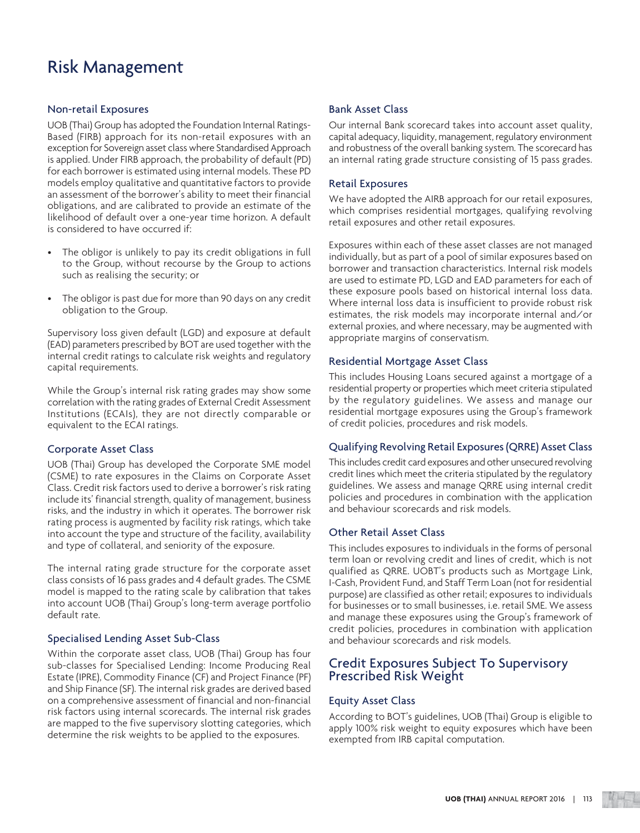### Non-retail Exposures

UOB (Thai) Group has adopted the Foundation Internal Ratings-Based (FIRB) approach for its non-retail exposures with an exception for Sovereign asset class where Standardised Approach is applied. Under FIRB approach, the probability of default (PD) for each borrower is estimated using internal models. These PD models employ qualitative and quantitative factors to provide an assessment of the borrower's ability to meet their financial obligations, and are calibrated to provide an estimate of the likelihood of default over a one-year time horizon. A default is considered to have occurred if:

- The obligor is unlikely to pay its credit obligations in full to the Group, without recourse by the Group to actions such as realising the security; or
- The obligor is past due for more than 90 days on any credit obligation to the Group.

Supervisory loss given default (LGD) and exposure at default (EAD) parameters prescribed by BOT are used together with the internal credit ratings to calculate risk weights and regulatory capital requirements.

While the Group's internal risk rating grades may show some correlation with the rating grades of External Credit Assessment Institutions (ECAIs), they are not directly comparable or equivalent to the ECAI ratings.

### Corporate Asset Class

UOB (Thai) Group has developed the Corporate SME model (CSME) to rate exposures in the Claims on Corporate Asset Class. Credit risk factors used to derive a borrower's risk rating include its' financial strength, quality of management, business risks, and the industry in which it operates. The borrower risk rating process is augmented by facility risk ratings, which take into account the type and structure of the facility, availability and type of collateral, and seniority of the exposure.

The internal rating grade structure for the corporate asset class consists of 16 pass grades and 4 default grades. The CSME model is mapped to the rating scale by calibration that takes into account UOB (Thai) Group's long-term average portfolio default rate.

### Specialised Lending Asset Sub-Class

Within the corporate asset class, UOB (Thai) Group has four sub-classes for Specialised Lending: Income Producing Real Estate (IPRE), Commodity Finance (CF) and Project Finance (PF) and Ship Finance (SF). The internal risk grades are derived based on a comprehensive assessment of financial and non-financial risk factors using internal scorecards. The internal risk grades are mapped to the five supervisory slotting categories, which determine the risk weights to be applied to the exposures.

### Bank Asset Class

Our internal Bank scorecard takes into account asset quality, capital adequacy, liquidity, management, regulatory environment and robustness of the overall banking system. The scorecard has an internal rating grade structure consisting of 15 pass grades.

### Retail Exposures

We have adopted the AIRB approach for our retail exposures, which comprises residential mortgages, qualifying revolving retail exposures and other retail exposures.

Exposures within each of these asset classes are not managed individually, but as part of a pool of similar exposures based on borrower and transaction characteristics. Internal risk models are used to estimate PD, LGD and EAD parameters for each of these exposure pools based on historical internal loss data. Where internal loss data is insufficient to provide robust risk estimates, the risk models may incorporate internal and/or external proxies, and where necessary, may be augmented with appropriate margins of conservatism.

### Residential Mortgage Asset Class

This includes Housing Loans secured against a mortgage of a residential property or properties which meet criteria stipulated by the regulatory guidelines. We assess and manage our residential mortgage exposures using the Group's framework of credit policies, procedures and risk models.

### Qualifying Revolving Retail Exposures (QRRE) Asset Class

This includes credit card exposures and other unsecured revolving credit lines which meet the criteria stipulated by the regulatory guidelines. We assess and manage QRRE using internal credit policies and procedures in combination with the application and behaviour scorecards and risk models.

### Other Retail Asset Class

This includes exposures to individuals in the forms of personal term loan or revolving credit and lines of credit, which is not qualified as QRRE. UOBT's products such as Mortgage Link, I-Cash, Provident Fund, and Staff Term Loan (not for residential purpose) are classified as other retail; exposures to individuals for businesses or to small businesses, i.e. retail SME. We assess and manage these exposures using the Group's framework of credit policies, procedures in combination with application and behaviour scorecards and risk models.

### Credit Exposures Subject To Supervisory Prescribed Risk Weight

### Equity Asset Class

According to BOT's guidelines, UOB (Thai) Group is eligible to apply 100% risk weight to equity exposures which have been exempted from IRB capital computation.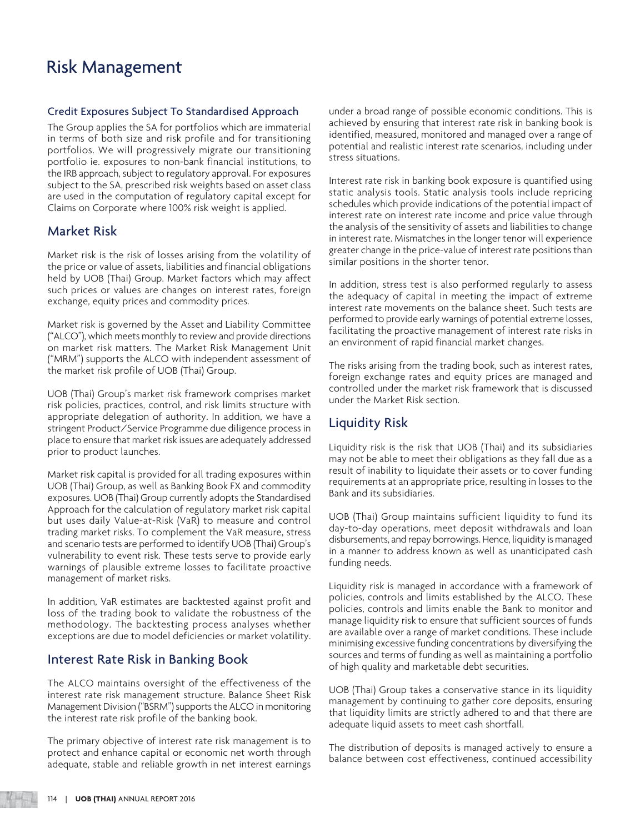### Credit Exposures Subject To Standardised Approach

The Group applies the SA for portfolios which are immaterial in terms of both size and risk profile and for transitioning portfolios. We will progressively migrate our transitioning portfolio ie. exposures to non-bank financial institutions, to the IRB approach, subject to regulatory approval. For exposures subject to the SA, prescribed risk weights based on asset class are used in the computation of regulatory capital except for Claims on Corporate where 100% risk weight is applied.

### Market Risk

Market risk is the risk of losses arising from the volatility of the price or value of assets, liabilities and financial obligations held by UOB (Thai) Group. Market factors which may affect such prices or values are changes on interest rates, foreign exchange, equity prices and commodity prices.

Market risk is governed by the Asset and Liability Committee ("ALCO"), which meets monthly to review and provide directions on market risk matters. The Market Risk Management Unit ("MRM") supports the ALCO with independent assessment of the market risk profile of UOB (Thai) Group.

UOB (Thai) Group's market risk framework comprises market risk policies, practices, control, and risk limits structure with appropriate delegation of authority. In addition, we have a stringent Product/Service Programme due diligence process in place to ensure that market risk issues are adequately addressed prior to product launches.

Market risk capital is provided for all trading exposures within UOB (Thai) Group, as well as Banking Book FX and commodity exposures. UOB (Thai) Group currently adopts the Standardised Approach for the calculation of regulatory market risk capital but uses daily Value-at-Risk (VaR) to measure and control trading market risks. To complement the VaR measure, stress and scenario tests are performed to identify UOB (Thai) Group's vulnerability to event risk. These tests serve to provide early warnings of plausible extreme losses to facilitate proactive management of market risks.

In addition, VaR estimates are backtested against profit and loss of the trading book to validate the robustness of the methodology. The backtesting process analyses whether exceptions are due to model deficiencies or market volatility.

### Interest Rate Risk in Banking Book

The ALCO maintains oversight of the effectiveness of the interest rate risk management structure. Balance Sheet Risk Management Division ("BSRM") supports the ALCO in monitoring the interest rate risk profile of the banking book.

The primary objective of interest rate risk management is to protect and enhance capital or economic net worth through adequate, stable and reliable growth in net interest earnings

under a broad range of possible economic conditions. This is achieved by ensuring that interest rate risk in banking book is identified, measured, monitored and managed over a range of potential and realistic interest rate scenarios, including under stress situations.

Interest rate risk in banking book exposure is quantified using static analysis tools. Static analysis tools include repricing schedules which provide indications of the potential impact of interest rate on interest rate income and price value through the analysis of the sensitivity of assets and liabilities to change in interest rate. Mismatches in the longer tenor will experience greater change in the price-value of interest rate positions than similar positions in the shorter tenor.

In addition, stress test is also performed regularly to assess the adequacy of capital in meeting the impact of extreme interest rate movements on the balance sheet. Such tests are performed to provide early warnings of potential extreme losses, facilitating the proactive management of interest rate risks in an environment of rapid financial market changes.

The risks arising from the trading book, such as interest rates, foreign exchange rates and equity prices are managed and controlled under the market risk framework that is discussed under the Market Risk section.

### Liquidity Risk

Liquidity risk is the risk that UOB (Thai) and its subsidiaries may not be able to meet their obligations as they fall due as a result of inability to liquidate their assets or to cover funding requirements at an appropriate price, resulting in losses to the Bank and its subsidiaries.

UOB (Thai) Group maintains sufficient liquidity to fund its day-to-day operations, meet deposit withdrawals and loan disbursements, and repay borrowings. Hence, liquidity is managed in a manner to address known as well as unanticipated cash funding needs.

Liquidity risk is managed in accordance with a framework of policies, controls and limits established by the ALCO. These policies, controls and limits enable the Bank to monitor and manage liquidity risk to ensure that sufficient sources of funds are available over a range of market conditions. These include minimising excessive funding concentrations by diversifying the sources and terms of funding as well as maintaining a portfolio of high quality and marketable debt securities.

UOB (Thai) Group takes a conservative stance in its liquidity management by continuing to gather core deposits, ensuring that liquidity limits are strictly adhered to and that there are adequate liquid assets to meet cash shortfall.

The distribution of deposits is managed actively to ensure a balance between cost effectiveness, continued accessibility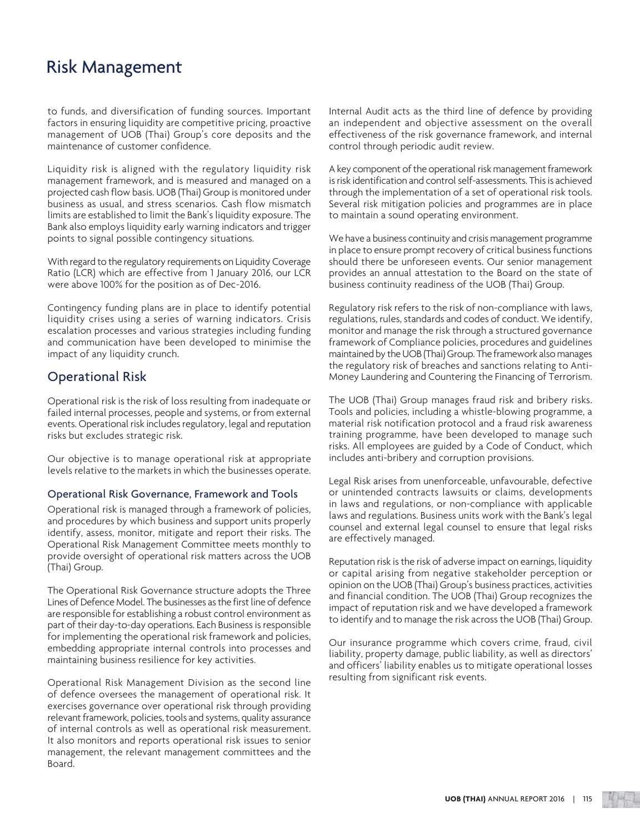to funds, and diversification of funding sources. Important factors in ensuring liquidity are competitive pricing, proactive management of UOB (Thai) Group's core deposits and the maintenance of customer confidence.

Liquidity risk is aligned with the regulatory liquidity risk management framework, and is measured and managed on a projected cash flow basis. UOB (Thai) Group is monitored under business as usual, and stress scenarios. Cash flow mismatch limits are established to limit the Bank's liquidity exposure. The Bank also employs liquidity early warning indicators and trigger points to signal possible contingency situations.

With regard to the regulatory requirements on Liquidity Coverage Ratio (LCR) which are effective from 1 January 2016, our LCR were above 100% for the position as of Dec-2016.

Contingency funding plans are in place to identify potential liquidity crises using a series of warning indicators. Crisis escalation processes and various strategies including funding and communication have been developed to minimise the impact of any liquidity crunch.

### Operational Risk

Operational risk is the risk of loss resulting from inadequate or failed internal processes, people and systems, or from external events. Operational risk includes regulatory, legal and reputation risks but excludes strategic risk.

Our objective is to manage operational risk at appropriate levels relative to the markets in which the businesses operate.

### Operational Risk Governance, Framework and Tools

Operational risk is managed through a framework of policies, and procedures by which business and support units properly identify, assess, monitor, mitigate and report their risks. The Operational Risk Management Committee meets monthly to provide oversight of operational risk matters across the UOB (Thai) Group.

The Operational Risk Governance structure adopts the Three Lines of Defence Model. The businesses as the first line of defence are responsible for establishing a robust control environment as part of their day-to-day operations. Each Business is responsible for implementing the operational risk framework and policies, embedding appropriate internal controls into processes and maintaining business resilience for key activities.

Operational Risk Management Division as the second line of defence oversees the management of operational risk. It exercises governance over operational risk through providing relevant framework, policies, tools and systems, quality assurance of internal controls as well as operational risk measurement. It also monitors and reports operational risk issues to senior management, the relevant management committees and the Board.

Internal Audit acts as the third line of defence by providing an independent and objective assessment on the overall effectiveness of the risk governance framework, and internal control through periodic audit review.

A key component of the operational risk management framework is risk identification and control self-assessments. This is achieved through the implementation of a set of operational risk tools. Several risk mitigation policies and programmes are in place to maintain a sound operating environment.

We have a business continuity and crisis management programme in place to ensure prompt recovery of critical business functions should there be unforeseen events. Our senior management provides an annual attestation to the Board on the state of business continuity readiness of the UOB (Thai) Group.

Regulatory risk refers to the risk of non-compliance with laws, regulations, rules, standards and codes of conduct. We identify, monitor and manage the risk through a structured governance framework of Compliance policies, procedures and guidelines maintained by the UOB (Thai) Group. The framework also manages the regulatory risk of breaches and sanctions relating to Anti-Money Laundering and Countering the Financing of Terrorism.

The UOB (Thai) Group manages fraud risk and bribery risks. Tools and policies, including a whistle-blowing programme, a material risk notification protocol and a fraud risk awareness training programme, have been developed to manage such risks. All employees are guided by a Code of Conduct, which includes anti-bribery and corruption provisions.

Legal Risk arises from unenforceable, unfavourable, defective or unintended contracts lawsuits or claims, developments in laws and regulations, or non-compliance with applicable laws and regulations. Business units work with the Bank's legal counsel and external legal counsel to ensure that legal risks are effectively managed.

Reputation risk is the risk of adverse impact on earnings, liquidity or capital arising from negative stakeholder perception or opinion on the UOB (Thai) Group's business practices, activities and financial condition. The UOB (Thai) Group recognizes the impact of reputation risk and we have developed a framework to identify and to manage the risk across the UOB (Thai) Group.

Our insurance programme which covers crime, fraud, civil liability, property damage, public liability, as well as directors' and officers' liability enables us to mitigate operational losses resulting from significant risk events.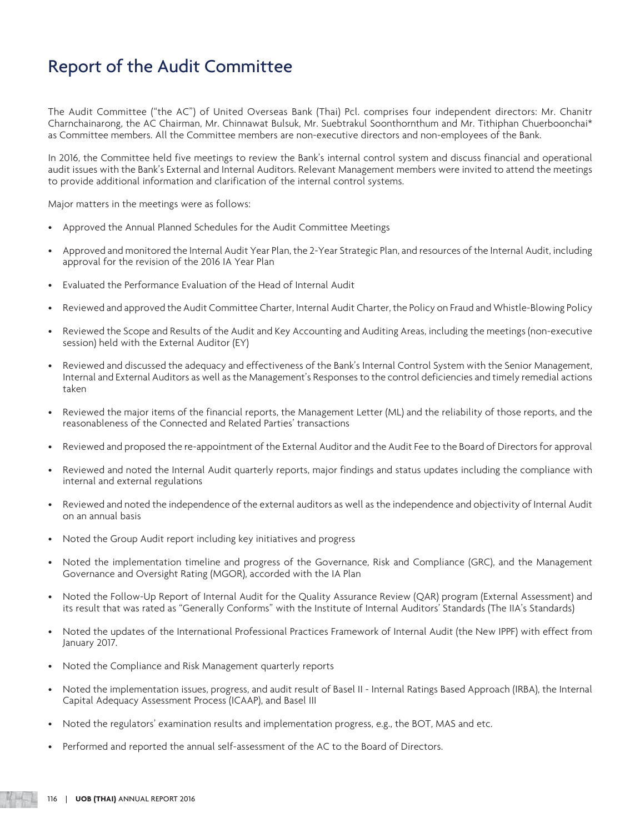## Report of the Audit Committee

The Audit Committee ("the AC") of United Overseas Bank (Thai) Pcl. comprises four independent directors: Mr. Chanitr Charnchainarong, the AC Chairman, Mr. Chinnawat Bulsuk, Mr. Suebtrakul Soonthornthum and Mr. Tithiphan Chuerboonchai\* as Committee members. All the Committee members are non-executive directors and non-employees of the Bank.

In 2016, the Committee held five meetings to review the Bank's internal control system and discuss financial and operational audit issues with the Bank's External and Internal Auditors. Relevant Management members were invited to attend the meetings to provide additional information and clarification of the internal control systems.

Major matters in the meetings were as follows:

- Approved the Annual Planned Schedules for the Audit Committee Meetings
- Approved and monitored the Internal Audit Year Plan, the 2-Year Strategic Plan, and resources of the Internal Audit, including approval for the revision of the 2016 IA Year Plan
- Evaluated the Performance Evaluation of the Head of Internal Audit
- Reviewed and approved the Audit Committee Charter, Internal Audit Charter, the Policy on Fraud and Whistle-Blowing Policy
- Reviewed the Scope and Results of the Audit and Key Accounting and Auditing Areas, including the meetings (non-executive session) held with the External Auditor (EY)
- Reviewed and discussed the adequacy and effectiveness of the Bank's Internal Control System with the Senior Management, Internal and External Auditors as well as the Management's Responses to the control deficiencies and timely remedial actions taken
- Reviewed the major items of the financial reports, the Management Letter (ML) and the reliability of those reports, and the reasonableness of the Connected and Related Parties' transactions
- Reviewed and proposed the re-appointment of the External Auditor and the Audit Fee to the Board of Directors for approval
- Reviewed and noted the Internal Audit quarterly reports, major findings and status updates including the compliance with internal and external regulations
- Reviewed and noted the independence of the external auditors as well as the independence and objectivity of Internal Audit on an annual basis
- Noted the Group Audit report including key initiatives and progress
- Noted the implementation timeline and progress of the Governance, Risk and Compliance (GRC), and the Management Governance and Oversight Rating (MGOR), accorded with the IA Plan
- Noted the Follow-Up Report of Internal Audit for the Quality Assurance Review (QAR) program (External Assessment) and its result that was rated as "Generally Conforms" with the Institute of Internal Auditors' Standards (The IIA's Standards)
- Noted the updates of the International Professional Practices Framework of Internal Audit (the New IPPF) with effect from January 2017.
- Noted the Compliance and Risk Management quarterly reports
- Noted the implementation issues, progress, and audit result of Basel II Internal Ratings Based Approach (IRBA), the Internal Capital Adequacy Assessment Process (ICAAP), and Basel III
- Noted the regulators' examination results and implementation progress, e.g., the BOT, MAS and etc.
- Performed and reported the annual self-assessment of the AC to the Board of Directors.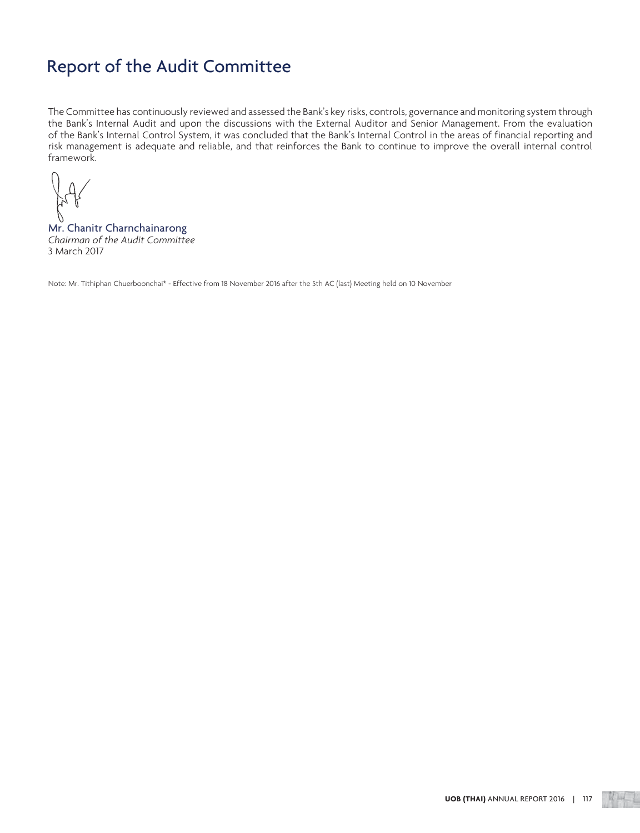## Report of the Audit Committee

The Committee has continuously reviewed and assessed the Bank's key risks, controls, governance and monitoring system through the Bank's Internal Audit and upon the discussions with the External Auditor and Senior Management. From the evaluation of the Bank's Internal Control System, it was concluded that the Bank's Internal Control in the areas of financial reporting and risk management is adequate and reliable, and that reinforces the Bank to continue to improve the overall internal control framework.

Mr. Chanitr Charnchainarong *Chairman of the Audit Committee*  3 March 2017

Note: Mr. Tithiphan Chuerboonchai\* - Effective from 18 November 2016 after the 5th AC (last) Meeting held on 10 November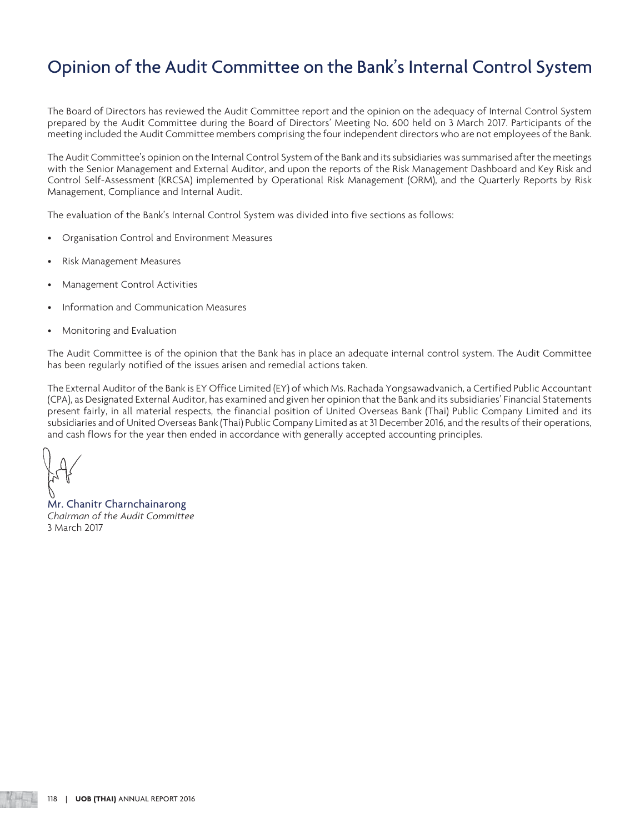## Opinion of the Audit Committee on the Bank's Internal Control System

The Board of Directors has reviewed the Audit Committee report and the opinion on the adequacy of Internal Control System prepared by the Audit Committee during the Board of Directors' Meeting No. 600 held on 3 March 2017. Participants of the meeting included the Audit Committee members comprising the four independent directors who are not employees of the Bank.

The Audit Committee's opinion on the Internal Control System of the Bank and its subsidiaries was summarised after the meetings with the Senior Management and External Auditor, and upon the reports of the Risk Management Dashboard and Key Risk and Control Self-Assessment (KRCSA) implemented by Operational Risk Management (ORM), and the Quarterly Reports by Risk Management, Compliance and Internal Audit.

The evaluation of the Bank's Internal Control System was divided into five sections as follows:

- Organisation Control and Environment Measures
- Risk Management Measures
- Management Control Activities
- Information and Communication Measures
- Monitoring and Evaluation

The Audit Committee is of the opinion that the Bank has in place an adequate internal control system. The Audit Committee has been regularly notified of the issues arisen and remedial actions taken.

The External Auditor of the Bank is EY Office Limited (EY) of which Ms. Rachada Yongsawadvanich, a Certified Public Accountant (CPA), as Designated External Auditor, has examined and given her opinion that the Bank and its subsidiaries' Financial Statements present fairly, in all material respects, the financial position of United Overseas Bank (Thai) Public Company Limited and its subsidiaries and of United Overseas Bank (Thai) Public Company Limited as at 31 December 2016, and the results of their operations, and cash flows for the year then ended in accordance with generally accepted accounting principles.

Mr. Chanitr Charnchainarong *Chairman of the Audit Committee* 3 March 2017

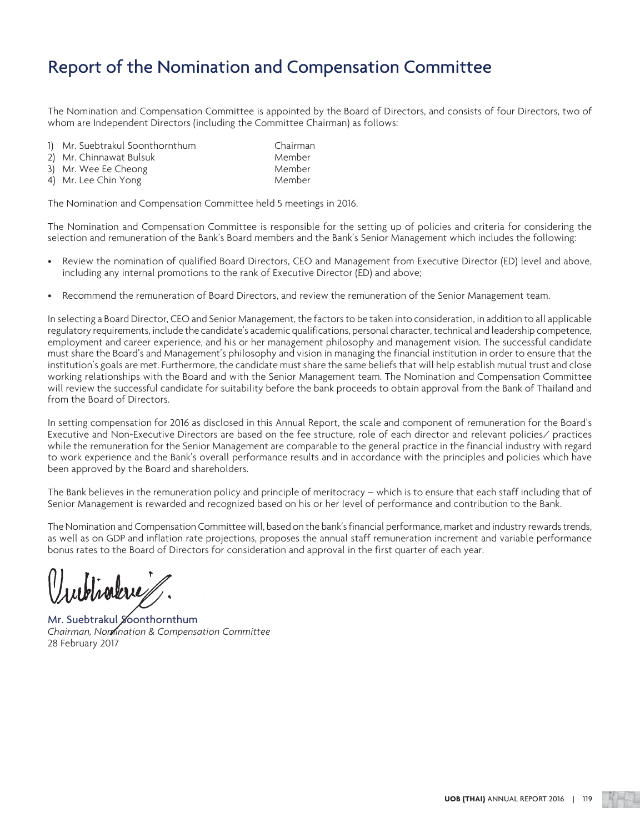## Report of the Nomination and Compensation Committee

The Nomination and Compensation Committee is appointed by the Board of Directors, and consists of four Directors, two of whom are Independent Directors (including the Committee Chairman) as follows:

- 1) Mr. Suebtrakul Soonthornthum Chairman
- 2) Mr. Chinnawat Bulsuk Member
- 3) Mr. Wee Ee Cheong Member
- 4) Mr. Lee Chin Yong Member

The Nomination and Compensation Committee held 5 meetings in 2016.

The Nomination and Compensation Committee is responsible for the setting up of policies and criteria for considering the selection and remuneration of the Bank's Board members and the Bank's Senior Management which includes the following:

- Review the nomination of qualified Board Directors, CEO and Management from Executive Director (ED) level and above, including any internal promotions to the rank of Executive Director (ED) and above;
- Recommend the remuneration of Board Directors, and review the remuneration of the Senior Management team.

In selecting a Board Director, CEO and Senior Management, the factors to be taken into consideration, in addition to all applicable regulatory requirements, include the candidate's academic qualifications, personal character, technical and leadership competence, employment and career experience, and his or her management philosophy and management vision. The successful candidate must share the Board's and Management's philosophy and vision in managing the financial institution in order to ensure that the institution's goals are met. Furthermore, the candidate must share the same beliefs that will help establish mutual trust and close working relationships with the Board and with the Senior Management team. The Nomination and Compensation Committee will review the successful candidate for suitability before the bank proceeds to obtain approval from the Bank of Thailand and from the Board of Directors.

In setting compensation for 2016 as disclosed in this Annual Report, the scale and component of remuneration for the Board's Executive and Non-Executive Directors are based on the fee structure, role of each director and relevant policies/ practices while the remuneration for the Senior Management are comparable to the general practice in the financial industry with regard to work experience and the Bank's overall performance results and in accordance with the principles and policies which have been approved by the Board and shareholders.

The Bank believes in the remuneration policy and principle of meritocracy – which is to ensure that each staff including that of Senior Management is rewarded and recognized based on his or her level of performance and contribution to the Bank.

The Nomination and Compensation Committee will, based on the bank's financial performance, market and industry rewards trends, as well as on GDP and inflation rate projections, proposes the annual staff remuneration increment and variable performance bonus rates to the Board of Directors for consideration and approval in the first quarter of each year.

wholese

Mr. Suebtrakul Soonthornthum *Chairman, Nomination & Compensation Committee* 28 February 2017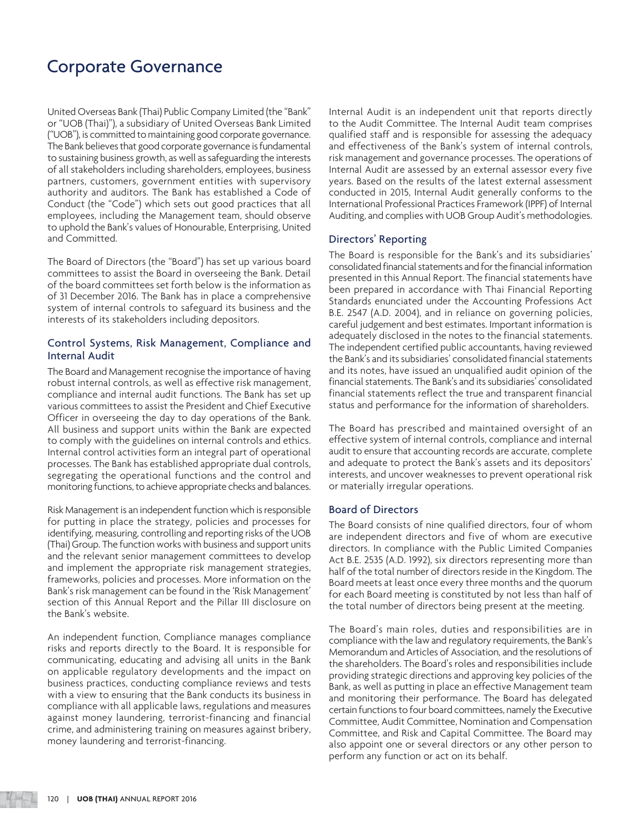## Corporate Governance

United Overseas Bank (Thai) Public Company Limited (the "Bank" or "UOB (Thai)"), a subsidiary of United Overseas Bank Limited ("UOB"), is committed to maintaining good corporate governance. The Bank believes that good corporate governance is fundamental to sustaining business growth, as well as safeguarding the interests of all stakeholders including shareholders, employees, business partners, customers, government entities with supervisory authority and auditors. The Bank has established a Code of Conduct (the "Code") which sets out good practices that all employees, including the Management team, should observe to uphold the Bank's values of Honourable, Enterprising, United and Committed.

The Board of Directors (the "Board") has set up various board committees to assist the Board in overseeing the Bank. Detail of the board committees set forth below is the information as of 31 December 2016. The Bank has in place a comprehensive system of internal controls to safeguard its business and the interests of its stakeholders including depositors.

### Control Systems, Risk Management, Compliance and Internal Audit

The Board and Management recognise the importance of having robust internal controls, as well as effective risk management, compliance and internal audit functions. The Bank has set up various committees to assist the President and Chief Executive Officer in overseeing the day to day operations of the Bank. All business and support units within the Bank are expected to comply with the guidelines on internal controls and ethics. Internal control activities form an integral part of operational processes. The Bank has established appropriate dual controls, segregating the operational functions and the control and monitoring functions, to achieve appropriate checks and balances.

Risk Management is an independent function which is responsible for putting in place the strategy, policies and processes for identifying, measuring, controlling and reporting risks of the UOB (Thai) Group. The function works with business and support units and the relevant senior management committees to develop and implement the appropriate risk management strategies, frameworks, policies and processes. More information on the Bank's risk management can be found in the 'Risk Management' section of this Annual Report and the Pillar III disclosure on the Bank's website.

An independent function, Compliance manages compliance risks and reports directly to the Board. It is responsible for communicating, educating and advising all units in the Bank on applicable regulatory developments and the impact on business practices, conducting compliance reviews and tests with a view to ensuring that the Bank conducts its business in compliance with all applicable laws, regulations and measures against money laundering, terrorist-financing and financial crime, and administering training on measures against bribery, money laundering and terrorist-financing.

Internal Audit is an independent unit that reports directly to the Audit Committee. The Internal Audit team comprises qualified staff and is responsible for assessing the adequacy and effectiveness of the Bank's system of internal controls, risk management and governance processes. The operations of Internal Audit are assessed by an external assessor every five years. Based on the results of the latest external assessment conducted in 2015, Internal Audit generally conforms to the International Professional Practices Framework (IPPF) of Internal Auditing, and complies with UOB Group Audit's methodologies.

### Directors' Reporting

The Board is responsible for the Bank's and its subsidiaries' consolidated financial statements and for the financial information presented in this Annual Report. The financial statements have been prepared in accordance with Thai Financial Reporting Standards enunciated under the Accounting Professions Act B.E. 2547 (A.D. 2004), and in reliance on governing policies, careful judgement and best estimates. Important information is adequately disclosed in the notes to the financial statements. The independent certified public accountants, having reviewed the Bank's and its subsidiaries' consolidated financial statements and its notes, have issued an unqualified audit opinion of the financial statements. The Bank's and its subsidiaries' consolidated financial statements reflect the true and transparent financial status and performance for the information of shareholders.

The Board has prescribed and maintained oversight of an effective system of internal controls, compliance and internal audit to ensure that accounting records are accurate, complete and adequate to protect the Bank's assets and its depositors' interests, and uncover weaknesses to prevent operational risk or materially irregular operations.

### Board of Directors

The Board consists of nine qualified directors, four of whom are independent directors and five of whom are executive directors. In compliance with the Public Limited Companies Act B.E. 2535 (A.D. 1992), six directors representing more than half of the total number of directors reside in the Kingdom. The Board meets at least once every three months and the quorum for each Board meeting is constituted by not less than half of the total number of directors being present at the meeting.

The Board's main roles, duties and responsibilities are in compliance with the law and regulatory requirements, the Bank's Memorandum and Articles of Association, and the resolutions of the shareholders. The Board's roles and responsibilities include providing strategic directions and approving key policies of the Bank, as well as putting in place an effective Management team and monitoring their performance. The Board has delegated certain functions to four board committees, namely the Executive Committee, Audit Committee, Nomination and Compensation Committee, and Risk and Capital Committee. The Board may also appoint one or several directors or any other person to perform any function or act on its behalf.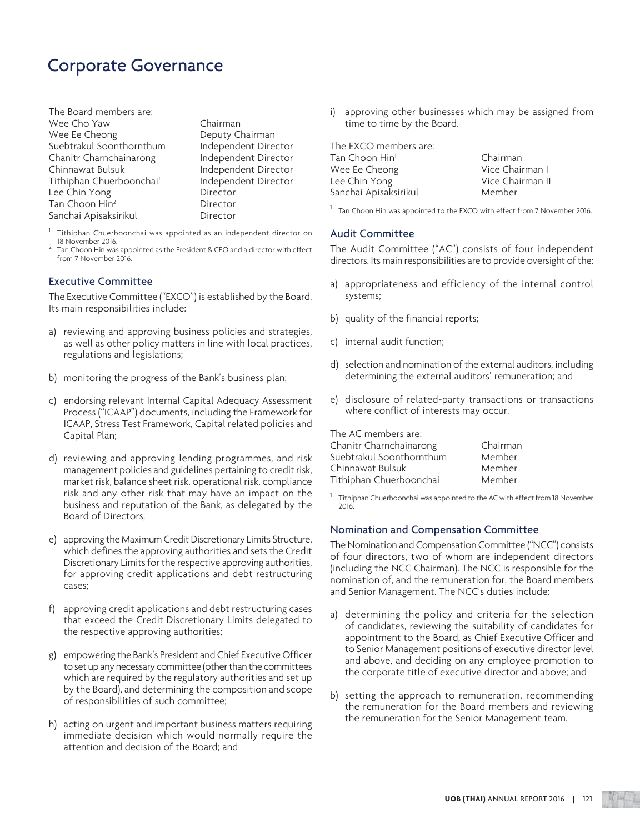## Corporate Governance

The Board members are: Wee Cho Yaw Chairman Wee Ee Cheong Deputy Chairman Suebtrakul Soonthornthum Independent Director Chanitr Charnchainarong lndependent Director Chinnawat Bulsuk **Independent Director** Tithiphan Chuerboonchai<sup>1</sup> Lee Chin Yong Director Tan Choon Hin2 Sanchai Apisaksirikul **Director** 

 Independent Director Director

- 1 Tithiphan Chuerboonchai was appointed as an independent director on 18 November 2016.
- 2 Tan Choon Hin was appointed as the President & CEO and a director with effect from 7 November 2016.

### Executive Committee

The Executive Committee ("EXCO") is established by the Board. Its main responsibilities include:

- a) reviewing and approving business policies and strategies, as well as other policy matters in line with local practices, regulations and legislations;
- b) monitoring the progress of the Bank's business plan;
- c) endorsing relevant Internal Capital Adequacy Assessment Process ("ICAAP") documents, including the Framework for ICAAP, Stress Test Framework, Capital related policies and Capital Plan;
- d) reviewing and approving lending programmes, and risk management policies and guidelines pertaining to credit risk, market risk, balance sheet risk, operational risk, compliance risk and any other risk that may have an impact on the business and reputation of the Bank, as delegated by the Board of Directors;
- e) approving the Maximum Credit Discretionary Limits Structure, which defines the approving authorities and sets the Credit Discretionary Limits for the respective approving authorities, for approving credit applications and debt restructuring cases;
- f) approving credit applications and debt restructuring cases that exceed the Credit Discretionary Limits delegated to the respective approving authorities;
- g) empowering the Bank's President and Chief Executive Officer to set up any necessary committee (other than the committees which are required by the regulatory authorities and set up by the Board), and determining the composition and scope of responsibilities of such committee;
- h) acting on urgent and important business matters requiring immediate decision which would normally require the attention and decision of the Board; and

i) approving other businesses which may be assigned from time to time by the Board.

| The EXCO members are:      |                  |
|----------------------------|------------------|
| Tan Choon Hin <sup>1</sup> | Chairman         |
| Wee Ee Cheong              | Vice Chairman I  |
| Lee Chin Yong              | Vice Chairman II |
| Sanchai Apisaksirikul      | Member           |
|                            |                  |

<sup>1</sup> Tan Choon Hin was appointed to the EXCO with effect from 7 November 2016.

### Audit Committee

The Audit Committee ("AC") consists of four independent directors. Its main responsibilities are to provide oversight of the:

- a) appropriateness and efficiency of the internal control systems;
- b) quality of the financial reports;
- c) internal audit function;
- d) selection and nomination of the external auditors, including determining the external auditors' remuneration; and
- e) disclosure of related-party transactions or transactions where conflict of interests may occur.

The AC members are:

| Chairman |
|----------|
| Member   |
| Member   |
| Member   |
|          |

1 Tithiphan Chuerboonchai was appointed to the AC with effect from 18 November 2016.

### Nomination and Compensation Committee

The Nomination and Compensation Committee ("NCC") consists of four directors, two of whom are independent directors (including the NCC Chairman). The NCC is responsible for the nomination of, and the remuneration for, the Board members and Senior Management. The NCC's duties include:

- a) determining the policy and criteria for the selection of candidates, reviewing the suitability of candidates for appointment to the Board, as Chief Executive Officer and to Senior Management positions of executive director level and above, and deciding on any employee promotion to the corporate title of executive director and above; and
- b) setting the approach to remuneration, recommending the remuneration for the Board members and reviewing the remuneration for the Senior Management team.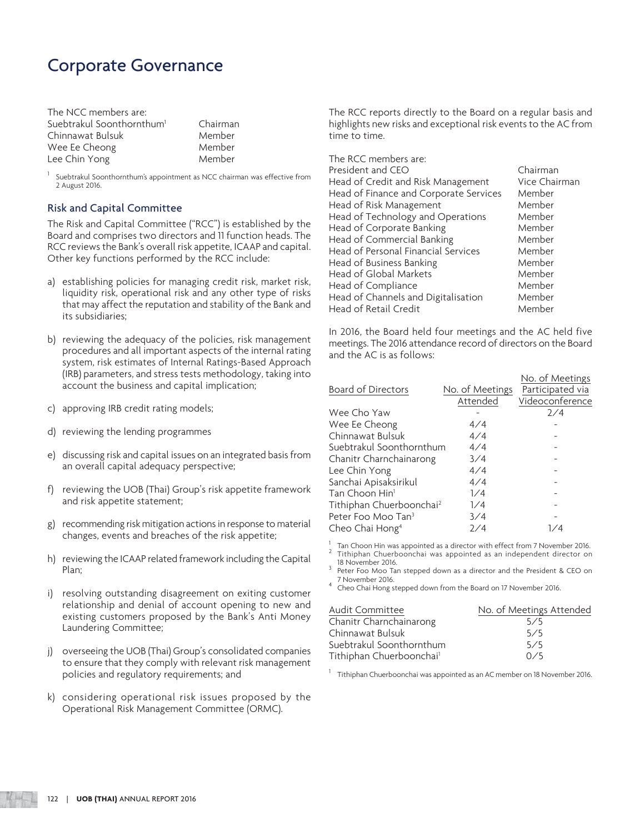## Corporate Governance

| The NCC members are:                  |          |
|---------------------------------------|----------|
| Suebtrakul Soonthornthum <sup>1</sup> | Chairmar |
| Chinnawat Bulsuk                      | Member   |
| Wee Ee Cheong                         | Member   |
| Lee Chin Yong                         | Member   |

rman

1 Suebtrakul Soonthornthum's appointment as NCC chairman was effective from 2 August 2016.

### Risk and Capital Committee

The Risk and Capital Committee ("RCC") is established by the Board and comprises two directors and 11 function heads. The RCC reviews the Bank's overall risk appetite, ICAAP and capital. Other key functions performed by the RCC include:

- a) establishing policies for managing credit risk, market risk, liquidity risk, operational risk and any other type of risks that may affect the reputation and stability of the Bank and its subsidiaries;
- b) reviewing the adequacy of the policies, risk management procedures and all important aspects of the internal rating system, risk estimates of Internal Ratings-Based Approach (IRB) parameters, and stress tests methodology, taking into account the business and capital implication;
- c) approving IRB credit rating models;
- d) reviewing the lending programmes
- e) discussing risk and capital issues on an integrated basis from an overall capital adequacy perspective;
- f) reviewing the UOB (Thai) Group's risk appetite framework and risk appetite statement;
- g) recommending risk mitigation actions in response to material changes, events and breaches of the risk appetite;
- h) reviewing the ICAAP related framework including the Capital Plan;
- i) resolving outstanding disagreement on exiting customer relationship and denial of account opening to new and existing customers proposed by the Bank's Anti Money Laundering Committee;
- j) overseeing the UOB (Thai) Group's consolidated companies to ensure that they comply with relevant risk management policies and regulatory requirements; and
- k) considering operational risk issues proposed by the Operational Risk Management Committee (ORMC).

The RCC reports directly to the Board on a regular basis and highlights new risks and exceptional risk events to the AC from time to time.

| The RCC members are:                   |               |
|----------------------------------------|---------------|
| President and CEO                      | Chairman      |
| Head of Credit and Risk Management     | Vice Chairman |
| Head of Finance and Corporate Services | Member        |
| Head of Risk Management                | Member        |
| Head of Technology and Operations      | Member        |
| Head of Corporate Banking              | Member        |
| Head of Commercial Banking             | Member        |
| Head of Personal Financial Services    | Member        |
| Head of Business Banking               | Member        |
| Head of Global Markets                 | Member        |
| Head of Compliance                     | Member        |
| Head of Channels and Digitalisation    | Member        |
| Head of Retail Credit                  | Member        |

In 2016, the Board held four meetings and the AC held five meetings. The 2016 attendance record of directors on the Board and the AC is as follows:

|                                      |                 | No. of Meetings  |
|--------------------------------------|-----------------|------------------|
| <b>Board of Directors</b>            | No. of Meetings | Participated via |
|                                      | Attended        | Videoconference  |
| Wee Cho Yaw                          |                 | 7/4              |
| Wee Ee Cheong                        | 4/4             |                  |
| Chinnawat Bulsuk                     | 4/4             |                  |
| Suebtrakul Soonthornthum             | 4/4             |                  |
| Chanitr Charnchainarong              | 3/4             |                  |
| Lee Chin Yong                        | 4/4             |                  |
| Sanchai Apisaksirikul                | 4/4             |                  |
| Tan Choon Hin <sup>1</sup>           | 1/4             |                  |
| Tithiphan Chuerboonchai <sup>2</sup> | 1/4             |                  |
| Peter Foo Moo Tan <sup>3</sup>       | 3/4             |                  |
| Cheo Chai Hong <sup>4</sup>          | 2/4             | 1/4              |

1 Tan Choon Hin was appointed as a director with effect from 7 November 2016.

<sup>2</sup> Tithiphan Chuerboonchai was appointed as an independent director on 18 November 2016.

<sup>3</sup> Peter Foo Moo Tan stepped down as a director and the President & CEO on 7 November 2016.

4 Cheo Chai Hong stepped down from the Board on 17 November 2016.

| Audit Committee                      | No. of Meetings Attended |
|--------------------------------------|--------------------------|
| Chanitr Charnchainarong              | 5/5                      |
| Chinnawat Bulsuk                     | 5/5                      |
| Suebtrakul Soonthornthum             | 5/5                      |
| Tithiphan Chuerboonchai <sup>1</sup> | 0/5                      |

 $^1$  Tithiphan Chuerboonchai was appointed as an AC member on 18 November 2016.

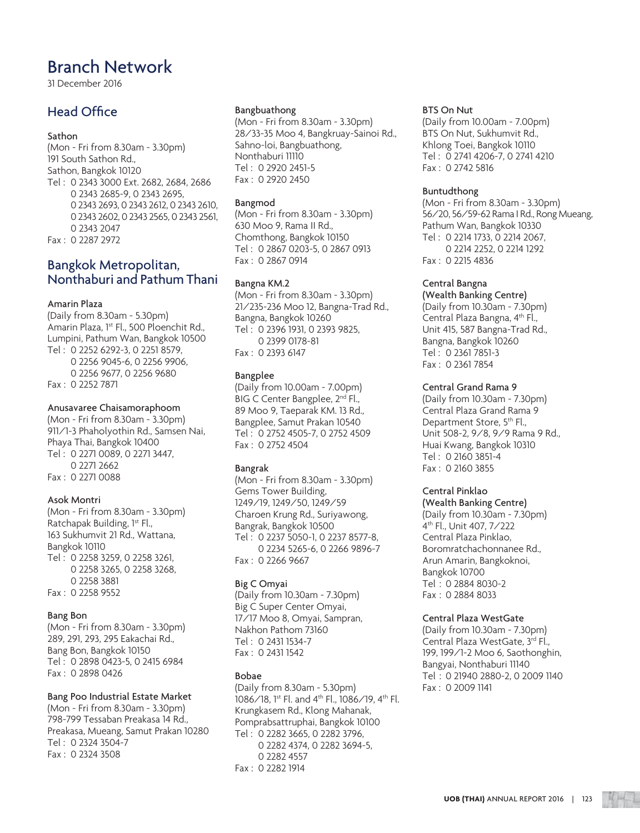31 December 2016

### Head Office

### Sathon

(Mon - Fri from 8.30am - 3.30pm) 191 South Sathon Rd., Sathon, Bangkok 10120 Tel : 0 2343 3000 Ext. 2682, 2684, 2686 0 2343 2685-9, 0 2343 2695, 0 2343 2693, 0 2343 2612, 0 2343 2610, 0 2343 2602, 0 2343 2565, 0 2343 2561, 0 2343 2047 Fax : 0 2287 2972

### Bangkok Metropolitan, Nonthaburi and Pathum Thani

### Amarin Plaza

(Daily from 8.30am - 5.30pm) Amarin Plaza, 1<sup>st</sup> Fl., 500 Ploenchit Rd., Lumpini, Pathum Wan, Bangkok 10500 Tel : 0 2252 6292-3, 0 2251 8579, 0 2256 9045-6, 0 2256 9906, 0 2256 9677, 0 2256 9680 Fax : 0 2252 7871

#### Anusavaree Chaisamoraphoom

(Mon - Fri from 8.30am - 3.30pm) 911/1-3 Phaholyothin Rd., Samsen Nai, Phaya Thai, Bangkok 10400 Tel : 0 2271 0089, 0 2271 3447, 0 2271 2662 Fax : 0 2271 0088

### Asok Montri

(Mon - Fri from 8.30am - 3.30pm) Ratchapak Building, 1st Fl., 163 Sukhumvit 21 Rd., Wattana, Bangkok 10110 Tel : 0 2258 3259, 0 2258 3261, 0 2258 3265, 0 2258 3268, 0 2258 3881 Fax : 0 2258 9552

### Bang Bon

(Mon - Fri from 8.30am - 3.30pm) 289, 291, 293, 295 Eakachai Rd., Bang Bon, Bangkok 10150 Tel : 0 2898 0423-5, 0 2415 6984 Fax : 0 2898 0426

### Bang Poo Industrial Estate Market

(Mon - Fri from 8.30am - 3.30pm) 798-799 Tessaban Preakasa 14 Rd., Preakasa, Mueang, Samut Prakan 10280 Tel : 0 2324 3504-7 Fax : 0 2324 3508

#### Bangbuathong

(Mon - Fri from 8.30am - 3.30pm) 28/33-35 Moo 4, Bangkruay-Sainoi Rd., Sahno-loi, Bangbuathong, Nonthaburi 11110 Tel : 0 2920 2451-5 Fax : 0 2920 2450

#### Bangmod

(Mon - Fri from 8.30am - 3.30pm) 630 Moo 9, Rama II Rd., Chomthong, Bangkok 10150 Tel : 0 2867 0203-5, 0 2867 0913 Fax : 0 2867 0914

### Bangna KM.2

(Mon - Fri from 8.30am - 3.30pm) 21/235-236 Moo 12, Bangna-Trad Rd., Bangna, Bangkok 10260 Tel : 0 2396 1931, 0 2393 9825, 0 2399 0178-81 Fax : 0 2393 6147

#### Bangplee

(Daily from 10.00am - 7.00pm) BIG C Center Bangplee, 2<sup>nd</sup> Fl., 89 Moo 9, Taeparak KM. 13 Rd., Bangplee, Samut Prakan 10540 Tel : 0 2752 4505-7, 0 2752 4509 Fax : 0 2752 4504

### Bangrak

(Mon - Fri from 8.30am - 3.30pm) Gems Tower Building, 1249/19, 1249/50, 1249/59 Charoen Krung Rd., Suriyawong, Bangrak, Bangkok 10500 Tel : 0 2237 5050-1, 0 2237 8577-8, 0 2234 5265-6, 0 2266 9896-7 Fax : 0 2266 9667

### Big C Omyai

(Daily from 10.30am - 7.30pm) Big C Super Center Omyai, 17/17 Moo 8, Omyai, Sampran, Nakhon Pathom 73160 Tel : 0 2431 1534-7 Fax : 0 2431 1542

### Bobae

(Daily from 8.30am - 5.30pm) 1086/18, 1st Fl. and 4th Fl., 1086/19, 4th Fl. Krungkasem Rd., Klong Mahanak, Pomprabsattruphai, Bangkok 10100 Tel : 0 2282 3665, 0 2282 3796, 0 2282 4374, 0 2282 3694-5, 0 2282 4557 Fax : 0 2282 1914

#### BTS On Nut

(Daily from 10.00am - 7.00pm) BTS On Nut, Sukhumvit Rd., Khlong Toei, Bangkok 10110 Tel : 0 2741 4206-7, 0 2741 4210 Fax : 0 2742 5816

#### Buntudthong

(Mon - Fri from 8.30am - 3.30pm) 56/20, 56/59-62 Rama I Rd., Rong Mueang, Pathum Wan, Bangkok 10330 Tel : 0 2214 1733, 0 2214 2067, 0 2214 2252, 0 2214 1292 Fax : 0 2215 4836

### Central Bangna

(Wealth Banking Centre) (Daily from 10.30am - 7.30pm) Central Plaza Bangna, 4th Fl., Unit 415, 587 Bangna-Trad Rd., Bangna, Bangkok 10260 Tel : 0 2361 7851-3 Fax : 0 2361 7854

### Central Grand Rama 9

(Daily from 10.30am - 7.30pm) Central Plaza Grand Rama 9 Department Store, 5<sup>th</sup> Fl., Unit 508-2, 9/8, 9/9 Rama 9 Rd., Huai Kwang, Bangkok 10310 Tel : 0 2160 3851-4 Fax : 0 2160 3855

### Central Pinklao

### (Wealth Banking Centre)

(Daily from 10.30am - 7.30pm) 4th Fl., Unit 407, 7/222 Central Plaza Pinklao, Boromratchachonnanee Rd., Arun Amarin, Bangkoknoi, Bangkok 10700 Tel : 0 2884 8030-2 Fax : 0 2884 8033

### Central Plaza WestGate

(Daily from 10.30am - 7.30pm) Central Plaza WestGate, 3rd Fl., 199, 199/1-2 Moo 6, Saothonghin, Bangyai, Nonthaburi 11140 Tel : 0 21940 2880-2, 0 2009 1140 Fax : 0 2009 1141

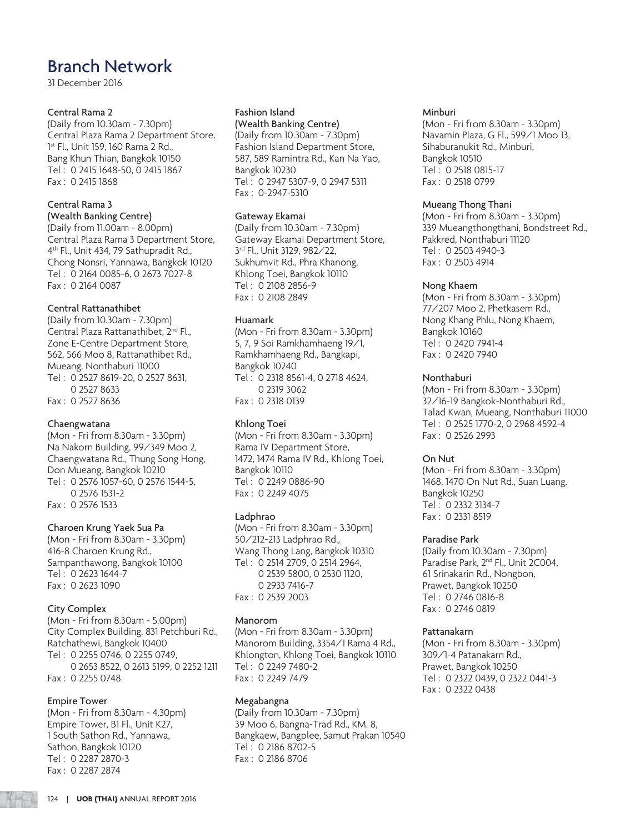31 December 2016

### Central Rama 2

(Daily from 10.30am - 7.30pm) Central Plaza Rama 2 Department Store, 1 st Fl., Unit 159, 160 Rama 2 Rd., Bang Khun Thian, Bangkok 10150 Tel : 0 2415 1648-50, 0 2415 1867 Fax : 0 2415 1868

### Central Rama 3

(Wealth Banking Centre)

(Daily from 11.00am - 8.00pm) Central Plaza Rama 3 Department Store, 4th Fl., Unit 434, 79 Sathupradit Rd., Chong Nonsri, Yannawa, Bangkok 10120 Tel : 0 2164 0085-6, 0 2673 7027-8 Fax : 0 2164 0087

### Central Rattanathibet

(Daily from 10.30am - 7.30pm) Central Plaza Rattanathibet, 2<sup>nd</sup> Fl., Zone E-Centre Department Store, 562, 566 Moo 8, Rattanathibet Rd., Mueang, Nonthaburi 11000 Tel : 0 2527 8619-20, 0 2527 8631, 0 2527 8633 Fax : 0 2527 8636

### Chaengwatana

(Mon - Fri from 8.30am - 3.30pm) Na Nakorn Building, 99/349 Moo 2, Chaengwatana Rd., Thung Song Hong, Don Mueang, Bangkok 10210 Tel : 0 2576 1057-60, 0 2576 1544-5, 0 2576 1531-2 Fax : 0 2576 1533

### Charoen Krung Yaek Sua Pa

(Mon - Fri from 8.30am - 3.30pm) 416-8 Charoen Krung Rd., Sampanthawong, Bangkok 10100 Tel : 0 2623 1644-7 Fax : 0 2623 1090

### City Complex

(Mon - Fri from 8.30am - 5.00pm) City Complex Building, 831 Petchburi Rd., Ratchathewi, Bangkok 10400 Tel : 0 2255 0746, 0 2255 0749, 0 2653 8522, 0 2613 5199, 0 2252 1211 Fax : 0 2255 0748

### Empire Tower

(Mon - Fri from 8.30am - 4.30pm) Empire Tower, B1 Fl., Unit K27, 1 South Sathon Rd., Yannawa, Sathon, Bangkok 10120 Tel : 0 2287 2870-3 Fax : 0 2287 2874

### Fashion Island

(Wealth Banking Centre) (Daily from 10.30am - 7.30pm) Fashion Island Department Store, 587, 589 Ramintra Rd., Kan Na Yao, Bangkok 10230 Tel : 0 2947 5307-9, 0 2947 5311 Fax : 0-2947-5310

### Gateway Ekamai

(Daily from 10.30am - 7.30pm) Gateway Ekamai Department Store, 3rd Fl., Unit 3129, 982/22, Sukhumvit Rd., Phra Khanong, Khlong Toei, Bangkok 10110 Tel : 0 2108 2856-9 Fax : 0 2108 2849

### Huamark

(Mon - Fri from 8.30am - 3.30pm) 5, 7, 9 Soi Ramkhamhaeng 19/1, Ramkhamhaeng Rd., Bangkapi, Bangkok 10240 Tel : 0 2318 8561-4, 0 2718 4624, 0 2319 3062 Fax : 0 2318 0139

### Khlong Toei

(Mon - Fri from 8.30am - 3.30pm) Rama IV Department Store, 1472, 1474 Rama IV Rd., Khlong Toei, Bangkok 10110 Tel : 0 2249 0886-90 Fax : 0 2249 4075

### Ladphrao

(Mon - Fri from 8.30am - 3.30pm) 50/212-213 Ladphrao Rd., Wang Thong Lang, Bangkok 10310 Tel : 0 2514 2709, 0 2514 2964, 0 2539 5800, 0 2530 1120, 0 2933 7416-7 Fax : 0 2539 2003

### Manorom

(Mon - Fri from 8.30am - 3.30pm) Manorom Building, 3354/1 Rama 4 Rd., Khlongton, Khlong Toei, Bangkok 10110 Tel : 0 2249 7480-2 Fax : 0 2249 7479

### Megabangna

(Daily from 10.30am - 7.30pm) 39 Moo 6, Bangna-Trad Rd., KM. 8, Bangkaew, Bangplee, Samut Prakan 10540 Tel : 0 2186 8702-5 Fax : 0 2186 8706

### Minburi

(Mon - Fri from 8.30am - 3.30pm) Navamin Plaza, G Fl., 599/1 Moo 13, Sihaburanukit Rd., Minburi, Bangkok 10510 Tel : 0 2518 0815-17 Fax : 0 2518 0799

### Mueang Thong Thani

(Mon - Fri from 8.30am - 3.30pm) 339 Mueangthongthani, Bondstreet Rd., Pakkred, Nonthaburi 11120 Tel : 0 2503 4940-3 Fax : 0 2503 4914

### Nong Khaem

(Mon - Fri from 8.30am - 3.30pm) 77/207 Moo 2, Phetkasem Rd., Nong Khang Phlu, Nong Khaem, Bangkok 10160 Tel : 0 2420 7941-4 Fax : 0 2420 7940

### Nonthaburi

(Mon - Fri from 8.30am - 3.30pm) 32/16-19 Bangkok-Nonthaburi Rd., Talad Kwan, Mueang, Nonthaburi 11000 Tel : 0 2525 1770-2, 0 2968 4592-4 Fax : 0 2526 2993

### On Nut

(Mon - Fri from 8.30am - 3.30pm) 1468, 1470 On Nut Rd., Suan Luang, Bangkok 10250 Tel : 0 2332 3134-7 Fax : 0 2331 8519

### Paradise Park

(Daily from 10.30am - 7.30pm) Paradise Park, 2<sup>nd</sup> Fl., Unit 2C004, 61 Srinakarin Rd., Nongbon, Prawet, Bangkok 10250 Tel : 0 2746 0816-8 Fax : 0 2746 0819

### Pattanakarn

(Mon - Fri from 8.30am - 3.30pm) 309/1-4 Patanakarn Rd., Prawet, Bangkok 10250 Tel : 0 2322 0439, 0 2322 0441-3 Fax : 0 2322 0438

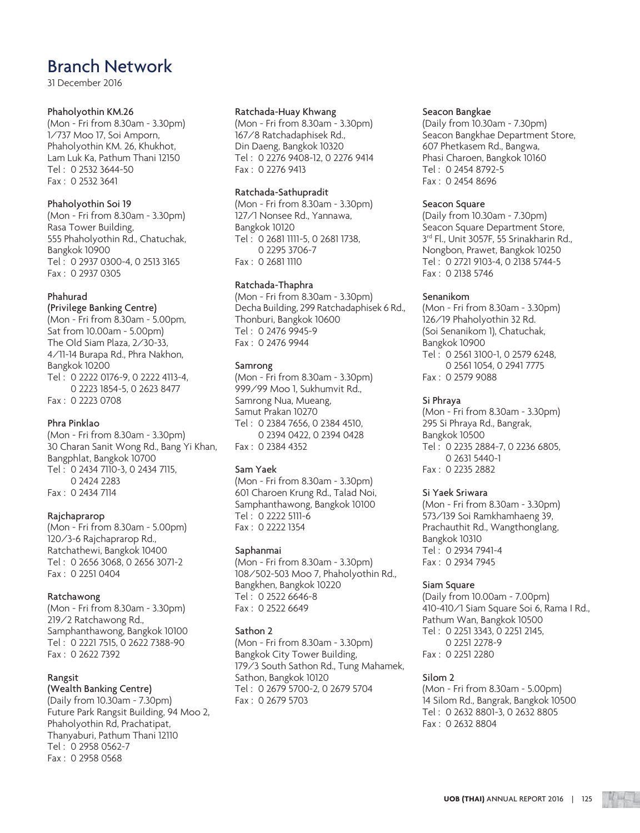31 December 2016

### Phaholyothin KM.26

(Mon - Fri from 8.30am - 3.30pm) 1/737 Moo 17, Soi Amporn, Phaholyothin KM. 26, Khukhot, Lam Luk Ka, Pathum Thani 12150 Tel : 0 2532 3644-50 Fax : 0 2532 3641

### Phaholyothin Soi 19

(Mon - Fri from 8.30am - 3.30pm) Rasa Tower Building, 555 Phaholyothin Rd., Chatuchak, Bangkok 10900 Tel : 0 2937 0300-4, 0 2513 3165 Fax : 0 2937 0305

### Phahurad

(Privilege Banking Centre) (Mon - Fri from 8.30am - 5.00pm, Sat from 10.00am - 5.00pm) The Old Siam Plaza, 2/30-33, 4/11-14 Burapa Rd., Phra Nakhon, Bangkok 10200 Tel : 0 2222 0176-9, 0 2222 4113-4, 0 2223 1854-5, 0 2623 8477 Fax : 0 2223 0708

### Phra Pinklao

(Mon - Fri from 8.30am - 3.30pm) 30 Charan Sanit Wong Rd., Bang Yi Khan, Bangphlat, Bangkok 10700 Tel : 0 2434 7110-3, 0 2434 7115, 0 2424 2283 Fax : 0 2434 7114

### Rajchaprarop

(Mon - Fri from 8.30am - 5.00pm) 120/3-6 Rajchaprarop Rd., Ratchathewi, Bangkok 10400 Tel : 0 2656 3068, 0 2656 3071-2 Fax : 0 2251 0404

### Ratchawong

(Mon - Fri from 8.30am - 3.30pm) 219/2 Ratchawong Rd., Samphanthawong, Bangkok 10100 Tel : 0 2221 7515, 0 2622 7388-90 Fax : 0 2622 7392

### Rangsit

### (Wealth Banking Centre)

(Daily from 10.30am - 7.30pm) Future Park Rangsit Building, 94 Moo 2, Phaholyothin Rd, Prachatipat, Thanyaburi, Pathum Thani 12110 Tel : 0 2958 0562-7 Fax : 0 2958 0568

#### Ratchada-Huay Khwang

(Mon - Fri from 8.30am - 3.30pm) 167/8 Ratchadaphisek Rd., Din Daeng, Bangkok 10320 Tel : 0 2276 9408-12, 0 2276 9414 Fax : 0 2276 9413

### Ratchada-Sathupradit

(Mon - Fri from 8.30am - 3.30pm) 127/1 Nonsee Rd., Yannawa, Bangkok 10120 Tel : 0 2681 1111-5, 0 2681 1738, 0 2295 3706-7 Fax : 0 2681 1110

### Ratchada-Thaphra

(Mon - Fri from 8.30am - 3.30pm) Decha Building, 299 Ratchadaphisek 6 Rd., Thonburi, Bangkok 10600 Tel : 0 2476 9945-9 Fax : 0 2476 9944

### Samrong

(Mon - Fri from 8.30am - 3.30pm) 999/99 Moo 1, Sukhumvit Rd., Samrong Nua, Mueang, Samut Prakan 10270 Tel : 0 2384 7656, 0 2384 4510, 0 2394 0422, 0 2394 0428 Fax : 0 2384 4352

### Sam Yaek

(Mon - Fri from 8.30am - 3.30pm) 601 Charoen Krung Rd., Talad Noi, Samphanthawong, Bangkok 10100 Tel : 0 2222 5111-6 Fax : 0 2222 1354

### Saphanmai

(Mon - Fri from 8.30am - 3.30pm) 108/502-503 Moo 7, Phaholyothin Rd., Bangkhen, Bangkok 10220 Tel : 0 2522 6646-8 Fax : 0 2522 6649

### Sathon 2

(Mon - Fri from 8.30am - 3.30pm) Bangkok City Tower Building, 179/3 South Sathon Rd., Tung Mahamek, Sathon, Bangkok 10120 Tel : 0 2679 5700-2, 0 2679 5704 Fax : 0 2679 5703

#### Seacon Bangkae

(Daily from 10.30am - 7.30pm) Seacon Bangkhae Department Store, 607 Phetkasem Rd., Bangwa, Phasi Charoen, Bangkok 10160 Tel : 0 2454 8792-5 Fax : 0 2454 8696

### Seacon Square

(Daily from 10.30am - 7.30pm) Seacon Square Department Store, 3<sup>rd</sup> Fl., Unit 3057F, 55 Srinakharin Rd., Nongbon, Prawet, Bangkok 10250 Tel : 0 2721 9103-4, 0 2138 5744-5 Fax : 0 2138 5746

### Senanikom

(Mon - Fri from 8.30am - 3.30pm) 126/19 Phaholyothin 32 Rd. (Soi Senanikom 1), Chatuchak, Bangkok 10900 Tel : 0 2561 3100-1, 0 2579 6248, 0 2561 1054, 0 2941 7775 Fax : 0 2579 9088

### Si Phraya

(Mon - Fri from 8.30am - 3.30pm) 295 Si Phraya Rd., Bangrak, Bangkok 10500 Tel : 0 2235 2884-7, 0 2236 6805, 0 2631 5440-1 Fax : 0 2235 2882

### Si Yaek Sriwara

(Mon - Fri from 8.30am - 3.30pm) 573/139 Soi Ramkhamhaeng 39, Prachauthit Rd., Wangthonglang, Bangkok 10310 Tel : 0 2934 7941-4 Fax : 0 2934 7945

### Siam Square

(Daily from 10.00am - 7.00pm) 410-410/1 Siam Square Soi 6, Rama I Rd., Pathum Wan, Bangkok 10500 Tel : 0 2251 3343, 0 2251 2145, 0 2251 2278-9 Fax : 0 2251 2280

### Silom 2

(Mon - Fri from 8.30am - 5.00pm) 14 Silom Rd., Bangrak, Bangkok 10500 Tel : 0 2632 8801-3, 0 2632 8805 Fax : 0 2632 8804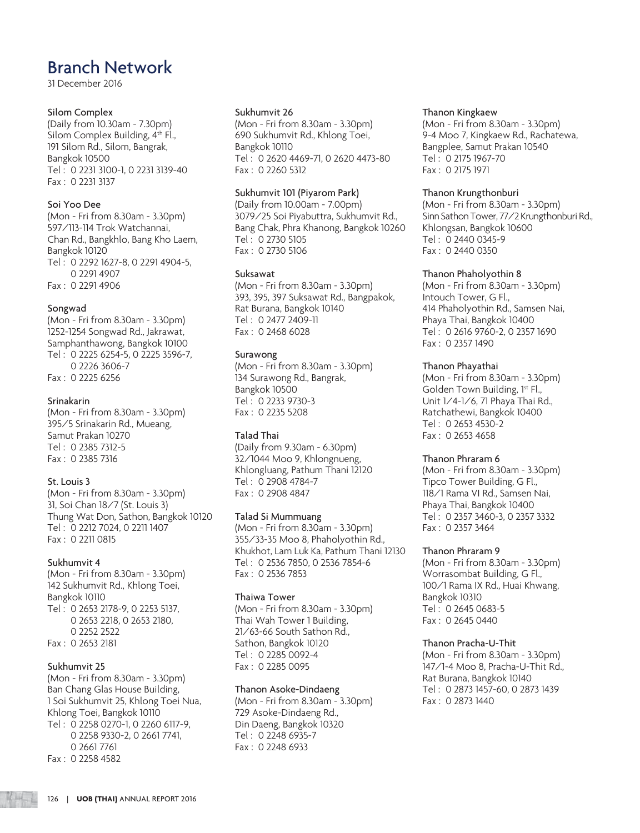31 December 2016

### Silom Complex

(Daily from 10.30am - 7.30pm) Silom Complex Building, 4<sup>th</sup> Fl., 191 Silom Rd., Silom, Bangrak, Bangkok 10500 Tel : 0 2231 3100-1, 0 2231 3139-40 Fax : 0 2231 3137

### Soi Yoo Dee

(Mon - Fri from 8.30am - 3.30pm) 597/113-114 Trok Watchannai, Chan Rd., Bangkhlo, Bang Kho Laem, Bangkok 10120 Tel : 0 2292 1627-8, 0 2291 4904-5, 0 2291 4907 Fax : 0 2291 4906

### Songwad

(Mon - Fri from 8.30am - 3.30pm) 1252-1254 Songwad Rd., Jakrawat, Samphanthawong, Bangkok 10100 Tel : 0 2225 6254-5, 0 2225 3596-7, 0 2226 3606-7 Fax : 0 2225 6256

### Srinakarin

(Mon - Fri from 8.30am - 3.30pm) 395/5 Srinakarin Rd., Mueang, Samut Prakan 10270 Tel : 0 2385 7312-5 Fax : 0 2385 7316

### St. Louis 3

(Mon - Fri from 8.30am - 3.30pm) 31, Soi Chan 18/7 (St. Louis 3) Thung Wat Don, Sathon, Bangkok 10120 Tel : 0 2212 7024, 0 2211 1407 Fax : 0 2211 0815

### Sukhumvit 4

(Mon - Fri from 8.30am - 3.30pm) 142 Sukhumvit Rd., Khlong Toei, Bangkok 10110 Tel : 0 2653 2178-9, 0 2253 5137, 0 2653 2218, 0 2653 2180, 0 2252 2522 Fax : 0 2653 2181

### Sukhumvit 25

(Mon - Fri from 8.30am - 3.30pm) Ban Chang Glas House Building, 1 Soi Sukhumvit 25, Khlong Toei Nua, Khlong Toei, Bangkok 10110 Tel : 0 2258 0270-1, 0 2260 6117-9, 0 2258 9330-2, 0 2661 7741, 0 2661 7761 Fax : 0 2258 4582

#### Sukhumvit 26

(Mon - Fri from 8.30am - 3.30pm) 690 Sukhumvit Rd., Khlong Toei, Bangkok 10110 Tel : 0 2620 4469-71, 0 2620 4473-80 Fax : 0 2260 5312

### Sukhumvit 101 (Piyarom Park)

(Daily from 10.00am - 7.00pm) 3079/25 Soi Piyabuttra, Sukhumvit Rd., Bang Chak, Phra Khanong, Bangkok 10260 Tel : 0 2730 5105 Fax : 0 2730 5106

### Suksawat

(Mon - Fri from 8.30am - 3.30pm) 393, 395, 397 Suksawat Rd., Bangpakok, Rat Burana, Bangkok 10140 Tel : 0 2477 2409-11 Fax : 0 2468 6028

### Surawong

(Mon - Fri from 8.30am - 3.30pm) 134 Surawong Rd., Bangrak, Bangkok 10500 Tel : 0 2233 9730-3 Fax : 0 2235 5208

### Talad Thai

(Daily from 9.30am - 6.30pm) 32/1044 Moo 9, Khlongnueng, Khlongluang, Pathum Thani 12120 Tel : 0 2908 4784-7 Fax : 0 2908 4847

### Talad Si Mummuang

(Mon - Fri from 8.30am - 3.30pm) 355/33-35 Moo 8, Phaholyothin Rd., Khukhot, Lam Luk Ka, Pathum Thani 12130 Tel : 0 2536 7850, 0 2536 7854-6 Fax : 0 2536 7853

### Thaiwa Tower

(Mon - Fri from 8.30am - 3.30pm) Thai Wah Tower 1 Building, 21/63-66 South Sathon Rd., Sathon, Bangkok 10120 Tel : 0 2285 0092-4 Fax : 0 2285 0095

### Thanon Asoke-Dindaeng

(Mon - Fri from 8.30am - 3.30pm) 729 Asoke-Dindaeng Rd., Din Daeng, Bangkok 10320 Tel : 0 2248 6935-7 Fax : 0 2248 6933

#### Thanon Kingkaew

(Mon - Fri from 8.30am - 3.30pm) 9-4 Moo 7, Kingkaew Rd., Rachatewa, Bangplee, Samut Prakan 10540 Tel : 0 2175 1967-70 Fax : 0 2175 1971

### Thanon Krungthonburi

(Mon - Fri from 8.30am - 3.30pm) Sinn Sathon Tower, 77/2 Krungthonburi Rd., Khlongsan, Bangkok 10600 Tel : 0 2440 0345-9 Fax : 0 2440 0350

### Thanon Phaholyothin 8

(Mon - Fri from 8.30am - 3.30pm) Intouch Tower, G Fl., 414 Phaholyothin Rd., Samsen Nai, Phaya Thai, Bangkok 10400 Tel : 0 2616 9760-2, 0 2357 1690 Fax : 0 2357 1490

### Thanon Phayathai

(Mon - Fri from 8.30am - 3.30pm) Golden Town Building, 1st Fl., Unit 1/4-1/6, 71 Phaya Thai Rd., Ratchathewi, Bangkok 10400 Tel : 0 2653 4530-2 Fax : 0 2653 4658

### Thanon Phraram 6

(Mon - Fri from 8.30am - 3.30pm) Tipco Tower Building, G Fl., 118/1 Rama VI Rd., Samsen Nai, Phaya Thai, Bangkok 10400 Tel : 0 2357 3460-3, 0 2357 3332 Fax : 0 2357 3464

### Thanon Phraram 9

(Mon - Fri from 8.30am - 3.30pm) Worrasombat Building, G Fl., 100/1 Rama IX Rd., Huai Khwang, Bangkok 10310 Tel : 0 2645 0683-5 Fax : 0 2645 0440

### Thanon Pracha-U-Thit

(Mon - Fri from 8.30am - 3.30pm) 147/1-4 Moo 8, Pracha-U-Thit Rd., Rat Burana, Bangkok 10140 Tel : 0 2873 1457-60, 0 2873 1439 Fax : 0 2873 1440

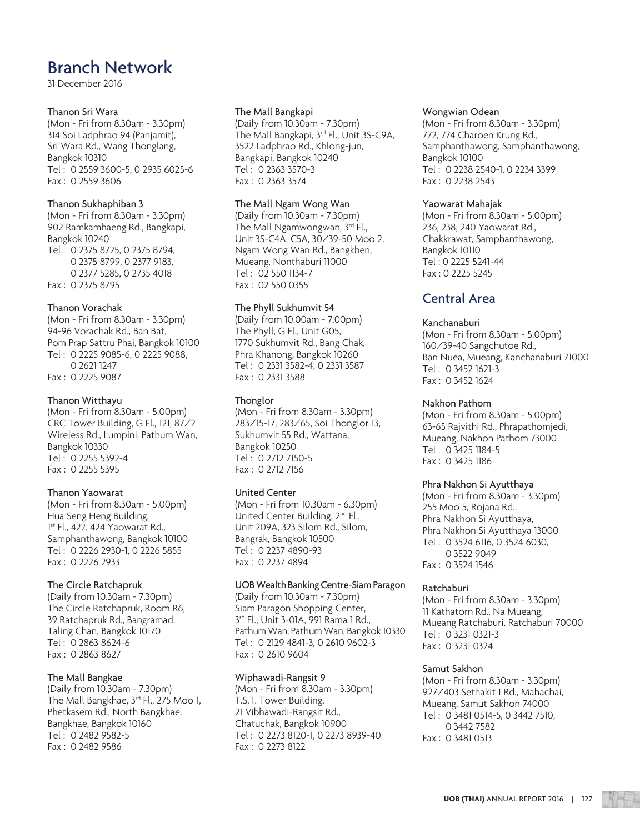31 December 2016

### Thanon Sri Wara

(Mon - Fri from 8.30am - 3.30pm) 314 Soi Ladphrao 94 (Panjamit), Sri Wara Rd., Wang Thonglang, Bangkok 10310 Tel : 0 2559 3600-5, 0 2935 6025-6 Fax : 0 2559 3606

### Thanon Sukhaphiban 3

(Mon - Fri from 8.30am - 3.30pm) 902 Ramkamhaeng Rd., Bangkapi, Bangkok 10240 Tel : 0 2375 8725, 0 2375 8794, 0 2375 8799, 0 2377 9183, 0 2377 5285, 0 2735 4018 Fax : 0 2375 8795

### Thanon Vorachak

(Mon - Fri from 8.30am - 3.30pm) 94-96 Vorachak Rd., Ban Bat, Pom Prap Sattru Phai, Bangkok 10100 Tel : 0 2225 9085-6, 0 2225 9088, 0 2621 1247 Fax : 0 2225 9087

### Thanon Witthayu

(Mon - Fri from 8.30am - 5.00pm) CRC Tower Building, G Fl., 121, 87/2 Wireless Rd., Lumpini, Pathum Wan, Bangkok 10330 Tel : 0 2255 5392-4 Fax : 0 2255 5395

### Thanon Yaowarat

(Mon - Fri from 8.30am - 5.00pm) Hua Seng Heng Building, 1st Fl., 422, 424 Yaowarat Rd., Samphanthawong, Bangkok 10100 Tel : 0 2226 2930-1, 0 2226 5855 Fax : 0 2226 2933

### The Circle Ratchapruk

(Daily from 10.30am - 7.30pm) The Circle Ratchapruk, Room R6, 39 Ratchapruk Rd., Bangramad, Taling Chan, Bangkok 10170 Tel : 0 2863 8624-6 Fax : 0 2863 8627

### The Mall Bangkae

(Daily from 10.30am - 7.30pm) The Mall Bangkhae, 3rd Fl., 275 Moo 1, Phetkasem Rd., North Bangkhae, Bangkhae, Bangkok 10160 Tel : 0 2482 9582-5 Fax : 0 2482 9586

### The Mall Bangkapi

(Daily from 10.30am - 7.30pm) The Mall Bangkapi, 3rd Fl., Unit 3S-C9A, 3522 Ladphrao Rd., Khlong-jun, Bangkapi, Bangkok 10240 Tel : 0 2363 3570-3 Fax : 0 2363 3574

### The Mall Ngam Wong Wan

(Daily from 10.30am - 7.30pm) The Mall Ngamwongwan, 3rd Fl., Unit 3S-C4A, C5A, 30/39-50 Moo 2, Ngam Wong Wan Rd., Bangkhen, Mueang, Nonthaburi 11000 Tel : 02 550 1134-7 Fax : 02 550 0355

### The Phyll Sukhumvit 54

(Daily from 10.00am - 7.00pm) The Phyll, G Fl., Unit G05, 1770 Sukhumvit Rd., Bang Chak, Phra Khanong, Bangkok 10260 Tel : 0 2331 3582-4, 0 2331 3587 Fax : 0 2331 3588

### **Thonglor**

(Mon - Fri from 8.30am - 3.30pm) 283/15-17, 283/65, Soi Thonglor 13, Sukhumvit 55 Rd., Wattana, Bangkok 10250 Tel : 0 2712 7150-5 Fax : 0 2712 7156

### United Center

(Mon - Fri from 10.30am - 6.30pm) United Center Building, 2<sup>nd</sup> Fl., Unit 209A, 323 Silom Rd., Silom, Bangrak, Bangkok 10500 Tel : 0 2237 4890-93 Fax : 0 2237 4894

### UOB Wealth Banking Centre-Siam Paragon

(Daily from 10.30am - 7.30pm) Siam Paragon Shopping Center, 3rd Fl., Unit 3-01A, 991 Rama 1 Rd., Pathum Wan, Pathum Wan, Bangkok 10330 Tel : 0 2129 4841-3, 0 2610 9602-3 Fax : 0 2610 9604

### Wiphawadi-Rangsit 9

(Mon - Fri from 8.30am - 3.30pm) T.S.T. Tower Building, 21 Vibhawadi-Rangsit Rd., Chatuchak, Bangkok 10900 Tel : 0 2273 8120-1, 0 2273 8939-40 Fax : 0 2273 8122

#### Wongwian Odean

(Mon - Fri from 8.30am - 3.30pm) 772, 774 Charoen Krung Rd., Samphanthawong, Samphanthawong, Bangkok 10100 Tel : 0 2238 2540-1, 0 2234 3399 Fax : 0 2238 2543

#### Yaowarat Mahajak

(Mon - Fri from 8.30am - 5.00pm) 236, 238, 240 Yaowarat Rd., Chakkrawat, Samphanthawong, Bangkok 10110 Tel : 0 2225 5241-44 Fax : 0 2225 5245

### Central Area

### Kanchanaburi

(Mon - Fri from 8.30am - 5.00pm) 160/39-40 Sangchutoe Rd., Ban Nuea, Mueang, Kanchanaburi 71000 Tel : 0 3452 1621-3 Fax : 0 3452 1624

### Nakhon Pathom

(Mon - Fri from 8.30am - 5.00pm) 63-65 Rajvithi Rd., Phrapathomjedi, Mueang, Nakhon Pathom 73000 Tel : 0 3425 1184-5 Fax : 0 3425 1186

### Phra Nakhon Si Ayutthaya

(Mon - Fri from 8.30am - 3.30pm) 255 Moo 5, Rojana Rd., Phra Nakhon Si Ayutthaya, Phra Nakhon Si Ayutthaya 13000 Tel : 0 3524 6116, 0 3524 6030, 0 3522 9049 Fax : 0 3524 1546

### Ratchaburi

(Mon - Fri from 8.30am - 3.30pm) 11 Kathatorn Rd., Na Mueang, Mueang Ratchaburi, Ratchaburi 70000 Tel : 0 3231 0321-3 Fax : 0 3231 0324

### Samut Sakhon

(Mon - Fri from 8.30am - 3.30pm) 927/403 Sethakit 1 Rd., Mahachai, Mueang, Samut Sakhon 74000 Tel : 0 3481 0514-5, 0 3442 7510, 0 3442 7582 Fax : 0 3481 0513

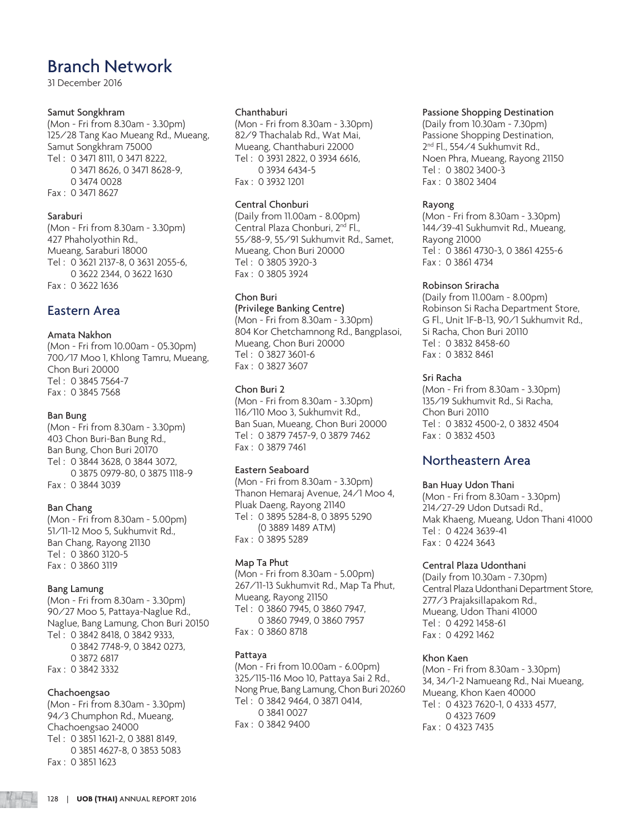31 December 2016

### Samut Songkhram

(Mon - Fri from 8.30am - 3.30pm) 125/28 Tang Kao Mueang Rd., Mueang, Samut Songkhram 75000 Tel : 0 3471 8111, 0 3471 8222, 0 3471 8626, 0 3471 8628-9, 0 3474 0028 Fax : 0 3471 8627

### Saraburi

(Mon - Fri from 8.30am - 3.30pm) 427 Phaholyothin Rd., Mueang, Saraburi 18000 Tel : 0 3621 2137-8, 0 3631 2055-6, 0 3622 2344, 0 3622 1630 Fax : 0 3622 1636

### Eastern Area

### Amata Nakhon

(Mon - Fri from 10.00am - 05.30pm) 700/17 Moo 1, Khlong Tamru, Mueang, Chon Buri 20000 Tel : 0 3845 7564-7 Fax : 0 3845 7568

### Ban Bung

(Mon - Fri from 8.30am - 3.30pm) 403 Chon Buri-Ban Bung Rd., Ban Bung, Chon Buri 20170 Tel : 0 3844 3628, 0 3844 3072, 0 3875 0979-80, 0 3875 1118-9 Fax : 0 3844 3039

### Ban Chang

(Mon - Fri from 8.30am - 5.00pm) 51/11-12 Moo 5, Sukhumvit Rd., Ban Chang, Rayong 21130 Tel : 0 3860 3120-5 Fax : 0 3860 3119

### Bang Lamung

(Mon - Fri from 8.30am - 3.30pm) 90/27 Moo 5, Pattaya-Naglue Rd., Naglue, Bang Lamung, Chon Buri 20150 Tel : 0 3842 8418, 0 3842 9333, 0 3842 7748-9, 0 3842 0273, 0 3872 6817 Fax : 0 3842 3332

### Chachoengsao

(Mon - Fri from 8.30am - 3.30pm) 94/3 Chumphon Rd., Mueang, Chachoengsao 24000 Tel : 0 3851 1621-2, 0 3881 8149, 0 3851 4627-8, 0 3853 5083 Fax : 0 3851 1623

#### Chanthaburi

(Mon - Fri from 8.30am - 3.30pm) 82/9 Thachalab Rd., Wat Mai, Mueang, Chanthaburi 22000 Tel : 0 3931 2822, 0 3934 6616, 0 3934 6434-5 Fax : 0 3932 1201

### Central Chonburi

(Daily from 11.00am - 8.00pm) Central Plaza Chonburi, 2<sup>nd</sup> Fl., 55/88-9, 55/91 Sukhumvit Rd., Samet, Mueang, Chon Buri 20000 Tel : 0 3805 3920-3 Fax : 0 3805 3924

### Chon Buri

(Privilege Banking Centre) (Mon - Fri from 8.30am - 3.30pm) 804 Kor Chetchamnong Rd., Bangplasoi, Mueang, Chon Buri 20000 Tel : 0 3827 3601-6 Fax : 0 3827 3607

### Chon Buri 2

(Mon - Fri from 8.30am - 3.30pm) 116/110 Moo 3, Sukhumvit Rd., Ban Suan, Mueang, Chon Buri 20000 Tel : 0 3879 7457-9, 0 3879 7462 Fax : 0 3879 7461

### Eastern Seaboard

(Mon - Fri from 8.30am - 3.30pm) Thanon Hemaraj Avenue, 24/1 Moo 4, Pluak Daeng, Rayong 21140 Tel : 0 3895 5284-8, 0 3895 5290 (0 3889 1489 ATM) Fax : 0 3895 5289

### Map Ta Phut

(Mon - Fri from 8.30am - 5.00pm) 267/11-13 Sukhumvit Rd., Map Ta Phut, Mueang, Rayong 21150 Tel : 0 3860 7945, 0 3860 7947, 0 3860 7949, 0 3860 7957 Fax : 0 3860 8718

### Pattaya

(Mon - Fri from 10.00am - 6.00pm) 325/115-116 Moo 10, Pattaya Sai 2 Rd., Nong Prue, Bang Lamung, Chon Buri 20260 Tel : 0 3842 9464, 0 3871 0414, 0 3841 0027 Fax : 0 3842 9400

### Passione Shopping Destination

(Daily from 10.30am - 7.30pm) Passione Shopping Destination, 2<sup>nd</sup> Fl., 554/4 Sukhumvit Rd., Noen Phra, Mueang, Rayong 21150 Tel : 0 3802 3400-3 Fax : 0 3802 3404

### Rayong

(Mon - Fri from 8.30am - 3.30pm) 144/39-41 Sukhumvit Rd., Mueang, Rayong 21000 Tel : 0 3861 4730-3, 0 3861 4255-6 Fax : 0 3861 4734

### Robinson Sriracha

(Daily from 11.00am - 8.00pm) Robinson Si Racha Department Store, G Fl., Unit 1F-B-13, 90/1 Sukhumvit Rd., Si Racha, Chon Buri 20110 Tel : 0 3832 8458-60 Fax : 0 3832 8461

### Sri Racha

(Mon - Fri from 8.30am - 3.30pm) 135/19 Sukhumvit Rd., Si Racha, Chon Buri 20110 Tel : 0 3832 4500-2, 0 3832 4504 Fax : 0 3832 4503

### Northeastern Area

### Ban Huay Udon Thani

(Mon - Fri from 8.30am - 3.30pm) 214/27-29 Udon Dutsadi Rd., Mak Khaeng, Mueang, Udon Thani 41000 Tel : 0 4224 3639-41 Fax : 0 4224 3643

### Central Plaza Udonthani

(Daily from 10.30am - 7.30pm) Central Plaza Udonthani Department Store, 277/3 Prajaksillapakom Rd., Mueang, Udon Thani 41000 Tel : 0 4292 1458-61 Fax : 0 4292 1462

### Khon Kaen

(Mon - Fri from 8.30am - 3.30pm) 34, 34/1-2 Namueang Rd., Nai Mueang, Mueang, Khon Kaen 40000 Tel : 0 4323 7620-1, 0 4333 4577, 0 4323 7609 Fax : 0 4323 7435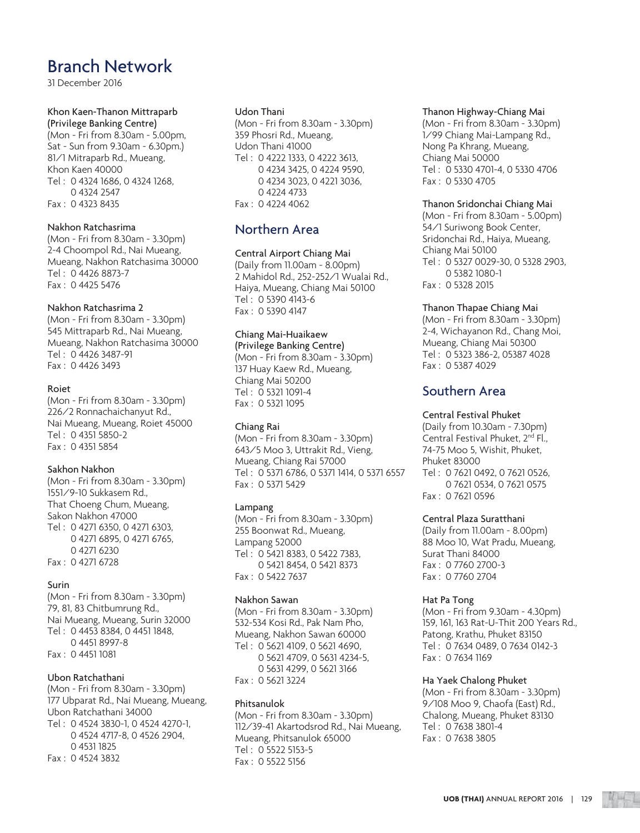31 December 2016

### Khon Kaen-Thanon Mittraparb (Privilege Banking Centre)

(Mon - Fri from 8.30am - 5.00pm, Sat - Sun from 9.30am - 6.30pm.) 81/1 Mitraparb Rd., Mueang, Khon Kaen 40000 Tel : 0 4324 1686, 0 4324 1268, 0 4324 2547 Fax : 0 4323 8435

### Nakhon Ratchasrima

(Mon - Fri from 8.30am - 3.30pm) 2-4 Choompol Rd., Nai Mueang, Mueang, Nakhon Ratchasima 30000 Tel : 0 4426 8873-7 Fax : 0 4425 5476

### Nakhon Ratchasrima 2

(Mon - Fri from 8.30am - 3.30pm) 545 Mittraparb Rd., Nai Mueang, Mueang, Nakhon Ratchasima 30000 Tel : 0 4426 3487-91 Fax : 0 4426 3493

### Roiet

(Mon - Fri from 8.30am - 3.30pm) 226/2 Ronnachaichanyut Rd., Nai Mueang, Mueang, Roiet 45000 Tel : 0 4351 5850-2 Fax : 0 4351 5854

### Sakhon Nakhon

(Mon - Fri from 8.30am - 3.30pm) 1551/9-10 Sukkasem Rd., That Choeng Chum, Mueang, Sakon Nakhon 47000 Tel : 0 4271 6350, 0 4271 6303, 0 4271 6895, 0 4271 6765, 0 4271 6230 Fax : 0 4271 6728

### Surin

(Mon - Fri from 8.30am - 3.30pm) 79, 81, 83 Chitbumrung Rd., Nai Mueang, Mueang, Surin 32000 Tel : 0 4453 8384, 0 4451 1848, 0 4451 8997-8 Fax : 0 4451 1081

### Ubon Ratchathani

(Mon - Fri from 8.30am - 3.30pm) 177 Ubparat Rd., Nai Mueang, Mueang, Ubon Ratchathani 34000 Tel : 0 4524 3830-1, 0 4524 4270-1, 0 4524 4717-8, 0 4526 2904, 0 4531 1825 Fax : 0 4524 3832

### Udon Thani

(Mon - Fri from 8.30am - 3.30pm) 359 Phosri Rd., Mueang, Udon Thani 41000 Tel : 0 4222 1333, 0 4222 3613, 0 4234 3425, 0 4224 9590, 0 4234 3023, 0 4221 3036, 0 4224 4733 Fax : 0 4224 4062

### Northern Area

### Central Airport Chiang Mai

(Daily from 11.00am - 8.00pm) 2 Mahidol Rd., 252-252/1 Wualai Rd., Haiya, Mueang, Chiang Mai 50100 Tel : 0 5390 4143-6 Fax : 0 5390 4147

### Chiang Mai-Huaikaew

(Privilege Banking Centre) (Mon - Fri from 8.30am - 3.30pm) 137 Huay Kaew Rd., Mueang, Chiang Mai 50200 Tel : 0 5321 1091-4 Fax : 0 5321 1095

### Chiang Rai

(Mon - Fri from 8.30am - 3.30pm) 643/5 Moo 3, Uttrakit Rd., Vieng, Mueang, Chiang Rai 57000 Tel : 0 5371 6786, 0 5371 1414, 0 5371 6557 Fax : 0 5371 5429

### Lampang

(Mon - Fri from 8.30am - 3.30pm) 255 Boonwat Rd., Mueang, Lampang 52000 Tel : 0 5421 8383, 0 5422 7383, 0 5421 8454, 0 5421 8373 Fax : 0 5422 7637

### Nakhon Sawan

(Mon - Fri from 8.30am - 3.30pm) 532-534 Kosi Rd., Pak Nam Pho, Mueang, Nakhon Sawan 60000 Tel : 0 5621 4109, 0 5621 4690, 0 5621 4709, 0 5631 4234-5, 0 5631 4299, 0 5621 3166 Fax : 0 5621 3224

### Phitsanulok

(Mon - Fri from 8.30am - 3.30pm) 112/39-41 Akartodsrod Rd., Nai Mueang, Mueang, Phitsanulok 65000 Tel : 0 5522 5153-5 Fax : 0 5522 5156

### Thanon Highway-Chiang Mai

(Mon - Fri from 8.30am - 3.30pm) 1/99 Chiang Mai-Lampang Rd., Nong Pa Khrang, Mueang, Chiang Mai 50000 Tel : 0 5330 4701-4, 0 5330 4706 Fax : 0 5330 4705

### Thanon Sridonchai Chiang Mai

(Mon - Fri from 8.30am - 5.00pm) 54/1 Suriwong Book Center, Sridonchai Rd., Haiya, Mueang, Chiang Mai 50100 Tel : 0 5327 0029-30, 0 5328 2903, 0 5382 1080-1 Fax : 0 5328 2015

### Thanon Thapae Chiang Mai

(Mon - Fri from 8.30am - 3.30pm) 2-4, Wichayanon Rd., Chang Moi, Mueang, Chiang Mai 50300 Tel : 0 5323 386-2, 05387 4028 Fax : 0 5387 4029

### Southern Area

### Central Festival Phuket

(Daily from 10.30am - 7.30pm) Central Festival Phuket, 2<sup>nd</sup> Fl., 74-75 Moo 5, Wishit, Phuket, Phuket 83000 Tel : 0 7621 0492, 0 7621 0526, 0 7621 0534, 0 7621 0575 Fax : 0 7621 0596

### Central Plaza Suratthani

(Daily from 11.00am - 8.00pm) 88 Moo 10, Wat Pradu, Mueang, Surat Thani 84000 Fax : 0 7760 2700-3 Fax : 0 7760 2704

### Hat Pa Tong

(Mon - Fri from 9.30am - 4.30pm) 159, 161, 163 Rat-U-Thit 200 Years Rd., Patong, Krathu, Phuket 83150 Tel : 0 7634 0489, 0 7634 0142-3 Fax : 0 7634 1169

### Ha Yaek Chalong Phuket

(Mon - Fri from 8.30am - 3.30pm) 9/108 Moo 9, Chaofa (East) Rd., Chalong, Mueang, Phuket 83130 Tel : 0 7638 3801-4 Fax : 0 7638 3805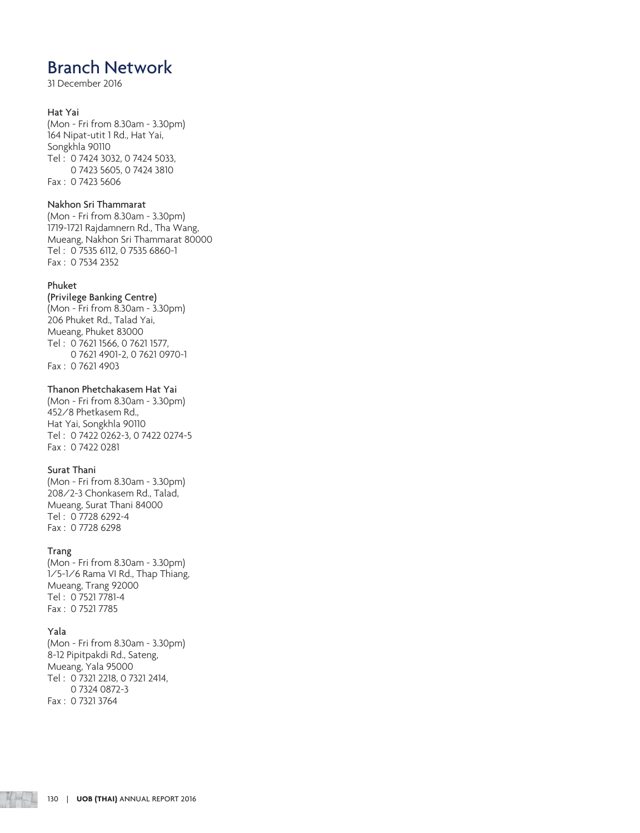31 December 2016

### Hat Yai

(Mon - Fri from 8.30am - 3.30pm) 164 Nipat-utit 1 Rd., Hat Yai, Songkhla 90110 Tel : 0 7424 3032, 0 7424 5033, 0 7423 5605, 0 7424 3810 Fax : 0 7423 5606

### Nakhon Sri Thammarat

(Mon - Fri from 8.30am - 3.30pm) 1719-1721 Rajdamnern Rd., Tha Wang, Mueang, Nakhon Sri Thammarat 80000 Tel : 0 7535 6112, 0 7535 6860-1 Fax : 0 7534 2352

### Phuket

(Privilege Banking Centre) (Mon - Fri from 8.30am - 3.30pm) 206 Phuket Rd., Talad Yai, Mueang, Phuket 83000 Tel : 0 7621 1566, 0 7621 1577, 0 7621 4901-2, 0 7621 0970-1 Fax : 0 7621 4903

### Thanon Phetchakasem Hat Yai

(Mon - Fri from 8.30am - 3.30pm) 452/8 Phetkasem Rd., Hat Yai, Songkhla 90110 Tel : 0 7422 0262-3, 0 7422 0274-5 Fax : 0 7422 0281

### Surat Thani

(Mon - Fri from 8.30am - 3.30pm) 208/2-3 Chonkasem Rd., Talad, Mueang, Surat Thani 84000 Tel : 0 7728 6292-4 Fax : 0 7728 6298

### Trang

(Mon - Fri from 8.30am - 3.30pm) 1/5-1/6 Rama VI Rd., Thap Thiang, Mueang, Trang 92000 Tel : 0 7521 7781-4 Fax : 0 7521 7785

### Yala

(Mon - Fri from 8.30am - 3.30pm) 8-12 Pipitpakdi Rd., Sateng, Mueang, Yala 95000 Tel : 0 7321 2218, 0 7321 2414, 0 7324 0872-3 Fax : 0 7321 3764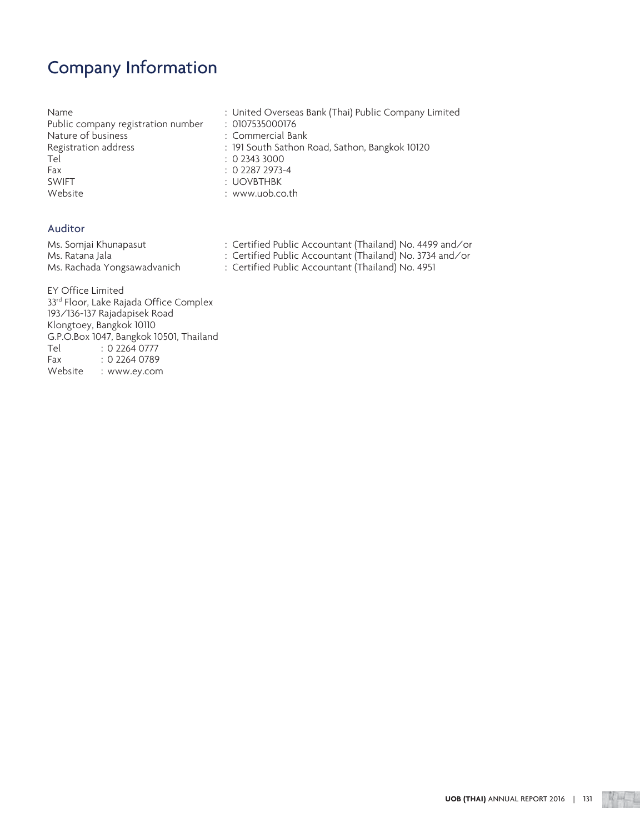# Company Information

| Name                               | : United Overseas Bank (Thai) Public Company Limited |
|------------------------------------|------------------------------------------------------|
| Public company registration number | : 0107535000176                                      |
| Nature of business                 | : Commercial Bank                                    |
| Registration address               | : 191 South Sathon Road, Sathon, Bangkok 10120       |
| Tel                                | : 0.23433000                                         |
| Fax                                | $: 0$ 2287 2973-4                                    |
| <b>SWIFT</b>                       | : UOVBTHBK                                           |
| Website                            | : www.uob.co.th                                      |
|                                    |                                                      |

### Auditor

| Ms. Somjai Khunapasut       | : Certified Public Accountant (Thailand) No. 4499 and/or |
|-----------------------------|----------------------------------------------------------|
| Ms. Ratana Jala             | : Certified Public Accountant (Thailand) No. 3734 and/or |
| Ms. Rachada Yongsawadvanich | : Certified Public Accountant (Thailand) No. 4951        |

EY Office Limited 33<sup>rd</sup> Floor, Lake Rajada Office Complex 193/136-137 Rajadapisek Road Klongtoey, Bangkok 10110 G.P.O.Box 1047, Bangkok 10501, Thailand<br>Tel : 0 2264 0777 Tel : 0 2264 0777<br>Fax : 0 2264 0789  $: 0$  2264 0789 Website : www.ey.com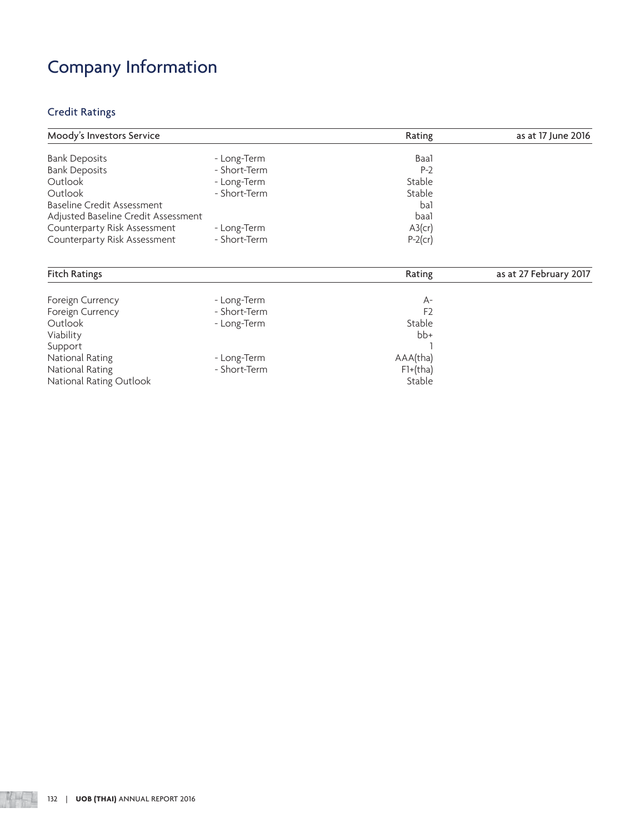# Company Information

### Credit Ratings

| Moody's Investors Service           |              | Rating     | as at 17 June 2016 |
|-------------------------------------|--------------|------------|--------------------|
| <b>Bank Deposits</b>                | - Long-Term  | Baal       |                    |
| <b>Bank Deposits</b>                | - Short-Term | $P-2$      |                    |
| Outlook                             | - Long-Term  | Stable     |                    |
| Outlook                             | - Short-Term | Stable     |                    |
| <b>Baseline Credit Assessment</b>   |              | ba1        |                    |
| Adjusted Baseline Credit Assessment |              | baal       |                    |
| Counterparty Risk Assessment        | - Long-Term  | $A3$ (cr)  |                    |
| Counterparty Risk Assessment        | - Short-Term | $P-2$ (cr) |                    |

| <b>Fitch Ratings</b>    |              | Rating         | as at 27 February 2017 |
|-------------------------|--------------|----------------|------------------------|
|                         |              |                |                        |
| Foreign Currency        | - Long-Term  | $A-$           |                        |
| Foreign Currency        | - Short-Term | F <sub>2</sub> |                        |
| Outlook                 | - Long-Term  | Stable         |                        |
| Viability               |              | $bb+$          |                        |
| Support                 |              |                |                        |
| National Rating         | - Long-Term  | AAA(tha)       |                        |
| National Rating         | - Short-Term | $F1+(tha)$     |                        |
| National Rating Outlook |              | Stable         |                        |